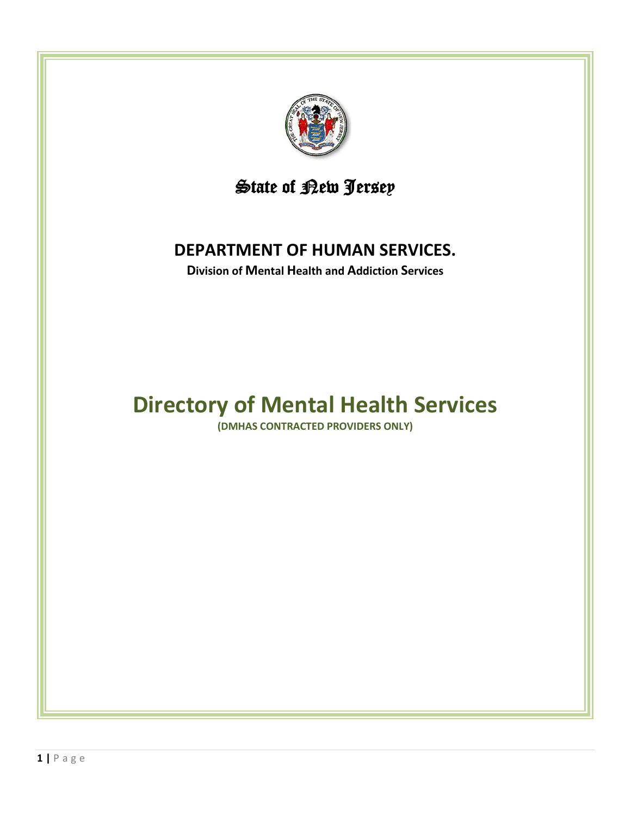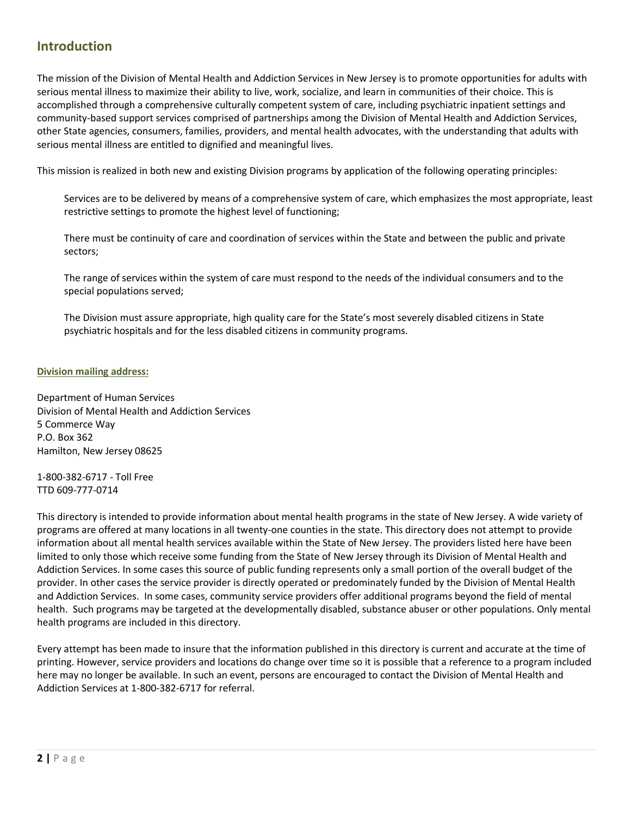# **Introduction**

The mission of the Division of Mental Health and Addiction Services in New Jersey is to promote opportunities for adults with serious mental illness to maximize their ability to live, work, socialize, and learn in communities of their choice. This is accomplished through a comprehensive culturally competent system of care, including psychiatric inpatient settings and community-based support services comprised of partnerships among the Division of Mental Health and Addiction Services, other State agencies, consumers, families, providers, and mental health advocates, with the understanding that adults with serious mental illness are entitled to dignified and meaningful lives.

This mission is realized in both new and existing Division programs by application of the following operating principles:

Services are to be delivered by means of a comprehensive system of care, which emphasizes the most appropriate, least restrictive settings to promote the highest level of functioning;

There must be continuity of care and coordination of services within the State and between the public and private sectors;

The range of services within the system of care must respond to the needs of the individual consumers and to the special populations served;

The Division must assure appropriate, high quality care for the State's most severely disabled citizens in State psychiatric hospitals and for the less disabled citizens in community programs.

#### **Division mailing address:**

Department of Human Services Division of Mental Health and Addiction Services 5 Commerce Way P.O. Box 362 Hamilton, New Jersey 08625

1-800-382-6717 - Toll Free TTD 609-777-0714

This directory is intended to provide information about mental health programs in the state of New Jersey. A wide variety of programs are offered at many locations in all twenty-one counties in the state. This directory does not attempt to provide information about all mental health services available within the State of New Jersey. The providers listed here have been limited to only those which receive some funding from the State of New Jersey through its Division of Mental Health and Addiction Services. In some cases this source of public funding represents only a small portion of the overall budget of the provider. In other cases the service provider is directly operated or predominately funded by the Division of Mental Health and Addiction Services. In some cases, community service providers offer additional programs beyond the field of mental health. Such programs may be targeted at the developmentally disabled, substance abuser or other populations. Only mental health programs are included in this directory.

Every attempt has been made to insure that the information published in this directory is current and accurate at the time of printing. However, service providers and locations do change over time so it is possible that a reference to a program included here may no longer be available. In such an event, persons are encouraged to contact the Division of Mental Health and Addiction Services at 1-800-382-6717 for referral.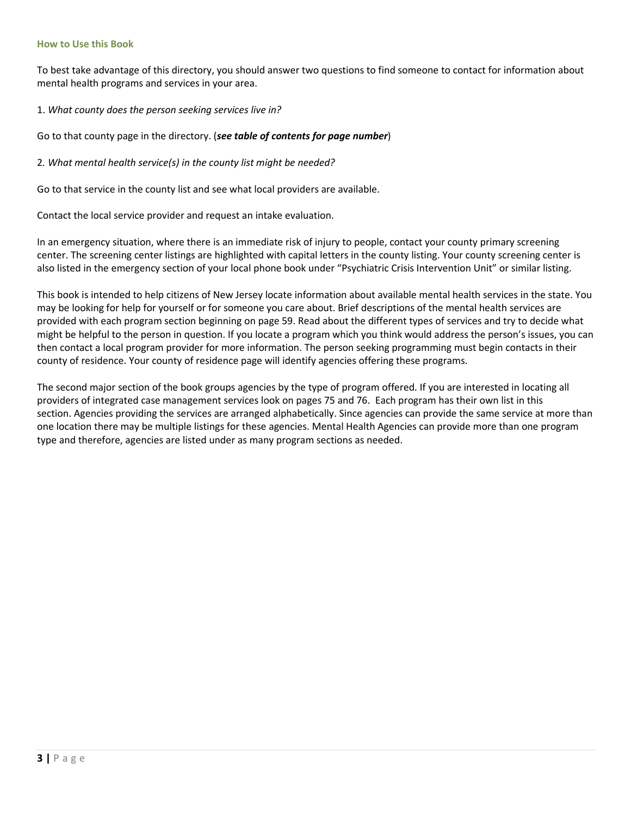#### **How to Use this Book**

To best take advantage of this directory, you should answer two questions to find someone to contact for information about mental health programs and services in your area.

1. *What county does the person seeking services live in?*

Go to that county page in the directory. (*see table of contents for page number*)

2*. What mental health service(s) in the county list might be needed?*

Go to that service in the county list and see what local providers are available.

Contact the local service provider and request an intake evaluation.

In an emergency situation, where there is an immediate risk of injury to people, contact your county primary screening center. The screening center listings are highlighted with capital letters in the county listing. Your county screening center is also listed in the emergency section of your local phone book under "Psychiatric Crisis Intervention Unit" or similar listing.

This book is intended to help citizens of New Jersey locate information about available mental health services in the state. You may be looking for help for yourself or for someone you care about. Brief descriptions of the mental health services are provided with each program section beginning on page 59. Read about the different types of services and try to decide what might be helpful to the person in question. If you locate a program which you think would address the person's issues, you can then contact a local program provider for more information. The person seeking programming must begin contacts in their county of residence. Your county of residence page will identify agencies offering these programs.

The second major section of the book groups agencies by the type of program offered. If you are interested in locating all providers of integrated case management services look on pages 75 and 76. Each program has their own list in this section. Agencies providing the services are arranged alphabetically. Since agencies can provide the same service at more than one location there may be multiple listings for these agencies. Mental Health Agencies can provide more than one program type and therefore, agencies are listed under as many program sections as needed.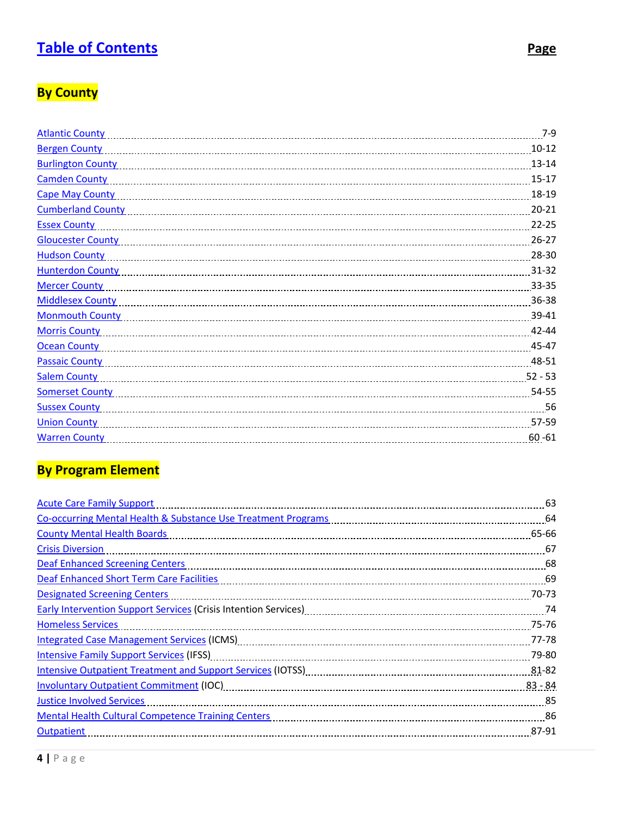# <span id="page-3-0"></span>**[Table of Contents](#page-3-0) Page**

# **By County**

| <b>Atlantic County</b>   | $7-9$     |
|--------------------------|-----------|
| <b>Bergen County</b>     | $10 - 12$ |
| <b>Burlington County</b> | $13 - 14$ |
| <b>Camden County</b>     | $15 - 17$ |
| <b>Cape May County</b>   | 18-19     |
| <b>Cumberland County</b> | $20 - 21$ |
| <b>Essex County</b>      | $22 - 25$ |
| <b>Gloucester County</b> | $26 - 27$ |
| <b>Hudson County</b>     | 28-30     |
| <b>Hunterdon County</b>  | $31 - 32$ |
| <b>Mercer County</b>     | 33-35     |
| <b>Middlesex County</b>  | 36-38     |
| <b>Monmouth County</b>   | 39-41     |
| <b>Morris County</b>     | 42-44     |
| <b>Ocean County</b>      | 45-47     |
| <b>Passaic County</b>    | 48-51     |
| <b>Salem County</b>      | $52 - 53$ |
| <b>Somerset County</b>   | 54-55     |
| <b>Sussex County</b>     | 56        |
| <b>Union County</b>      | 57-59     |
| <b>Warren County</b>     | $60 - 61$ |
|                          |           |

# **By Program Element**

| <b>Acute Care Family Support</b>                                                                               | 63               |
|----------------------------------------------------------------------------------------------------------------|------------------|
|                                                                                                                |                  |
| <b>County Mental Health Boards</b>                                                                             | 65-66            |
| <b>Crisis Diversion</b>                                                                                        | 67               |
| <b>Deaf Enhanced Screening Centers</b>                                                                         |                  |
| Deaf Enhanced Short Term Care Facilities                                                                       |                  |
| <b>Designated Screening Centers</b>                                                                            | 70-73            |
| Early Intervention Support Services (Crisis Intention Services) [111] [12] Tarly Intervention Support Services |                  |
| <b>Homeless Services</b>                                                                                       | 75-76            |
| Integrated Case Management Services (ICMS) [11] manufacture manufacture manufacture manufacture manufacture ma | 77-78            |
| <b>Intensive Family Support Services (IFSS)</b>                                                                | 79-80            |
| Intensive Outpatient Treatment and Support Services (IOTSS) [100] [100] [100] [100] [100] [100] [100] [100] [1 | 81-82            |
|                                                                                                                | $83 - 84$        |
| <b>Justice Involved Services</b>                                                                               | -85              |
| <b>Mental Health Cultural Competence Training Centers</b>                                                      | $\frac{86}{100}$ |
| Outpatient                                                                                                     | 87-91            |
|                                                                                                                |                  |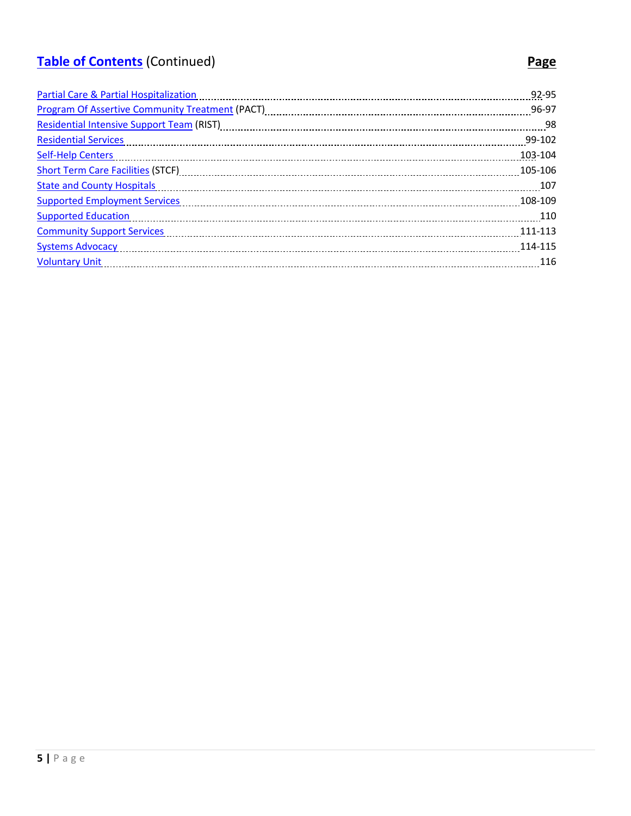# <span id="page-4-0"></span>**[Table of Contents](#page-4-0)** (Continued) **Page**

# [Partial Care & Partial Hospitalization](#page-92-0) 92-95 [Program Of Assertive Community Treatment](#page-96-0) (PACT) 96-97 [Residential Intensive Support Team](#page-98-0) (RIST) [11] Residential Intensive Support Team (RIST) [11] Manummmmmmmmmmmm [Residential Services](#page-99-0) 99-102 [Self-Help Centers](#page-103-0) 103-104 [Short Term Care Facilities](#page-105-0) (STCF) 105-106 [State and County Hospitals](#page-107-0) 107 (107) 55 and 2014 107 [Supported Employment Services](#page-108-0) 108-109 [Supported Education](#page-110-0) 110 [Community Support Services](#page-111-0) 111-113 [Systems Advocacy](#page-114-0) 114-115 [Voluntary Unit](#page-116-0) 116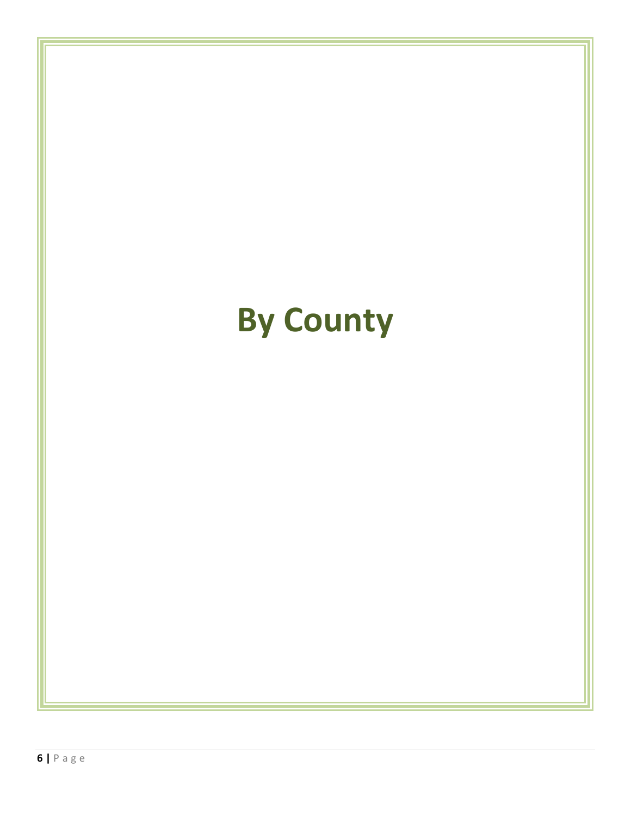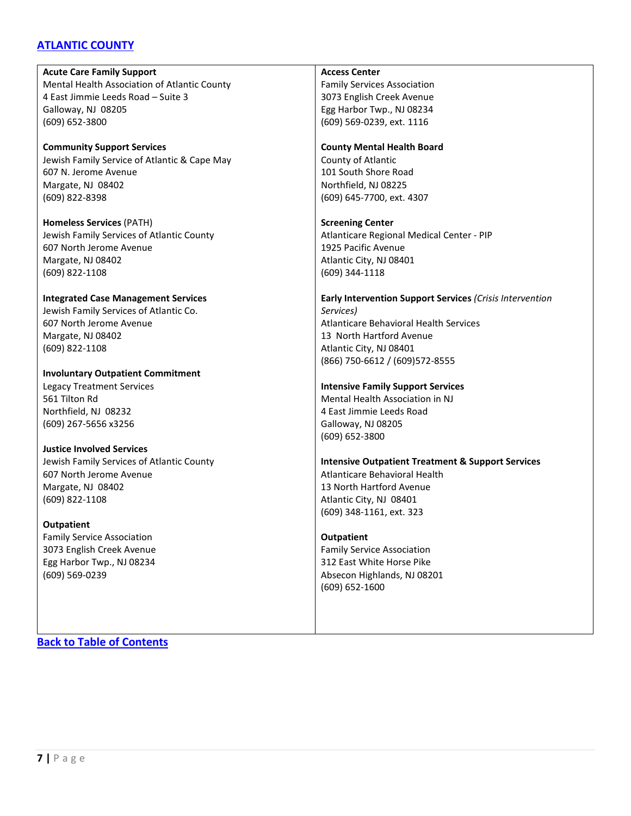# <span id="page-6-0"></span>**ATLANTIC COUNTY**

**Acute Care Family Support** Mental Health Association of Atlantic County 4 East Jimmie Leeds Road – Suite 3 Galloway, NJ 08205 (609) 652-3800

**Community Support Services** Jewish Family Service of Atlantic & Cape May 607 N. Jerome Avenue Margate, NJ 08402 (609) 822-8398

**Homeless Services** (PATH) Jewish Family Services of Atlantic County 607 North Jerome Avenue Margate, NJ 08402 (609) 822-1108

#### **Integrated Case Management Services**

Jewish Family Services of Atlantic Co. 607 North Jerome Avenue Margate, NJ 08402 (609) 822-1108

**Involuntary Outpatient Commitment** Legacy Treatment Services 561 Tilton Rd

Northfield, NJ 08232 (609) 267-5656 x3256

**Justice Involved Services**

Jewish Family Services of Atlantic County 607 North Jerome Avenue Margate, NJ 08402 (609) 822-1108

#### **Outpatient**

Family Service Association 3073 English Creek Avenue Egg Harbor Twp., NJ 08234 (609) 569-0239

#### **Access Center**

Family Services Association 3073 English Creek Avenue Egg Harbor Twp., NJ 08234 (609) 569-0239, ext. 1116

#### **County Mental Health Board**

County of Atlantic 101 South Shore Road Northfield, NJ 08225 (609) 645-7700, ext. 4307

**Screening Center**

Atlanticare Regional Medical Center - PIP 1925 Pacific Avenue Atlantic City, NJ 08401 (609) 344-1118

#### **Early Intervention Support Services** *(Crisis Intervention Services)* Atlanticare Behavioral Health Services 13 North Hartford Avenue Atlantic City, NJ 08401 (866) 750-6612 / (609)572-8555

#### **Intensive Family Support Services**

Mental Health Association in NJ 4 East Jimmie Leeds Road Galloway, NJ 08205 (609) 652-3800

**Intensive Outpatient Treatment & Support Services** Atlanticare Behavioral Health 13 North Hartford Avenue Atlantic City, NJ 08401 (609) 348-1161, ext. 323

#### **Outpatient**

Family Service Association 312 East White Horse Pike Absecon Highlands, NJ 08201 (609) 652-1600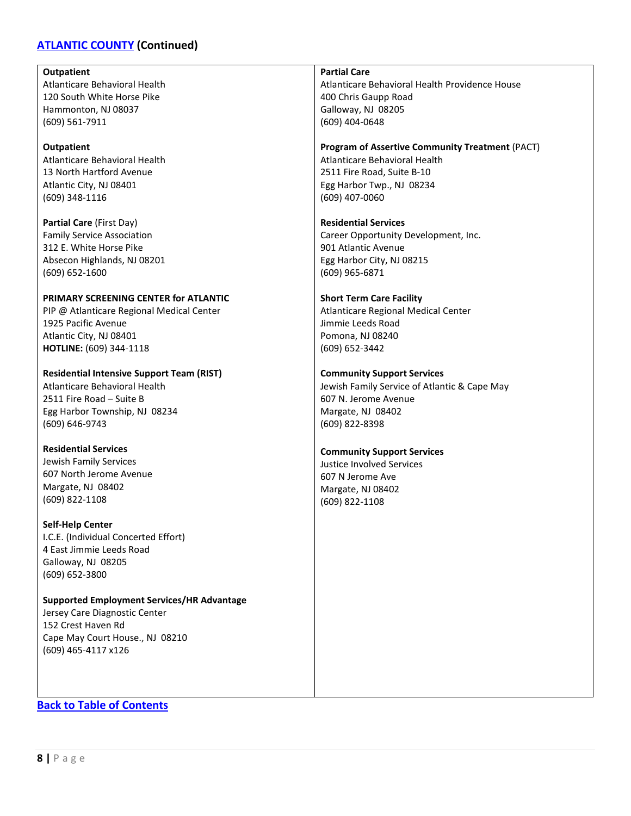# **[ATLANTIC COUNTY](#page-6-0) (Continued)**

#### **Outpatient**

Atlanticare Behavioral Health 120 South White Horse Pike Hammonton, NJ 08037 (609) 561-7911

#### **Outpatient**

Atlanticare Behavioral Health 13 North Hartford Avenue Atlantic City, NJ 08401 (609) 348-1116

**Partial Care** (First Day) Family Service Association 312 E. White Horse Pike Absecon Highlands, NJ 08201 (609) 652-1600

# **PRIMARY SCREENING CENTER for ATLANTIC**

PIP @ Atlanticare Regional Medical Center 1925 Pacific Avenue Atlantic City, NJ 08401 **HOTLINE:** (609) 344-1118

**Residential Intensive Support Team (RIST)** Atlanticare Behavioral Health

2511 Fire Road – Suite B Egg Harbor Township, NJ 08234 (609) 646-9743

#### **Residential Services**

Jewish Family Services 607 North Jerome Avenue Margate, NJ 08402 (609) 822-1108

#### **Self-Help Center**

I.C.E. (Individual Concerted Effort) 4 East Jimmie Leeds Road Galloway, NJ 08205 (609) 652-3800

#### **Supported Employment Services/HR Advantage** Jersey Care Diagnostic Center

152 Crest Haven Rd Cape May Court House., NJ 08210 (609) 465-4117 x126

# **Partial Care**

Atlanticare Behavioral Health Providence House 400 Chris Gaupp Road Galloway, NJ 08205 (609) 404-0648

# **Program of Assertive Community Treatment** (PACT)

Atlanticare Behavioral Health 2511 Fire Road, Suite B-10 Egg Harbor Twp., NJ 08234 (609) 407-0060

# **Residential Services**

Career Opportunity Development, Inc. 901 Atlantic Avenue Egg Harbor City, NJ 08215 (609) 965-6871

#### **Short Term Care Facility**

Atlanticare Regional Medical Center Jimmie Leeds Road Pomona, NJ 08240 (609) 652-3442

#### **Community Support Services**

Jewish Family Service of Atlantic & Cape May 607 N. Jerome Avenue Margate, NJ 08402 (609) 822-8398

#### **Community Support Services**

Justice Involved Services 607 N Jerome Ave Margate, NJ 08402 (609) 822-1108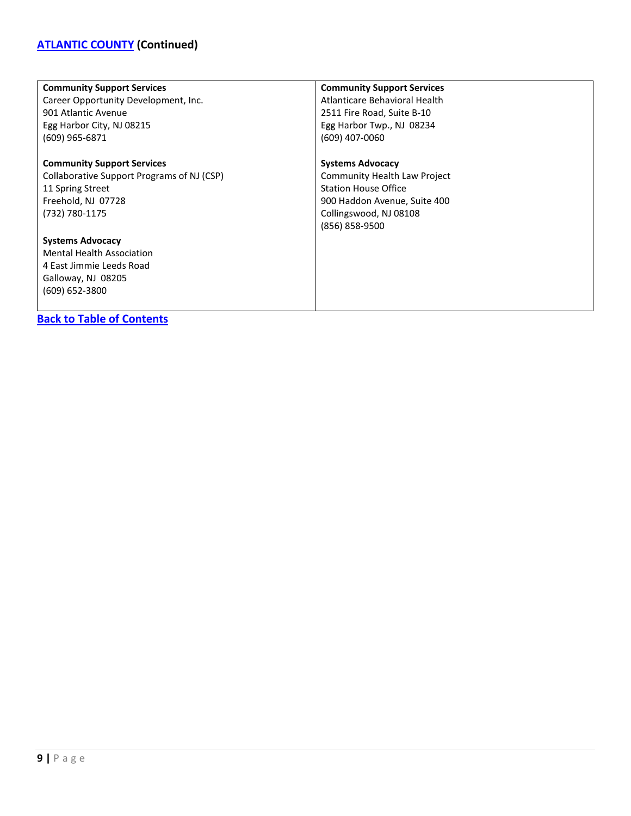# **[ATLANTIC COUNTY](#page-6-0) (Continued)**

| <b>Community Support Services</b>          | <b>Community Support Services</b> |
|--------------------------------------------|-----------------------------------|
| Career Opportunity Development, Inc.       | Atlanticare Behavioral Health     |
| 901 Atlantic Avenue                        | 2511 Fire Road, Suite B-10        |
| Egg Harbor City, NJ 08215                  | Egg Harbor Twp., NJ 08234         |
| (609) 965-6871                             | (609) 407-0060                    |
|                                            |                                   |
| <b>Community Support Services</b>          | <b>Systems Advocacy</b>           |
| Collaborative Support Programs of NJ (CSP) | Community Health Law Project      |
| 11 Spring Street                           | <b>Station House Office</b>       |
| Freehold, NJ 07728                         | 900 Haddon Avenue, Suite 400      |
| (732) 780-1175                             | Collingswood, NJ 08108            |
|                                            | (856) 858-9500                    |
| <b>Systems Advocacy</b>                    |                                   |
| <b>Mental Health Association</b>           |                                   |
| 4 East Jimmie Leeds Road                   |                                   |
| Galloway, NJ 08205                         |                                   |
| $(609) 652 - 3800$                         |                                   |
|                                            |                                   |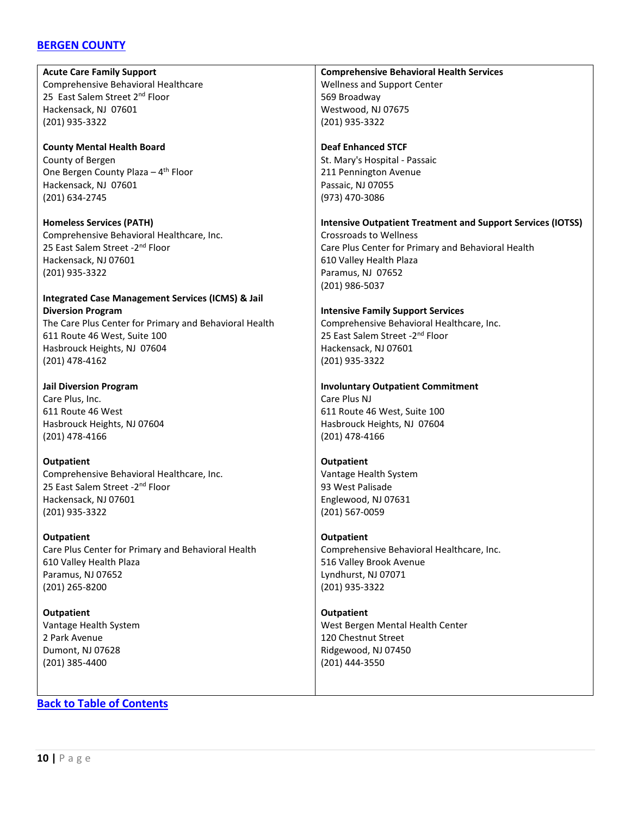# <span id="page-9-0"></span>**[BERGEN COUNTY](#page-9-0)**

**Acute Care Family Support** Comprehensive Behavioral Healthcare 25 East Salem Street 2<sup>nd</sup> Floor Hackensack, NJ 07601 (201) 935-3322

**County Mental Health Board** County of Bergen One Bergen County Plaza  $-4$ <sup>th</sup> Floor Hackensack, NJ 07601 (201) 634-2745

**Homeless Services (PATH)** Comprehensive Behavioral Healthcare, Inc. 25 East Salem Street -2<sup>nd</sup> Floor Hackensack, NJ 07601 (201) 935-3322

#### **Integrated Case Management Services (ICMS) & Jail Diversion Program**

The Care Plus Center for Primary and Behavioral Health 611 Route 46 West, Suite 100 Hasbrouck Heights, NJ 07604 (201) 478-4162

**Jail Diversion Program** Care Plus, Inc. 611 Route 46 West Hasbrouck Heights, NJ 07604 (201) 478-4166

**Outpatient** Comprehensive Behavioral Healthcare, Inc. 25 East Salem Street - 2<sup>nd</sup> Floor Hackensack, NJ 07601 (201) 935-3322

**Outpatient** Care Plus Center for Primary and Behavioral Health 610 Valley Health Plaza Paramus, NJ 07652 (201) 265-8200

**Outpatient** Vantage Health System 2 Park Avenue Dumont, NJ 07628 (201) 385-4400

**[Back to Table of Contents](#page-3-0)**

**Comprehensive Behavioral Health Services** Wellness and Support Center 569 Broadway Westwood, NJ 07675 (201) 935-3322

**Deaf Enhanced STCF** St. Mary's Hospital - Passaic 211 Pennington Avenue Passaic, NJ 07055 (973) 470-3086

#### **Intensive Outpatient Treatment and Support Services (IOTSS)**

Crossroads to Wellness Care Plus Center for Primary and Behavioral Health 610 Valley Health Plaza Paramus, NJ 07652 (201) 986-5037

#### **Intensive Family Support Services**

Comprehensive Behavioral Healthcare, Inc. 25 East Salem Street - 2<sup>nd</sup> Floor Hackensack, NJ 07601 (201) 935-3322

#### **Involuntary Outpatient Commitment**

Care Plus NJ 611 Route 46 West, Suite 100 Hasbrouck Heights, NJ 07604 (201) 478-4166

**Outpatient**

Vantage Health System 93 West Palisade Englewood, NJ 07631 (201) 567-0059

#### **Outpatient**

Comprehensive Behavioral Healthcare, Inc. 516 Valley Brook Avenue Lyndhurst, NJ 07071 (201) 935-3322

**Outpatient** West Bergen Mental Health Center 120 Chestnut Street Ridgewood, NJ 07450 (201) 444-3550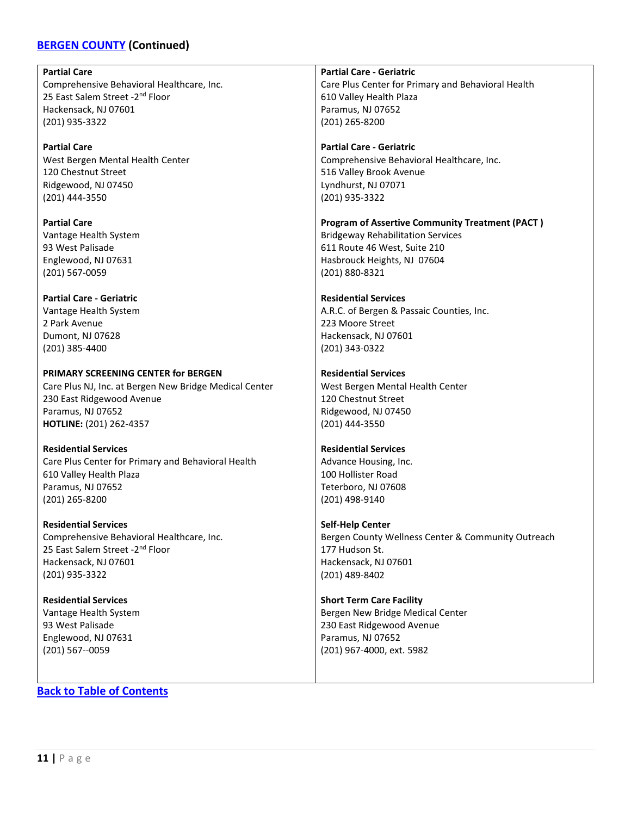# **[BERGEN COUNTY](#page-9-0) (Continued)**

**Partial Care** Comprehensive Behavioral Healthcare, Inc. 25 East Salem Street - 2<sup>nd</sup> Floor Hackensack, NJ 07601 (201) 935-3322 **Partial Care** West Bergen Mental Health Center 120 Chestnut Street Ridgewood, NJ 07450 (201) 444-3550 **Partial Care** Vantage Health System 93 West Palisade Englewood, NJ 07631 (201) 567-0059 **Partial Care - Geriatric** Vantage Health System 2 Park Avenue Dumont, NJ 07628 (201) 385-4400 **PRIMARY SCREENING CENTER for BERGEN** Care Plus NJ, Inc. at Bergen New Bridge Medical Center 230 East Ridgewood Avenue Paramus, NJ 07652 **HOTLINE:** (201) 262-4357 **Residential Services** Care Plus Center for Primary and Behavioral Health 610 Valley Health Plaza Paramus, NJ 07652 (201) 265-8200 **Residential Services** Comprehensive Behavioral Healthcare, Inc. **Partial Care - Geriatric** Care Plus Center for Primary and Behavioral Health 610 Valley Health Plaza Paramus, NJ 07652 (201) 265-8200 **Partial Care - Geriatric** Comprehensive Behavioral Healthcare, Inc. 516 Valley Brook Avenue Lyndhurst, NJ 07071 (201) 935-3322 **Program of Assertive Community Treatment (PACT )** Bridgeway Rehabilitation Services 611 Route 46 West, Suite 210 Hasbrouck Heights, NJ 07604 (201) 880-8321 **Residential Services** A.R.C. of Bergen & Passaic Counties, Inc. 223 Moore Street Hackensack, NJ 07601 (201) 343-0322 **Residential Services** West Bergen Mental Health Center 120 Chestnut Street Ridgewood, NJ 07450 (201) 444-3550 **Residential Services** Advance Housing, Inc. 100 Hollister Road Teterboro, NJ 07608 (201) 498-9140 **Self-Help Center** Bergen County Wellness Center & Community Outreach 177 Hudson St.

> Hackensack, NJ 07601 (201) 489-8402

**Short Term Care Facility**

Paramus, NJ 07652 (201) 967-4000, ext. 5982

Bergen New Bridge Medical Center 230 East Ridgewood Avenue

25 East Salem Street - 2<sup>nd</sup> Floor Hackensack, NJ 07601 (201) 935-3322

**Residential Services** Vantage Health System 93 West Palisade Englewood, NJ 07631 (201) 567--0059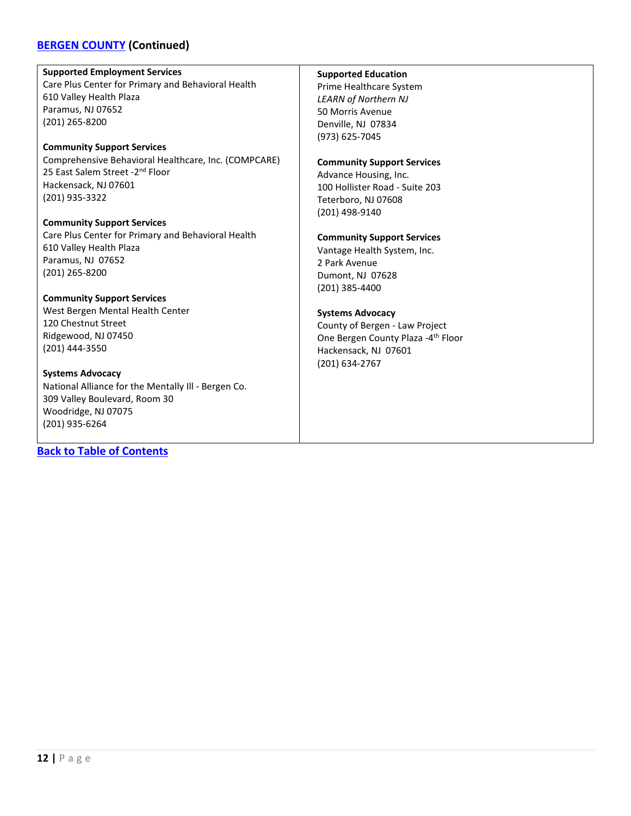# **[BERGEN COUNTY](#page-9-0) (Continued)**

#### **Supported Employment Services**

Care Plus Center for Primary and Behavioral Health 610 Valley Health Plaza Paramus, NJ 07652 (201) 265-8200

# **Community Support Services**

Comprehensive Behavioral Healthcare, Inc. (COMPCARE) 25 East Salem Street -2<sup>nd</sup> Floor Hackensack, NJ 07601 (201) 935-3322

**Community Support Services** Care Plus Center for Primary and Behavioral Health 610 Valley Health Plaza Paramus, NJ 07652 (201) 265-8200

#### **Community Support Services**

West Bergen Mental Health Center 120 Chestnut Street Ridgewood, NJ 07450 (201) 444-3550

**Systems Advocacy** National Alliance for the Mentally Ill - Bergen Co. 309 Valley Boulevard, Room 30 Woodridge, NJ 07075 (201) 935-6264

# **[Back to Table of Contents](#page-3-0)**

# **Supported Education**

Prime Healthcare System *LEARN of Northern NJ* 50 Morris Avenue Denville, NJ 07834 (973) 625-7045

#### **Community Support Services**

Advance Housing, Inc. 100 Hollister Road - Suite 203 Teterboro, NJ 07608 (201) 498-9140

# **Community Support Services**

Vantage Health System, Inc. 2 Park Avenue Dumont, NJ 07628 (201) 385-4400

# **Systems Advocacy**

County of Bergen - Law Project One Bergen County Plaza -4th Floor Hackensack, NJ 07601 (201) 634-2767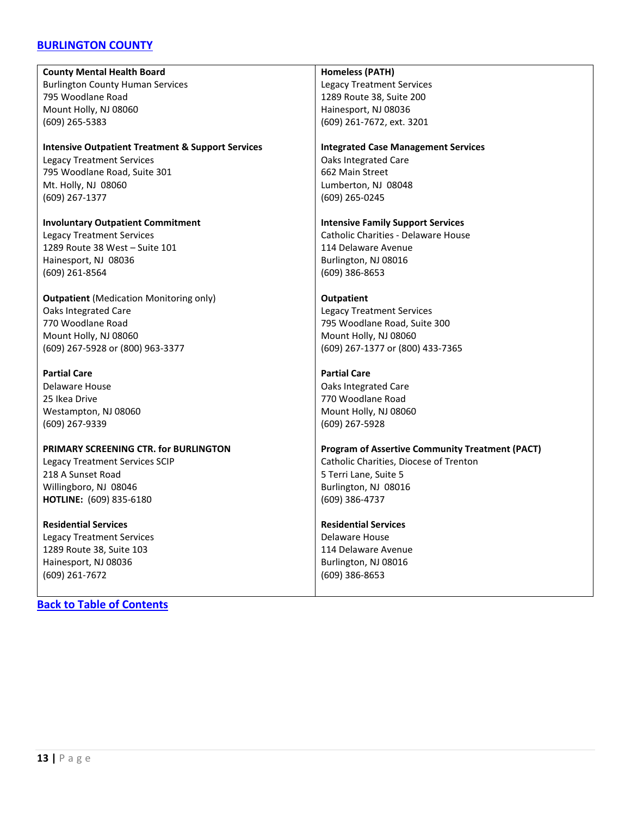# <span id="page-12-0"></span>**[BURLINGTON COUNTY](#page-12-0)**

**County Mental Health Board** Burlington County Human Services 795 Woodlane Road Mount Holly, NJ 08060 (609) 265-5383

# **Intensive Outpatient Treatment & Support Services** Legacy Treatment Services

795 Woodlane Road, Suite 301 Mt. Holly, NJ 08060 (609) 267-1377

**Involuntary Outpatient Commitment** Legacy Treatment Services 1289 Route 38 West – Suite 101 Hainesport, NJ 08036 (609) 261-8564

**Outpatient** (Medication Monitoring only) Oaks Integrated Care 770 Woodlane Road Mount Holly, NJ 08060 (609) 267-5928 or (800) 963-3377

**Partial Care** Delaware House 25 Ikea Drive Westampton, NJ 08060 (609) 267-9339

#### **PRIMARY SCREENING CTR. for BURLINGTON** Legacy Treatment Services SCIP 218 A Sunset Road Willingboro, NJ 08046 **HOTLINE:** (609) 835-6180

**Residential Services** Legacy Treatment Services 1289 Route 38, Suite 103 Hainesport, NJ 08036 (609) 261-7672

# **[Back to Table of Contents](#page-3-0)**

#### **Homeless (PATH)**

Legacy Treatment Services 1289 Route 38, Suite 200 Hainesport, NJ 08036 (609) 261-7672, ext. 3201

#### **Integrated Case Management Services**

Oaks Integrated Care 662 Main Street Lumberton, NJ 08048 (609) 265-0245

#### **Intensive Family Support Services**

Catholic Charities - Delaware House 114 Delaware Avenue Burlington, NJ 08016 (609) 386-8653

#### **Outpatient**

Legacy Treatment Services 795 Woodlane Road, Suite 300 Mount Holly, NJ 08060 (609) 267-1377 or (800) 433-7365

#### **Partial Care**

Oaks Integrated Care 770 Woodlane Road Mount Holly, NJ 08060 (609) 267-5928

**Program of Assertive Community Treatment (PACT)** Catholic Charities, Diocese of Trenton 5 Terri Lane, Suite 5 Burlington, NJ 08016 (609) 386-4737

#### **Residential Services**

Delaware House 114 Delaware Avenue Burlington, NJ 08016 (609) 386-8653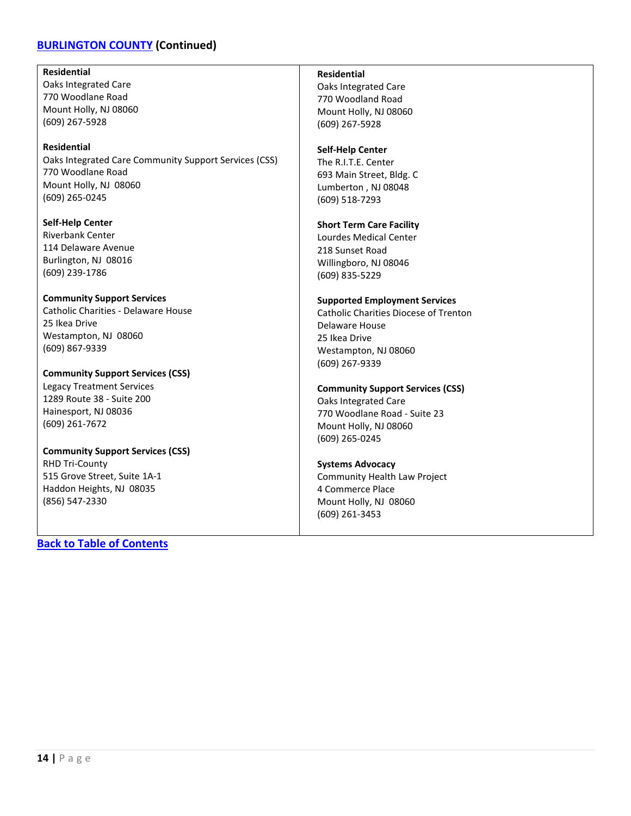# **[BURLINGTON COUNTY](#page-12-0) (Continued)**

#### **Residential**

Oaks Integrated Care 770 Woodlane Road Mount Holly, NJ 08060 (609) 267-5928

#### **Residential**

Oaks Integrated Care Community Support Services (CSS) 770 Woodlane Road Mount Holly, NJ 08060 (609) 265-0245

**Self-Help Center** Riverbank Center 114 Delaware Avenue Burlington, NJ 08016 (609) 239-1786

#### **Community Support Services**

Catholic Charities - Delaware House 25 Ikea Drive Westampton, NJ 08060 (609) 867-9339

**Community Support Services (CSS)** Legacy Treatment Services 1289 Route 38 - Suite 200 Hainesport, NJ 08036 (609) 261-7672

### **Community Support Services (CSS)** RHD Tri-County 515 Grove Street, Suite 1A-1 Haddon Heights, NJ 08035 (856) 547-2330

**[Back to Table of Contents](#page-3-0)**

### **Residential**

Oaks Integrated Care 770 Woodland Road Mount Holly, NJ 08060 (609) 267-5928

### **Self-Help Center**

The R.I.T.E. Center 693 Main Street, Bldg. C Lumberton , NJ 08048 (609) 518-7293

#### **Short Term Care Facility**

Lourdes Medical Center 218 Sunset Road Willingboro, NJ 08046 (609) 835-5229

#### **Supported Employment Services**

Catholic Charities Diocese of Trenton Delaware House 25 Ikea Drive Westampton, NJ 08060 (609) 267-9339

#### **Community Support Services (CSS)**

Oaks Integrated Care 770 Woodlane Road - Suite 23 Mount Holly, NJ 08060 (609) 265-0245

# **Systems Advocacy**

Community Health Law Project 4 Commerce Place Mount Holly, NJ 08060 (609) 261-3453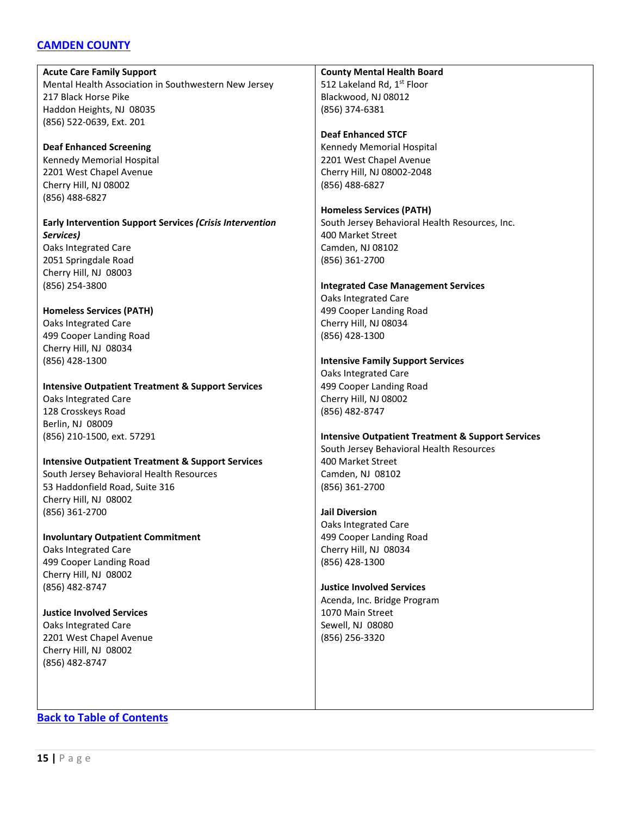# <span id="page-14-0"></span>**[CAMDEN COUNTY](#page-14-0)**

**Acute Care Family Support** Mental Health Association in Southwestern New Jersey 217 Black Horse Pike Haddon Heights, NJ 08035 (856) 522-0639, Ext. 201

**Deaf Enhanced Screening** Kennedy Memorial Hospital 2201 West Chapel Avenue Cherry Hill, NJ 08002 (856) 488-6827

**Early Intervention Support Services** *(Crisis Intervention Services)* Oaks Integrated Care 2051 Springdale Road Cherry Hill, NJ 08003

(856) 254-3800 **Homeless Services (PATH)** Oaks Integrated Care 499 Cooper Landing Road Cherry Hill, NJ 08034

(856) 428-1300

**Intensive Outpatient Treatment & Support Services**

Oaks Integrated Care 128 Crosskeys Road Berlin, NJ 08009 (856) 210-1500, ext. 57291

#### **Intensive Outpatient Treatment & Support Services**

South Jersey Behavioral Health Resources 53 Haddonfield Road, Suite 316 Cherry Hill, NJ 08002 (856) 361-2700

**Involuntary Outpatient Commitment** Oaks Integrated Care 499 Cooper Landing Road Cherry Hill, NJ 08002

**Justice Involved Services** Oaks Integrated Care 2201 West Chapel Avenue Cherry Hill, NJ 08002 (856) 482-8747

(856) 482-8747

**County Mental Health Board**

512 Lakeland Rd, 1st Floor Blackwood, NJ 08012 (856) 374-6381

**Deaf Enhanced STCF** Kennedy Memorial Hospital 2201 West Chapel Avenue Cherry Hill, NJ 08002-2048 (856) 488-6827

**Homeless Services (PATH)** South Jersey Behavioral Health Resources, Inc. 400 Market Street Camden, NJ 08102 (856) 361-2700

#### **Integrated Case Management Services**

Oaks Integrated Care 499 Cooper Landing Road Cherry Hill, NJ 08034 (856) 428-1300

#### **Intensive Family Support Services**

Oaks Integrated Care 499 Cooper Landing Road Cherry Hill, NJ 08002 (856) 482-8747

**Intensive Outpatient Treatment & Support Services** South Jersey Behavioral Health Resources 400 Market Street Camden, NJ 08102 (856) 361-2700

#### **Jail Diversion**

Oaks Integrated Care 499 Cooper Landing Road Cherry Hill, NJ 08034 (856) 428-1300

#### **Justice Involved Services**

Acenda, Inc. Bridge Program 1070 Main Street Sewell, NJ 08080 (856) 256-3320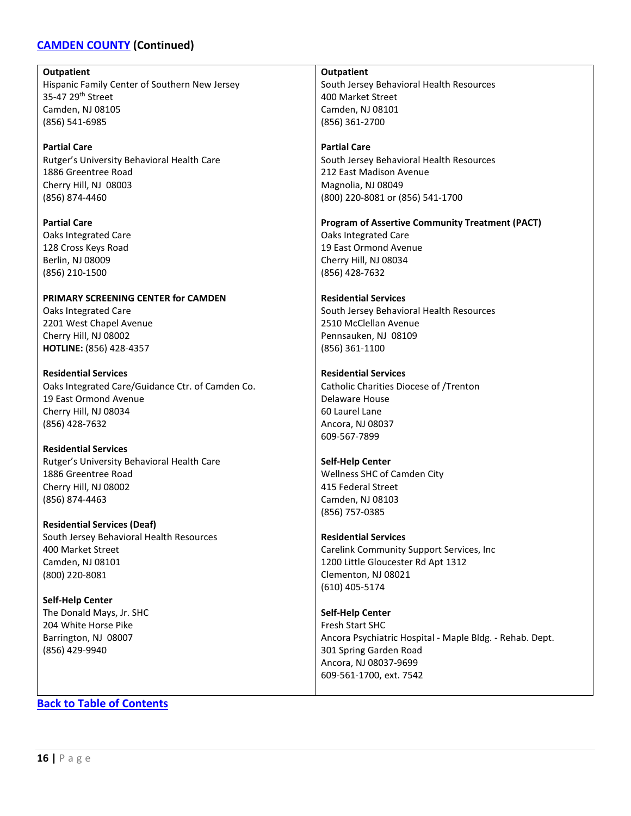# **[CAMDEN COUNTY](#page-14-0) (Continued)**

**Outpatient** Hispanic Family Center of Southern New Jersey 35-47 29th Street Camden, NJ 08105 (856) 541-6985 **Partial Care** Rutger's University Behavioral Health Care 1886 Greentree Road Cherry Hill, NJ 08003 (856) 874-4460 **Partial Care** Oaks Integrated Care 128 Cross Keys Road Berlin, NJ 08009 (856) 210-1500 **PRIMARY SCREENING CENTER for CAMDEN** Oaks Integrated Care 2201 West Chapel Avenue Cherry Hill, NJ 08002 **HOTLINE:** (856) 428-4357 **Residential Services** Oaks Integrated Care/Guidance Ctr. of Camden Co. 19 East Ormond Avenue Cherry Hill, NJ 08034 (856) 428-7632 **Residential Services** Rutger's University Behavioral Health Care 1886 Greentree Road Cherry Hill, NJ 08002 (856) 874-4463 **Residential Services (Deaf)** South Jersey Behavioral Health Resources 400 Market Street Camden, NJ 08101 (800) 220-8081 **Self-Help Center** The Donald Mays, Jr. SHC 204 White Horse Pike Barrington, NJ 08007 (856) 429-9940 **Outpatient** South Jersey Behavioral Health Resources 400 Market Street Camden, NJ 08101 (856) 361-2700 **Partial Care** South Jersey Behavioral Health Resources 212 East Madison Avenue Magnolia, NJ 08049 (800) 220-8081 or (856) 541-1700 **Program of Assertive Community Treatment (PACT)** Oaks Integrated Care 19 East Ormond Avenue Cherry Hill, NJ 08034 (856) 428-7632 **Residential Services** South Jersey Behavioral Health Resources 2510 McClellan Avenue Pennsauken, NJ 08109 (856) 361-1100 **Residential Services** Catholic Charities Diocese of /Trenton Delaware House 60 Laurel Lane Ancora, NJ 08037 609-567-7899 **Self-Help Center** Wellness SHC of Camden City 415 Federal Street Camden, NJ 08103 (856) 757-0385 **Residential Services** Carelink Community Support Services, Inc 1200 Little Gloucester Rd Apt 1312 Clementon, NJ 08021 (610) 405-5174 **Self-Help Center** Fresh Start SHC Ancora Psychiatric Hospital - Maple Bldg. - Rehab. Dept. 301 Spring Garden Road Ancora, NJ 08037-9699 609-561-1700, ext. 7542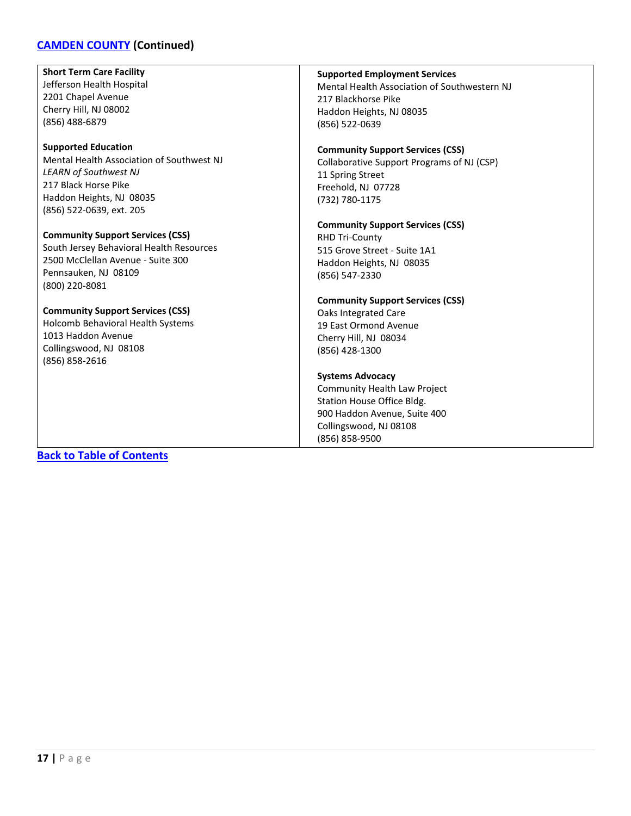# **[CAMDEN COUNTY](#page-14-0) (Continued)**

**Short Term Care Facility** Jefferson Health Hospital 2201 Chapel Avenue Cherry Hill, NJ 08002 (856) 488-6879

#### **Supported Education**

Mental Health Association of Southwest NJ *LEARN of Southwest NJ* 217 Black Horse Pike Haddon Heights, NJ 08035 (856) 522-0639, ext. 205

**Community Support Services (CSS)** South Jersey Behavioral Health Resources 2500 McClellan Avenue - Suite 300 Pennsauken, NJ 08109 (800) 220-8081

#### **Community Support Services (CSS)**

Holcomb Behavioral Health Systems 1013 Haddon Avenue Collingswood, NJ 08108 (856) 858-2616

#### **Supported Employment Services**

Mental Health Association of Southwestern NJ 217 Blackhorse Pike Haddon Heights, NJ 08035 (856) 522-0639

#### **Community Support Services (CSS)**

Collaborative Support Programs of NJ (CSP) 11 Spring Street Freehold, NJ 07728 (732) 780-1175

# **Community Support Services (CSS)**

RHD Tri-County 515 Grove Street - Suite 1A1 Haddon Heights, NJ 08035 (856) 547-2330

# **Community Support Services (CSS)**

Oaks Integrated Care 19 East Ormond Avenue Cherry Hill, NJ 08034 (856) 428-1300

#### **Systems Advocacy**

Community Health Law Project Station House Office Bldg. 900 Haddon Avenue, Suite 400 Collingswood, NJ 08108 (856) 858-9500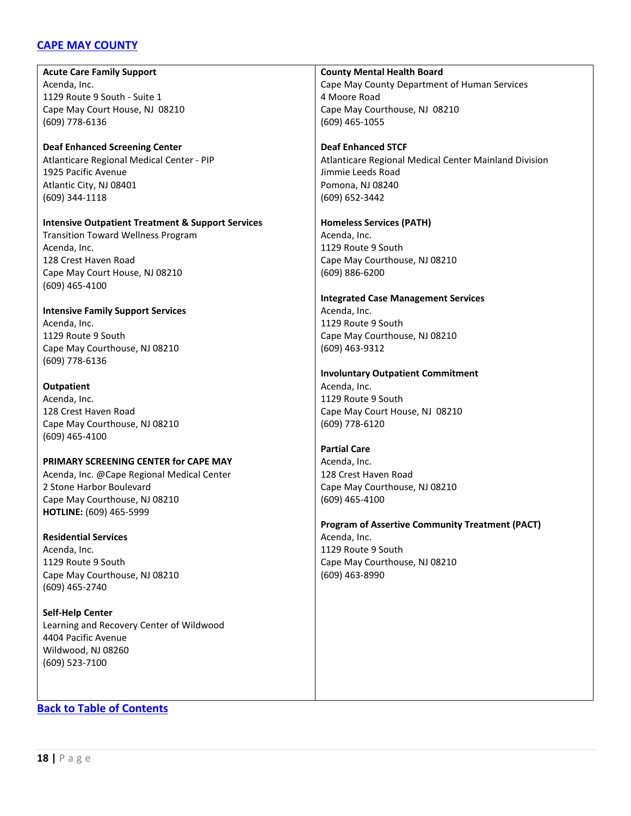# <span id="page-17-0"></span>**[CAPE MAY COUNTY](#page-17-0)**

**Acute Care Family Support** Acenda, Inc. 1129 Route 9 South - Suite 1 Cape May Court House, NJ 08210 (609) 778-6136

**Deaf Enhanced Screening Center** Atlanticare Regional Medical Center - PIP 1925 Pacific Avenue Atlantic City, NJ 08401 (609) 344-1118

#### **Intensive Outpatient Treatment & Support Services** Transition Toward Wellness Program

Acenda, Inc. 128 Crest Haven Road Cape May Court House, NJ 08210 (609) 465-4100

**Intensive Family Support Services** Acenda, Inc. 1129 Route 9 South Cape May Courthouse, NJ 08210 (609) 778-6136

#### **Outpatient**

Acenda, Inc. 128 Crest Haven Road Cape May Courthouse, NJ 08210 (609) 465-4100

# **PRIMARY SCREENING CENTER for CAPE MAY**

Acenda, Inc. @Cape Regional Medical Center 2 Stone Harbor Boulevard Cape May Courthouse, NJ 08210 **HOTLINE:** (609) 465-5999

#### **Residential Services**

Acenda, Inc. 1129 Route 9 South Cape May Courthouse, NJ 08210 (609) 465-2740

**Self-Help Center** Learning and Recovery Center of Wildwood 4404 Pacific Avenue Wildwood, NJ 08260 (609) 523-7100

#### **County Mental Health Board**

Cape May County Department of Human Services 4 Moore Road Cape May Courthouse, NJ 08210 (609) 465-1055

# **Deaf Enhanced STCF**

Atlanticare Regional Medical Center Mainland Division Jimmie Leeds Road Pomona, NJ 08240 (609) 652-3442

#### **Homeless Services (PATH)**

Acenda, Inc. 1129 Route 9 South Cape May Courthouse, NJ 08210 (609) 886-6200

# **Integrated Case Management Services** Acenda, Inc. 1129 Route 9 South

Cape May Courthouse, NJ 08210 (609) 463-9312

# **Involuntary Outpatient Commitment**

Acenda, Inc. 1129 Route 9 South Cape May Court House, NJ 08210 (609) 778-6120

#### **Partial Care**

Acenda, Inc. 128 Crest Haven Road Cape May Courthouse, NJ 08210 (609) 465-4100

#### **Program of Assertive Community Treatment (PACT)** Acenda, Inc.

1129 Route 9 South Cape May Courthouse, NJ 08210 (609) 463-8990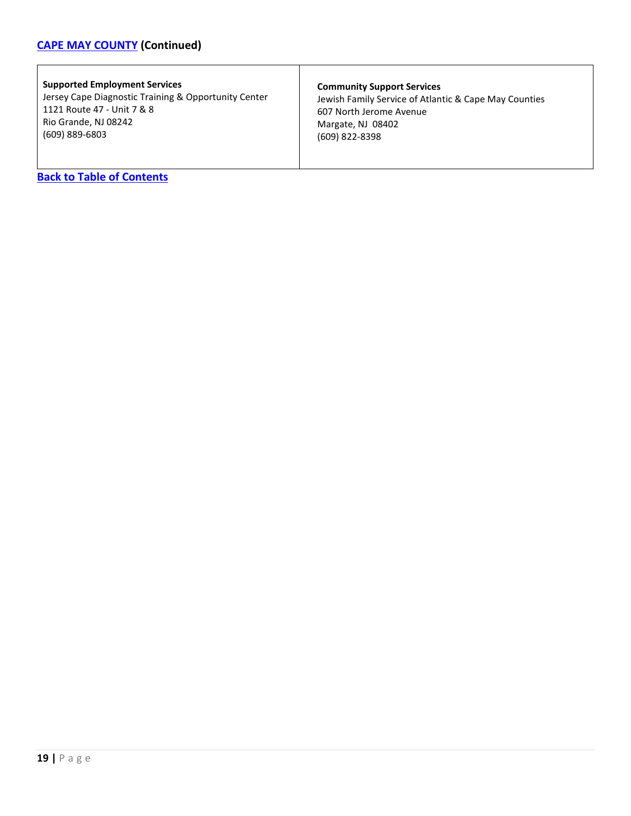# **[CAPE MAY COUNTY](#page-17-0) (Continued)**

# **Supported Employment Services**

Jersey Cape Diagnostic Training & Opportunity Center 1121 Route 47 - Unit 7 & 8 Rio Grande, NJ 08242 (609) 889-6803

#### **Community Support Services**

Jewish Family Service of Atlantic & Cape May Counties 607 North Jerome Avenue Margate, NJ 08402 (609) 822-8398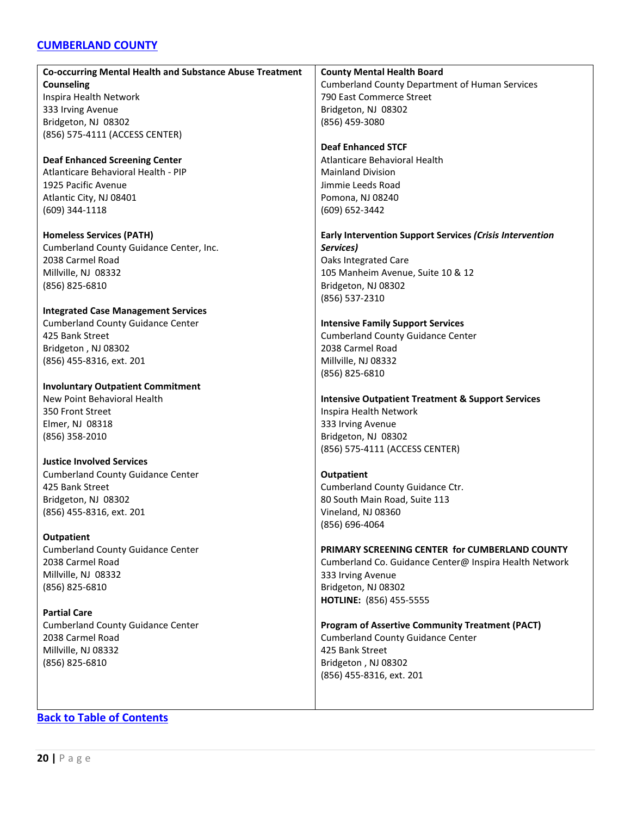# <span id="page-19-0"></span>**[CUMBERLAND COUNTY](#page-19-0)**

| Co-occurring Mental Health and Substance Abuse Treatment | <b>County Mental Health Board</b>                            |
|----------------------------------------------------------|--------------------------------------------------------------|
| <b>Counseling</b>                                        | <b>Cumberland County Department of Human Services</b>        |
| Inspira Health Network                                   | 790 East Commerce Street                                     |
| 333 Irving Avenue                                        | Bridgeton, NJ 08302                                          |
| Bridgeton, NJ 08302                                      | (856) 459-3080                                               |
| (856) 575-4111 (ACCESS CENTER)                           |                                                              |
|                                                          | <b>Deaf Enhanced STCF</b>                                    |
| <b>Deaf Enhanced Screening Center</b>                    | Atlanticare Behavioral Health                                |
| Atlanticare Behavioral Health - PIP                      | <b>Mainland Division</b>                                     |
| 1925 Pacific Avenue                                      | Jimmie Leeds Road                                            |
| Atlantic City, NJ 08401                                  | Pomona, NJ 08240                                             |
| (609) 344-1118                                           | (609) 652-3442                                               |
|                                                          |                                                              |
| <b>Homeless Services (PATH)</b>                          | Early Intervention Support Services (Crisis Intervention     |
| Cumberland County Guidance Center, Inc.                  | Services)                                                    |
| 2038 Carmel Road                                         | Oaks Integrated Care                                         |
| Millville, NJ 08332                                      | 105 Manheim Avenue, Suite 10 & 12                            |
| (856) 825-6810                                           | Bridgeton, NJ 08302                                          |
|                                                          | (856) 537-2310                                               |
| <b>Integrated Case Management Services</b>               |                                                              |
| <b>Cumberland County Guidance Center</b>                 | <b>Intensive Family Support Services</b>                     |
| 425 Bank Street                                          | <b>Cumberland County Guidance Center</b>                     |
| Bridgeton, NJ 08302                                      | 2038 Carmel Road                                             |
| (856) 455-8316, ext. 201                                 | Millville, NJ 08332                                          |
|                                                          |                                                              |
| <b>Involuntary Outpatient Commitment</b>                 | (856) 825-6810                                               |
| New Point Behavioral Health                              | <b>Intensive Outpatient Treatment &amp; Support Services</b> |
| 350 Front Street                                         | Inspira Health Network                                       |
| Elmer, NJ 08318                                          | 333 Irving Avenue                                            |
| (856) 358-2010                                           | Bridgeton, NJ 08302                                          |
|                                                          | (856) 575-4111 (ACCESS CENTER)                               |
| <b>Justice Involved Services</b>                         |                                                              |
| <b>Cumberland County Guidance Center</b>                 | <b>Outpatient</b>                                            |
| 425 Bank Street                                          | Cumberland County Guidance Ctr.                              |
|                                                          | 80 South Main Road, Suite 113                                |
| Bridgeton, NJ 08302                                      |                                                              |
| (856) 455-8316, ext. 201                                 | Vineland, NJ 08360<br>(856) 696-4064                         |
| <b>Outpatient</b>                                        |                                                              |
| <b>Cumberland County Guidance Center</b>                 | PRIMARY SCREENING CENTER for CUMBERLAND COUNTY               |
| 2038 Carmel Road                                         | Cumberland Co. Guidance Center@ Inspira Health Network       |
| Millville, NJ 08332                                      | 333 Irving Avenue                                            |
|                                                          | Bridgeton, NJ 08302                                          |
| (856) 825-6810                                           | HOTLINE: (856) 455-5555                                      |
| <b>Partial Care</b>                                      |                                                              |
| <b>Cumberland County Guidance Center</b>                 | <b>Program of Assertive Community Treatment (PACT)</b>       |
| 2038 Carmel Road                                         | <b>Cumberland County Guidance Center</b>                     |
|                                                          | 425 Bank Street                                              |
| Millville, NJ 08332                                      |                                                              |
| (856) 825-6810                                           | Bridgeton, NJ 08302                                          |
|                                                          | (856) 455-8316, ext. 201                                     |
|                                                          |                                                              |
|                                                          |                                                              |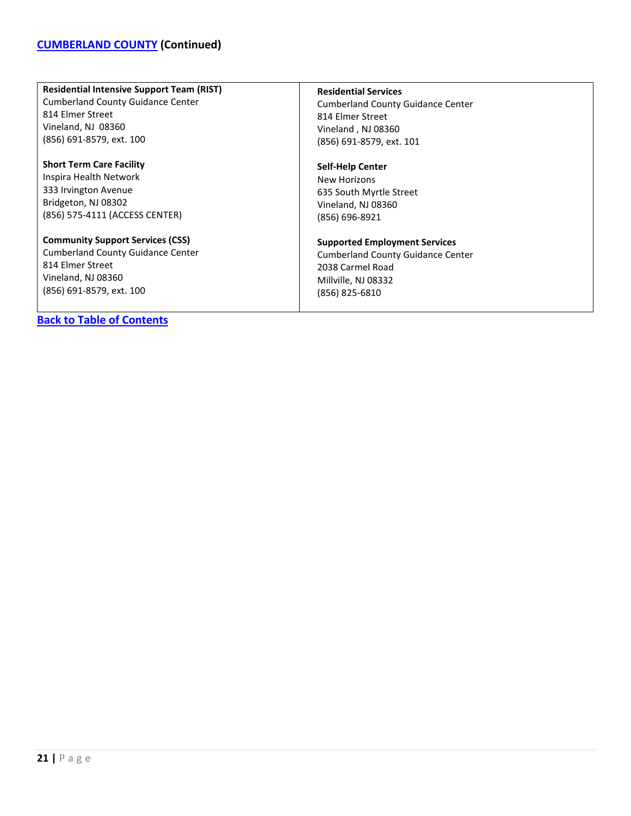#### **Residential Intensive Support Team (RIST)**

Cumberland County Guidance Center 814 Elmer Street Vineland, NJ 08360 (856) 691-8579, ext. 100

**Short Term Care Facility** Inspira Health Network 333 Irvington Avenue Bridgeton, NJ 08302 (856) 575-4111 (ACCESS CENTER)

# **Community Support Services (CSS)**

Cumberland County Guidance Center 814 Elmer Street Vineland, NJ 08360 (856) 691-8579, ext. 100

# **[Back to Table of Contents](#page-3-0)**

#### **Residential Services**

Cumberland County Guidance Center 814 Elmer Street Vineland , NJ 08360 (856) 691-8579, ext. 101

#### **Self-Help Center**

New Horizons 635 South Myrtle Street Vineland, NJ 08360 (856) 696-8921

#### **Supported Employment Services**

Cumberland County Guidance Center 2038 Carmel Road Millville, NJ 08332 (856) 825-6810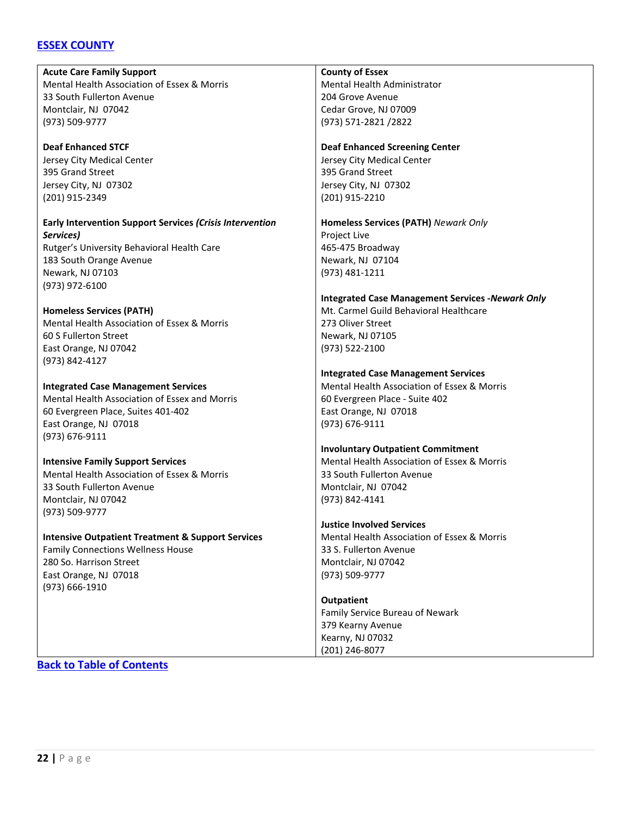# <span id="page-21-0"></span>**[ESSEX COUNTY](#page-21-0)**

**Acute Care Family Support** Mental Health Association of Essex & Morris 33 South Fullerton Avenue Montclair, NJ 07042 (973) 509-9777 **Deaf Enhanced STCF** Jersey City Medical Center 395 Grand Street Jersey City, NJ 07302 (201) 915-2349 **Early Intervention Support Services** *(Crisis Intervention Services)* Rutger's University Behavioral Health Care 183 South Orange Avenue Newark, NJ 07103 (973) 972-6100 **Homeless Services (PATH)** Mental Health Association of Essex & Morris 60 S Fullerton Street East Orange, NJ 07042 (973) 842-4127 **Integrated Case Management Services** Mental Health Association of Essex and Morris 60 Evergreen Place, Suites 401-402 East Orange, NJ 07018 (973) 676-9111 **Intensive Family Support Services** Mental Health Association of Essex & Morris 33 South Fullerton Avenue Montclair, NJ 07042 (973) 509-9777 **Intensive Outpatient Treatment & Support Services** Family Connections Wellness House 280 So. Harrison Street East Orange, NJ 07018 (973) 666-1910 **County of Essex** Mental Health Administrator 204 Grove Avenue Cedar Grove, NJ 07009 (973) 571-2821 /2822 **Deaf Enhanced Screening Center** Jersey City Medical Center 395 Grand Street Jersey City, NJ 07302 (201) 915-2210 **Homeless Services (PATH)** *Newark Only* Project Live 465-475 Broadway Newark, NJ 07104 (973) 481-1211 **Integrated Case Management Services -***Newark Only* Mt. Carmel Guild Behavioral Healthcare 273 Oliver Street Newark, NJ 07105 (973) 522-2100 **Integrated Case Management Services** Mental Health Association of Essex & Morris 60 Evergreen Place - Suite 402 East Orange, NJ 07018 (973) 676-9111 **Involuntary Outpatient Commitment** Mental Health Association of Essex & Morris 33 South Fullerton Avenue Montclair, NJ 07042 (973) 842-4141 **Justice Involved Services** Mental Health Association of Essex & Morris 33 S. Fullerton Avenue Montclair, NJ 07042 (973) 509-9777 **Outpatient** Family Service Bureau of Newark 379 Kearny Avenue Kearny, NJ 07032 (201) 246-8077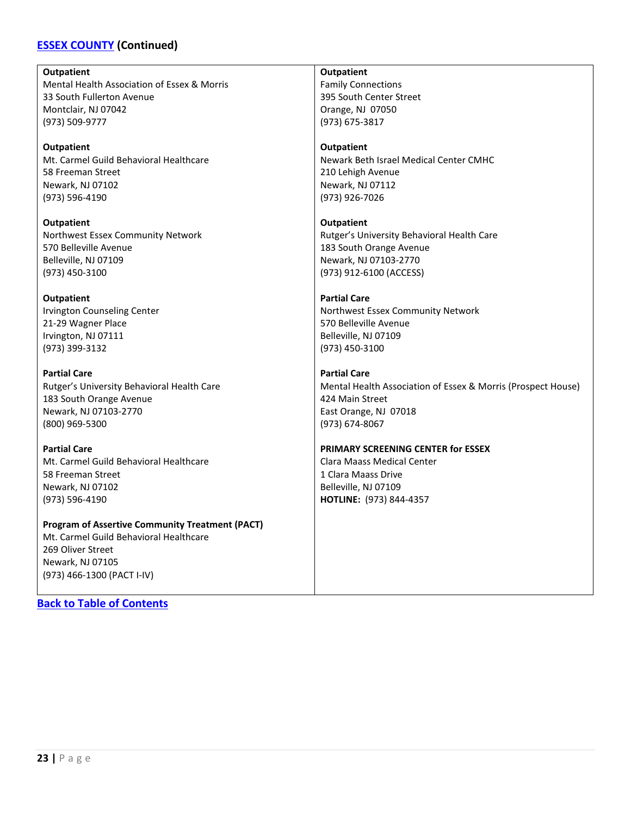# **[ESSEX COUNTY](#page-21-0) (Continued)**

#### **Outpatient**

Mental Health Association of Essex & Morris 33 South Fullerton Avenue Montclair, NJ 07042 (973) 509-9777

#### **Outpatient**

Mt. Carmel Guild Behavioral Healthcare 58 Freeman Street Newark, NJ 07102 (973) 596-4190

**Outpatient** Northwest Essex Community Network 570 Belleville Avenue Belleville, NJ 07109 (973) 450-3100

#### **Outpatient**

Irvington Counseling Center 21-29 Wagner Place Irvington, NJ 07111 (973) 399-3132

**Partial Care** Rutger's University Behavioral Health Care 183 South Orange Avenue Newark, NJ 07103-2770 (800) 969-5300

**Partial Care** Mt. Carmel Guild Behavioral Healthcare 58 Freeman Street Newark, NJ 07102 (973) 596-4190

#### **Program of Assertive Community Treatment (PACT)** Mt. Carmel Guild Behavioral Healthcare

269 Oliver Street Newark, NJ 07105 (973) 466-1300 (PACT I-IV)

**[Back to Table of Contents](#page-3-0)**

# **Outpatient**

Family Connections 395 South Center Street Orange, NJ 07050 (973) 675-3817

#### **Outpatient**

Newark Beth Israel Medical Center CMHC 210 Lehigh Avenue Newark, NJ 07112 (973) 926-7026

# **Outpatient**

Rutger's University Behavioral Health Care 183 South Orange Avenue Newark, NJ 07103-2770 (973) 912-6100 (ACCESS)

#### **Partial Care**

Northwest Essex Community Network 570 Belleville Avenue Belleville, NJ 07109 (973) 450-3100

#### **Partial Care**

Mental Health Association of Essex & Morris (Prospect House) 424 Main Street East Orange, NJ 07018 (973) 674-8067

#### **PRIMARY SCREENING CENTER for ESSEX**

Clara Maass Medical Center 1 Clara Maass Drive Belleville, NJ 07109 **HOTLINE:** (973) 844-4357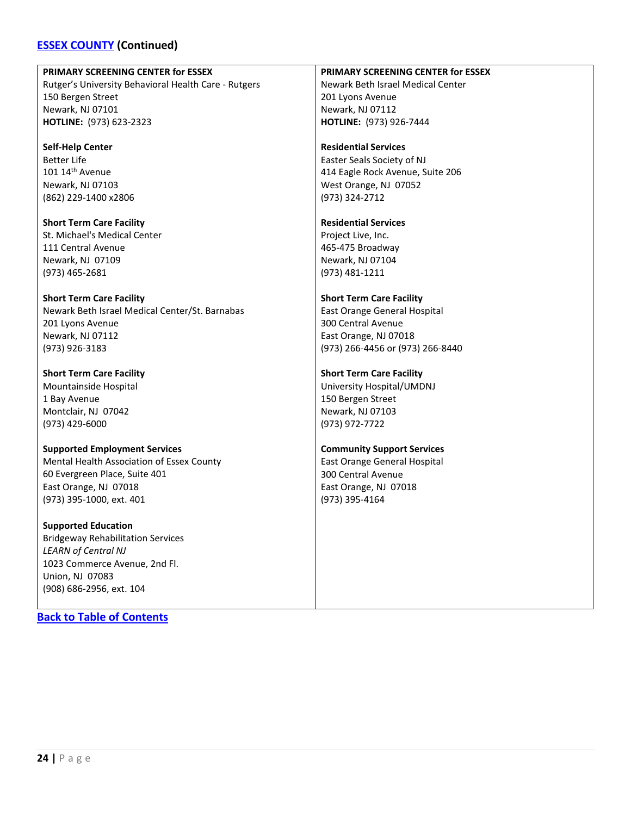# **[ESSEX COUNTY](#page-21-0) (Continued)**

#### **PRIMARY SCREENING CENTER for ESSEX**

Rutger's University Behavioral Health Care - Rutgers 150 Bergen Street Newark, NJ 07101 **HOTLINE:** (973) 623-2323

**Self-Help Center** Better Life  $101 14$ <sup>th</sup> Avenue Newark, NJ 07103 (862) 229-1400 x2806

**Short Term Care Facility** St. Michael's Medical Center 111 Central Avenue Newark, NJ 07109 (973) 465-2681

**Short Term Care Facility** Newark Beth Israel Medical Center/St. Barnabas 201 Lyons Avenue Newark, NJ 07112 (973) 926-3183

**Short Term Care Facility** Mountainside Hospital 1 Bay Avenue Montclair, NJ 07042 (973) 429-6000

**Supported Employment Services** Mental Health Association of Essex County 60 Evergreen Place, Suite 401 East Orange, NJ 07018 (973) 395-1000, ext. 401

**Supported Education** Bridgeway Rehabilitation Services *LEARN of Central NJ* 1023 Commerce Avenue, 2nd Fl. Union, NJ 07083 (908) 686-2956, ext. 104

**[Back to Table of Contents](#page-3-0)**

**PRIMARY SCREENING CENTER for ESSEX** Newark Beth Israel Medical Center 201 Lyons Avenue Newark, NJ 07112 **HOTLINE:** (973) 926-7444

**Residential Services** Easter Seals Society of NJ 414 Eagle Rock Avenue, Suite 206 West Orange, NJ 07052 (973) 324-2712

**Residential Services** Project Live, Inc. 465-475 Broadway Newark, NJ 07104 (973) 481-1211

**Short Term Care Facility** East Orange General Hospital 300 Central Avenue East Orange, NJ 07018 (973) 266-4456 or (973) 266-8440

**Short Term Care Facility** University Hospital/UMDNJ 150 Bergen Street Newark, NJ 07103 (973) 972-7722

**Community Support Services** East Orange General Hospital 300 Central Avenue East Orange, NJ 07018 (973) 395-4164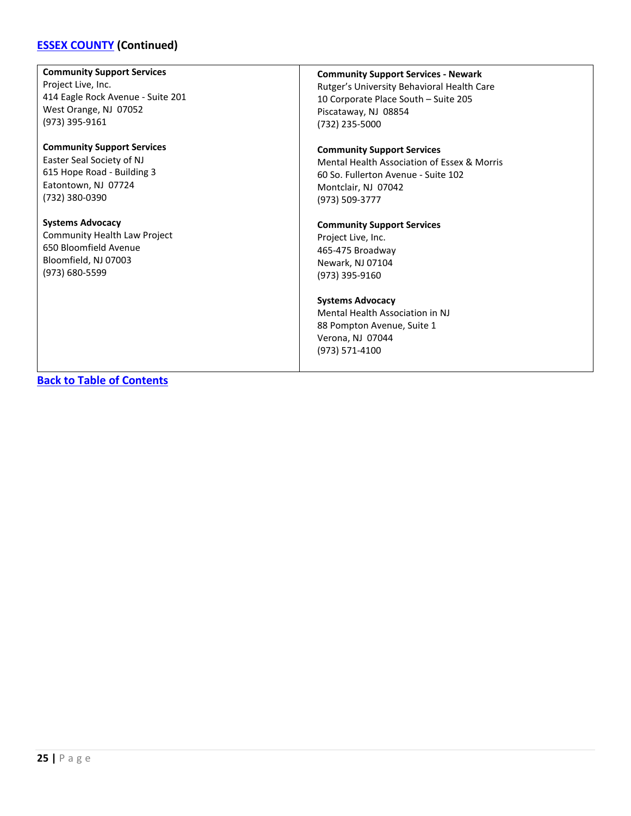# **[ESSEX COUNTY](#page-21-0) (Continued)**

# **Community Support Services**

Project Live, Inc. 414 Eagle Rock Avenue - Suite 201 West Orange, NJ 07052 (973) 395-9161

#### **Community Support Services** Easter Seal Society of NJ 615 Hope Road - Building 3 Eatontown, NJ 07724 (732) 380-0390

**Systems Advocacy** Community Health Law Project 650 Bloomfield Avenue Bloomfield, NJ 07003 (973) 680-5599

#### **Community Support Services - Newark**

Rutger's University Behavioral Health Care 10 Corporate Place South – Suite 205 Piscataway, NJ 08854 (732) 235-5000

#### **Community Support Services**

Mental Health Association of Essex & Morris 60 So. Fullerton Avenue - Suite 102 Montclair, NJ 07042 (973) 509-3777

#### **Community Support Services**

Project Live, Inc. 465-475 Broadway Newark, NJ 07104 (973) 395-9160

#### **Systems Advocacy**

Mental Health Association in NJ 88 Pompton Avenue, Suite 1 Verona, NJ 07044 (973) 571-4100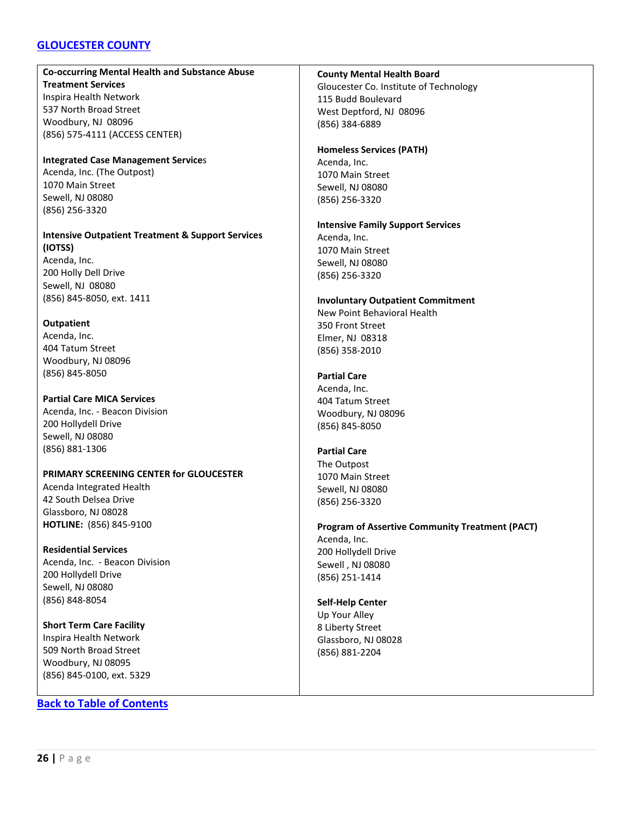# <span id="page-25-0"></span>**[GLOUCESTER COUNTY](#page-25-0)**

# **Co-occurring Mental Health and Substance Abuse Treatment Services**

Inspira Health Network 537 North Broad Street Woodbury, NJ 08096 (856) 575-4111 (ACCESS CENTER)

#### **Integrated Case Management Service**s Acenda, Inc. (The Outpost)

1070 Main Street Sewell, NJ 08080 (856) 256-3320

# **Intensive Outpatient Treatment & Support Services (IOTSS)** Acenda, Inc. 200 Holly Dell Drive

Sewell, NJ 08080 (856) 845-8050, ext. 1411

# **Outpatient**

Acenda, Inc. 404 Tatum Street Woodbury, NJ 08096 (856) 845-8050

# **Partial Care MICA Services**

Acenda, Inc. - Beacon Division 200 Hollydell Drive Sewell, NJ 08080 (856) 881-1306

# **PRIMARY SCREENING CENTER for GLOUCESTER**

Acenda Integrated Health 42 South Delsea Drive Glassboro, NJ 08028 **HOTLINE:** (856) 845-9100

# **Residential Services**

Acenda, Inc. - Beacon Division 200 Hollydell Drive Sewell, NJ 08080 (856) 848-8054

**Short Term Care Facility** Inspira Health Network 509 North Broad Street Woodbury, NJ 08095 (856) 845-0100, ext. 5329

# **[Back to Table of Contents](#page-3-0)**

#### **County Mental Health Board**

Gloucester Co. Institute of Technology 115 Budd Boulevard West Deptford, NJ 08096 (856) 384-6889

#### **Homeless Services (PATH)**

Acenda, Inc. 1070 Main Street Sewell, NJ 08080 (856) 256-3320

#### **Intensive Family Support Services** Acenda, Inc.

1070 Main Street Sewell, NJ 08080 (856) 256-3320

# **Involuntary Outpatient Commitment**

New Point Behavioral Health 350 Front Street Elmer, NJ 08318 (856) 358-2010

#### **Partial Care**

Acenda, Inc. 404 Tatum Street Woodbury, NJ 08096 (856) 845-8050

# **Partial Care**

The Outpost 1070 Main Street Sewell, NJ 08080 (856) 256-3320

### **Program of Assertive Community Treatment (PACT)** Acenda, Inc. 200 Hollydell Drive Sewell , NJ 08080 (856) 251-1414

# **Self-Help Center**

Up Your Alley 8 Liberty Street Glassboro, NJ 08028 (856) 881-2204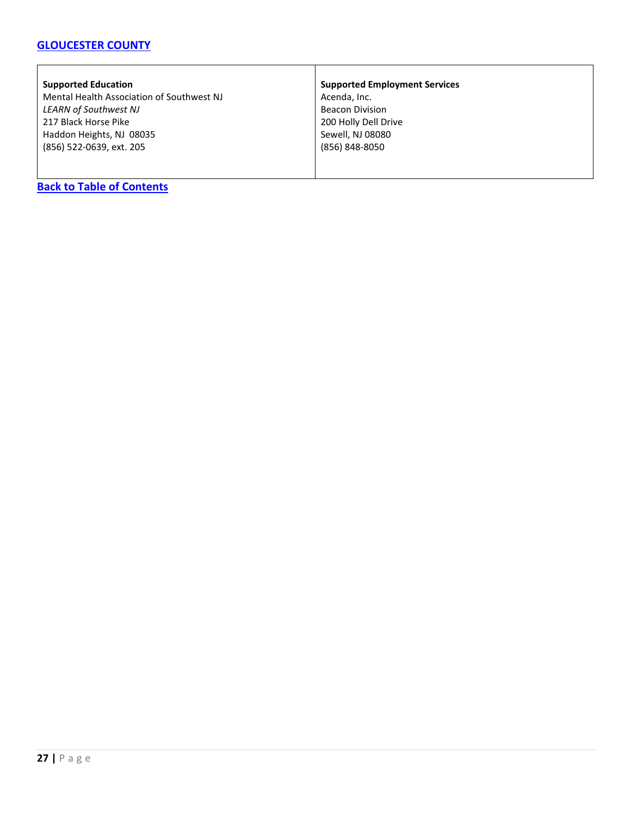# **[GLOUCESTER COUNTY](#page-25-0)**

#### **Supported Education**

Mental Health Association of Southwest NJ *LEARN of Southwest NJ* 217 Black Horse Pike Haddon Heights, NJ 08035 (856) 522-0639, ext. 205

#### **Supported Employment Services**

Acenda, Inc. Beacon Division 200 Holly Dell Drive Sewell, NJ 08080 (856) 848-8050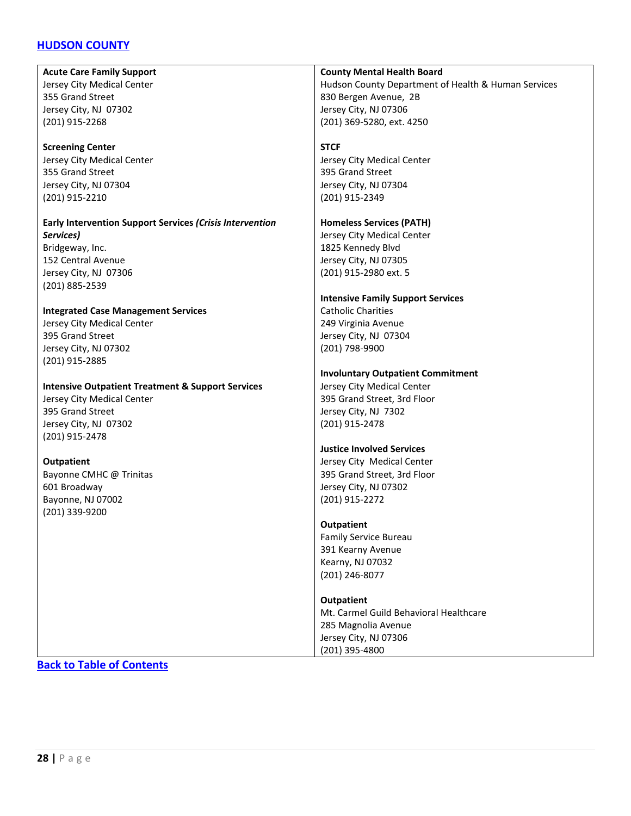# <span id="page-27-0"></span>**[HUDSON COUNTY](#page-27-0)**

**Acute Care Family Support** Jersey City Medical Center 355 Grand Street Jersey City, NJ 07302 (201) 915-2268

#### **Screening Center**

Jersey City Medical Center 355 Grand Street Jersey City, NJ 07304 (201) 915-2210

#### **Early Intervention Support Services** *(Crisis Intervention Services)* Bridgeway, Inc. 152 Central Avenue

Jersey City, NJ 07306 (201) 885-2539

# **Integrated Case Management Services**

Jersey City Medical Center 395 Grand Street Jersey City, NJ 07302 (201) 915-2885

#### **Intensive Outpatient Treatment & Support Services**

Jersey City Medical Center 395 Grand Street Jersey City, NJ 07302 (201) 915-2478

#### **Outpatient**

Bayonne CMHC @ Trinitas 601 Broadway Bayonne, NJ 07002 (201) 339-9200

#### **County Mental Health Board**

Hudson County Department of Health & Human Services 830 Bergen Avenue, 2B Jersey City, NJ 07306 (201) 369-5280, ext. 4250

#### **STCF**

Jersey City Medical Center 395 Grand Street Jersey City, NJ 07304 (201) 915-2349

#### **Homeless Services (PATH)**

Jersey City Medical Center 1825 Kennedy Blvd Jersey City, NJ 07305 (201) 915-2980 ext. 5

#### **Intensive Family Support Services**

Catholic Charities 249 Virginia Avenue Jersey City, NJ 07304 (201) 798-9900

## **Involuntary Outpatient Commitment**

Jersey City Medical Center 395 Grand Street, 3rd Floor Jersey City, NJ 7302 (201) 915-2478

#### **Justice Involved Services**

Jersey City Medical Center 395 Grand Street, 3rd Floor Jersey City, NJ 07302 (201) 915-2272

#### **Outpatient**

Family Service Bureau 391 Kearny Avenue Kearny, NJ 07032 (201) 246-8077

#### **Outpatient**

Mt. Carmel Guild Behavioral Healthcare 285 Magnolia Avenue Jersey City, NJ 07306 (201) 395-4800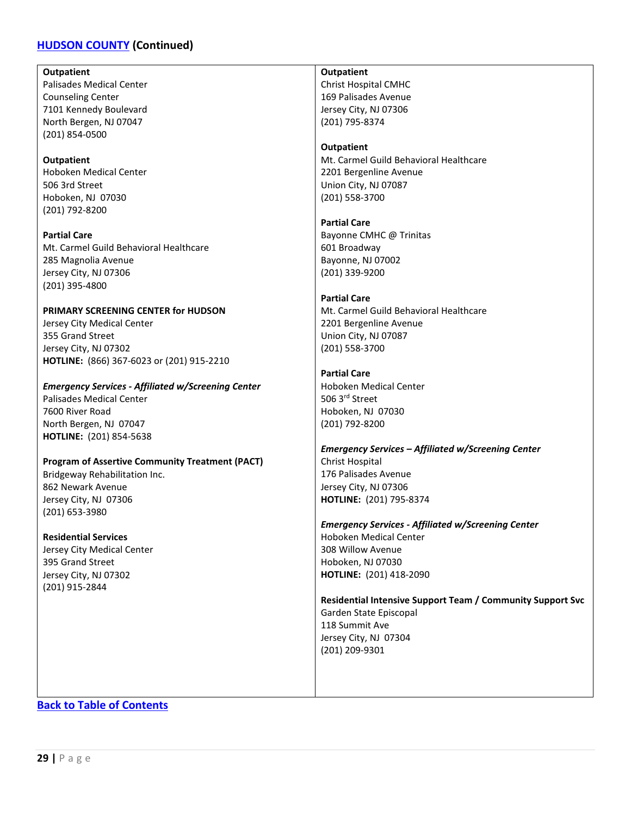# **[HUDSON COUNTY](#page-27-0) (Continued)**

**Outpatient**

Palisades Medical Center Counseling Center 7101 Kennedy Boulevard North Bergen, NJ 07047 (201) 854-0500

**Outpatient** Hoboken Medical Center 506 3rd Street Hoboken, NJ 07030 (201) 792-8200

**Partial Care** Mt. Carmel Guild Behavioral Healthcare 285 Magnolia Avenue Jersey City, NJ 07306 (201) 395-4800

**PRIMARY SCREENING CENTER for HUDSON** Jersey City Medical Center 355 Grand Street Jersey City, NJ 07302 **HOTLINE:** (866) 367-6023 or (201) 915-2210

#### *Emergency Services - Affiliated w/Screening Center*

Palisades Medical Center 7600 River Road North Bergen, NJ 07047 **HOTLINE:** (201) 854-5638

#### **Program of Assertive Community Treatment (PACT)**

Bridgeway Rehabilitation Inc. 862 Newark Avenue Jersey City, NJ 07306 (201) 653-3980

**Residential Services**

Jersey City Medical Center 395 Grand Street Jersey City, NJ 07302 (201) 915-2844

**Outpatient**

Christ Hospital CMHC 169 Palisades Avenue Jersey City, NJ 07306 (201) 795-8374

#### **Outpatient**

Mt. Carmel Guild Behavioral Healthcare 2201 Bergenline Avenue Union City, NJ 07087 (201) 558-3700

**Partial Care** Bayonne CMHC @ Trinitas 601 Broadway Bayonne, NJ 07002 (201) 339-9200

#### **Partial Care**

Mt. Carmel Guild Behavioral Healthcare 2201 Bergenline Avenue Union City, NJ 07087 (201) 558-3700

**Partial Care** Hoboken Medical Center 506 3rd Street

Hoboken, NJ 07030 (201) 792-8200

*Emergency Services – Affiliated w/Screening Center* Christ Hospital 176 Palisades Avenue Jersey City, NJ 07306 **HOTLINE:** (201) 795-8374

*Emergency Services - Affiliated w/Screening Center* Hoboken Medical Center 308 Willow Avenue Hoboken, NJ 07030 **HOTLINE:** (201) 418-2090

**Residential Intensive Support Team / Community Support Svc** Garden State Episcopal 118 Summit Ave Jersey City, NJ 07304 (201) 209-9301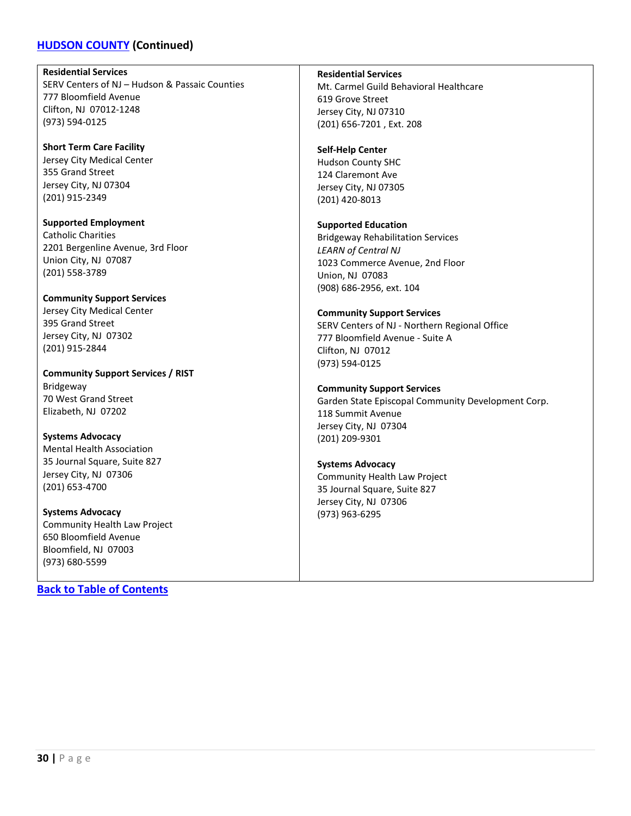# **[HUDSON COUNTY](#page-27-0) (Continued)**

**Residential Services** SERV Centers of NJ – Hudson & Passaic Counties 777 Bloomfield Avenue Clifton, NJ 07012-1248 (973) 594-0125

**Short Term Care Facility** Jersey City Medical Center 355 Grand Street Jersey City, NJ 07304 (201) 915-2349

**Supported Employment** Catholic Charities 2201 Bergenline Avenue, 3rd Floor Union City, NJ 07087 (201) 558-3789

**Community Support Services** Jersey City Medical Center 395 Grand Street Jersey City, NJ 07302 (201) 915-2844

**Community Support Services / RIST** Bridgeway 70 West Grand Street Elizabeth, NJ 07202

**Systems Advocacy** Mental Health Association 35 Journal Square, Suite 827 Jersey City, NJ 07306 (201) 653-4700

**Systems Advocacy** Community Health Law Project 650 Bloomfield Avenue Bloomfield, NJ 07003 (973) 680-5599

**[Back to Table of Contents](#page-3-0)**

**Residential Services**

Mt. Carmel Guild Behavioral Healthcare 619 Grove Street Jersey City, NJ 07310 (201) 656-7201 , Ext. 208

# **Self-Help Center**

Hudson County SHC 124 Claremont Ave Jersey City, NJ 07305 (201) 420-8013

#### **Supported Education**

Bridgeway Rehabilitation Services *LEARN of Central NJ* 1023 Commerce Avenue, 2nd Floor Union, NJ 07083 (908) 686-2956, ext. 104

#### **Community Support Services**

SERV Centers of NJ - Northern Regional Office 777 Bloomfield Avenue - Suite A Clifton, NJ 07012 (973) 594-0125

#### **Community Support Services**

Garden State Episcopal Community Development Corp. 118 Summit Avenue Jersey City, NJ 07304 (201) 209-9301

# **Systems Advocacy**

Community Health Law Project 35 Journal Square, Suite 827 Jersey City, NJ 07306 (973) 963-6295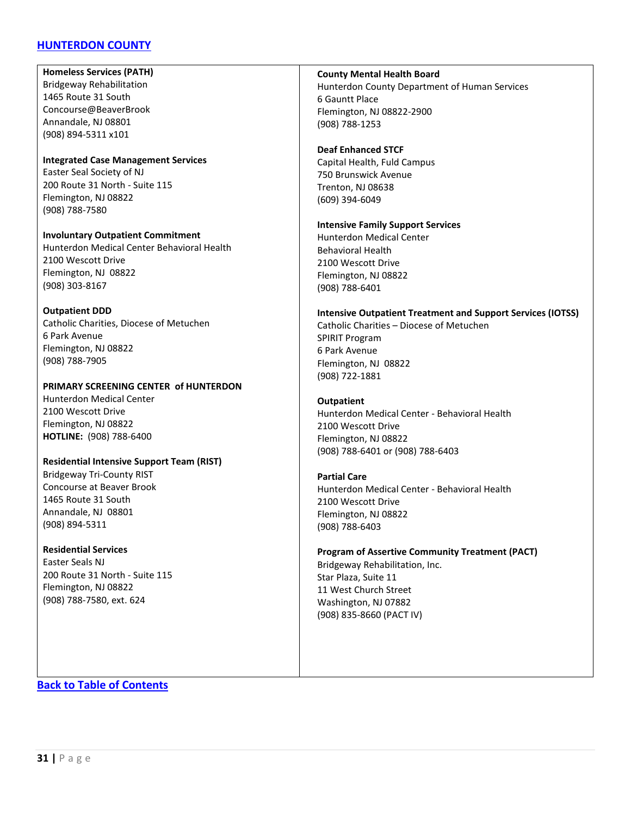# <span id="page-30-0"></span>**[HUNTERDON COUNTY](#page-30-0)**

**Homeless Services (PATH)** Bridgeway Rehabilitation 1465 Route 31 South Concourse@BeaverBrook Annandale, NJ 08801 (908) 894-5311 x101

#### **Integrated Case Management Services** Easter Seal Society of NJ 200 Route 31 North - Suite 115 Flemington, NJ 08822 (908) 788-7580

**Involuntary Outpatient Commitment** Hunterdon Medical Center Behavioral Health 2100 Wescott Drive Flemington, NJ 08822 (908) 303-8167

#### **Outpatient DDD**

Catholic Charities, Diocese of Metuchen 6 Park Avenue Flemington, NJ 08822 (908) 788-7905

#### **PRIMARY SCREENING CENTER of HUNTERDON**

Hunterdon Medical Center 2100 Wescott Drive Flemington, NJ 08822 **HOTLINE:** (908) 788-6400

#### **Residential Intensive Support Team (RIST)**

Bridgeway Tri-County RIST Concourse at Beaver Brook 1465 Route 31 South Annandale, NJ 08801 (908) 894-5311

#### **Residential Services**

Easter Seals NJ 200 Route 31 North - Suite 115 Flemington, NJ 08822 (908) 788-7580, ext. 624

#### **County Mental Health Board** Hunterdon County Department of Human Services 6 Gauntt Place Flemington, NJ 08822-2900 (908) 788-1253

#### **Deaf Enhanced STCF**

Capital Health, Fuld Campus 750 Brunswick Avenue Trenton, NJ 08638 (609) 394-6049

#### **Intensive Family Support Services**

Hunterdon Medical Center Behavioral Health 2100 Wescott Drive Flemington, NJ 08822 (908) 788-6401

#### **Intensive Outpatient Treatment and Support Services (IOTSS)**

Catholic Charities – Diocese of Metuchen SPIRIT Program 6 Park Avenue Flemington, NJ 08822 (908) 722-1881

#### **Outpatient**

Hunterdon Medical Center - Behavioral Health 2100 Wescott Drive Flemington, NJ 08822 (908) 788-6401 or (908) 788-6403

#### **Partial Care**

Hunterdon Medical Center - Behavioral Health 2100 Wescott Drive Flemington, NJ 08822 (908) 788-6403

# **Program of Assertive Community Treatment (PACT)** Bridgeway Rehabilitation, Inc.

Star Plaza, Suite 11 11 West Church Street Washington, NJ 07882 (908) 835-8660 (PACT IV)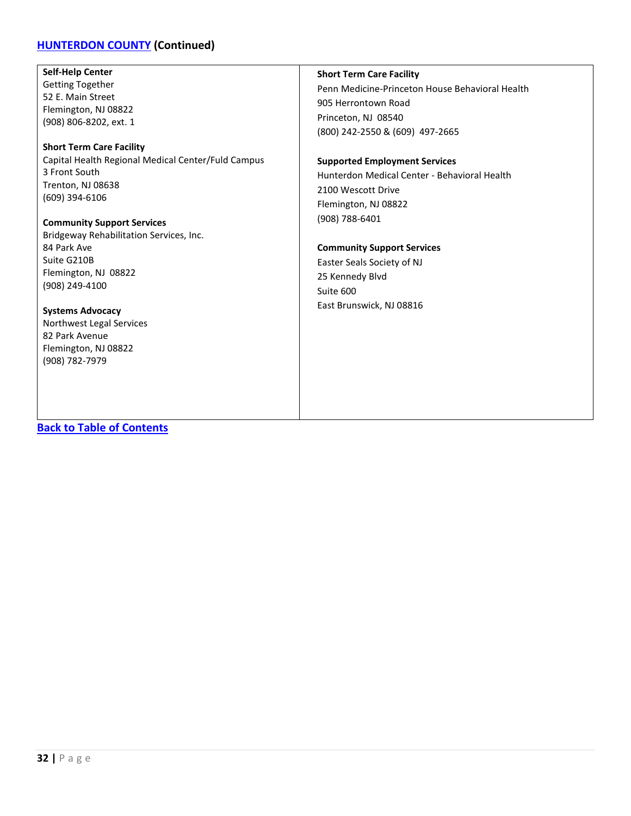# **[HUNTERDON COUNTY](#page-30-0) (Continued)**

### **Self-Help Center**

Getting Together 52 E. Main Street Flemington, NJ 08822 (908) 806-8202, ext. 1

**Short Term Care Facility** Capital Health Regional Medical Center/Fuld Campus 3 Front South Trenton, NJ 08638 (609) 394-6106

**Community Support Services** Bridgeway Rehabilitation Services, Inc. 84 Park Ave Suite G210B Flemington, NJ 08822 (908) 249-4100

**Systems Advocacy** Northwest Legal Services 82 Park Avenue Flemington, NJ 08822 (908) 782-7979

#### **Short Term Care Facility**

Penn Medicine-Princeton House Behavioral Health 905 Herrontown Road Princeton, NJ 08540 (800) 242-2550 & (609) 497-2665

#### **Supported Employment Services**

Hunterdon Medical Center - Behavioral Health 2100 Wescott Drive Flemington, NJ 08822 (908) 788-6401

#### **Community Support Services**

Easter Seals Society of NJ 25 Kennedy Blvd Suite 600 East Brunswick, NJ 08816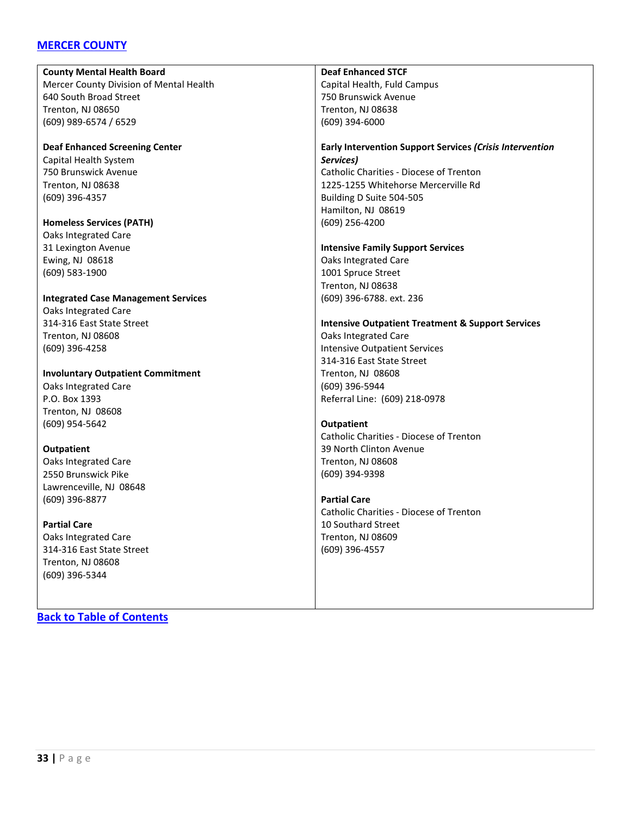# <span id="page-32-0"></span>**[MERCER COUNTY](#page-32-0)**

**County Mental Health Board** Mercer County Division of Mental Health 640 South Broad Street Trenton, NJ 08650 (609) 989-6574 / 6529 **Deaf Enhanced Screening Center** Capital Health System 750 Brunswick Avenue Trenton, NJ 08638 (609) 396-4357 **Homeless Services (PATH)** Oaks Integrated Care 31 Lexington Avenue Ewing, NJ 08618 (609) 583-1900 **Integrated Case Management Services** Oaks Integrated Care 314-316 East State Street Trenton, NJ 08608 (609) 396-4258 **Involuntary Outpatient Commitment** Oaks Integrated Care P.O. Box 1393 Trenton, NJ 08608 (609) 954-5642 **Outpatient** Oaks Integrated Care 2550 Brunswick Pike Lawrenceville, NJ 08648 (609) 396-8877 **Deaf Enhanced STCF** Capital Health, Fuld Campus 750 Brunswick Avenue Trenton, NJ 08638 (609) 394-6000 **Early Intervention Support Services** *(Crisis Intervention Services)* Catholic Charities - Diocese of Trenton 1225-1255 Whitehorse Mercerville Rd Building D Suite 504-505 Hamilton, NJ 08619 (609) 256-4200 **Intensive Family Support Services** Oaks Integrated Care 1001 Spruce Street Trenton, NJ 08638 (609) 396-6788. ext. 236 **Intensive Outpatient Treatment & Support Services** Oaks Integrated Care Intensive Outpatient Services 314-316 East State Street Trenton, NJ 08608 (609) 396-5944 Referral Line: (609) 218-0978 **Outpatient** Catholic Charities - Diocese of Trenton 39 North Clinton Avenue Trenton, NJ 08608 (609) 394-9398 **Partial Care** Catholic Charities - Diocese of Trenton

> 10 Southard Street Trenton, NJ 08609 (609) 396-4557

**Partial Care** Oaks Integrated Care 314-316 East State Street

Trenton, NJ 08608 (609) 396-5344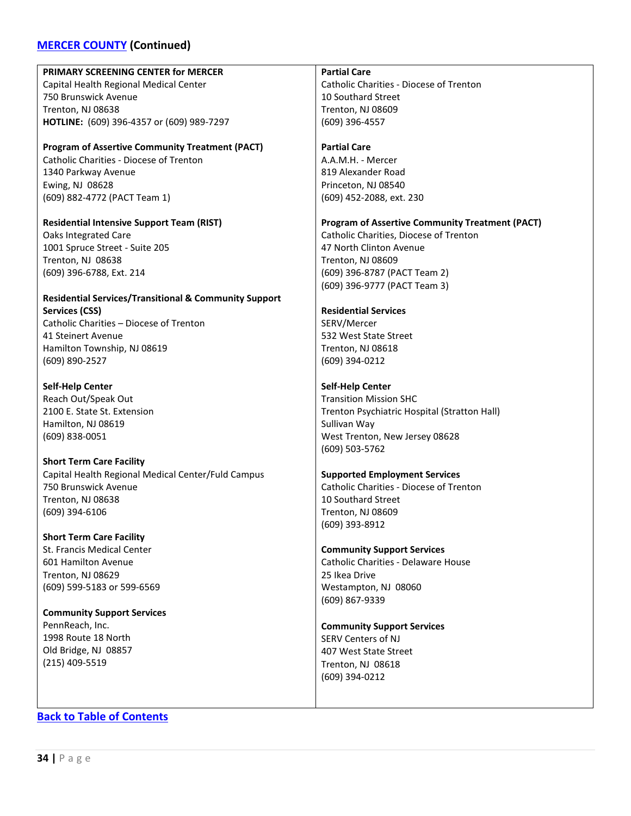# **[MERCER COUNTY](#page-32-0) (Continued)**

| PRIMARY SCREENING CENTER for MERCER                              | <b>Partial Care</b>                                    |
|------------------------------------------------------------------|--------------------------------------------------------|
| Capital Health Regional Medical Center                           | Catholic Charities - Diocese of Trenton                |
| 750 Brunswick Avenue                                             | 10 Southard Street                                     |
| Trenton, NJ 08638                                                | Trenton, NJ 08609                                      |
| HOTLINE: (609) 396-4357 or (609) 989-7297                        | (609) 396-4557                                         |
|                                                                  |                                                        |
| <b>Program of Assertive Community Treatment (PACT)</b>           | <b>Partial Care</b>                                    |
| <b>Catholic Charities - Diocese of Trenton</b>                   | A.A.M.H. - Mercer                                      |
| 1340 Parkway Avenue                                              | 819 Alexander Road                                     |
| Ewing, NJ 08628                                                  | Princeton, NJ 08540                                    |
| (609) 882-4772 (PACT Team 1)                                     | (609) 452-2088, ext. 230                               |
|                                                                  |                                                        |
| <b>Residential Intensive Support Team (RIST)</b>                 | <b>Program of Assertive Community Treatment (PACT)</b> |
| <b>Oaks Integrated Care</b>                                      | Catholic Charities, Diocese of Trenton                 |
| 1001 Spruce Street - Suite 205                                   | 47 North Clinton Avenue                                |
| Trenton, NJ 08638                                                | Trenton, NJ 08609                                      |
| (609) 396-6788, Ext. 214                                         | (609) 396-8787 (PACT Team 2)                           |
|                                                                  | (609) 396-9777 (PACT Team 3)                           |
| <b>Residential Services/Transitional &amp; Community Support</b> |                                                        |
| <b>Services (CSS)</b>                                            | <b>Residential Services</b>                            |
| Catholic Charities - Diocese of Trenton                          | SERV/Mercer                                            |
| 41 Steinert Avenue                                               | 532 West State Street                                  |
| Hamilton Township, NJ 08619                                      | Trenton, NJ 08618                                      |
| (609) 890-2527                                                   | (609) 394-0212                                         |
|                                                                  |                                                        |
| <b>Self-Help Center</b>                                          | <b>Self-Help Center</b>                                |
| Reach Out/Speak Out                                              | <b>Transition Mission SHC</b>                          |
| 2100 E. State St. Extension                                      | Trenton Psychiatric Hospital (Stratton Hall)           |
| Hamilton, NJ 08619                                               | Sullivan Way                                           |
| (609) 838-0051                                                   | West Trenton, New Jersey 08628                         |
|                                                                  | (609) 503-5762                                         |
| <b>Short Term Care Facility</b>                                  |                                                        |
| Capital Health Regional Medical Center/Fuld Campus               | <b>Supported Employment Services</b>                   |
| 750 Brunswick Avenue                                             | Catholic Charities - Diocese of Trenton                |
| Trenton, NJ 08638                                                | 10 Southard Street                                     |
| (609) 394-6106                                                   | Trenton, NJ 08609                                      |
|                                                                  | $(609)$ 393-8912                                       |
| <b>Short Term Care Facility</b>                                  |                                                        |
| St. Francis Medical Center                                       | <b>Community Support Services</b>                      |
| 601 Hamilton Avenue                                              | Catholic Charities - Delaware House                    |
| Trenton, NJ 08629                                                | 25 Ikea Drive                                          |
| (609) 599-5183 or 599-6569                                       | Westampton, NJ 08060                                   |
|                                                                  | (609) 867-9339                                         |
| <b>Community Support Services</b>                                |                                                        |
| PennReach, Inc.                                                  | <b>Community Support Services</b>                      |
| 1998 Route 18 North                                              | SERV Centers of NJ                                     |
| Old Bridge, NJ 08857                                             | 407 West State Street                                  |
| $(215)$ 409-5519                                                 | Trenton, NJ 08618                                      |
|                                                                  | (609) 394-0212                                         |
|                                                                  |                                                        |
|                                                                  |                                                        |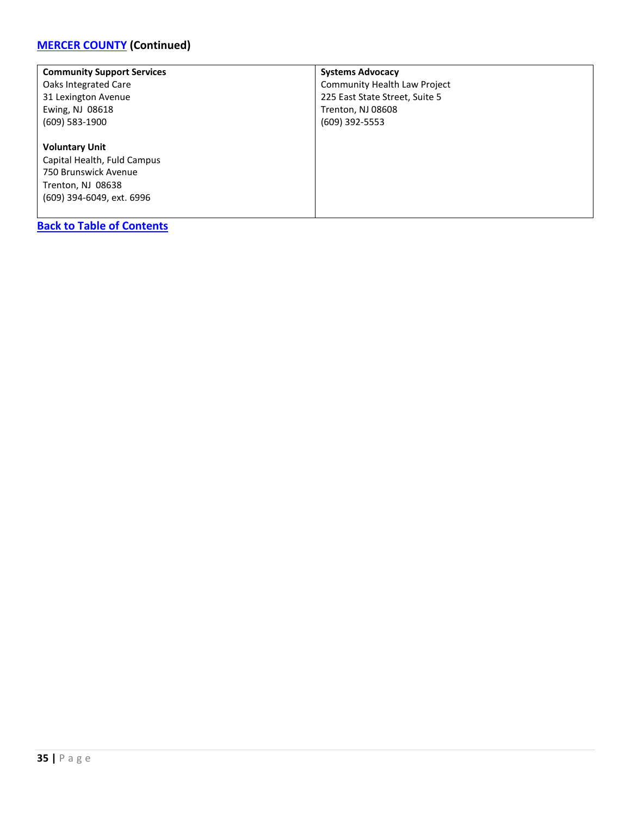# **[MERCER COUNTY](#page-32-0) (Continued)**

| <b>Community Support Services</b> | <b>Systems Advocacy</b>        |
|-----------------------------------|--------------------------------|
| Oaks Integrated Care              | Community Health Law Project   |
| 31 Lexington Avenue               | 225 East State Street, Suite 5 |
| Ewing, NJ 08618                   | Trenton, NJ 08608              |
| $(609)$ 583-1900                  | (609) 392-5553                 |
|                                   |                                |
| <b>Voluntary Unit</b>             |                                |
| Capital Health, Fuld Campus       |                                |
| 750 Brunswick Avenue              |                                |
| Trenton, NJ 08638                 |                                |
| (609) 394-6049, ext. 6996         |                                |
|                                   |                                |
| <b>Back to Table of Contents</b>  |                                |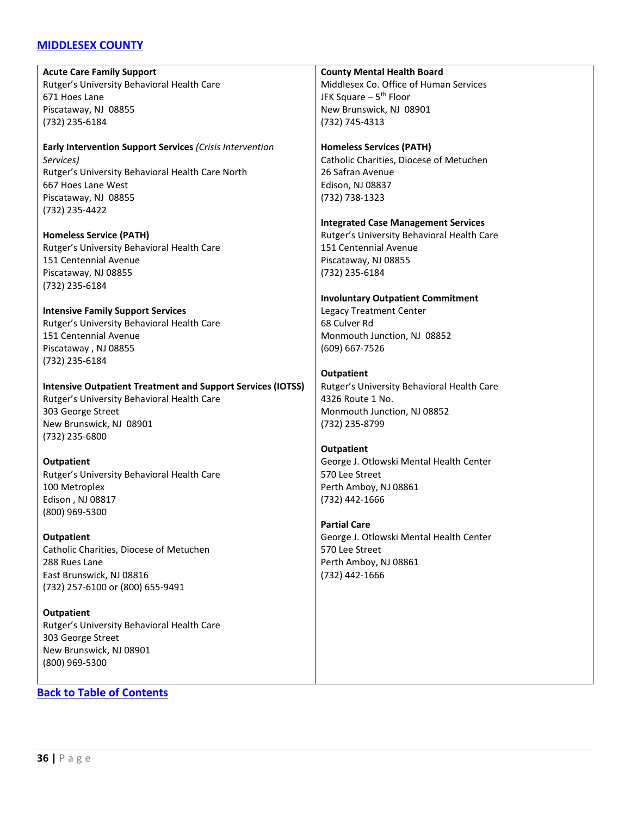# <span id="page-35-0"></span>**[MIDDLESEX COUNTY](#page-35-0)**

**Acute Care Family Support** Rutger's University Behavioral Health Care 671 Hoes Lane Piscataway, NJ 08855 (732) 235-6184 **Early Intervention Support Services** *(Crisis Intervention Services)* Rutger's University Behavioral Health Care North 667 Hoes Lane West Piscataway, NJ 08855 (732) 235-4422 **Homeless Service (PATH)** Rutger's University Behavioral Health Care 151 Centennial Avenue Piscataway, NJ 08855 (732) 235-6184 **Intensive Family Support Services** Rutger's University Behavioral Health Care 151 Centennial Avenue Piscataway , NJ 08855 (732) 235-6184 **Intensive Outpatient Treatment and Support Services (IOTSS)** Rutger's University Behavioral Health Care 303 George Street New Brunswick, NJ 08901 (732) 235-6800 **Outpatient** Rutger's University Behavioral Health Care 100 Metroplex Edison , NJ 08817 (800) 969-5300 **Outpatient** Catholic Charities, Diocese of Metuchen 288 Rues Lane East Brunswick, NJ 08816 (732) 257-6100 or (800) 655-9491 **Outpatient** Rutger's University Behavioral Health Care 303 George Street New Brunswick, NJ 08901 (800) 969-5300 **County Mental Health Board** Middlesex Co. Office of Human Services JFK Square  $-5$ <sup>th</sup> Floor New Brunswick, NJ 08901 (732) 745-4313 **Homeless Services (PATH)** Catholic Charities, Diocese of Metuchen 26 Safran Avenue Edison, NJ 08837 (732) 738-1323 **Integrated Case Management Services** Rutger's University Behavioral Health Care 151 Centennial Avenue Piscataway, NJ 08855 (732) 235-6184 **Involuntary Outpatient Commitment** Legacy Treatment Center 68 Culver Rd Monmouth Junction, NJ 08852 (609) 667-7526 **Outpatient** Rutger's University Behavioral Health Care 4326 Route 1 No. Monmouth Junction, NJ 08852 (732) 235-8799 **Outpatient** George J. Otlowski Mental Health Center 570 Lee Street Perth Amboy, NJ 08861 (732) 442-1666 **Partial Care** George J. Otlowski Mental Health Center 570 Lee Street Perth Amboy, NJ 08861 (732) 442-1666 **[Back to Table of Contents](#page-3-0)**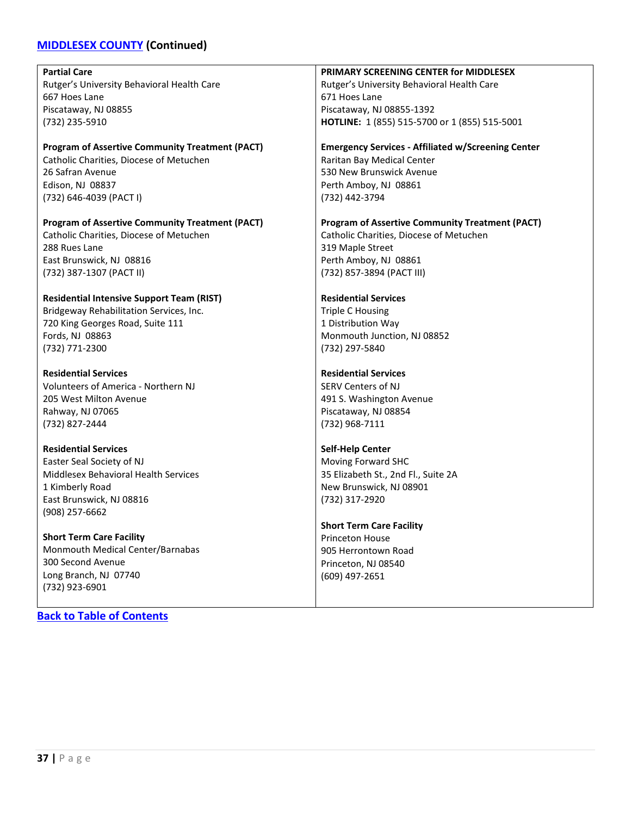# **[MIDDLESEX COUNTY](#page-35-0) (Continued)**

| <b>Partial Care</b>                                    | PRIMARY SCREENING CENTER for MIDDLESEX                    |
|--------------------------------------------------------|-----------------------------------------------------------|
| Rutger's University Behavioral Health Care             | Rutger's University Behavioral Health Care                |
| 667 Hoes Lane                                          | 671 Hoes Lane                                             |
| Piscataway, NJ 08855                                   | Piscataway, NJ 08855-1392                                 |
| (732) 235-5910                                         | HOTLINE: 1 (855) 515-5700 or 1 (855) 515-5001             |
|                                                        |                                                           |
| <b>Program of Assertive Community Treatment (PACT)</b> | <b>Emergency Services - Affiliated w/Screening Center</b> |
| Catholic Charities, Diocese of Metuchen                | Raritan Bay Medical Center                                |
| 26 Safran Avenue                                       | 530 New Brunswick Avenue                                  |
| Edison, NJ 08837                                       | Perth Amboy, NJ 08861                                     |
| (732) 646-4039 (PACT I)                                | (732) 442-3794                                            |
|                                                        |                                                           |
| <b>Program of Assertive Community Treatment (PACT)</b> | <b>Program of Assertive Community Treatment (PACT)</b>    |
| Catholic Charities, Diocese of Metuchen                | Catholic Charities, Diocese of Metuchen                   |
| 288 Rues Lane                                          | 319 Maple Street                                          |
| East Brunswick, NJ 08816                               | Perth Amboy, NJ 08861                                     |
| (732) 387-1307 (PACT II)                               | (732) 857-3894 (PACT III)                                 |
|                                                        |                                                           |
| <b>Residential Intensive Support Team (RIST)</b>       | <b>Residential Services</b>                               |
| Bridgeway Rehabilitation Services, Inc.                | <b>Triple C Housing</b>                                   |
| 720 King Georges Road, Suite 111                       | 1 Distribution Way                                        |
| Fords, NJ 08863                                        | Monmouth Junction, NJ 08852                               |
| (732) 771-2300                                         | (732) 297-5840                                            |
|                                                        |                                                           |
| <b>Residential Services</b>                            | <b>Residential Services</b>                               |
| Volunteers of America - Northern NJ                    | <b>SERV Centers of NJ</b>                                 |
| 205 West Milton Avenue                                 | 491 S. Washington Avenue                                  |
| Rahway, NJ 07065                                       | Piscataway, NJ 08854                                      |
| (732) 827-2444                                         | (732) 968-7111                                            |
|                                                        |                                                           |
| <b>Residential Services</b>                            | <b>Self-Help Center</b>                                   |
| Easter Seal Society of NJ                              | Moving Forward SHC                                        |
| Middlesex Behavioral Health Services                   | 35 Elizabeth St., 2nd Fl., Suite 2A                       |
| 1 Kimberly Road                                        | New Brunswick, NJ 08901                                   |
| East Brunswick, NJ 08816                               | (732) 317-2920                                            |
| (908) 257-6662                                         |                                                           |
|                                                        | <b>Short Term Care Facility</b>                           |
| <b>Short Term Care Facility</b>                        | Princeton House                                           |
| Monmouth Medical Center/Barnabas                       | 905 Herrontown Road                                       |
| 300 Second Avenue                                      | Princeton, NJ 08540                                       |
| Long Branch, NJ 07740                                  | (609) 497-2651                                            |
| (732) 923-6901                                         |                                                           |
|                                                        |                                                           |

**[Back to Table of Contents](#page-3-0)**

 $\mathsf{L}$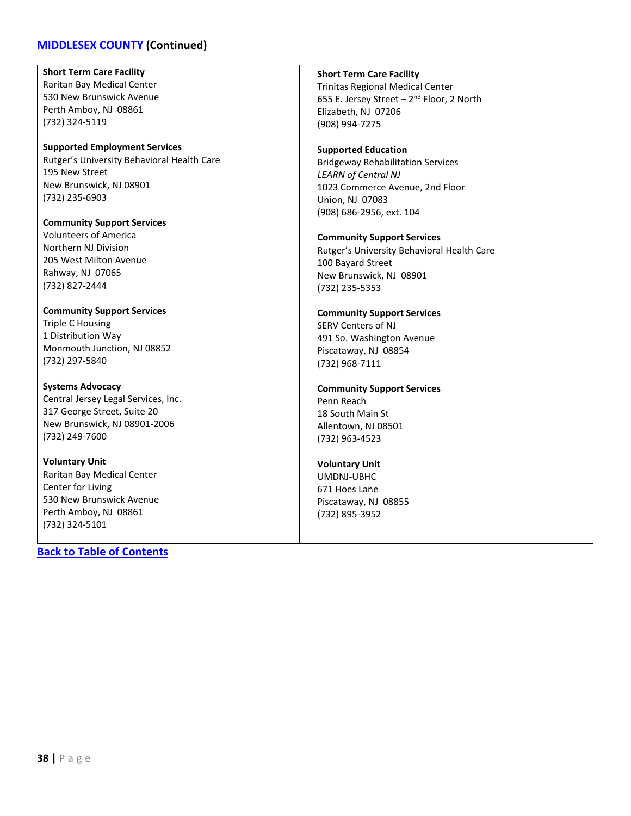### **[MIDDLESEX COUNTY](#page-35-0) (Continued)**

**Short Term Care Facility** Raritan Bay Medical Center 530 New Brunswick Avenue Perth Amboy, NJ 08861 (732) 324-5119

**Supported Employment Services** Rutger's University Behavioral Health Care 195 New Street New Brunswick, NJ 08901 (732) 235-6903

**Community Support Services** Volunteers of America Northern NJ Division 205 West Milton Avenue Rahway, NJ 07065 (732) 827-2444

**Community Support Services** Triple C Housing 1 Distribution Way Monmouth Junction, NJ 08852 (732) 297-5840

**Systems Advocacy** Central Jersey Legal Services, Inc. 317 George Street, Suite 20 New Brunswick, NJ 08901-2006 (732) 249-7600

**Voluntary Unit** Raritan Bay Medical Center Center for Living 530 New Brunswick Avenue Perth Amboy, NJ 08861 (732) 324-5101

**[Back to Table of Contents](#page-3-0)**

**Short Term Care Facility**

Trinitas Regional Medical Center 655 E. Jersey Street  $-2^{nd}$  Floor, 2 North Elizabeth, NJ 07206 (908) 994-7275

**Supported Education** Bridgeway Rehabilitation Services *LEARN of Central NJ* 1023 Commerce Avenue, 2nd Floor Union, NJ 07083 (908) 686-2956, ext. 104

**Community Support Services** Rutger's University Behavioral Health Care 100 Bayard Street New Brunswick, NJ 08901 (732) 235-5353

**Community Support Services** SERV Centers of NJ 491 So. Washington Avenue Piscataway, NJ 08854 (732) 968-7111

**Community Support Services** Penn Reach 18 South Main St Allentown, NJ 08501 (732) 963-4523

**Voluntary Unit** UMDNJ-UBHC 671 Hoes Lane Piscataway, NJ 08855 (732) 895-3952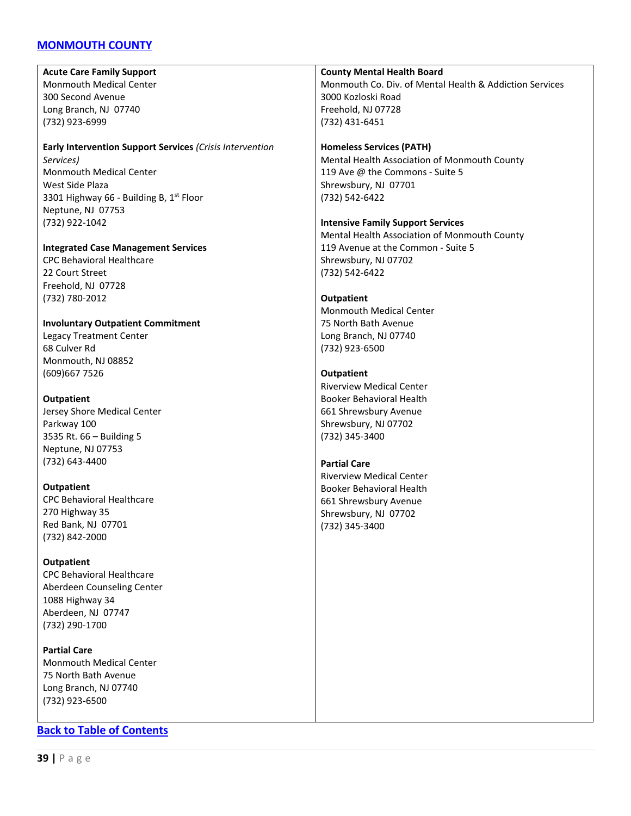### <span id="page-38-0"></span>**[MONMOUTH](#page-38-0) COUNTY**

**Acute Care Family Support** Monmouth Medical Center 300 Second Avenue Long Branch, NJ 07740 (732) 923-6999

#### **Early Intervention Support Services** *(Crisis Intervention Services)* Monmouth Medical Center West Side Plaza 3301 Highway 66 - Building B, 1<sup>st</sup> Floor Neptune, NJ 07753 (732) 922-1042

#### **Integrated Case Management Services**

CPC Behavioral Healthcare 22 Court Street Freehold, NJ 07728 (732) 780-2012

#### **Involuntary Outpatient Commitment**

Legacy Treatment Center 68 Culver Rd Monmouth, NJ 08852 (609)667 7526

#### **Outpatient**

Jersey Shore Medical Center Parkway 100 3535 Rt. 66 – Building 5 Neptune, NJ 07753 (732) 643-4400

#### **Outpatient**

CPC Behavioral Healthcare 270 Highway 35 Red Bank, NJ 07701 (732) 842-2000

#### **Outpatient**

CPC Behavioral Healthcare Aberdeen Counseling Center 1088 Highway 34 Aberdeen, NJ 07747 (732) 290-1700

**Partial Care** Monmouth Medical Center 75 North Bath Avenue Long Branch, NJ 07740 (732) 923-6500

### **[Back to Table of Contents](#page-3-0)**

#### **County Mental Health Board** Monmouth Co. Div. of Mental Health & Addiction Services 3000 Kozloski Road Freehold, NJ 07728 (732) 431-6451

#### **Homeless Services (PATH)** Mental Health Association of Monmouth County 119 Ave @ the Commons - Suite 5 Shrewsbury, NJ 07701 (732) 542-6422

#### **Intensive Family Support Services**

Mental Health Association of Monmouth County 119 Avenue at the Common - Suite 5 Shrewsbury, NJ 07702 (732) 542-6422

#### **Outpatient**

Monmouth Medical Center 75 North Bath Avenue Long Branch, NJ 07740 (732) 923-6500

#### **Outpatient**

Riverview Medical Center Booker Behavioral Health 661 Shrewsbury Avenue Shrewsbury, NJ 07702 (732) 345-3400

#### **Partial Care**

Riverview Medical Center Booker Behavioral Health 661 Shrewsbury Avenue Shrewsbury, NJ 07702 (732) 345-3400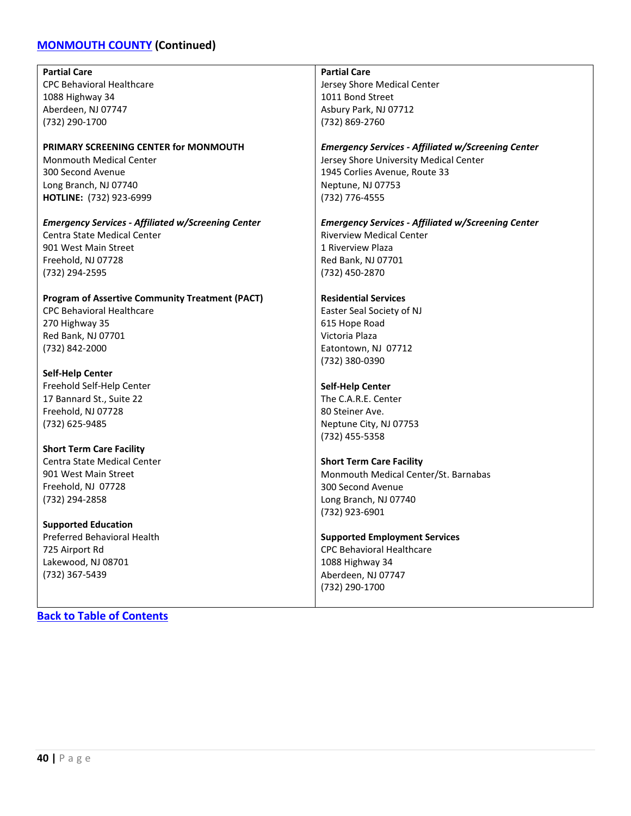# **[MONMOUTH COUNTY](#page-38-0) (Continued)**

| <b>Partial Care</b>                                       | <b>Partial Care</b>                                       |
|-----------------------------------------------------------|-----------------------------------------------------------|
| <b>CPC Behavioral Healthcare</b>                          | Jersey Shore Medical Center                               |
| 1088 Highway 34                                           | 1011 Bond Street                                          |
| Aberdeen, NJ 07747                                        | Asbury Park, NJ 07712                                     |
| (732) 290-1700                                            | (732) 869-2760                                            |
|                                                           |                                                           |
| PRIMARY SCREENING CENTER for MONMOUTH                     | <b>Emergency Services - Affiliated w/Screening Center</b> |
| <b>Monmouth Medical Center</b>                            | Jersey Shore University Medical Center                    |
| 300 Second Avenue                                         | 1945 Corlies Avenue, Route 33                             |
| Long Branch, NJ 07740                                     | Neptune, NJ 07753                                         |
| HOTLINE: (732) 923-6999                                   | (732) 776-4555                                            |
|                                                           |                                                           |
| <b>Emergency Services - Affiliated w/Screening Center</b> | <b>Emergency Services - Affiliated w/Screening Center</b> |
| Centra State Medical Center                               | <b>Riverview Medical Center</b>                           |
| 901 West Main Street                                      | 1 Riverview Plaza                                         |
| Freehold, NJ 07728                                        | Red Bank, NJ 07701                                        |
| (732) 294-2595                                            | (732) 450-2870                                            |
|                                                           |                                                           |
| <b>Program of Assertive Community Treatment (PACT)</b>    | <b>Residential Services</b>                               |
| <b>CPC Behavioral Healthcare</b>                          | Easter Seal Society of NJ                                 |
| 270 Highway 35                                            | 615 Hope Road                                             |
| Red Bank, NJ 07701                                        | Victoria Plaza                                            |
| (732) 842-2000                                            | Eatontown, NJ 07712                                       |
|                                                           | (732) 380-0390                                            |
| <b>Self-Help Center</b>                                   |                                                           |
| Freehold Self-Help Center                                 | <b>Self-Help Center</b>                                   |
| 17 Bannard St., Suite 22                                  | The C.A.R.E. Center                                       |
| Freehold, NJ 07728                                        | 80 Steiner Ave.                                           |
| (732) 625-9485                                            | Neptune City, NJ 07753                                    |
|                                                           | (732) 455-5358                                            |
| <b>Short Term Care Facility</b>                           |                                                           |
| Centra State Medical Center                               | <b>Short Term Care Facility</b>                           |
| 901 West Main Street                                      | Monmouth Medical Center/St. Barnabas                      |
| Freehold, NJ 07728                                        | 300 Second Avenue                                         |
| (732) 294-2858                                            | Long Branch, NJ 07740                                     |
|                                                           | (732) 923-6901                                            |
| <b>Supported Education</b>                                |                                                           |
| <b>Preferred Behavioral Health</b>                        | <b>Supported Employment Services</b>                      |
| 725 Airport Rd                                            | <b>CPC Behavioral Healthcare</b>                          |
| Lakewood, NJ 08701                                        | 1088 Highway 34                                           |
| (732) 367-5439                                            | Aberdeen, NJ 07747                                        |

(732) 290-1700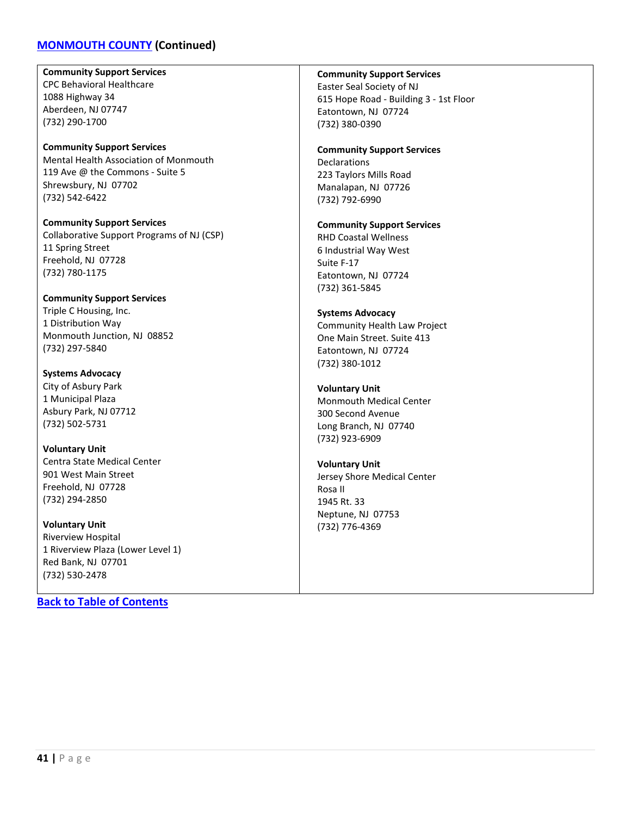### **[MONMOUTH COUNTY](#page-38-0) (Continued)**

**Community Support Services** CPC Behavioral Healthcare 1088 Highway 34 Aberdeen, NJ 07747 (732) 290-1700

**Community Support Services** Mental Health Association of Monmouth 119 Ave @ the Commons - Suite 5 Shrewsbury, NJ 07702 (732) 542-6422

**Community Support Services** Collaborative Support Programs of NJ (CSP) 11 Spring Street Freehold, NJ 07728 (732) 780-1175

**Community Support Services** Triple C Housing, Inc. 1 Distribution Way Monmouth Junction, NJ 08852 (732) 297-5840

**Systems Advocacy** City of Asbury Park 1 Municipal Plaza Asbury Park, NJ 07712 (732) 502-5731

**Voluntary Unit** Centra State Medical Center 901 West Main Street Freehold, NJ 07728 (732) 294-2850

**Voluntary Unit** Riverview Hospital 1 Riverview Plaza (Lower Level 1) Red Bank, NJ 07701 (732) 530-2478

**[Back to Table of Contents](#page-3-0)**

**Community Support Services**

Easter Seal Society of NJ 615 Hope Road - Building 3 - 1st Floor Eatontown, NJ 07724 (732) 380-0390

#### **Community Support Services**

**Declarations** 223 Taylors Mills Road Manalapan, NJ 07726 (732) 792-6990

#### **Community Support Services**

RHD Coastal Wellness 6 Industrial Way West Suite F-17 Eatontown, NJ 07724 (732) 361-5845

#### **Systems Advocacy**

Community Health Law Project One Main Street. Suite 413 Eatontown, NJ 07724 (732) 380-1012

#### **Voluntary Unit**

Monmouth Medical Center 300 Second Avenue Long Branch, NJ 07740 (732) 923-6909

#### **Voluntary Unit**

Jersey Shore Medical Center Rosa II 1945 Rt. 33 Neptune, NJ 07753 (732) 776-4369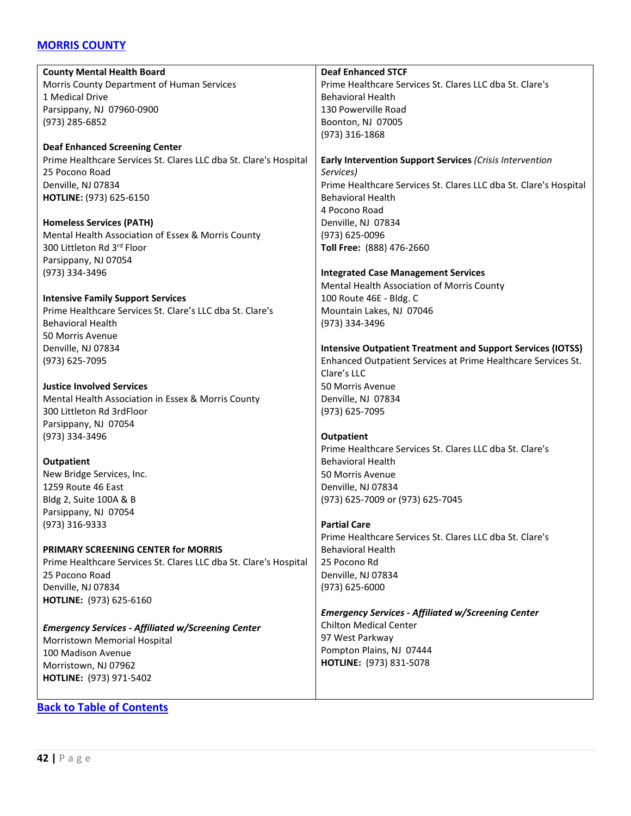### <span id="page-41-0"></span>**[MORRIS COUNTY](#page-41-0)**

| <b>County Mental Health Board</b>                                 | <b>Deaf Enhanced STCF</b>                                          |
|-------------------------------------------------------------------|--------------------------------------------------------------------|
| Morris County Department of Human Services                        | Prime Healthcare Services St. Clares LLC dba St. Clare's           |
| 1 Medical Drive                                                   | <b>Behavioral Health</b>                                           |
|                                                                   | 130 Powerville Road                                                |
| Parsippany, NJ 07960-0900                                         |                                                                    |
| (973) 285-6852                                                    | Boonton, NJ 07005                                                  |
|                                                                   | (973) 316-1868                                                     |
| <b>Deaf Enhanced Screening Center</b>                             |                                                                    |
| Prime Healthcare Services St. Clares LLC dba St. Clare's Hospital | Early Intervention Support Services (Crisis Intervention           |
| 25 Pocono Road                                                    | Services)                                                          |
| Denville, NJ 07834                                                | Prime Healthcare Services St. Clares LLC dba St. Clare's Hospital  |
| HOTLINE: (973) 625-6150                                           | <b>Behavioral Health</b>                                           |
|                                                                   | 4 Pocono Road                                                      |
| <b>Homeless Services (PATH)</b>                                   | Denville, NJ 07834                                                 |
| Mental Health Association of Essex & Morris County                | (973) 625-0096                                                     |
| 300 Littleton Rd 3rd Floor                                        | Toll Free: (888) 476-2660                                          |
| Parsippany, NJ 07054                                              |                                                                    |
| (973) 334-3496                                                    | <b>Integrated Case Management Services</b>                         |
|                                                                   | Mental Health Association of Morris County                         |
| <b>Intensive Family Support Services</b>                          | 100 Route 46E - Bldg. C                                            |
| Prime Healthcare Services St. Clare's LLC dba St. Clare's         | Mountain Lakes, NJ 07046                                           |
| <b>Behavioral Health</b>                                          | (973) 334-3496                                                     |
| 50 Morris Avenue                                                  |                                                                    |
| Denville, NJ 07834                                                | <b>Intensive Outpatient Treatment and Support Services (IOTSS)</b> |
| (973) 625-7095                                                    | Enhanced Outpatient Services at Prime Healthcare Services St.      |
|                                                                   | Clare's LLC                                                        |
| <b>Justice Involved Services</b>                                  | 50 Morris Avenue                                                   |
| Mental Health Association in Essex & Morris County                | Denville, NJ 07834                                                 |
| 300 Littleton Rd 3rdFloor                                         | (973) 625-7095                                                     |
| Parsippany, NJ 07054                                              |                                                                    |
| (973) 334-3496                                                    | <b>Outpatient</b>                                                  |
|                                                                   | Prime Healthcare Services St. Clares LLC dba St. Clare's           |
| <b>Outpatient</b>                                                 | <b>Behavioral Health</b>                                           |
| New Bridge Services, Inc.                                         | 50 Morris Avenue                                                   |
| 1259 Route 46 East                                                | Denville, NJ 07834                                                 |
| Bldg 2, Suite 100A & B                                            | (973) 625-7009 or (973) 625-7045                                   |
| Parsippany, NJ 07054                                              |                                                                    |
| (973) 316-9333                                                    | <b>Partial Care</b>                                                |
|                                                                   | Prime Healthcare Services St. Clares LLC dba St. Clare's           |
| PRIMARY SCREENING CENTER for MORRIS                               | <b>Behavioral Health</b>                                           |
| Prime Healthcare Services St. Clares LLC dba St. Clare's Hospital | 25 Pocono Rd                                                       |
| 25 Pocono Road                                                    | Denville, NJ 07834                                                 |
| Denville, NJ 07834                                                | (973) 625-6000                                                     |
| HOTLINE: (973) 625-6160                                           |                                                                    |
|                                                                   | <b>Emergency Services - Affiliated w/Screening Center</b>          |
| <b>Emergency Services - Affiliated w/Screening Center</b>         | <b>Chilton Medical Center</b>                                      |
| Morristown Memorial Hospital                                      | 97 West Parkway                                                    |
| 100 Madison Avenue                                                | Pompton Plains, NJ 07444                                           |
| Morristown, NJ 07962                                              | HOTLINE: (973) 831-5078                                            |
| HOTLINE: (973) 971-5402                                           |                                                                    |
|                                                                   |                                                                    |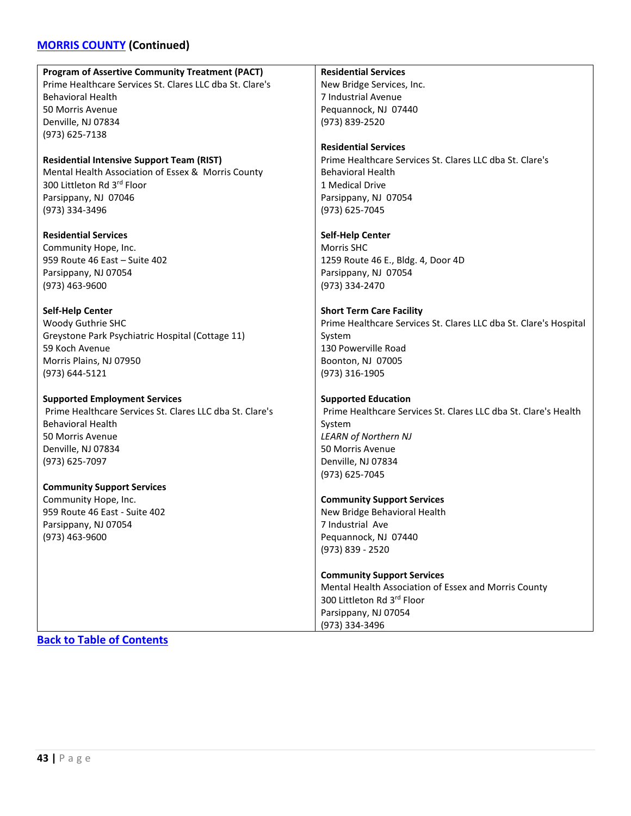# **[MORRIS COUNTY](#page-41-0) (Continued)**

| <b>Program of Assertive Community Treatment (PACT)</b>   | <b>Residential Services</b>                                       |
|----------------------------------------------------------|-------------------------------------------------------------------|
| Prime Healthcare Services St. Clares LLC dba St. Clare's | New Bridge Services, Inc.                                         |
| <b>Behavioral Health</b>                                 | 7 Industrial Avenue                                               |
| 50 Morris Avenue                                         | Pequannock, NJ 07440                                              |
| Denville, NJ 07834                                       | (973) 839-2520                                                    |
| (973) 625-7138                                           |                                                                   |
|                                                          | <b>Residential Services</b>                                       |
| <b>Residential Intensive Support Team (RIST)</b>         | Prime Healthcare Services St. Clares LLC dba St. Clare's          |
| Mental Health Association of Essex & Morris County       | <b>Behavioral Health</b>                                          |
| 300 Littleton Rd 3rd Floor                               | 1 Medical Drive                                                   |
| Parsippany, NJ 07046                                     | Parsippany, NJ 07054                                              |
| (973) 334-3496                                           | (973) 625-7045                                                    |
|                                                          |                                                                   |
| <b>Residential Services</b>                              | <b>Self-Help Center</b>                                           |
| Community Hope, Inc.                                     | <b>Morris SHC</b>                                                 |
| 959 Route 46 East - Suite 402                            | 1259 Route 46 E., Bldg. 4, Door 4D                                |
| Parsippany, NJ 07054                                     | Parsippany, NJ 07054                                              |
| $(973)$ 463-9600                                         | (973) 334-2470                                                    |
|                                                          |                                                                   |
| <b>Self-Help Center</b>                                  | <b>Short Term Care Facility</b>                                   |
| Woody Guthrie SHC                                        | Prime Healthcare Services St. Clares LLC dba St. Clare's Hospital |
| Greystone Park Psychiatric Hospital (Cottage 11)         | System                                                            |
| 59 Koch Avenue                                           | 130 Powerville Road                                               |
| Morris Plains, NJ 07950                                  | Boonton, NJ 07005                                                 |
| (973) 644-5121                                           | (973) 316-1905                                                    |
|                                                          |                                                                   |
| <b>Supported Employment Services</b>                     | <b>Supported Education</b>                                        |
| Prime Healthcare Services St. Clares LLC dba St. Clare's | Prime Healthcare Services St. Clares LLC dba St. Clare's Health   |
| <b>Behavioral Health</b>                                 | System                                                            |
| 50 Morris Avenue                                         | <b>LEARN of Northern NJ</b>                                       |
| Denville, NJ 07834                                       | 50 Morris Avenue                                                  |
| (973) 625-7097                                           | Denville, NJ 07834                                                |
|                                                          | (973) 625-7045                                                    |
| <b>Community Support Services</b>                        |                                                                   |
| Community Hope, Inc.                                     | <b>Community Support Services</b>                                 |
| 959 Route 46 East - Suite 402                            | New Bridge Behavioral Health                                      |
| Parsippany, NJ 07054                                     | 7 Industrial Ave                                                  |
| (973) 463-9600                                           | Pequannock, NJ 07440                                              |
|                                                          | (973) 839 - 2520                                                  |
|                                                          |                                                                   |
|                                                          | <b>Community Support Services</b>                                 |
|                                                          | Mental Health Association of Essex and Morris County              |
|                                                          | 300 Littleton Rd 3rd Floor                                        |
|                                                          | Parsippany, NJ 07054                                              |
|                                                          | (973) 334-3496                                                    |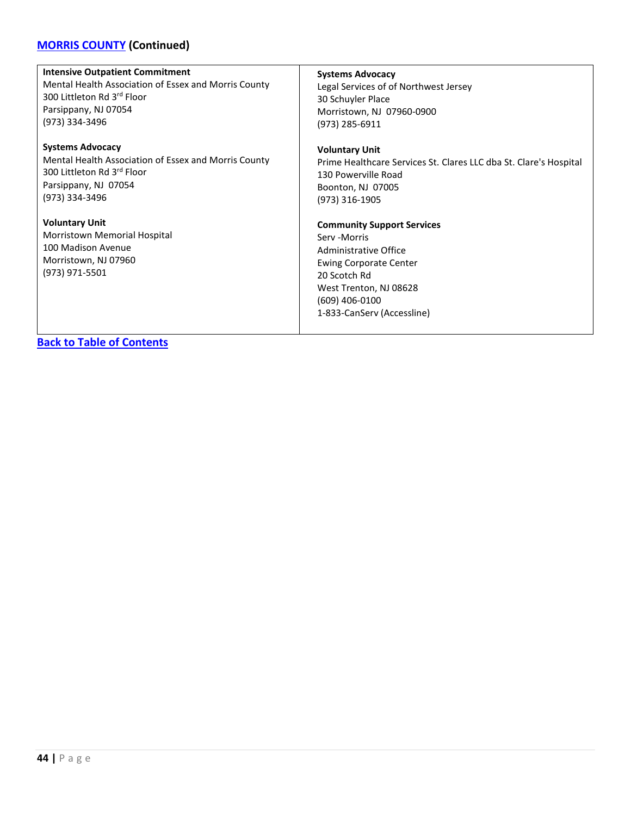### **[MORRIS COUNTY](#page-41-0) (Continued)**

#### **Intensive Outpatient Commitment**

Mental Health Association of Essex and Morris County 300 Littleton Rd 3rd Floor Parsippany, NJ 07054 (973) 334-3496

#### **Systems Advocacy**

Mental Health Association of Essex and Morris County 300 Littleton Rd 3rd Floor Parsippany, NJ 07054 (973) 334-3496

**Voluntary Unit** Morristown Memorial Hospital 100 Madison Avenue Morristown, NJ 07960 (973) 971-5501

#### **Systems Advocacy**

Legal Services of of Northwest Jersey 30 Schuyler Place Morristown, NJ 07960-0900 (973) 285-6911

#### **Voluntary Unit**

Prime Healthcare Services St. Clares LLC dba St. Clare's Hospital 130 Powerville Road Boonton, NJ 07005 (973) 316-1905

#### **Community Support Services**

Serv -Morris Administrative Office Ewing Corporate Center 20 Scotch Rd West Trenton, NJ 08628 (609) 406-0100 1-833-CanServ (Accessline)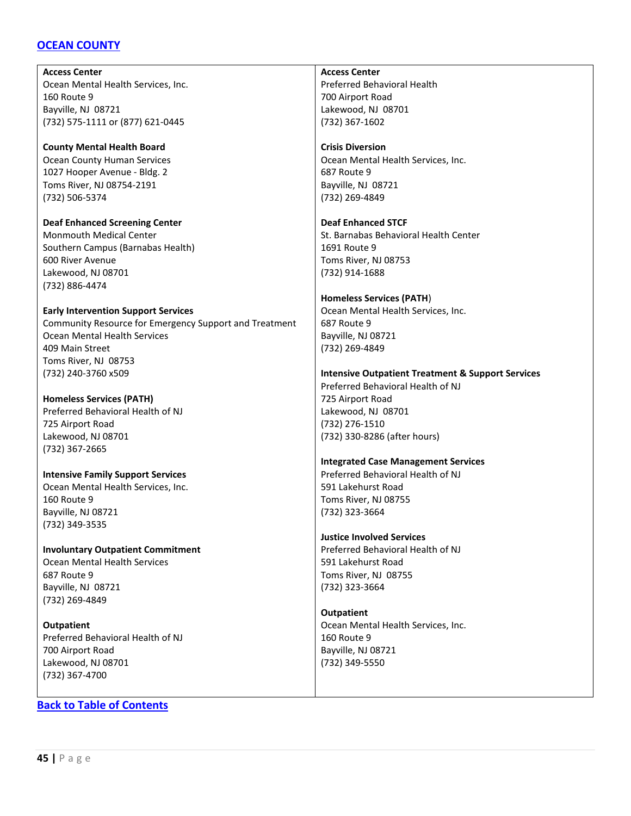### <span id="page-44-0"></span>**[OCEAN COUNTY](#page-44-0)**

**Access Center** Ocean Mental Health Services, Inc. 160 Route 9 Bayville, NJ 08721 (732) 575-1111 or (877) 621-0445

**County Mental Health Board** Ocean County Human Services 1027 Hooper Avenue - Bldg. 2 Toms River, NJ 08754-2191 (732) 506-5374

**Deaf Enhanced Screening Center** Monmouth Medical Center Southern Campus (Barnabas Health) 600 River Avenue Lakewood, NJ 08701 (732) 886-4474

**Early Intervention Support Services** Community Resource for Emergency Support and Treatment Ocean Mental Health Services 409 Main Street Toms River, NJ 08753 (732) 240-3760 x509

**Homeless Services (PATH)** Preferred Behavioral Health of NJ 725 Airport Road Lakewood, NJ 08701 (732) 367-2665

**Intensive Family Support Services** Ocean Mental Health Services, Inc. 160 Route 9 Bayville, NJ 08721 (732) 349-3535

**Involuntary Outpatient Commitment** Ocean Mental Health Services 687 Route 9 Bayville, NJ 08721 (732) 269-4849

**Outpatient** Preferred Behavioral Health of NJ 700 Airport Road Lakewood, NJ 08701 (732) 367-4700

**[Back to Table of Contents](#page-3-0)**

**Access Center** Preferred Behavioral Health 700 Airport Road Lakewood, NJ 08701 (732) 367-1602

**Crisis Diversion** Ocean Mental Health Services, Inc. 687 Route 9 Bayville, NJ 08721 (732) 269-4849

**Deaf Enhanced STCF** St. Barnabas Behavioral Health Center 1691 Route 9 Toms River, NJ 08753 (732) 914-1688

**Homeless Services (PATH**) Ocean Mental Health Services, Inc. 687 Route 9 Bayville, NJ 08721 (732) 269-4849

**Intensive Outpatient Treatment & Support Services** Preferred Behavioral Health of NJ 725 Airport Road

Lakewood, NJ 08701 (732) 276-1510 (732) 330-8286 (after hours)

**Integrated Case Management Services** Preferred Behavioral Health of NJ

591 Lakehurst Road Toms River, NJ 08755 (732) 323-3664

**Justice Involved Services** Preferred Behavioral Health of NJ 591 Lakehurst Road Toms River, NJ 08755 (732) 323-3664

**Outpatient** Ocean Mental Health Services, Inc. 160 Route 9 Bayville, NJ 08721 (732) 349-5550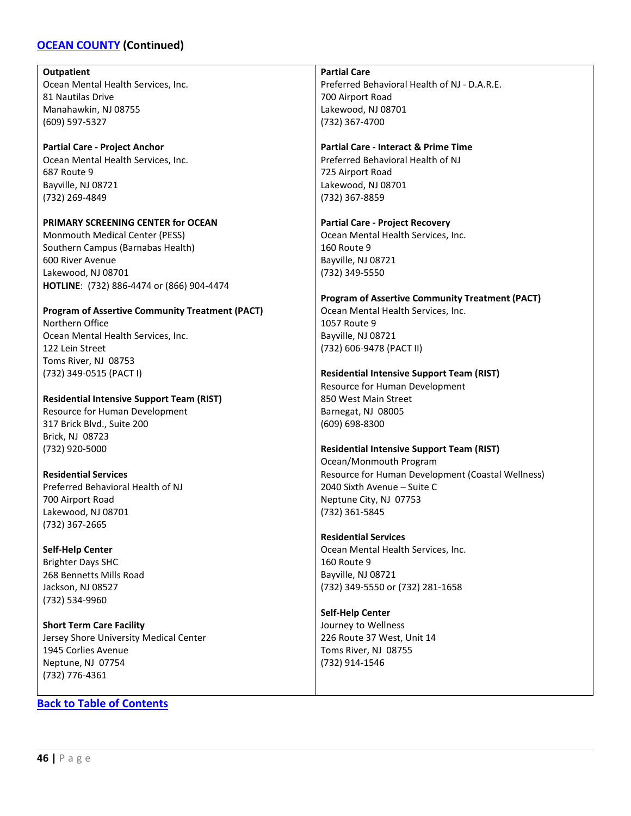### **[OCEAN COUNTY](#page-44-0) (Continued)**

#### **Outpatient**

Ocean Mental Health Services, Inc. 81 Nautilas Drive Manahawkin, NJ 08755 (609) 597-5327

### **Partial Care - Project Anchor**

Ocean Mental Health Services, Inc. 687 Route 9 Bayville, NJ 08721 (732) 269-4849

#### **PRIMARY SCREENING CENTER for OCEAN**

Monmouth Medical Center (PESS) Southern Campus (Barnabas Health) 600 River Avenue Lakewood, NJ 08701 **HOTLINE**: (732) 886-4474 or (866) 904-4474

### **Program of Assertive Community Treatment (PACT)**

Northern Office Ocean Mental Health Services, Inc. 122 Lein Street Toms River, NJ 08753 (732) 349-0515 (PACT I)

#### **Residential Intensive Support Team (RIST)**

Resource for Human Development 317 Brick Blvd., Suite 200 Brick, NJ 08723 (732) 920-5000

#### **Residential Services**

Preferred Behavioral Health of NJ 700 Airport Road Lakewood, NJ 08701 (732) 367-2665

#### **Self-Help Center**

Brighter Days SHC 268 Bennetts Mills Road Jackson, NJ 08527 (732) 534-9960

**Short Term Care Facility** Jersey Shore University Medical Center 1945 Corlies Avenue Neptune, NJ 07754 (732) 776-4361

#### **[Back to Table of Contents](#page-3-0)**

**Partial Care**

Preferred Behavioral Health of NJ - D.A.R.E. 700 Airport Road Lakewood, NJ 08701 (732) 367-4700

#### **Partial Care - Interact & Prime Time**

Preferred Behavioral Health of NJ 725 Airport Road Lakewood, NJ 08701 (732) 367-8859

#### **Partial Care - Project Recovery**

Ocean Mental Health Services, Inc. 160 Route 9 Bayville, NJ 08721 (732) 349-5550

### **Program of Assertive Community Treatment (PACT)**

Ocean Mental Health Services, Inc. 1057 Route 9 Bayville, NJ 08721 (732) 606-9478 (PACT II)

### **Residential Intensive Support Team (RIST)**

Resource for Human Development 850 West Main Street Barnegat, NJ 08005 (609) 698-8300

#### **Residential Intensive Support Team (RIST)**

Ocean/Monmouth Program Resource for Human Development (Coastal Wellness) 2040 Sixth Avenue – Suite C Neptune City, NJ 07753 (732) 361-5845

#### **Residential Services**

Ocean Mental Health Services, Inc. 160 Route 9 Bayville, NJ 08721 (732) 349-5550 or (732) 281-1658

**Self-Help Center** Journey to Wellness 226 Route 37 West, Unit 14 Toms River, NJ 08755 (732) 914-1546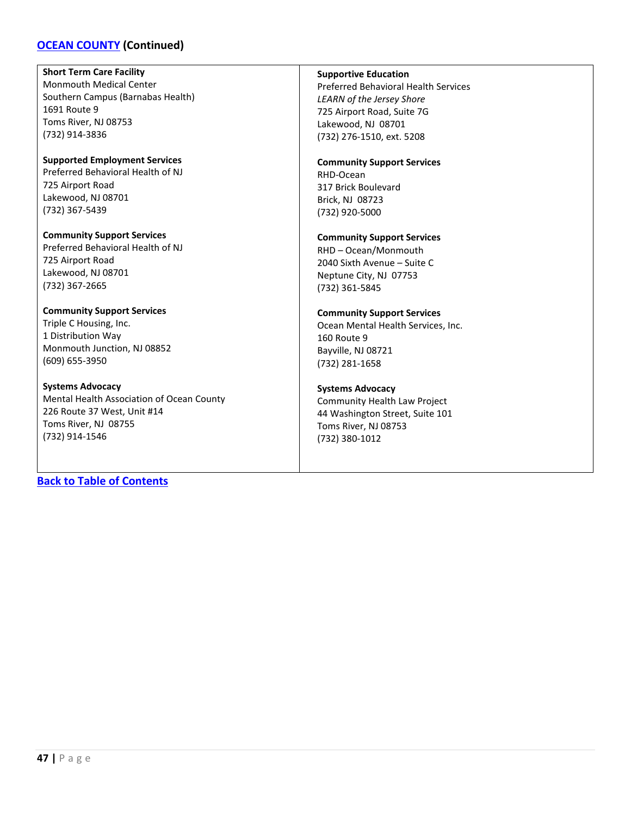### **[OCEAN COUNTY](#page-44-0) (Continued)**

**Short Term Care Facility** Monmouth Medical Center Southern Campus (Barnabas Health) 1691 Route 9 Toms River, NJ 08753 (732) 914-3836

**Supported Employment Services** Preferred Behavioral Health of NJ 725 Airport Road Lakewood, NJ 08701 (732) 367-5439

**Community Support Services** Preferred Behavioral Health of NJ 725 Airport Road Lakewood, NJ 08701 (732) 367-2665

#### **Community Support Services** Triple C Housing, Inc.

1 Distribution Way Monmouth Junction, NJ 08852 (609) 655-3950

**Systems Advocacy**

Mental Health Association of Ocean County 226 Route 37 West, Unit #14 Toms River, NJ 08755 (732) 914-1546

**[Back to Table of Contents](#page-3-0)**

#### **Supportive Education**

Preferred Behavioral Health Services *LEARN of the Jersey Shore* 725 Airport Road, Suite 7G Lakewood, NJ 08701 (732) 276-1510, ext. 5208

#### **Community Support Services**

RHD-Ocean 317 Brick Boulevard Brick, NJ 08723 (732) 920-5000

### **Community Support Services**

RHD – Ocean/Monmouth 2040 Sixth Avenue – Suite C Neptune City, NJ 07753 (732) 361-5845

#### **Community Support Services**

Ocean Mental Health Services, Inc. 160 Route 9 Bayville, NJ 08721 (732) 281-1658

#### **Systems Advocacy**

Community Health Law Project 44 Washington Street, Suite 101 Toms River, NJ 08753 (732) 380-1012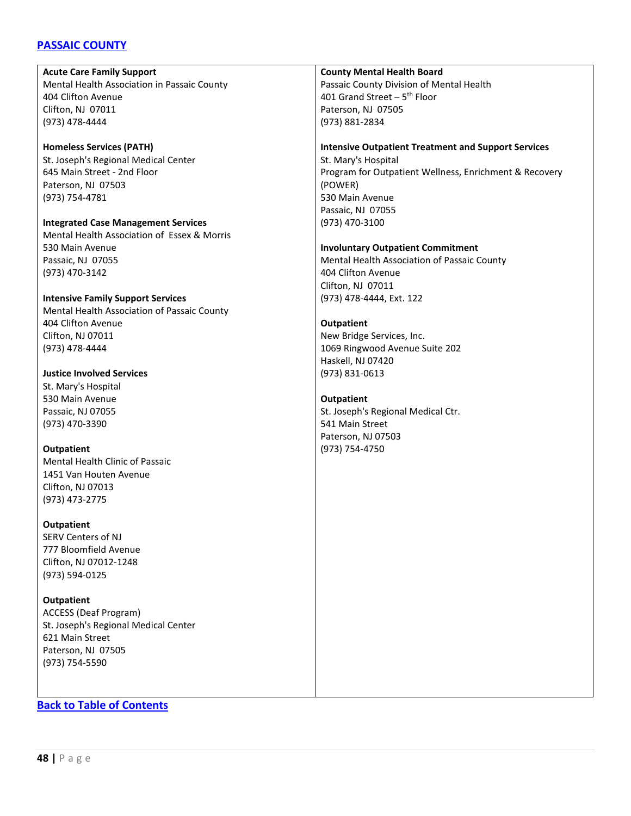### <span id="page-47-0"></span>**[PASSAIC COUNTY](#page-47-0)**

#### **Acute Care Family Support**

Mental Health Association in Passaic County 404 Clifton Avenue Clifton, NJ 07011 (973) 478-4444

### **Homeless Services (PATH)**

St. Joseph's Regional Medical Center 645 Main Street - 2nd Floor Paterson, NJ 07503 (973) 754-4781

**Integrated Case Management Services** Mental Health Association of Essex & Morris 530 Main Avenue Passaic, NJ 07055 (973) 470-3142

### **Intensive Family Support Services**

Mental Health Association of Passaic County 404 Clifton Avenue Clifton, NJ 07011 (973) 478-4444

### **Justice Involved Services**

St. Mary's Hospital 530 Main Avenue Passaic, NJ 07055 (973) 470-3390

# **Outpatient** Mental Health Clinic of Passaic

1451 Van Houten Avenue Clifton, NJ 07013 (973) 473-2775

#### **Outpatient**

SERV Centers of NJ 777 Bloomfield Avenue Clifton, NJ 07012-1248 (973) 594-0125

#### **Outpatient**

ACCESS (Deaf Program) St. Joseph's Regional Medical Center 621 Main Street Paterson, NJ 07505 (973) 754-5590

### **County Mental Health Board**

Passaic County Division of Mental Health 401 Grand Street –  $5<sup>th</sup>$  Floor Paterson, NJ 07505 (973) 881-2834

#### **Intensive Outpatient Treatment and Support Services**

St. Mary's Hospital Program for Outpatient Wellness, Enrichment & Recovery (POWER) 530 Main Avenue Passaic, NJ 07055 (973) 470-3100

#### **Involuntary Outpatient Commitment**

Mental Health Association of Passaic County 404 Clifton Avenue Clifton, NJ 07011 (973) 478-4444, Ext. 122

#### **Outpatient**

New Bridge Services, Inc. 1069 Ringwood Avenue Suite 202 Haskell, NJ 07420 (973) 831-0613

#### **Outpatient**

St. Joseph's Regional Medical Ctr. 541 Main Street Paterson, NJ 07503 (973) 754-4750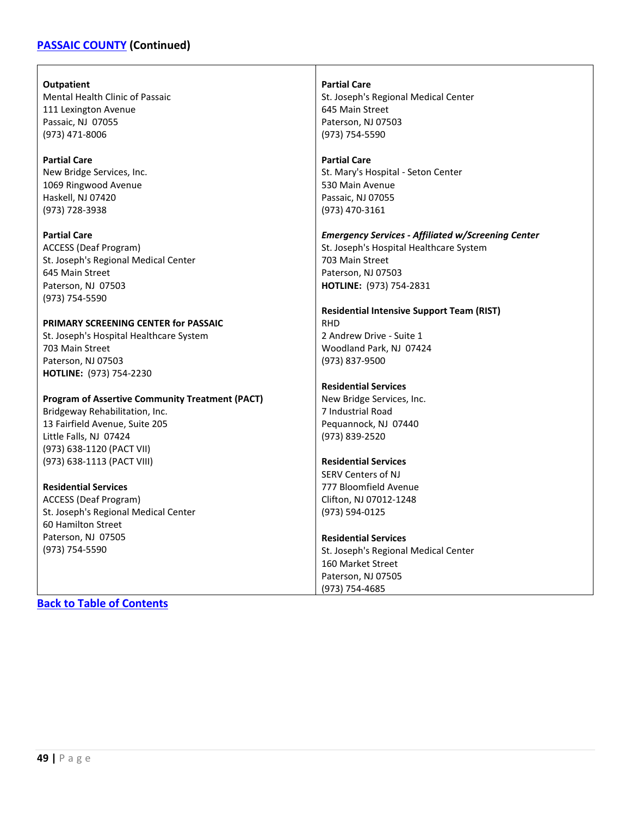### **[PASSAIC COUNTY](#page-47-0) (Continued)**

**Outpatient** Mental Health Clinic of Passaic 111 Lexington Avenue Passaic, NJ 07055 (973) 471-8006

**Partial Care** New Bridge Services, Inc. 1069 Ringwood Avenue Haskell, NJ 07420 (973) 728-3938

**Partial Care** ACCESS (Deaf Program) St. Joseph's Regional Medical Center 645 Main Street Paterson, NJ 07503 (973) 754-5590

#### **PRIMARY SCREENING CENTER for PASSAIC**

St. Joseph's Hospital Healthcare System 703 Main Street Paterson, NJ 07503 **HOTLINE:** (973) 754-2230

#### **Program of Assertive Community Treatment (PACT)**

Bridgeway Rehabilitation, Inc. 13 Fairfield Avenue, Suite 205 Little Falls, NJ 07424 (973) 638-1120 (PACT VII) (973) 638-1113 (PACT VIII)

#### **Residential Services**

ACCESS (Deaf Program) St. Joseph's Regional Medical Center 60 Hamilton Street Paterson, NJ 07505 (973) 754-5590

**Partial Care** St. Joseph's Regional Medical Center 645 Main Street Paterson, NJ 07503 (973) 754-5590

#### **Partial Care**

St. Mary's Hospital - Seton Center 530 Main Avenue Passaic, NJ 07055 (973) 470-3161

*Emergency Services - Affiliated w/Screening Center* St. Joseph's Hospital Healthcare System 703 Main Street Paterson, NJ 07503 **HOTLINE:** (973) 754-2831

**Residential Intensive Support Team (RIST)** RHD 2 Andrew Drive - Suite 1 Woodland Park, NJ 07424 (973) 837-9500

#### **Residential Services**

New Bridge Services, Inc. 7 Industrial Road Pequannock, NJ 07440 (973) 839-2520

#### **Residential Services**

SERV Centers of NJ 777 Bloomfield Avenue Clifton, NJ 07012-1248 (973) 594-0125

#### **Residential Services**

St. Joseph's Regional Medical Center 160 Market Street Paterson, NJ 07505 (973) 754-4685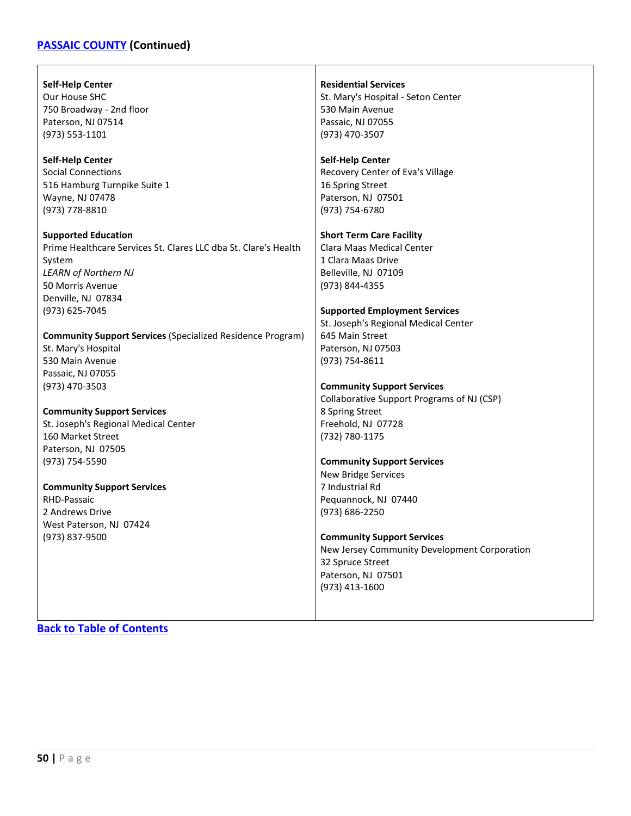### **[PASSAIC COUNTY](#page-47-0) (Continued)**

#### **Self-Help Center**

Our House SHC 750 Broadway - 2nd floor Paterson, NJ 07514 (973) 553-1101

#### **Self-Help Center**

Social Connections 516 Hamburg Turnpike Suite 1 Wayne, NJ 07478 (973) 778-8810

**Supported Education** Prime Healthcare Services St. Clares LLC dba St. Clare's Health System *LEARN of Northern NJ* 50 Morris Avenue Denville, NJ 07834 (973) 625-7045

**Community Support Services** (Specialized Residence Program) St. Mary's Hospital 530 Main Avenue Passaic, NJ 07055 (973) 470-3503

**Community Support Services**

St. Joseph's Regional Medical Center 160 Market Street Paterson, NJ 07505 (973) 754-5590

#### **Community Support Services**

RHD-Passaic 2 Andrews Drive West Paterson, NJ 07424 (973) 837-9500

**Residential Services** St. Mary's Hospital - Seton Center 530 Main Avenue Passaic, NJ 07055 (973) 470-3507

#### **Self-Help Center**

Recovery Center of Eva's Village 16 Spring Street Paterson, NJ 07501 (973) 754-6780

#### **Short Term Care Facility**

Clara Maas Medical Center 1 Clara Maas Drive Belleville, NJ 07109 (973) 844-4355

#### **Supported Employment Services**

St. Joseph's Regional Medical Center 645 Main Street Paterson, NJ 07503 (973) 754-8611

#### **Community Support Services**

Collaborative Support Programs of NJ (CSP) 8 Spring Street Freehold, NJ 07728 (732) 780-1175

#### **Community Support Services**

New Bridge Services 7 Industrial Rd Pequannock, NJ 07440 (973) 686-2250

#### **Community Support Services**

New Jersey Community Development Corporation 32 Spruce Street Paterson, NJ 07501 (973) 413-1600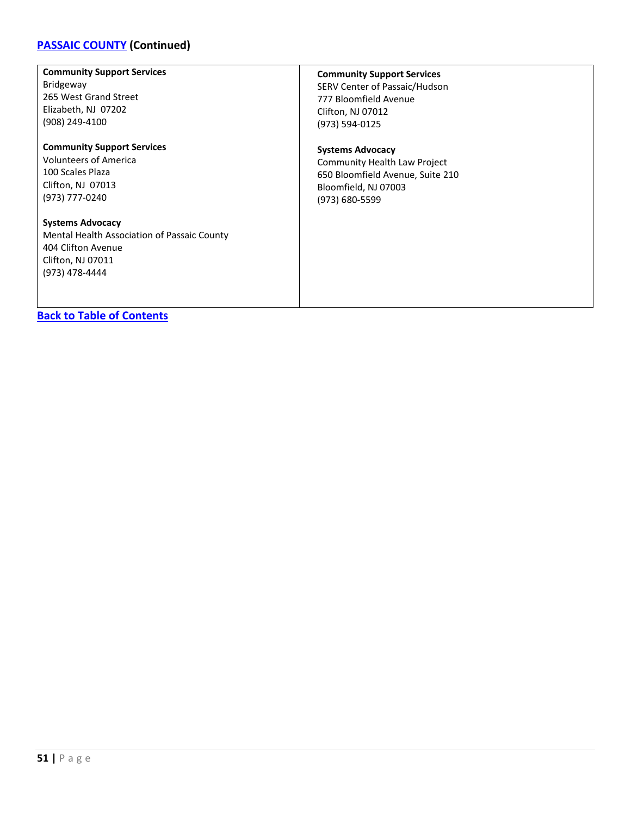# **[PASSAIC COUNTY](#page-47-0) (Continued)**

| <b>Community Support Services</b>                                                                                                   | <b>Community Support Services</b> |
|-------------------------------------------------------------------------------------------------------------------------------------|-----------------------------------|
| Bridgeway                                                                                                                           | SERV Center of Passaic/Hudson     |
| 265 West Grand Street                                                                                                               | 777 Bloomfield Avenue             |
| Elizabeth, NJ 07202                                                                                                                 | Clifton, NJ 07012                 |
| (908) 249-4100                                                                                                                      | (973) 594-0125                    |
| <b>Community Support Services</b>                                                                                                   | <b>Systems Advocacy</b>           |
| Volunteers of America                                                                                                               | Community Health Law Project      |
| 100 Scales Plaza                                                                                                                    | 650 Bloomfield Avenue, Suite 210  |
| Clifton, NJ 07013                                                                                                                   | Bloomfield, NJ 07003              |
| (973) 777-0240                                                                                                                      | (973) 680-5599                    |
| <b>Systems Advocacy</b><br>Mental Health Association of Passaic County<br>404 Clifton Avenue<br>Clifton, NJ 07011<br>(973) 478-4444 |                                   |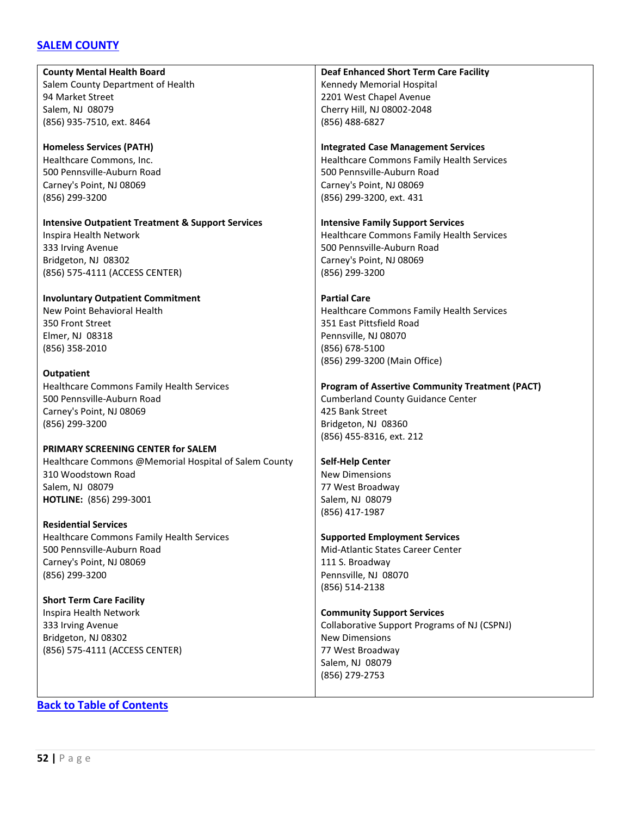### <span id="page-51-0"></span>**[SALEM COUNTY](#page-51-0)**

**County Mental Health Board** Salem County Department of Health 94 Market Street Salem, NJ 08079 (856) 935-7510, ext. 8464 **Homeless Services (PATH)** Healthcare Commons, Inc. 500 Pennsville-Auburn Road Carney's Point, NJ 08069 (856) 299-3200 **Intensive Outpatient Treatment & Support Services** Inspira Health Network 333 Irving Avenue Bridgeton, NJ 08302 (856) 575-4111 (ACCESS CENTER) **Involuntary Outpatient Commitment** New Point Behavioral Health 350 Front Street Elmer, NJ 08318 (856) 358-2010 **Outpatient** Healthcare Commons Family Health Services 500 Pennsville-Auburn Road Carney's Point, NJ 08069 (856) 299-3200 **PRIMARY SCREENING CENTER for SALEM** Healthcare Commons @Memorial Hospital of Salem County 310 Woodstown Road Salem, NJ 08079 **HOTLINE:** (856) 299-3001 **Residential Services** Healthcare Commons Family Health Services 500 Pennsville-Auburn Road Carney's Point, NJ 08069 (856) 299-3200 **Short Term Care Facility** Inspira Health Network 333 Irving Avenue Bridgeton, NJ 08302 (856) 575-4111 (ACCESS CENTER) **Deaf Enhanced Short Term Care Facility** Kennedy Memorial Hospital 2201 West Chapel Avenue Cherry Hill, NJ 08002-2048 (856) 488-6827 **Integrated Case Management Services** Healthcare Commons Family Health Services 500 Pennsville-Auburn Road Carney's Point, NJ 08069 (856) 299-3200, ext. 431 **Intensive Family Support Services** Healthcare Commons Family Health Services 500 Pennsville-Auburn Road Carney's Point, NJ 08069 (856) 299-3200 **Partial Care** Healthcare Commons Family Health Services 351 East Pittsfield Road Pennsville, NJ 08070 (856) 678-5100 (856) 299-3200 (Main Office) **Program of Assertive Community Treatment (PACT)** Cumberland County Guidance Center 425 Bank Street Bridgeton, NJ 08360 (856) 455-8316, ext. 212 **Self-Help Center** New Dimensions 77 West Broadway Salem, NJ 08079 (856) 417-1987 **Supported Employment Services** Mid-Atlantic States Career Center 111 S. Broadway Pennsville, NJ 08070 (856) 514-2138 **Community Support Services** Collaborative Support Programs of NJ (CSPNJ) New Dimensions 77 West Broadway Salem, NJ 08079 (856) 279-2753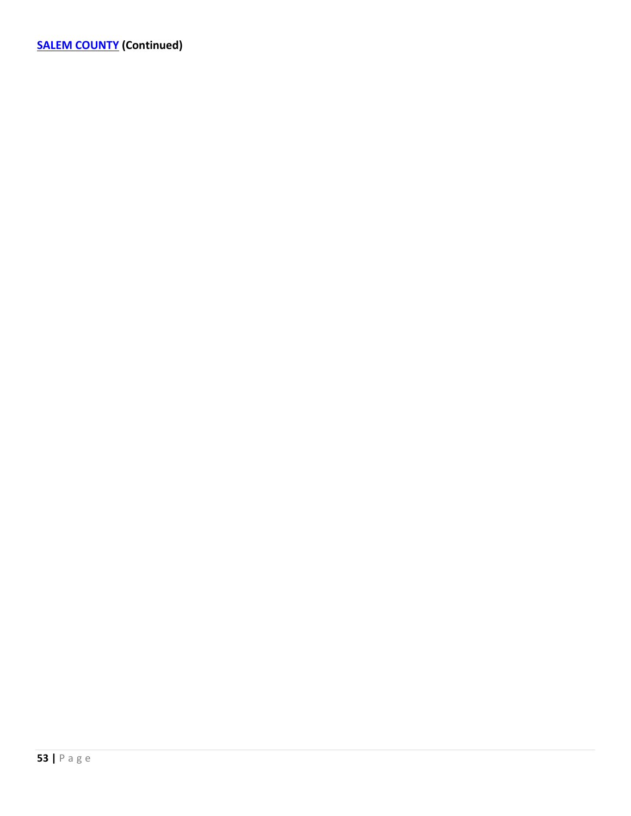**[SALEM COUNTY](#page-51-0) (Continued)**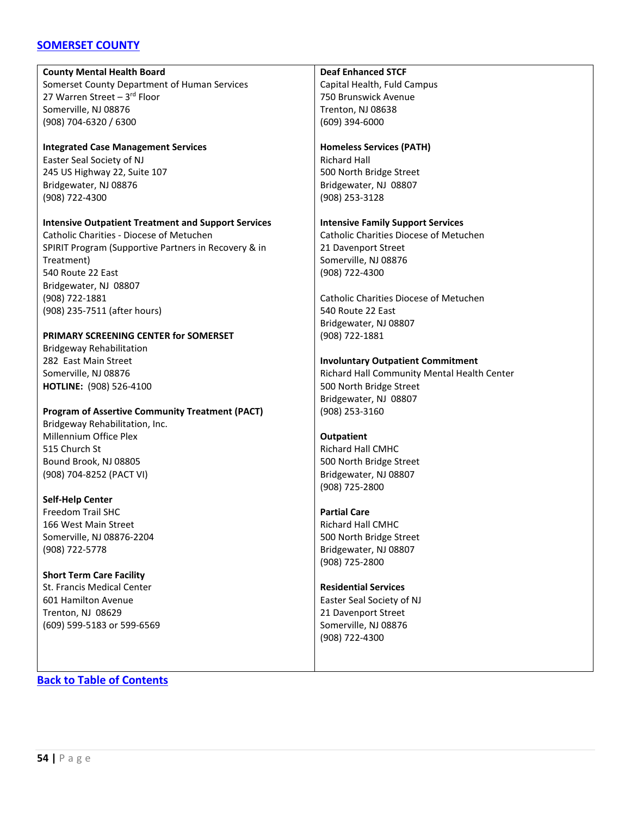### <span id="page-53-0"></span>**[SOMERSET COUNTY](#page-53-0)**

#### **County Mental Health Board**

Somerset County Department of Human Services 27 Warren Street –  $3<sup>rd</sup>$  Floor Somerville, NJ 08876 (908) 704-6320 / 6300

### **Integrated Case Management Services**

Easter Seal Society of NJ 245 US Highway 22, Suite 107 Bridgewater, NJ 08876 (908) 722-4300

#### **Intensive Outpatient Treatment and Support Services**

Catholic Charities - Diocese of Metuchen SPIRIT Program (Supportive Partners in Recovery & in Treatment) 540 Route 22 East Bridgewater, NJ 08807 (908) 722-1881 (908) 235-7511 (after hours)

#### **PRIMARY SCREENING CENTER for SOMERSET**

Bridgeway Rehabilitation 282 East Main Street Somerville, NJ 08876 **HOTLINE:** (908) 526-4100

### **Program of Assertive Community Treatment (PACT)**

Bridgeway Rehabilitation, Inc. Millennium Office Plex 515 Church St Bound Brook, NJ 08805 (908) 704-8252 (PACT VI)

#### **Self-Help Center**

Freedom Trail SHC 166 West Main Street Somerville, NJ 08876-2204 (908) 722-5778

#### **Short Term Care Facility**

St. Francis Medical Center 601 Hamilton Avenue Trenton, NJ 08629 (609) 599-5183 or 599-6569

### **Deaf Enhanced STCF**

Capital Health, Fuld Campus 750 Brunswick Avenue Trenton, NJ 08638 (609) 394-6000

### **Homeless Services (PATH)**

Richard Hall 500 North Bridge Street Bridgewater, NJ 08807 (908) 253-3128

### **Intensive Family Support Services**

Catholic Charities Diocese of Metuchen 21 Davenport Street Somerville, NJ 08876 (908) 722-4300

Catholic Charities Diocese of Metuchen 540 Route 22 East Bridgewater, NJ 08807 (908) 722-1881

### **Involuntary Outpatient Commitment**

Richard Hall Community Mental Health Center 500 North Bridge Street Bridgewater, NJ 08807 (908) 253-3160

### **Outpatient**

Richard Hall CMHC 500 North Bridge Street Bridgewater, NJ 08807 (908) 725-2800

### **Partial Care**

Richard Hall CMHC 500 North Bridge Street Bridgewater, NJ 08807 (908) 725-2800

### **Residential Services** Easter Seal Society of NJ

21 Davenport Street Somerville, NJ 08876 (908) 722-4300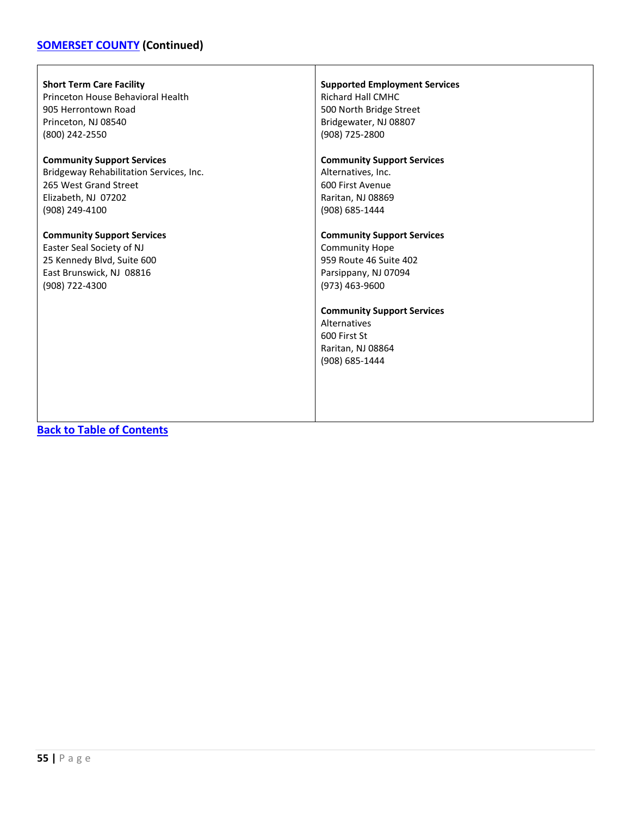# **[SOMERSET COUNTY](#page-53-0) (Continued)**

 $\mathsf{r}$ 

| <b>Short Term Care Facility</b>         | <b>Supported Employment Services</b>                                                                     |
|-----------------------------------------|----------------------------------------------------------------------------------------------------------|
| Princeton House Behavioral Health       | <b>Richard Hall CMHC</b>                                                                                 |
| 905 Herrontown Road                     | 500 North Bridge Street                                                                                  |
| Princeton, NJ 08540                     | Bridgewater, NJ 08807                                                                                    |
| (800) 242-2550                          | (908) 725-2800                                                                                           |
| <b>Community Support Services</b>       | <b>Community Support Services</b>                                                                        |
| Bridgeway Rehabilitation Services, Inc. | Alternatives, Inc.                                                                                       |
| 265 West Grand Street                   | 600 First Avenue                                                                                         |
| Elizabeth, NJ 07202                     | Raritan, NJ 08869                                                                                        |
| (908) 249-4100                          | (908) 685-1444                                                                                           |
| <b>Community Support Services</b>       | <b>Community Support Services</b>                                                                        |
| Easter Seal Society of NJ               | <b>Community Hope</b>                                                                                    |
| 25 Kennedy Blvd, Suite 600              | 959 Route 46 Suite 402                                                                                   |
| East Brunswick, NJ 08816                | Parsippany, NJ 07094                                                                                     |
| (908) 722-4300                          | (973) 463-9600                                                                                           |
|                                         | <b>Community Support Services</b><br>Alternatives<br>600 First St<br>Raritan, NJ 08864<br>(908) 685-1444 |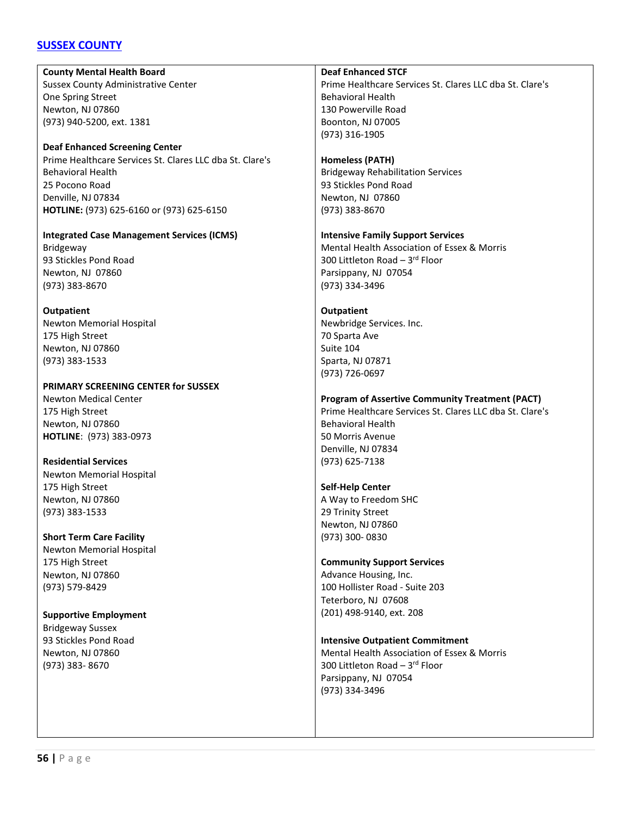### <span id="page-55-0"></span>**[SUSSEX COUNTY](#page-55-0)**

**County Mental Health Board** Sussex County Administrative Center One Spring Street Newton, NJ 07860 (973) 940-5200, ext. 1381

**Deaf Enhanced Screening Center** Prime Healthcare Services St. Clares LLC dba St. Clare's Behavioral Health 25 Pocono Road Denville, NJ 07834 **HOTLINE:** (973) 625-6160 or (973) 625-6150

**Integrated Case Management Services (ICMS)** Bridgeway 93 Stickles Pond Road Newton, NJ 07860 (973) 383-8670

**Outpatient** Newton Memorial Hospital 175 High Street Newton, NJ 07860 (973) 383-1533

**PRIMARY SCREENING CENTER for SUSSEX** Newton Medical Center 175 High Street Newton, NJ 07860 **HOTLINE**: (973) 383-0973

**Residential Services** Newton Memorial Hospital 175 High Street Newton, NJ 07860 (973) 383-1533

**Short Term Care Facility** Newton Memorial Hospital 175 High Street Newton, NJ 07860 (973) 579-8429

**Supportive Employment** Bridgeway Sussex 93 Stickles Pond Road Newton, NJ 07860 (973) 383- 8670

**Deaf Enhanced STCF**

Prime Healthcare Services St. Clares LLC dba St. Clare's Behavioral Health 130 Powerville Road Boonton, NJ 07005 (973) 316-1905

#### **Homeless (PATH)**

Bridgeway Rehabilitation Services 93 Stickles Pond Road Newton, NJ 07860 (973) 383-8670

#### **Intensive Family Support Services**

Mental Health Association of Essex & Morris 300 Littleton Road  $-3$ <sup>rd</sup> Floor Parsippany, NJ 07054 (973) 334-3496

#### **Outpatient**

Newbridge Services. Inc. 70 Sparta Ave Suite 104 Sparta, NJ 07871 (973) 726-0697

#### **Program of Assertive Community Treatment (PACT)**

Prime Healthcare Services St. Clares LLC dba St. Clare's Behavioral Health 50 Morris Avenue Denville, NJ 07834 (973) 625-7138

#### **Self-Help Center**

A Way to Freedom SHC 29 Trinity Street Newton, NJ 07860 (973) 300- 0830

#### **Community Support Services**

Advance Housing, Inc. 100 Hollister Road - Suite 203 Teterboro, NJ 07608 (201) 498-9140, ext. 208

#### **Intensive Outpatient Commitment**

Mental Health Association of Essex & Morris 300 Littleton Road – 3rd Floor Parsippany, NJ 07054 (973) 334-3496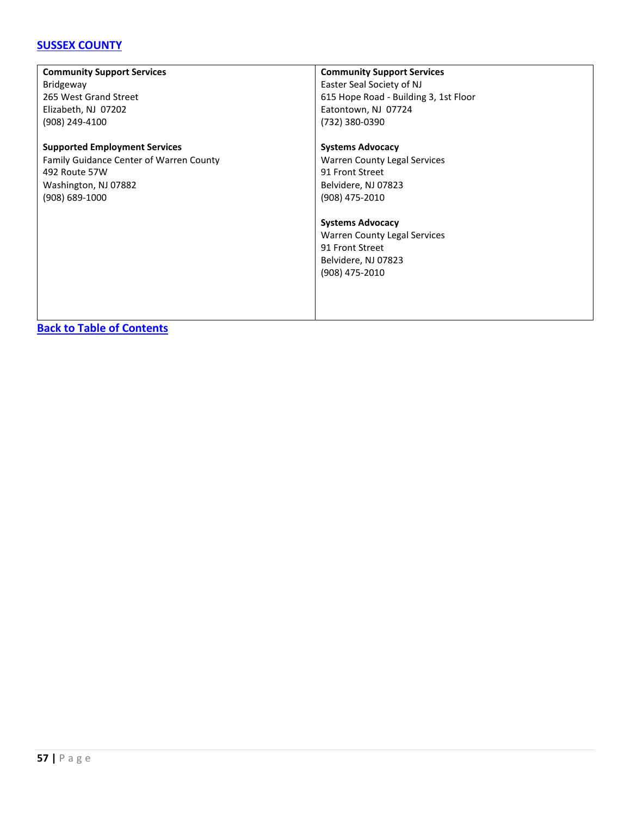### **[SUSSEX COUNTY](#page-55-0)**

| <b>Community Support Services</b>              | <b>Community Support Services</b>     |
|------------------------------------------------|---------------------------------------|
| <b>Bridgeway</b>                               | Easter Seal Society of NJ             |
| 265 West Grand Street                          | 615 Hope Road - Building 3, 1st Floor |
| Elizabeth, NJ 07202                            | Eatontown, NJ 07724                   |
| (908) 249-4100                                 | (732) 380-0390                        |
| <b>Supported Employment Services</b>           | <b>Systems Advocacy</b>               |
| <b>Family Guidance Center of Warren County</b> | <b>Warren County Legal Services</b>   |
| 492 Route 57W                                  | 91 Front Street                       |
| Washington, NJ 07882                           | Belvidere, NJ 07823                   |
| $(908) 689 - 1000$                             | (908) 475-2010                        |
|                                                |                                       |
|                                                | <b>Systems Advocacy</b>               |
|                                                | Warren County Legal Services          |
|                                                | 91 Front Street                       |
|                                                | Belvidere, NJ 07823                   |
|                                                | (908) 475-2010                        |
|                                                |                                       |
|                                                |                                       |
|                                                |                                       |
|                                                |                                       |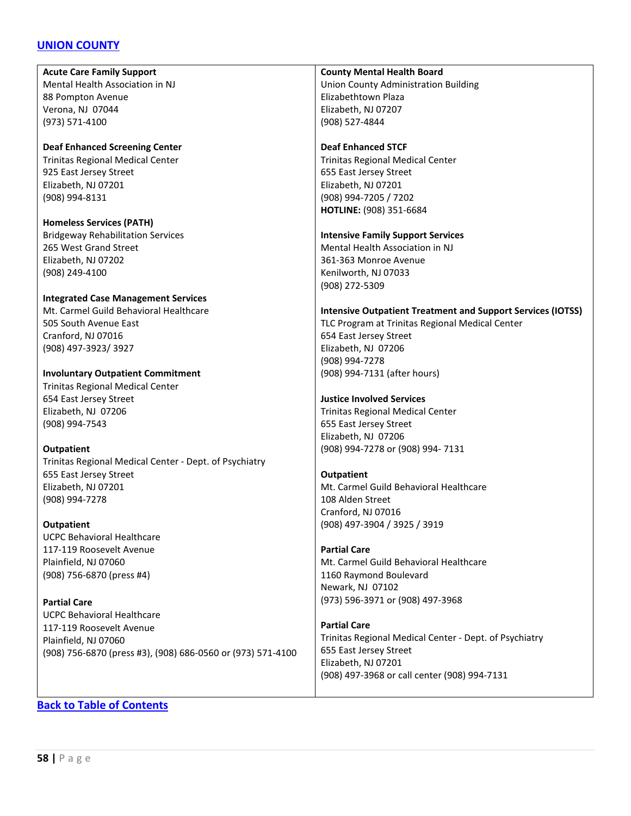### <span id="page-57-0"></span>**[UNION COUNTY](#page-57-0)**

**Acute Care Family Support** Mental Health Association in NJ 88 Pompton Avenue Verona, NJ 07044 (973) 571-4100

**Deaf Enhanced Screening Center** Trinitas Regional Medical Center 925 East Jersey Street Elizabeth, NJ 07201 (908) 994-8131

**Homeless Services (PATH)** Bridgeway Rehabilitation Services 265 West Grand Street Elizabeth, NJ 07202 (908) 249-4100

#### **Integrated Case Management Services**

Mt. Carmel Guild Behavioral Healthcare 505 South Avenue East Cranford, NJ 07016 (908) 497-3923/ 3927

**Involuntary Outpatient Commitment** Trinitas Regional Medical Center 654 East Jersey Street Elizabeth, NJ 07206 (908) 994-7543

#### **Outpatient**

Trinitas Regional Medical Center - Dept. of Psychiatry 655 East Jersey Street Elizabeth, NJ 07201 (908) 994-7278

#### **Outpatient**

UCPC Behavioral Healthcare 117-119 Roosevelt Avenue Plainfield, NJ 07060 (908) 756-6870 (press #4)

**Partial Care**

UCPC Behavioral Healthcare 117-119 Roosevelt Avenue Plainfield, NJ 07060 (908) 756-6870 (press #3), (908) 686-0560 or (973) 571-4100

#### **County Mental Health Board**

Union County Administration Building Elizabethtown Plaza Elizabeth, NJ 07207 (908) 527-4844

#### **Deaf Enhanced STCF**

Trinitas Regional Medical Center 655 East Jersey Street Elizabeth, NJ 07201 (908) 994-7205 / 7202 **HOTLINE:** (908) 351-6684

#### **Intensive Family Support Services**

Mental Health Association in NJ 361-363 Monroe Avenue Kenilworth, NJ 07033 (908) 272-5309

#### **Intensive Outpatient Treatment and Support Services (IOTSS)**

TLC Program at Trinitas Regional Medical Center 654 East Jersey Street Elizabeth, NJ 07206 (908) 994-7278 (908) 994-7131 (after hours)

#### **Justice Involved Services**

Trinitas Regional Medical Center 655 East Jersey Street Elizabeth, NJ 07206 (908) 994-7278 or (908) 994- 7131

#### **Outpatient**

Mt. Carmel Guild Behavioral Healthcare 108 Alden Street Cranford, NJ 07016 (908) 497-3904 / 3925 / 3919

#### **Partial Care**

Mt. Carmel Guild Behavioral Healthcare 1160 Raymond Boulevard Newark, NJ 07102 (973) 596-3971 or (908) 497-3968

#### **Partial Care**

Trinitas Regional Medical Center - Dept. of Psychiatry 655 East Jersey Street Elizabeth, NJ 07201 (908) 497-3968 or call center (908) 994-7131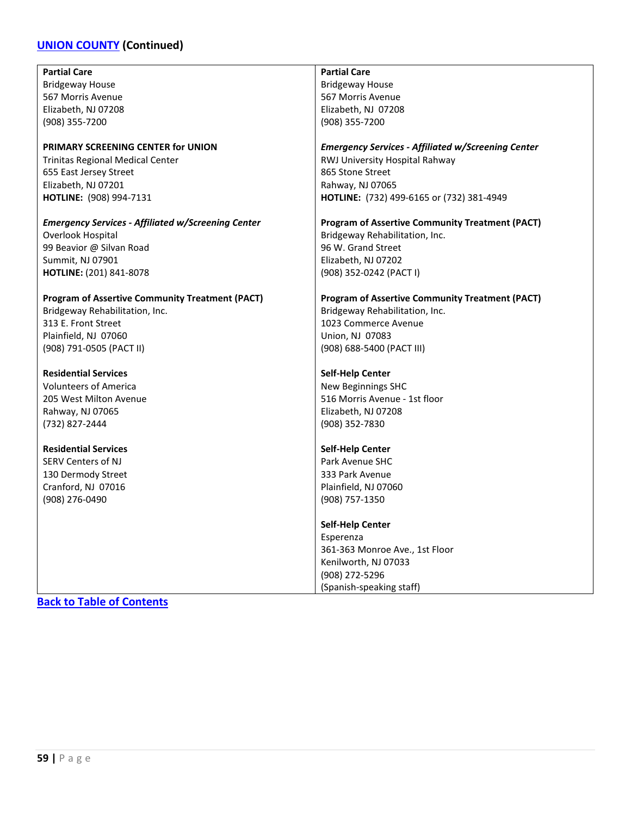# **[UNION COUNTY](#page-57-0) (Continued)**

| <b>Partial Care</b>                                       | <b>Partial Care</b>                                       |
|-----------------------------------------------------------|-----------------------------------------------------------|
| <b>Bridgeway House</b>                                    | <b>Bridgeway House</b>                                    |
| 567 Morris Avenue                                         | 567 Morris Avenue                                         |
| Elizabeth, NJ 07208                                       | Elizabeth, NJ 07208                                       |
| (908) 355-7200                                            | (908) 355-7200                                            |
|                                                           |                                                           |
| PRIMARY SCREENING CENTER for UNION                        | <b>Emergency Services - Affiliated w/Screening Center</b> |
| Trinitas Regional Medical Center                          | RWJ University Hospital Rahway                            |
|                                                           | 865 Stone Street                                          |
| 655 East Jersey Street                                    |                                                           |
| Elizabeth, NJ 07201                                       | Rahway, NJ 07065                                          |
| HOTLINE: (908) 994-7131                                   | HOTLINE: (732) 499-6165 or (732) 381-4949                 |
| <b>Emergency Services - Affiliated w/Screening Center</b> | <b>Program of Assertive Community Treatment (PACT)</b>    |
| Overlook Hospital                                         | Bridgeway Rehabilitation, Inc.                            |
| 99 Beavior @ Silvan Road                                  | 96 W. Grand Street                                        |
| Summit, NJ 07901                                          | Elizabeth, NJ 07202                                       |
|                                                           |                                                           |
| HOTLINE: (201) 841-8078                                   | (908) 352-0242 (PACT I)                                   |
| <b>Program of Assertive Community Treatment (PACT)</b>    | <b>Program of Assertive Community Treatment (PACT)</b>    |
| Bridgeway Rehabilitation, Inc.                            | Bridgeway Rehabilitation, Inc.                            |
| 313 E. Front Street                                       | 1023 Commerce Avenue                                      |
| Plainfield, NJ 07060                                      | Union, NJ 07083                                           |
|                                                           |                                                           |
| (908) 791-0505 (PACT II)                                  | (908) 688-5400 (PACT III)                                 |
| <b>Residential Services</b>                               | <b>Self-Help Center</b>                                   |
| <b>Volunteers of America</b>                              | New Beginnings SHC                                        |
| 205 West Milton Avenue                                    | 516 Morris Avenue - 1st floor                             |
| Rahway, NJ 07065                                          | Elizabeth, NJ 07208                                       |
| (732) 827-2444                                            | (908) 352-7830                                            |
|                                                           |                                                           |
| <b>Residential Services</b>                               | Self-Help Center                                          |
| <b>SERV Centers of NJ</b>                                 | Park Avenue SHC                                           |
| 130 Dermody Street                                        | 333 Park Avenue                                           |
| Cranford, NJ 07016                                        | Plainfield, NJ 07060                                      |
| (908) 276-0490                                            | (908) 757-1350                                            |
|                                                           |                                                           |
|                                                           | <b>Self-Help Center</b>                                   |
|                                                           | Esperenza                                                 |
|                                                           | 361-363 Monroe Ave., 1st Floor                            |
|                                                           | Kenilworth, NJ 07033                                      |
|                                                           | (908) 272-5296                                            |
|                                                           | (Spanish-speaking staff)                                  |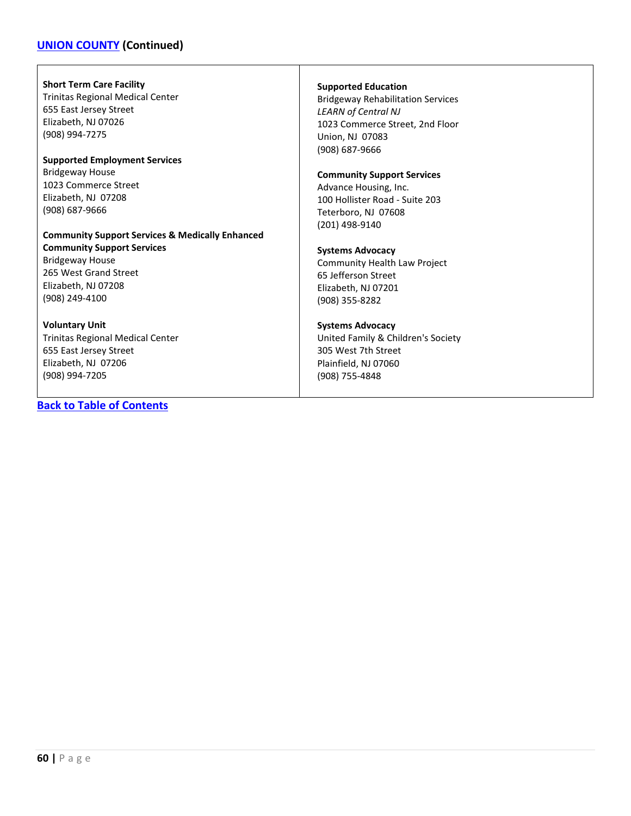### **[UNION COUNTY](#page-57-0) (Continued)**

#### **Short Term Care Facility**

Trinitas Regional Medical Center 655 East Jersey Street Elizabeth, NJ 07026 (908) 994-7275

#### **Supported Employment Services** Bridgeway House 1023 Commerce Street Elizabeth, NJ 07208 (908) 687-9666

#### **Community Support Services & Medically Enhanced Community Support Services**

Bridgeway House 265 West Grand Street Elizabeth, NJ 07208 (908) 249-4100

#### **Voluntary Unit**

Trinitas Regional Medical Center 655 East Jersey Street Elizabeth, NJ 07206 (908) 994-7205

#### **[Back to Table of Contents](#page-3-0)**

#### **Supported Education**

Bridgeway Rehabilitation Services *LEARN of Central NJ* 1023 Commerce Street, 2nd Floor Union, NJ 07083 (908) 687-9666

#### **Community Support Services**

Advance Housing, Inc. 100 Hollister Road - Suite 203 Teterboro, NJ 07608 (201) 498-9140

#### **Systems Advocacy**

Community Health Law Project 65 Jefferson Street Elizabeth, NJ 07201 (908) 355-8282

#### **Systems Advocacy**

United Family & Children's Society 305 West 7th Street Plainfield, NJ 07060 (908) 755-4848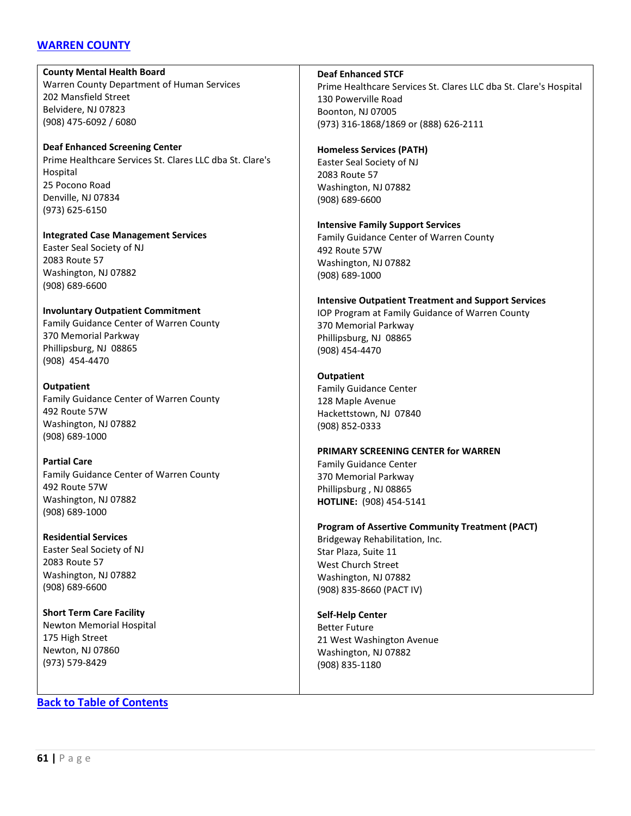### <span id="page-60-0"></span>**[WARREN COUNTY](#page-60-0)**

**County Mental Health Board** Warren County Department of Human Services 202 Mansfield Street Belvidere, NJ 07823 (908) 475-6092 / 6080

**Deaf Enhanced Screening Center** Prime Healthcare Services St. Clares LLC dba St. Clare's Hospital 25 Pocono Road Denville, NJ 07834 (973) 625-6150

**Integrated Case Management Services** Easter Seal Society of NJ 2083 Route 57 Washington, NJ 07882 (908) 689-6600

**Involuntary Outpatient Commitment** Family Guidance Center of Warren County 370 Memorial Parkway Phillipsburg, NJ 08865 (908) 454-4470

**Outpatient** Family Guidance Center of Warren County 492 Route 57W Washington, NJ 07882 (908) 689-1000

**Partial Care** Family Guidance Center of Warren County 492 Route 57W Washington, NJ 07882 (908) 689-1000

**Residential Services** Easter Seal Society of NJ 2083 Route 57 Washington, NJ 07882 (908) 689-6600

**Short Term Care Facility** Newton Memorial Hospital 175 High Street Newton, NJ 07860 (973) 579-8429

**[Back to Table of Contents](#page-3-0)**

**Deaf Enhanced STCF**

Prime Healthcare Services St. Clares LLC dba St. Clare's Hospital 130 Powerville Road Boonton, NJ 07005 (973) 316-1868/1869 or (888) 626-2111

#### **Homeless Services (PATH)**

Easter Seal Society of NJ 2083 Route 57 Washington, NJ 07882 (908) 689-6600

**Intensive Family Support Services**

Family Guidance Center of Warren County 492 Route 57W Washington, NJ 07882 (908) 689-1000

**Intensive Outpatient Treatment and Support Services** IOP Program at Family Guidance of Warren County 370 Memorial Parkway Phillipsburg, NJ 08865 (908) 454-4470

#### **Outpatient**

Family Guidance Center 128 Maple Avenue Hackettstown, NJ 07840 (908) 852-0333

**PRIMARY SCREENING CENTER for WARREN**

Family Guidance Center 370 Memorial Parkway Phillipsburg , NJ 08865 **HOTLINE:** (908) 454-5141

**Program of Assertive Community Treatment (PACT)**

Bridgeway Rehabilitation, Inc. Star Plaza, Suite 11 West Church Street Washington, NJ 07882 (908) 835-8660 (PACT IV)

**Self-Help Center** Better Future 21 West Washington Avenue Washington, NJ 07882 (908) 835-1180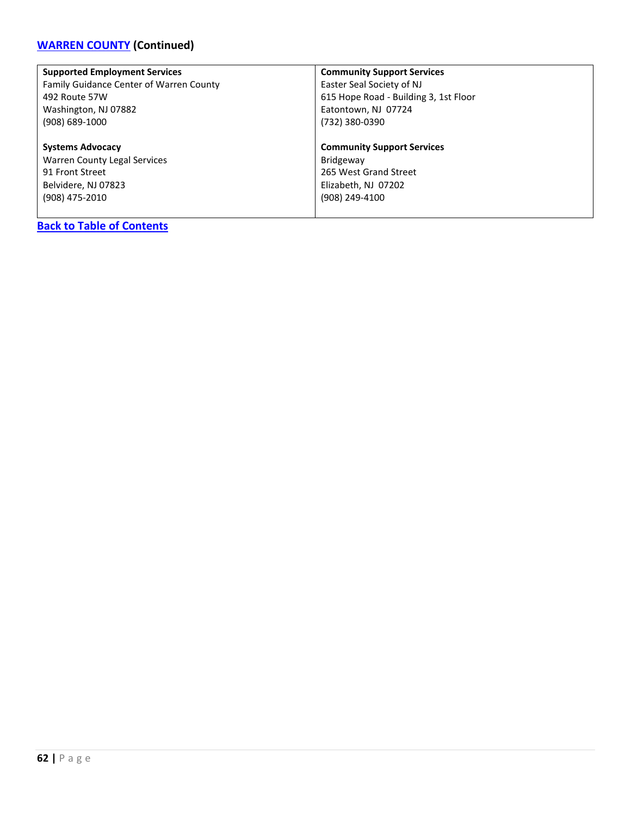# **[WARREN COUNTY](#page-60-0) (Continued)**

| <b>Supported Employment Services</b>    | <b>Community Support Services</b>     |
|-----------------------------------------|---------------------------------------|
| Family Guidance Center of Warren County | Easter Seal Society of NJ             |
| 492 Route 57W                           | 615 Hope Road - Building 3, 1st Floor |
| Washington, NJ 07882                    | Eatontown, NJ 07724                   |
| (908) 689-1000                          | (732) 380-0390                        |
| <b>Systems Advocacy</b>                 | <b>Community Support Services</b>     |
| Warren County Legal Services            | Bridgeway                             |
| 91 Front Street                         | 265 West Grand Street                 |
| Belvidere, NJ 07823                     | Elizabeth, NJ 07202                   |
| (908) 475-2010                          | (908) 249-4100                        |
|                                         |                                       |
| <b>Back to Table of Contents</b>        |                                       |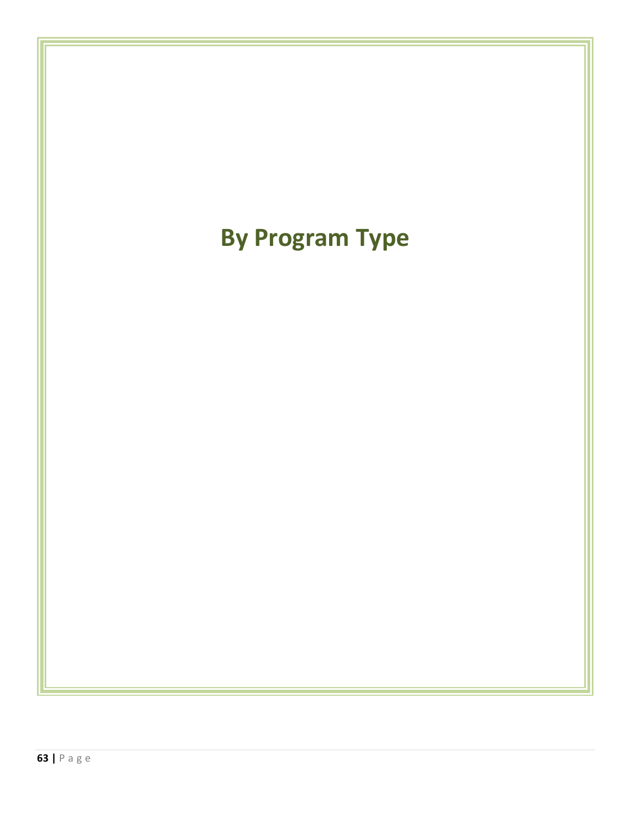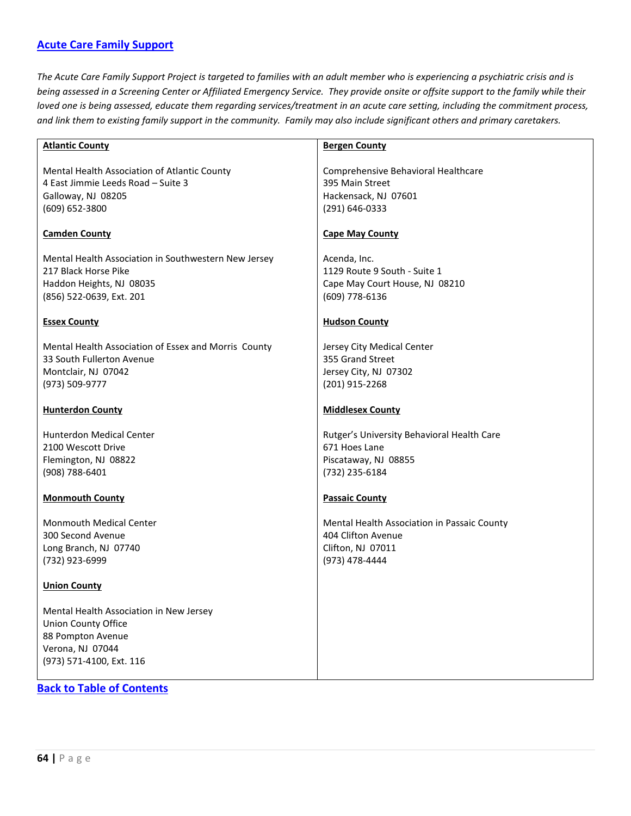### <span id="page-63-0"></span>**[Acute Care Family Support](#page-63-0)**

*The Acute Care Family Support Project is targeted to families with an adult member who is experiencing a psychiatric crisis and is being assessed in a Screening Center or Affiliated Emergency Service. They provide onsite or offsite support to the family while their loved one is being assessed, educate them regarding services/treatment in an acute care setting, including the commitment process, and link them to existing family support in the community. Family may also include significant others and primary caretakers.*

| <b>Atlantic County</b>                               | <b>Bergen County</b>                        |
|------------------------------------------------------|---------------------------------------------|
| Mental Health Association of Atlantic County         | Comprehensive Behavioral Healthcare         |
| 4 East Jimmie Leeds Road - Suite 3                   | 395 Main Street                             |
| Galloway, NJ 08205                                   | Hackensack, NJ 07601                        |
| (609) 652-3800                                       | (291) 646-0333                              |
| <b>Camden County</b>                                 | <b>Cape May County</b>                      |
| Mental Health Association in Southwestern New Jersey | Acenda, Inc.                                |
| 217 Black Horse Pike                                 | 1129 Route 9 South - Suite 1                |
| Haddon Heights, NJ 08035                             | Cape May Court House, NJ 08210              |
| (856) 522-0639, Ext. 201                             | (609) 778-6136                              |
|                                                      |                                             |
| <b>Essex County</b>                                  | <b>Hudson County</b>                        |
| Mental Health Association of Essex and Morris County | Jersey City Medical Center                  |
| 33 South Fullerton Avenue                            | 355 Grand Street                            |
| Montclair, NJ 07042                                  | Jersey City, NJ 07302                       |
| (973) 509-9777                                       | (201) 915-2268                              |
|                                                      |                                             |
| <b>Hunterdon County</b>                              | <b>Middlesex County</b>                     |
| <b>Hunterdon Medical Center</b>                      | Rutger's University Behavioral Health Care  |
| 2100 Wescott Drive                                   | 671 Hoes Lane                               |
| Flemington, NJ 08822                                 | Piscataway, NJ 08855                        |
| (908) 788-6401                                       | (732) 235-6184                              |
| <b>Monmouth County</b>                               | <b>Passaic County</b>                       |
| <b>Monmouth Medical Center</b>                       | Mental Health Association in Passaic County |
| 300 Second Avenue                                    | 404 Clifton Avenue                          |
| Long Branch, NJ 07740                                | Clifton, NJ 07011                           |
| (732) 923-6999                                       | (973) 478-4444                              |
|                                                      |                                             |
| <b>Union County</b>                                  |                                             |
| Mental Health Association in New Jersey              |                                             |
| <b>Union County Office</b>                           |                                             |
| 88 Pompton Avenue                                    |                                             |
| Verona, NJ 07044                                     |                                             |
| (973) 571-4100, Ext. 116                             |                                             |
|                                                      |                                             |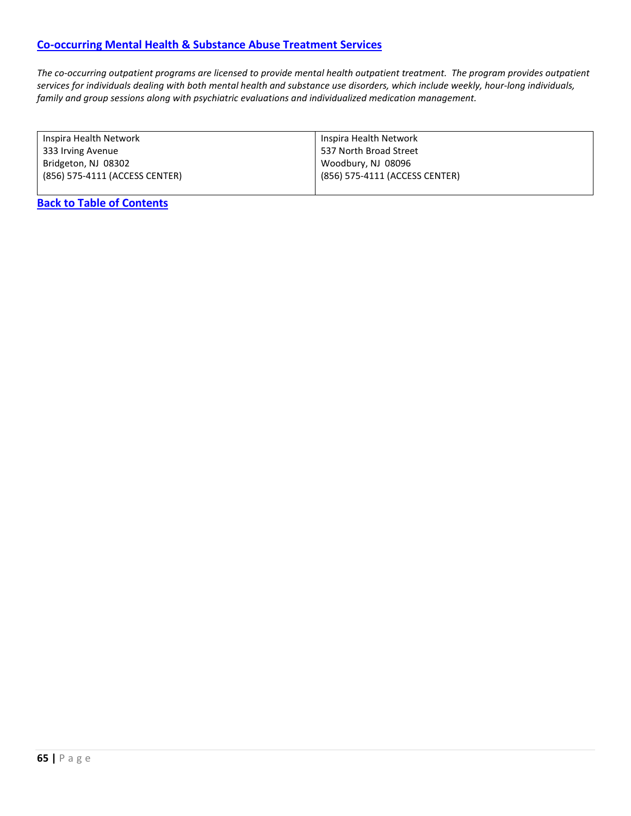### <span id="page-64-0"></span>**[Co-occurring Mental Health & Substance Abuse Treatment Services](#page-64-0)**

*The co-occurring outpatient programs are licensed to provide mental health outpatient treatment. The program provides outpatient services for individuals dealing with both mental health and substance use disorders, which include weekly, hour-long individuals, family and group sessions along with psychiatric evaluations and individualized medication management.*

| Inspira Health Network         | Inspira Health Network         |
|--------------------------------|--------------------------------|
| 333 Irving Avenue              | 537 North Broad Street         |
| Bridgeton, NJ 08302            | Woodbury, NJ 08096             |
| (856) 575-4111 (ACCESS CENTER) | (856) 575-4111 (ACCESS CENTER) |
|                                |                                |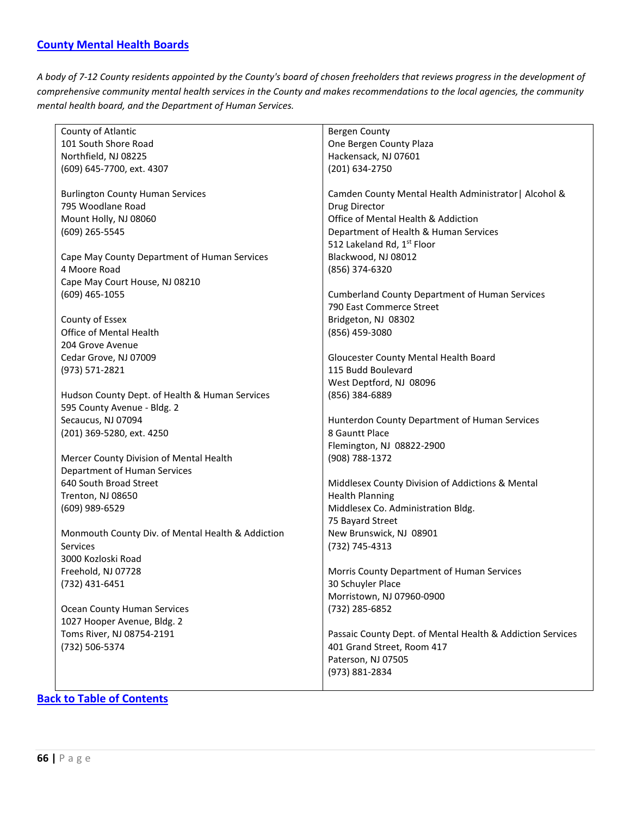<span id="page-65-0"></span>*A body of 7-12 County residents appointed by the County's board of chosen freeholders that reviews progress in the development of comprehensive community mental health services in the County and makes recommendations to the local agencies, the community mental health board, and the Department of Human Services.*

| County of Atlantic                                                   | <b>Bergen County</b>                                       |
|----------------------------------------------------------------------|------------------------------------------------------------|
| 101 South Shore Road                                                 | One Bergen County Plaza                                    |
| Northfield, NJ 08225                                                 | Hackensack, NJ 07601                                       |
| (609) 645-7700, ext. 4307                                            | (201) 634-2750                                             |
|                                                                      |                                                            |
| <b>Burlington County Human Services</b>                              | Camden County Mental Health Administrator   Alcohol &      |
| 795 Woodlane Road                                                    | Drug Director                                              |
| Mount Holly, NJ 08060                                                | Office of Mental Health & Addiction                        |
| (609) 265-5545                                                       | Department of Health & Human Services                      |
|                                                                      |                                                            |
|                                                                      | 512 Lakeland Rd, 1st Floor                                 |
| Cape May County Department of Human Services                         | Blackwood, NJ 08012                                        |
| 4 Moore Road                                                         | (856) 374-6320                                             |
| Cape May Court House, NJ 08210                                       |                                                            |
| $(609)$ 465-1055                                                     | <b>Cumberland County Department of Human Services</b>      |
|                                                                      | 790 East Commerce Street                                   |
| County of Essex                                                      | Bridgeton, NJ 08302                                        |
| Office of Mental Health                                              | (856) 459-3080                                             |
| 204 Grove Avenue                                                     |                                                            |
| Cedar Grove, NJ 07009                                                | Gloucester County Mental Health Board                      |
| (973) 571-2821                                                       | 115 Budd Boulevard                                         |
|                                                                      | West Deptford, NJ 08096                                    |
| Hudson County Dept. of Health & Human Services                       | (856) 384-6889                                             |
| 595 County Avenue - Bldg. 2                                          |                                                            |
| Secaucus, NJ 07094                                                   | Hunterdon County Department of Human Services              |
| (201) 369-5280, ext. 4250                                            | 8 Gauntt Place                                             |
|                                                                      | Flemington, NJ 08822-2900                                  |
| Mercer County Division of Mental Health                              | (908) 788-1372                                             |
| Department of Human Services                                         |                                                            |
| 640 South Broad Street                                               | Middlesex County Division of Addictions & Mental           |
| Trenton, NJ 08650                                                    | <b>Health Planning</b>                                     |
| (609) 989-6529                                                       | Middlesex Co. Administration Bldg.                         |
|                                                                      | 75 Bayard Street                                           |
|                                                                      |                                                            |
| Monmouth County Div. of Mental Health & Addiction<br><b>Services</b> | New Brunswick, NJ 08901                                    |
|                                                                      | (732) 745-4313                                             |
| 3000 Kozloski Road                                                   |                                                            |
| Freehold, NJ 07728                                                   | Morris County Department of Human Services                 |
| (732) 431-6451                                                       | 30 Schuyler Place                                          |
|                                                                      | Morristown, NJ 07960-0900                                  |
| <b>Ocean County Human Services</b>                                   | (732) 285-6852                                             |
| 1027 Hooper Avenue, Bldg. 2                                          |                                                            |
| Toms River, NJ 08754-2191                                            | Passaic County Dept. of Mental Health & Addiction Services |
| (732) 506-5374                                                       | 401 Grand Street, Room 417                                 |
|                                                                      | Paterson, NJ 07505                                         |
|                                                                      | (973) 881-2834                                             |
|                                                                      |                                                            |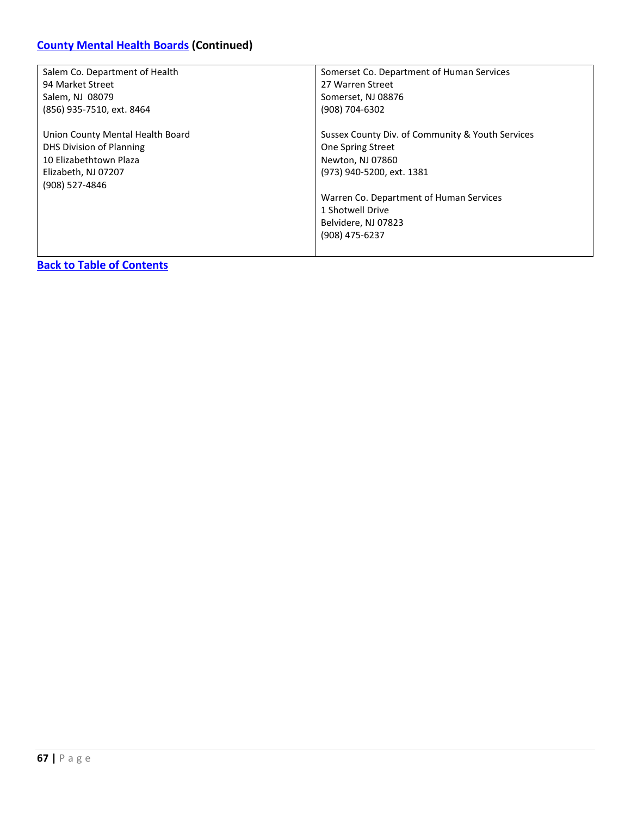# **[County Mental Health Boards](#page-65-0) (Continued)**

| Salem Co. Department of Health   | Somerset Co. Department of Human Services        |
|----------------------------------|--------------------------------------------------|
| 94 Market Street                 | 27 Warren Street                                 |
| Salem, NJ 08079                  | Somerset, NJ 08876                               |
| (856) 935-7510, ext. 8464        | (908) 704-6302                                   |
|                                  |                                                  |
| Union County Mental Health Board | Sussex County Div. of Community & Youth Services |
| DHS Division of Planning         | One Spring Street                                |
| 10 Elizabethtown Plaza           | Newton, NJ 07860                                 |
| Elizabeth, NJ 07207              | (973) 940-5200, ext. 1381                        |
| (908) 527-4846                   |                                                  |
|                                  | Warren Co. Department of Human Services          |
|                                  | 1 Shotwell Drive                                 |
|                                  | Belvidere, NJ 07823                              |
|                                  | (908) 475-6237                                   |
|                                  |                                                  |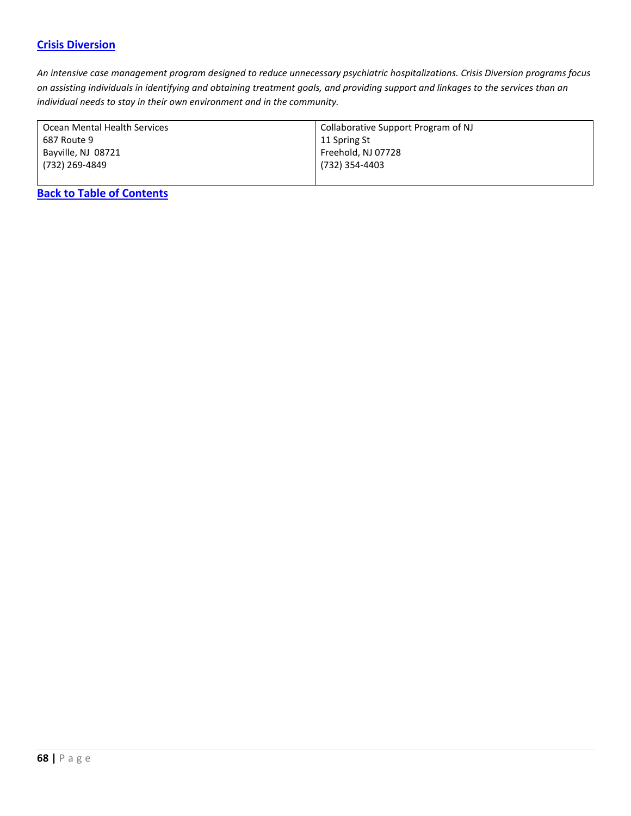### <span id="page-67-0"></span>**[Crisis Diversion](#page-67-0)**

*An intensive case management program designed to reduce unnecessary psychiatric hospitalizations. Crisis Diversion programs focus on assisting individuals in identifying and obtaining treatment goals, and providing support and linkages to the services than an individual needs to stay in their own environment and in the community.*

| Ocean Mental Health Services | Collaborative Support Program of NJ |
|------------------------------|-------------------------------------|
| 687 Route 9                  | 11 Spring St                        |
| Bayville, NJ 08721           | Freehold, NJ 07728                  |
| (732) 269-4849               | (732) 354-4403                      |
|                              |                                     |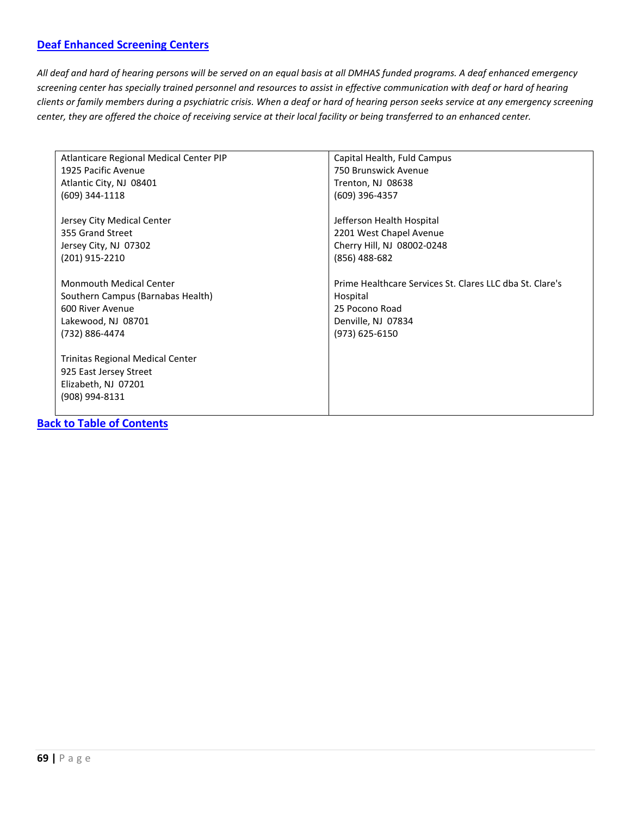### <span id="page-68-0"></span>**[Deaf Enhanced Screening Centers](#page-68-0)**

*All deaf and hard of hearing persons will be served on an equal basis at all DMHAS funded programs. A deaf enhanced emergency screening center has specially trained personnel and resources to assist in effective communication with deaf or hard of hearing clients or family members during a psychiatric crisis. When a deaf or hard of hearing person seeks service at any emergency screening center, they are offered the choice of receiving service at their local facility or being transferred to an enhanced center.*

| Atlanticare Regional Medical Center PIP | Capital Health, Fuld Campus                              |
|-----------------------------------------|----------------------------------------------------------|
| 1925 Pacific Avenue                     | 750 Brunswick Avenue                                     |
| Atlantic City, NJ 08401                 | Trenton, NJ 08638                                        |
| (609) 344-1118                          | (609) 396-4357                                           |
| Jersey City Medical Center              | Jefferson Health Hospital                                |
| 355 Grand Street                        | 2201 West Chapel Avenue                                  |
| Jersey City, NJ 07302                   | Cherry Hill, NJ 08002-0248                               |
| (201) 915-2210                          | $(856)$ 488-682                                          |
| <b>Monmouth Medical Center</b>          | Prime Healthcare Services St. Clares LLC dba St. Clare's |
| Southern Campus (Barnabas Health)       | Hospital                                                 |
| 600 River Avenue                        | 25 Pocono Road                                           |
| Lakewood, NJ 08701                      | Denville, NJ 07834                                       |
| (732) 886-4474                          | (973) 625-6150                                           |
| <b>Trinitas Regional Medical Center</b> |                                                          |
| 925 East Jersey Street                  |                                                          |
| Elizabeth, NJ 07201                     |                                                          |
| (908) 994-8131                          |                                                          |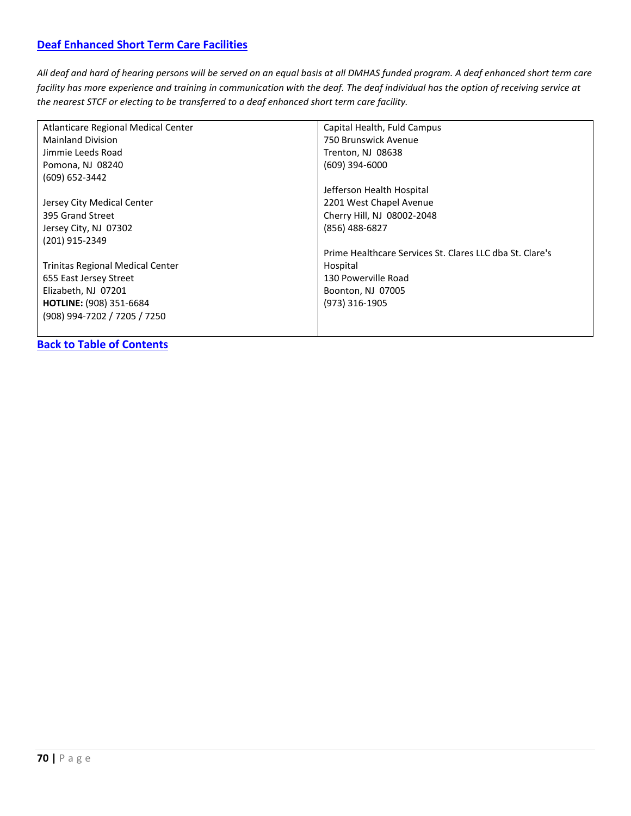### <span id="page-69-0"></span>**[Deaf Enhanced Short Term Care Facilities](#page-69-0)**

*All deaf and hard of hearing persons will be served on an equal basis at all DMHAS funded program. A deaf enhanced short term care facility has more experience and training in communication with the deaf. The deaf individual has the option of receiving service at the nearest STCF or electing to be transferred to a deaf enhanced short term care facility.*

| Atlanticare Regional Medical Center     | Capital Health, Fuld Campus                              |
|-----------------------------------------|----------------------------------------------------------|
| <b>Mainland Division</b>                | 750 Brunswick Avenue                                     |
| Jimmie Leeds Road                       | Trenton, NJ 08638                                        |
| Pomona, NJ 08240                        | (609) 394-6000                                           |
| (609) 652-3442                          |                                                          |
|                                         | Jefferson Health Hospital                                |
| Jersey City Medical Center              | 2201 West Chapel Avenue                                  |
| 395 Grand Street                        | Cherry Hill, NJ 08002-2048                               |
| Jersey City, NJ 07302                   | (856) 488-6827                                           |
| (201) 915-2349                          |                                                          |
|                                         | Prime Healthcare Services St. Clares LLC dba St. Clare's |
| <b>Trinitas Regional Medical Center</b> | Hospital                                                 |
| 655 East Jersey Street                  | 130 Powerville Road                                      |
| Elizabeth, NJ 07201                     | Boonton, NJ 07005                                        |
| <b>HOTLINE: (908) 351-6684</b>          | (973) 316-1905                                           |
| (908) 994-7202 / 7205 / 7250            |                                                          |
|                                         |                                                          |
|                                         |                                                          |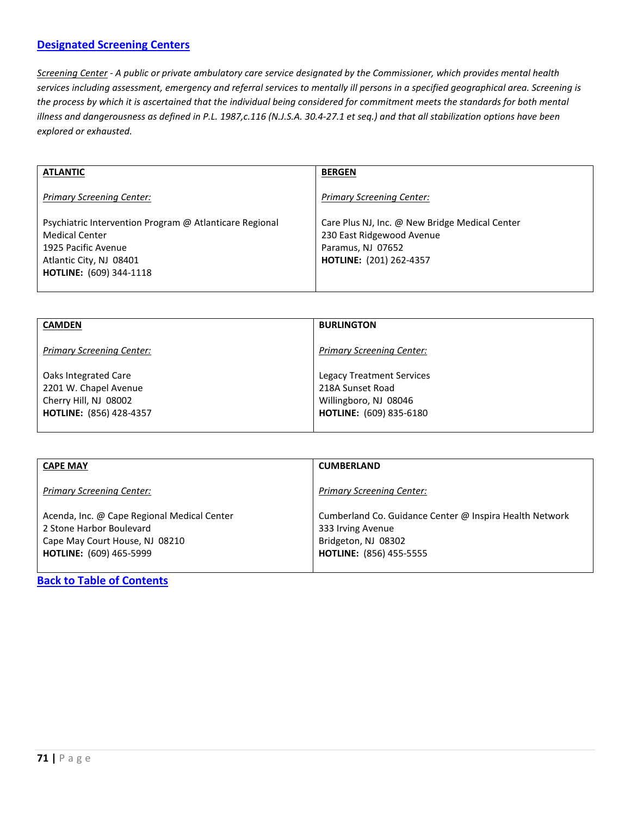### <span id="page-70-0"></span>**[Designated Screening Centers](#page-70-0)**

*Screening Center - A public or private ambulatory care service designated by the Commissioner, which provides mental health services including assessment, emergency and referral services to mentally ill persons in a specified geographical area. Screening is the process by which it is ascertained that the individual being considered for commitment meets the standards for both mental illness and dangerousness as defined in P.L. 1987,c.116 (N.J.S.A. 30.4-27.1 et seq.) and that all stabilization options have been explored or exhausted.*

| <b>ATLANTIC</b>                                         | <b>BERGEN</b>                                  |
|---------------------------------------------------------|------------------------------------------------|
| Primary Screening Center:                               | <b>Primary Screening Center:</b>               |
| Psychiatric Intervention Program @ Atlanticare Regional | Care Plus NJ, Inc. @ New Bridge Medical Center |
| <b>Medical Center</b>                                   | 230 East Ridgewood Avenue                      |
| 1925 Pacific Avenue                                     | Paramus, NJ 07652                              |
| Atlantic City, NJ 08401                                 | <b>HOTLINE:</b> (201) 262-4357                 |
| <b>HOTLINE:</b> (609) 344-1118                          |                                                |
|                                                         |                                                |

| <b>CAMDEN</b>                                                                                            | <b>BURLINGTON</b>                                                                                               |
|----------------------------------------------------------------------------------------------------------|-----------------------------------------------------------------------------------------------------------------|
| <b>Primary Screening Center:</b>                                                                         | <b>Primary Screening Center:</b>                                                                                |
| Oaks Integrated Care<br>2201 W. Chapel Avenue<br>Cherry Hill, NJ 08002<br><b>HOTLINE: (856) 428-4357</b> | <b>Legacy Treatment Services</b><br>218A Sunset Road<br>Willingboro, NJ 08046<br><b>HOTLINE:</b> (609) 835-6180 |

| <b>CAPE MAY</b>                                                                                                                             | <b>CUMBERLAND</b>                                                                                                                     |
|---------------------------------------------------------------------------------------------------------------------------------------------|---------------------------------------------------------------------------------------------------------------------------------------|
| <b>Primary Screening Center:</b>                                                                                                            | <b>Primary Screening Center:</b>                                                                                                      |
| Acenda, Inc. @ Cape Regional Medical Center<br>2 Stone Harbor Boulevard<br>Cape May Court House, NJ 08210<br><b>HOTLINE:</b> (609) 465-5999 | Cumberland Co. Guidance Center @ Inspira Health Network<br>333 Irving Avenue<br>Bridgeton, NJ 08302<br><b>HOTLINE:</b> (856) 455-5555 |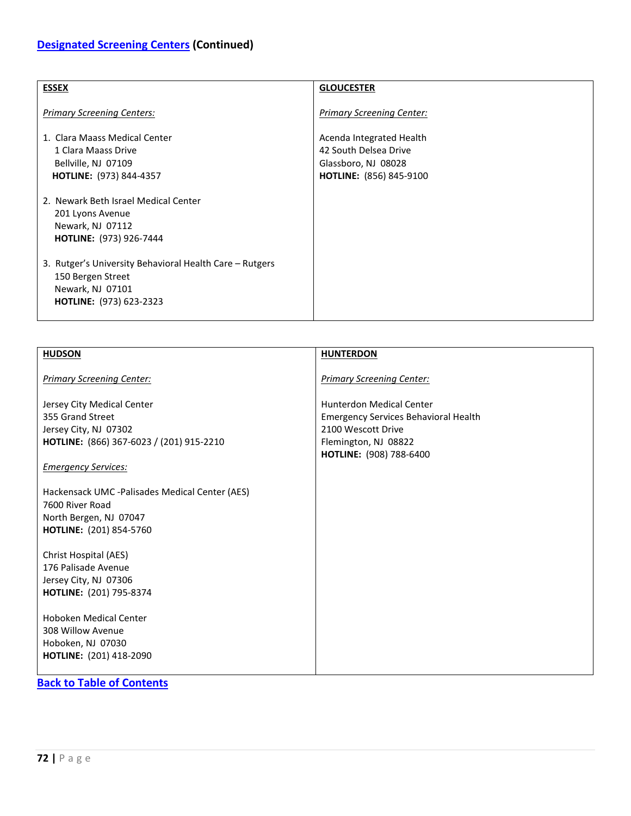| <b>ESSEX</b>                                                                                                                       | <b>GLOUCESTER</b>                                                                                          |
|------------------------------------------------------------------------------------------------------------------------------------|------------------------------------------------------------------------------------------------------------|
| <b>Primary Screening Centers:</b>                                                                                                  | <b>Primary Screening Center:</b>                                                                           |
| 1. Clara Maass Medical Center<br>1 Clara Maass Drive<br>Bellville, NJ 07109<br><b>HOTLINE:</b> (973) 844-4357                      | Acenda Integrated Health<br>42 South Delsea Drive<br>Glassboro, NJ 08028<br><b>HOTLINE:</b> (856) 845-9100 |
| 2. Newark Beth Israel Medical Center<br>201 Lyons Avenue<br>Newark, NJ 07112<br><b>HOTLINE:</b> (973) 926-7444                     |                                                                                                            |
| 3. Rutger's University Behavioral Health Care - Rutgers<br>150 Bergen Street<br>Newark, NJ 07101<br><b>HOTLINE:</b> (973) 623-2323 |                                                                                                            |

| <b>HUDSON</b>                                                                                                                                     | <b>HUNTERDON</b>                                                                                                                                        |
|---------------------------------------------------------------------------------------------------------------------------------------------------|---------------------------------------------------------------------------------------------------------------------------------------------------------|
| <b>Primary Screening Center:</b>                                                                                                                  | <b>Primary Screening Center:</b>                                                                                                                        |
| Jersey City Medical Center<br>355 Grand Street<br>Jersey City, NJ 07302<br>HOTLINE: (866) 367-6023 / (201) 915-2210<br><b>Emergency Services:</b> | <b>Hunterdon Medical Center</b><br><b>Emergency Services Behavioral Health</b><br>2100 Wescott Drive<br>Flemington, NJ 08822<br>HOTLINE: (908) 788-6400 |
| Hackensack UMC -Palisades Medical Center (AES)<br>7600 River Road<br>North Bergen, NJ 07047<br>HOTLINE: (201) 854-5760                            |                                                                                                                                                         |
| Christ Hospital (AES)<br>176 Palisade Avenue<br>Jersey City, NJ 07306<br>HOTLINE: (201) 795-8374                                                  |                                                                                                                                                         |
| Hoboken Medical Center<br>308 Willow Avenue<br>Hoboken, NJ 07030<br>HOTLINE: (201) 418-2090                                                       |                                                                                                                                                         |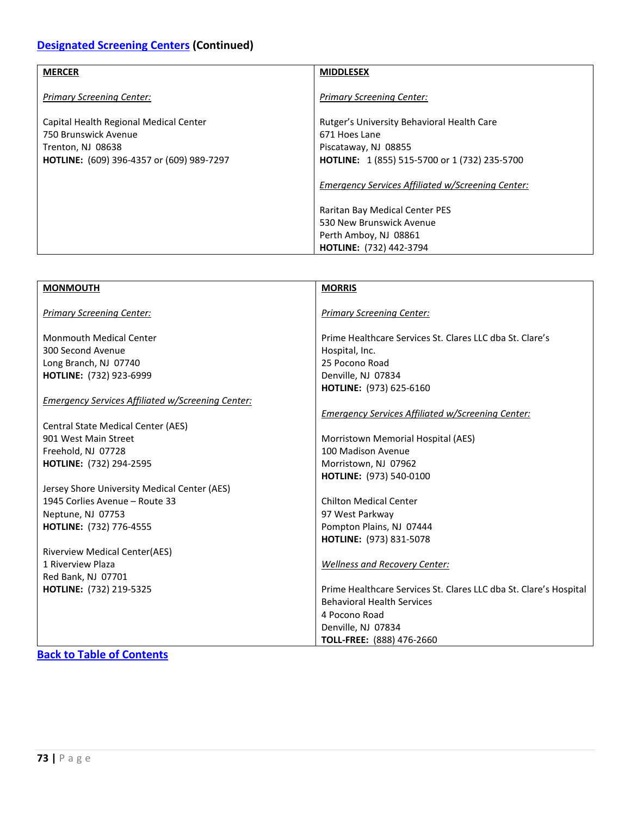## **[Designated Screening Centers](#page-70-0) (Continued)**

| <b>MERCER</b>                                                                       | <b>MIDDLESEX</b>                                                                    |
|-------------------------------------------------------------------------------------|-------------------------------------------------------------------------------------|
| <b>Primary Screening Center:</b>                                                    | <b>Primary Screening Center:</b>                                                    |
| Capital Health Regional Medical Center<br>750 Brunswick Avenue<br>Trenton, NJ 08638 | Rutger's University Behavioral Health Care<br>671 Hoes Lane<br>Piscataway, NJ 08855 |
| HOTLINE: (609) 396-4357 or (609) 989-7297                                           | HOTLINE: 1 (855) 515-5700 or 1 (732) 235-5700                                       |
|                                                                                     | Emergency Services Affiliated w/Screening Center:                                   |
|                                                                                     | Raritan Bay Medical Center PES                                                      |
|                                                                                     | 530 New Brunswick Avenue                                                            |
|                                                                                     | Perth Amboy, NJ 08861                                                               |
|                                                                                     | <b>HOTLINE: (732) 442-3794</b>                                                      |

| <b>MONMOUTH</b>                                          | <b>MORRIS</b>                                                     |
|----------------------------------------------------------|-------------------------------------------------------------------|
|                                                          |                                                                   |
| <b>Primary Screening Center:</b>                         | <b>Primary Screening Center:</b>                                  |
|                                                          |                                                                   |
| <b>Monmouth Medical Center</b>                           | Prime Healthcare Services St. Clares LLC dba St. Clare's          |
| 300 Second Avenue                                        | Hospital, Inc.                                                    |
| Long Branch, NJ 07740                                    | 25 Pocono Road                                                    |
| HOTLINE: (732) 923-6999                                  | Denville, NJ 07834                                                |
|                                                          | HOTLINE: (973) 625-6160                                           |
| <b>Emergency Services Affiliated w/Screening Center:</b> |                                                                   |
|                                                          | <b>Emergency Services Affiliated w/Screening Center:</b>          |
| <b>Central State Medical Center (AES)</b>                |                                                                   |
| 901 West Main Street                                     | Morristown Memorial Hospital (AES)                                |
| Freehold, NJ 07728                                       | 100 Madison Avenue                                                |
| HOTLINE: (732) 294-2595                                  | Morristown, NJ 07962                                              |
|                                                          | HOTLINE: (973) 540-0100                                           |
| Jersey Shore University Medical Center (AES)             |                                                                   |
| 1945 Corlies Avenue - Route 33                           | <b>Chilton Medical Center</b>                                     |
| Neptune, NJ 07753                                        | 97 West Parkway                                                   |
| <b>HOTLINE:</b> (732) 776-4555                           | Pompton Plains, NJ 07444                                          |
|                                                          | HOTLINE: (973) 831-5078                                           |
| <b>Riverview Medical Center(AES)</b>                     |                                                                   |
| 1 Riverview Plaza                                        | <b>Wellness and Recovery Center:</b>                              |
| Red Bank, NJ 07701                                       |                                                                   |
| <b>HOTLINE:</b> (732) 219-5325                           | Prime Healthcare Services St. Clares LLC dba St. Clare's Hospital |
|                                                          | <b>Behavioral Health Services</b>                                 |
|                                                          | 4 Pocono Road                                                     |
|                                                          | Denville, NJ 07834                                                |
|                                                          | TOLL-FREE: (888) 476-2660                                         |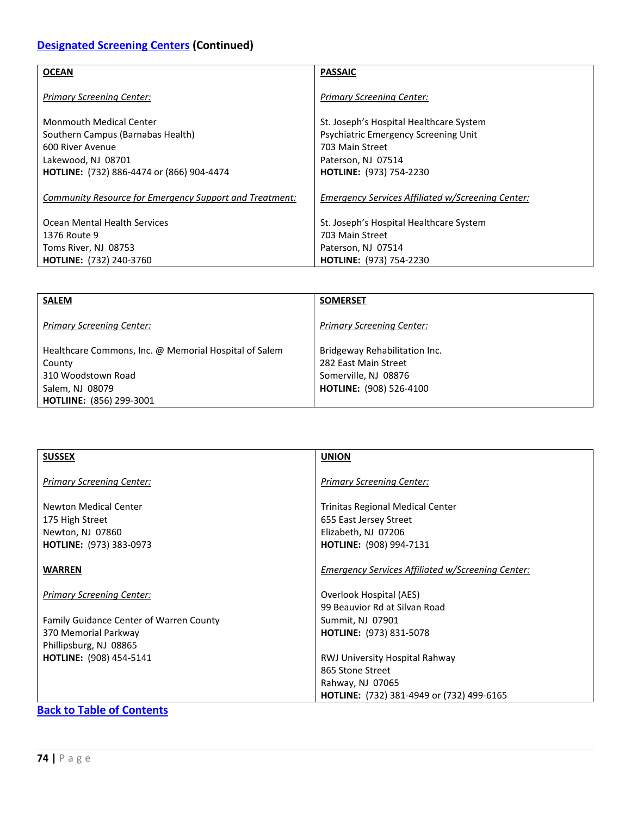### **[Designated Screening Centers](#page-70-0) (Continued)**

| <b>OCEAN</b>                                            | <b>PASSAIC</b>                                          |
|---------------------------------------------------------|---------------------------------------------------------|
| <b>Primary Screening Center:</b>                        | <b>Primary Screening Center:</b>                        |
| Monmouth Medical Center                                 | St. Joseph's Hospital Healthcare System                 |
| Southern Campus (Barnabas Health)<br>600 River Avenue   | Psychiatric Emergency Screening Unit<br>703 Main Street |
| Lakewood, NJ 08701                                      | Paterson, NJ 07514                                      |
| <b>HOTLINE:</b> (732) 886-4474 or (866) 904-4474        | <b>HOTLINE: (973) 754-2230</b>                          |
| Community Resource for Emergency Support and Treatment: | Emergency Services Affiliated w/Screening Center:       |
| Ocean Mental Health Services                            | St. Joseph's Hospital Healthcare System                 |
| 1376 Route 9                                            | 703 Main Street                                         |
| Toms River, NJ 08753                                    | Paterson, NJ 07514                                      |
| <b>HOTLINE: (732) 240-3760</b>                          | <b>HOTLINE: (973) 754-2230</b>                          |

| <b>SALEM</b>                                                                                                                                | <b>SOMERSET</b>                                                                                                 |
|---------------------------------------------------------------------------------------------------------------------------------------------|-----------------------------------------------------------------------------------------------------------------|
| <b>Primary Screening Center:</b>                                                                                                            | <b>Primary Screening Center:</b>                                                                                |
| Healthcare Commons, Inc. @ Memorial Hospital of Salem<br>County<br>310 Woodstown Road<br>Salem, NJ 08079<br><b>HOTLIINE: (856) 299-3001</b> | Bridgeway Rehabilitation Inc.<br>282 East Main Street<br>Somerville, NJ 08876<br><b>HOTLINE: (908) 526-4100</b> |

<span id="page-73-0"></span>

| <b>SUSSEX</b>                           | <b>UNION</b>                                             |
|-----------------------------------------|----------------------------------------------------------|
|                                         |                                                          |
| <b>Primary Screening Center:</b>        | <b>Primary Screening Center:</b>                         |
|                                         |                                                          |
| Newton Medical Center                   | Trinitas Regional Medical Center                         |
| 175 High Street                         | 655 East Jersey Street                                   |
| Newton, NJ 07860                        | Elizabeth, NJ 07206                                      |
| <b>HOTLINE:</b> (973) 383-0973          | <b>HOTLINE:</b> (908) 994-7131                           |
|                                         |                                                          |
| <b>WARREN</b>                           | <b>Emergency Services Affiliated w/Screening Center:</b> |
|                                         |                                                          |
| <b>Primary Screening Center:</b>        | Overlook Hospital (AES)                                  |
|                                         | 99 Beauvior Rd at Silvan Road                            |
|                                         |                                                          |
| Family Guidance Center of Warren County | Summit, NJ 07901                                         |
| 370 Memorial Parkway                    | <b>HOTLINE:</b> (973) 831-5078                           |
| Phillipsburg, NJ 08865                  |                                                          |
| HOTLINE: (908) 454-5141                 | RWJ University Hospital Rahway                           |
|                                         | 865 Stone Street                                         |
|                                         | Rahway, NJ 07065                                         |
|                                         | HOTLINE: (732) 381-4949 or (732) 499-6165                |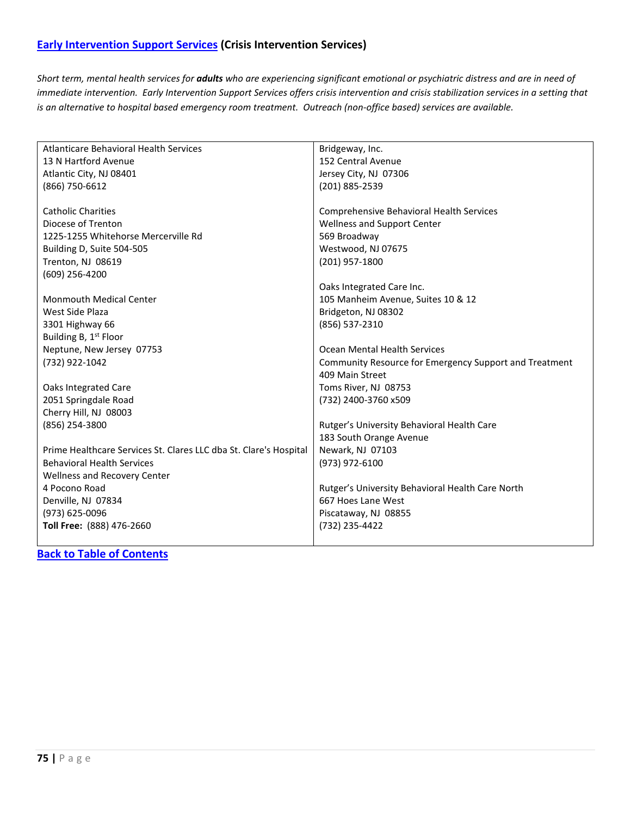*Short term, mental health services for adults who are experiencing significant emotional or psychiatric distress and are in need of immediate intervention. Early Intervention Support Services offers crisis intervention and crisis stabilization services in a setting that is an alternative to hospital based emergency room treatment. Outreach (non-office based) services are available.*

| Atlanticare Behavioral Health Services                            | Bridgeway, Inc.                                        |
|-------------------------------------------------------------------|--------------------------------------------------------|
| 13 N Hartford Avenue                                              | 152 Central Avenue                                     |
| Atlantic City, NJ 08401                                           | Jersey City, NJ 07306                                  |
| (866) 750-6612                                                    | (201) 885-2539                                         |
|                                                                   |                                                        |
| <b>Catholic Charities</b>                                         | Comprehensive Behavioral Health Services               |
| Diocese of Trenton                                                | <b>Wellness and Support Center</b>                     |
| 1225-1255 Whitehorse Mercerville Rd                               | 569 Broadway                                           |
| Building D, Suite 504-505                                         | Westwood, NJ 07675                                     |
| Trenton, NJ 08619                                                 | (201) 957-1800                                         |
| (609) 256-4200                                                    |                                                        |
|                                                                   | Oaks Integrated Care Inc.                              |
| <b>Monmouth Medical Center</b>                                    | 105 Manheim Avenue, Suites 10 & 12                     |
| West Side Plaza                                                   | Bridgeton, NJ 08302                                    |
| 3301 Highway 66                                                   | (856) 537-2310                                         |
| Building B, 1 <sup>st</sup> Floor                                 |                                                        |
| Neptune, New Jersey 07753                                         | Ocean Mental Health Services                           |
| (732) 922-1042                                                    | Community Resource for Emergency Support and Treatment |
|                                                                   | 409 Main Street                                        |
| Oaks Integrated Care                                              | Toms River, NJ 08753                                   |
| 2051 Springdale Road                                              | (732) 2400-3760 x509                                   |
| Cherry Hill, NJ 08003                                             |                                                        |
| (856) 254-3800                                                    | Rutger's University Behavioral Health Care             |
|                                                                   | 183 South Orange Avenue                                |
| Prime Healthcare Services St. Clares LLC dba St. Clare's Hospital | Newark, NJ 07103                                       |
| <b>Behavioral Health Services</b>                                 | (973) 972-6100                                         |
| Wellness and Recovery Center                                      |                                                        |
| 4 Pocono Road                                                     | Rutger's University Behavioral Health Care North       |
| Denville, NJ 07834                                                | 667 Hoes Lane West                                     |
| (973) 625-0096                                                    | Piscataway, NJ 08855                                   |
| Toll Free: (888) 476-2660                                         | (732) 235-4422                                         |
|                                                                   |                                                        |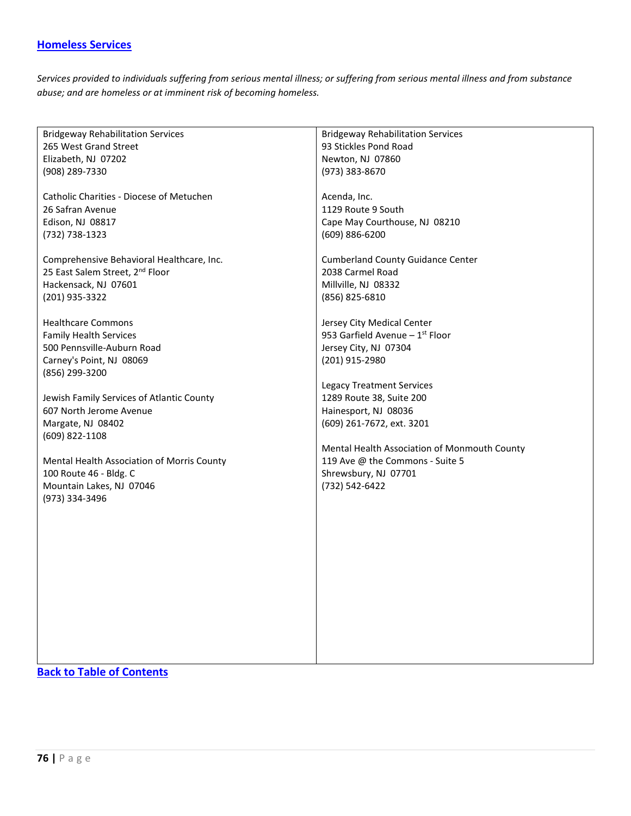### <span id="page-75-0"></span>**[Homeless Services](#page-75-0)**

*Services provided to individuals suffering from serious mental illness; or suffering from serious mental illness and from substance abuse; and are homeless or at imminent risk of becoming homeless.*

| <b>Bridgeway Rehabilitation Services</b>    | <b>Bridgeway Rehabilitation Services</b>     |
|---------------------------------------------|----------------------------------------------|
| 265 West Grand Street                       | 93 Stickles Pond Road                        |
| Elizabeth, NJ 07202                         | Newton, NJ 07860                             |
| (908) 289-7330                              | (973) 383-8670                               |
|                                             |                                              |
| Catholic Charities - Diocese of Metuchen    | Acenda, Inc.                                 |
| 26 Safran Avenue                            | 1129 Route 9 South                           |
|                                             |                                              |
| Edison, NJ 08817                            | Cape May Courthouse, NJ 08210                |
| (732) 738-1323                              | $(609) 886 - 6200$                           |
|                                             |                                              |
| Comprehensive Behavioral Healthcare, Inc.   | <b>Cumberland County Guidance Center</b>     |
| 25 East Salem Street, 2 <sup>nd</sup> Floor | 2038 Carmel Road                             |
| Hackensack, NJ 07601                        | Millville, NJ 08332                          |
| (201) 935-3322                              | (856) 825-6810                               |
|                                             |                                              |
| <b>Healthcare Commons</b>                   | Jersey City Medical Center                   |
| <b>Family Health Services</b>               | 953 Garfield Avenue $-1$ <sup>st</sup> Floor |
| 500 Pennsville-Auburn Road                  | Jersey City, NJ 07304                        |
| Carney's Point, NJ 08069                    | (201) 915-2980                               |
| (856) 299-3200                              |                                              |
|                                             |                                              |
|                                             | <b>Legacy Treatment Services</b>             |
| Jewish Family Services of Atlantic County   | 1289 Route 38, Suite 200                     |
| 607 North Jerome Avenue                     | Hainesport, NJ 08036                         |
| Margate, NJ 08402                           | (609) 261-7672, ext. 3201                    |
| (609) 822-1108                              |                                              |
|                                             | Mental Health Association of Monmouth County |
| Mental Health Association of Morris County  | 119 Ave @ the Commons - Suite 5              |
| 100 Route 46 - Bldg. C                      | Shrewsbury, NJ 07701                         |
| Mountain Lakes, NJ 07046                    | (732) 542-6422                               |
| (973) 334-3496                              |                                              |
|                                             |                                              |
|                                             |                                              |
|                                             |                                              |
|                                             |                                              |
|                                             |                                              |
|                                             |                                              |
|                                             |                                              |
|                                             |                                              |
|                                             |                                              |
|                                             |                                              |
|                                             |                                              |
|                                             |                                              |
|                                             |                                              |
|                                             |                                              |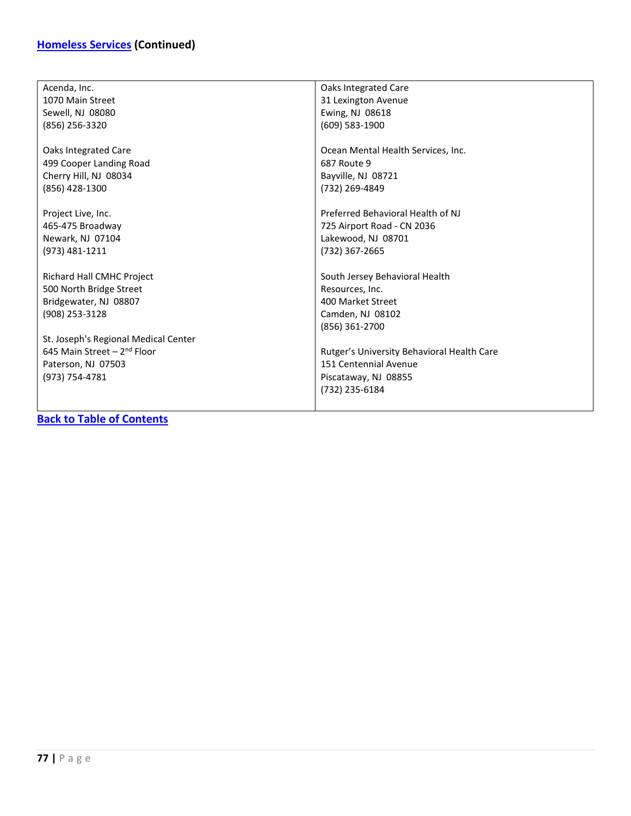### **[Homeless Services](#page-75-0) (Continued)**

| Acenda, Inc.                            | Oaks Integrated Care                       |
|-----------------------------------------|--------------------------------------------|
| 1070 Main Street                        | 31 Lexington Avenue                        |
| Sewell, NJ 08080                        | Ewing, NJ 08618                            |
| (856) 256-3320                          | (609) 583-1900                             |
|                                         |                                            |
| Oaks Integrated Care                    | Ocean Mental Health Services, Inc.         |
| 499 Cooper Landing Road                 | 687 Route 9                                |
| Cherry Hill, NJ 08034                   | Bayville, NJ 08721                         |
| (856) 428-1300                          | (732) 269-4849                             |
|                                         |                                            |
| Project Live, Inc.                      | Preferred Behavioral Health of NJ          |
| 465-475 Broadway                        | 725 Airport Road - CN 2036                 |
| Newark, NJ 07104                        | Lakewood, NJ 08701                         |
| (973) 481-1211                          | (732) 367-2665                             |
|                                         |                                            |
| Richard Hall CMHC Project               | South Jersey Behavioral Health             |
| 500 North Bridge Street                 | Resources, Inc.                            |
| Bridgewater, NJ 08807                   | 400 Market Street                          |
| (908) 253-3128                          | Camden, NJ 08102                           |
|                                         | (856) 361-2700                             |
| St. Joseph's Regional Medical Center    |                                            |
| 645 Main Street - 2 <sup>nd</sup> Floor | Rutger's University Behavioral Health Care |
| Paterson, NJ 07503                      | 151 Centennial Avenue                      |
| (973) 754-4781                          | Piscataway, NJ 08855                       |
|                                         | (732) 235-6184                             |
|                                         |                                            |
|                                         |                                            |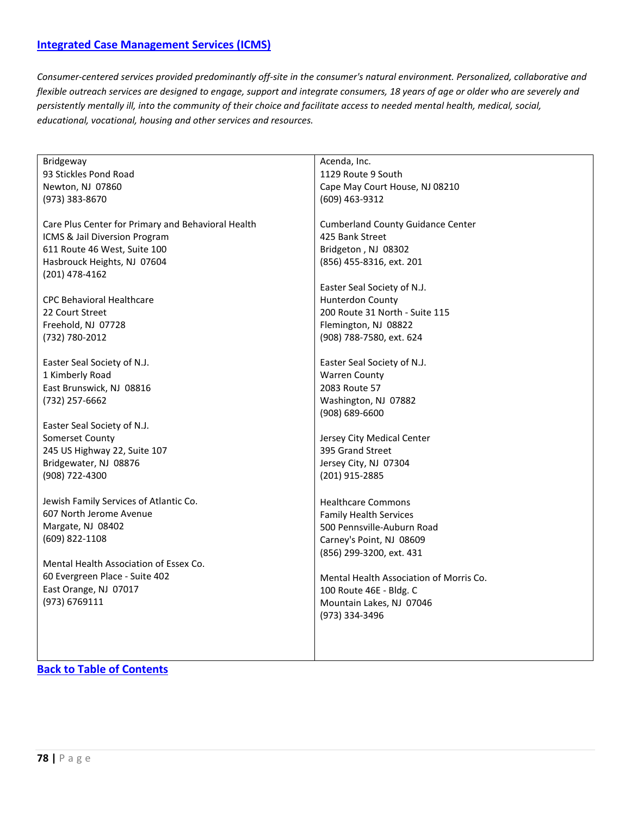### <span id="page-77-0"></span>**[Integrated Case Management Services \(ICMS\)](#page-77-0)**

*Consumer-centered services provided predominantly off-site in the consumer's natural environment. Personalized, collaborative and flexible outreach services are designed to engage, support and integrate consumers, 18 years of age or older who are severely and persistently mentally ill, into the community of their choice and facilitate access to needed mental health, medical, social, educational, vocational, housing and other services and resources.*

| Bridgeway                                          | Acenda, Inc.                             |
|----------------------------------------------------|------------------------------------------|
| 93 Stickles Pond Road                              | 1129 Route 9 South                       |
| Newton, NJ 07860                                   | Cape May Court House, NJ 08210           |
| (973) 383-8670                                     | (609) 463-9312                           |
|                                                    |                                          |
| Care Plus Center for Primary and Behavioral Health | <b>Cumberland County Guidance Center</b> |
| ICMS & Jail Diversion Program                      | 425 Bank Street                          |
| 611 Route 46 West, Suite 100                       | Bridgeton, NJ 08302                      |
| Hasbrouck Heights, NJ 07604                        | (856) 455-8316, ext. 201                 |
| (201) 478-4162                                     |                                          |
|                                                    | Easter Seal Society of N.J.              |
|                                                    |                                          |
| <b>CPC Behavioral Healthcare</b>                   | <b>Hunterdon County</b>                  |
| 22 Court Street                                    | 200 Route 31 North - Suite 115           |
| Freehold, NJ 07728                                 | Flemington, NJ 08822                     |
| (732) 780-2012                                     | (908) 788-7580, ext. 624                 |
|                                                    |                                          |
| Easter Seal Society of N.J.                        | Easter Seal Society of N.J.              |
| 1 Kimberly Road                                    | <b>Warren County</b>                     |
| East Brunswick, NJ 08816                           | 2083 Route 57                            |
| (732) 257-6662                                     | Washington, NJ 07882                     |
|                                                    | (908) 689-6600                           |
| Easter Seal Society of N.J.                        |                                          |
| Somerset County                                    | Jersey City Medical Center               |
| 245 US Highway 22, Suite 107                       | 395 Grand Street                         |
| Bridgewater, NJ 08876                              | Jersey City, NJ 07304                    |
| (908) 722-4300                                     | (201) 915-2885                           |
|                                                    |                                          |
| Jewish Family Services of Atlantic Co.             | <b>Healthcare Commons</b>                |
| 607 North Jerome Avenue                            | <b>Family Health Services</b>            |
| Margate, NJ 08402                                  | 500 Pennsville-Auburn Road               |
| (609) 822-1108                                     | Carney's Point, NJ 08609                 |
|                                                    |                                          |
| Mental Health Association of Essex Co.             | (856) 299-3200, ext. 431                 |
|                                                    |                                          |
| 60 Evergreen Place - Suite 402                     | Mental Health Association of Morris Co.  |
| East Orange, NJ 07017                              | 100 Route 46E - Bldg. C                  |
| (973) 6769111                                      | Mountain Lakes, NJ 07046                 |
|                                                    | (973) 334-3496                           |
|                                                    |                                          |
|                                                    |                                          |
|                                                    |                                          |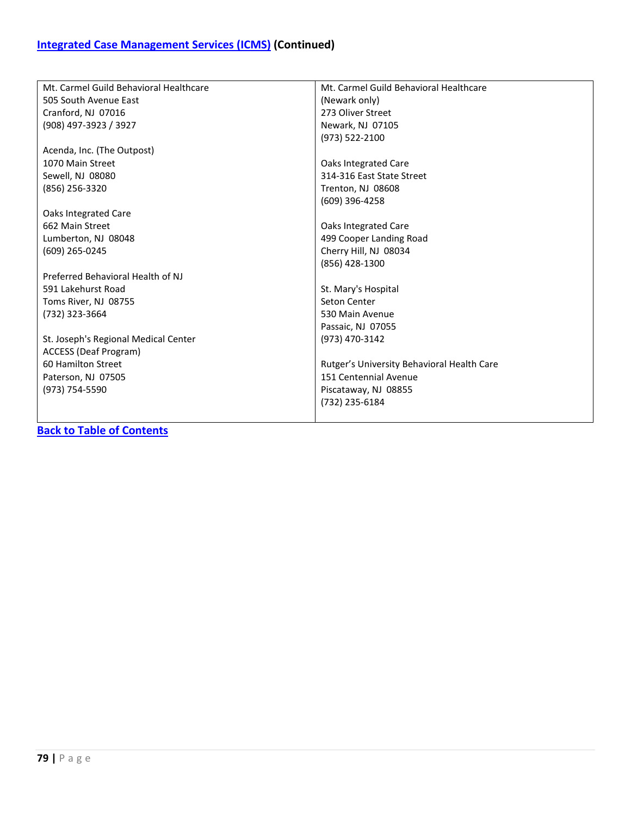| Mt. Carmel Guild Behavioral Healthcare | Mt. Carmel Guild Behavioral Healthcare     |
|----------------------------------------|--------------------------------------------|
| 505 South Avenue East                  | (Newark only)                              |
| Cranford, NJ 07016                     | 273 Oliver Street                          |
| (908) 497-3923 / 3927                  | Newark, NJ 07105                           |
|                                        | (973) 522-2100                             |
| Acenda, Inc. (The Outpost)             |                                            |
| 1070 Main Street                       | Oaks Integrated Care                       |
| Sewell, NJ 08080                       | 314-316 East State Street                  |
| (856) 256-3320                         | Trenton, NJ 08608                          |
|                                        | (609) 396-4258                             |
| Oaks Integrated Care                   |                                            |
| 662 Main Street                        | Oaks Integrated Care                       |
| Lumberton, NJ 08048                    | 499 Cooper Landing Road                    |
| (609) 265-0245                         | Cherry Hill, NJ 08034                      |
|                                        | (856) 428-1300                             |
| Preferred Behavioral Health of NJ      |                                            |
| 591 Lakehurst Road                     | St. Mary's Hospital                        |
| Toms River, NJ 08755                   | Seton Center                               |
| (732) 323-3664                         | 530 Main Avenue                            |
|                                        | Passaic, NJ 07055                          |
| St. Joseph's Regional Medical Center   | (973) 470-3142                             |
| ACCESS (Deaf Program)                  |                                            |
| 60 Hamilton Street                     | Rutger's University Behavioral Health Care |
| Paterson, NJ 07505                     | 151 Centennial Avenue                      |
| (973) 754-5590                         | Piscataway, NJ 08855                       |
|                                        | (732) 235-6184                             |
|                                        |                                            |
|                                        |                                            |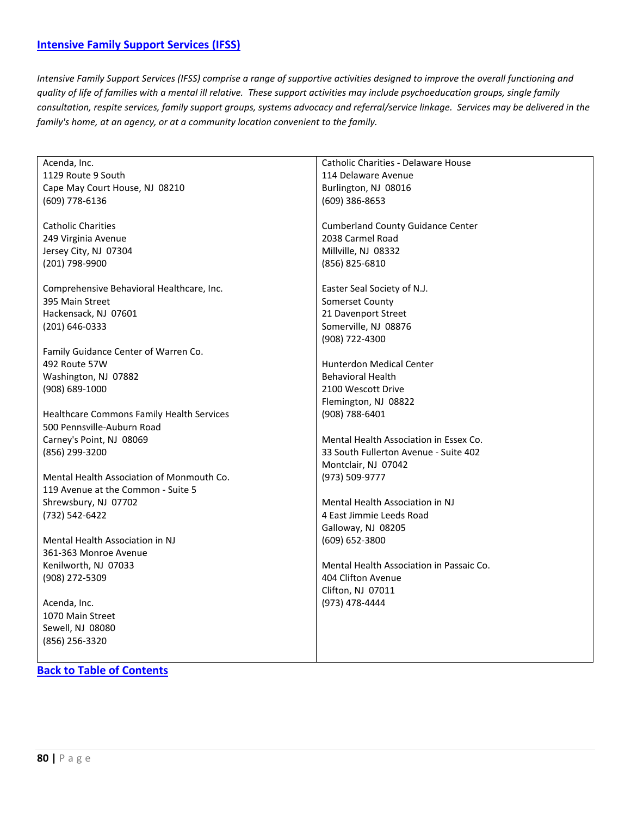<span id="page-79-0"></span>*Intensive Family Support Services (IFSS) comprise a range of supportive activities designed to improve the overall functioning and quality of life of families with a mental ill relative. These support activities may include psychoeducation groups, single family consultation, respite services, family support groups, systems advocacy and referral/service linkage. Services may be delivered in the family's home, at an agency, or at a community location convenient to the family.*

| Acenda, Inc.                              | Catholic Charities - Delaware House      |
|-------------------------------------------|------------------------------------------|
| 1129 Route 9 South                        | 114 Delaware Avenue                      |
|                                           |                                          |
| Cape May Court House, NJ 08210            | Burlington, NJ 08016                     |
| (609) 778-6136                            | (609) 386-8653                           |
| <b>Catholic Charities</b>                 | <b>Cumberland County Guidance Center</b> |
|                                           | 2038 Carmel Road                         |
| 249 Virginia Avenue                       |                                          |
| Jersey City, NJ 07304                     | Millville, NJ 08332                      |
| (201) 798-9900                            | (856) 825-6810                           |
| Comprehensive Behavioral Healthcare, Inc. | Easter Seal Society of N.J.              |
| 395 Main Street                           | Somerset County                          |
| Hackensack, NJ 07601                      | 21 Davenport Street                      |
|                                           | Somerville, NJ 08876                     |
| $(201) 646 - 0333$                        |                                          |
|                                           | (908) 722-4300                           |
| Family Guidance Center of Warren Co.      |                                          |
| 492 Route 57W                             | <b>Hunterdon Medical Center</b>          |
| Washington, NJ 07882                      | <b>Behavioral Health</b>                 |
| $(908) 689 - 1000$                        | 2100 Wescott Drive                       |
|                                           | Flemington, NJ 08822                     |
| Healthcare Commons Family Health Services | (908) 788-6401                           |
| 500 Pennsville-Auburn Road                |                                          |
| Carney's Point, NJ 08069                  | Mental Health Association in Essex Co.   |
| (856) 299-3200                            | 33 South Fullerton Avenue - Suite 402    |
|                                           | Montclair, NJ 07042                      |
| Mental Health Association of Monmouth Co. | (973) 509-9777                           |
| 119 Avenue at the Common - Suite 5        |                                          |
| Shrewsbury, NJ 07702                      | Mental Health Association in NJ          |
| (732) 542-6422                            | 4 East Jimmie Leeds Road                 |
|                                           | Galloway, NJ 08205                       |
| Mental Health Association in NJ           | (609) 652-3800                           |
| 361-363 Monroe Avenue                     |                                          |
| Kenilworth, NJ 07033                      | Mental Health Association in Passaic Co. |
| (908) 272-5309                            | 404 Clifton Avenue                       |
|                                           | Clifton, NJ 07011                        |
|                                           |                                          |
| Acenda, Inc.                              | (973) 478-4444                           |
| 1070 Main Street                          |                                          |
| Sewell, NJ 08080                          |                                          |
| (856) 256-3320                            |                                          |
|                                           |                                          |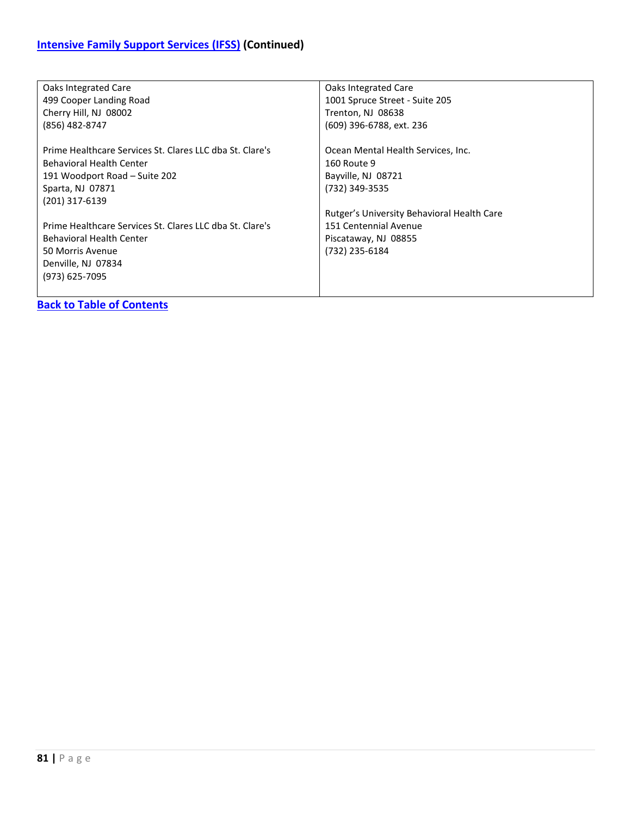| Oaks Integrated Care<br>499 Cooper Landing Road<br>Cherry Hill, NJ 08002 | Oaks Integrated Care<br>1001 Spruce Street - Suite 205<br>Trenton, NJ 08638 |
|--------------------------------------------------------------------------|-----------------------------------------------------------------------------|
| (856) 482-8747                                                           | (609) 396-6788, ext. 236                                                    |
| Prime Healthcare Services St. Clares LLC dba St. Clare's                 | Ocean Mental Health Services, Inc.                                          |
| Behavioral Health Center                                                 | 160 Route 9                                                                 |
| 191 Woodport Road – Suite 202                                            | Bayville, NJ 08721                                                          |
| Sparta, NJ 07871                                                         | (732) 349-3535                                                              |
| (201) 317-6139                                                           |                                                                             |
|                                                                          | Rutger's University Behavioral Health Care                                  |
| Prime Healthcare Services St. Clares LLC dba St. Clare's                 | 151 Centennial Avenue                                                       |
| <b>Behavioral Health Center</b>                                          | Piscataway, NJ 08855                                                        |
| 50 Morris Avenue                                                         | (732) 235-6184                                                              |
| Denville, NJ 07834                                                       |                                                                             |
| (973) 625-7095                                                           |                                                                             |
|                                                                          |                                                                             |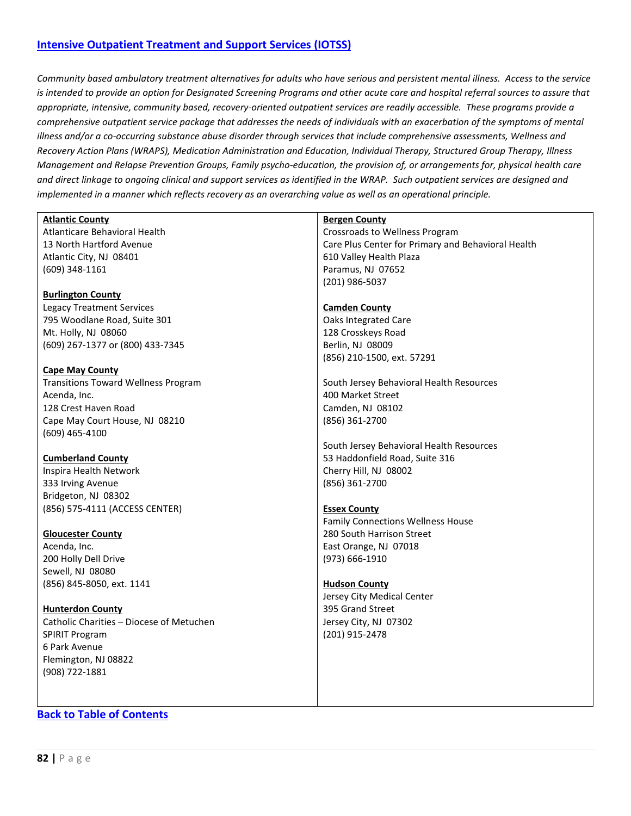#### <span id="page-81-0"></span>**[Intensive Outpatient Treatment and Support Services \(IOTSS\)](#page-81-0)**

*Community based ambulatory treatment alternatives for adults who have serious and persistent mental illness. Access to the service is intended to provide an option for Designated Screening Programs and other acute care and hospital referral sources to assure that appropriate, intensive, community based, recovery-oriented outpatient services are readily accessible. These programs provide a comprehensive outpatient service package that addresses the needs of individuals with an exacerbation of the symptoms of mental illness and/or a co-occurring substance abuse disorder through services that include comprehensive assessments, Wellness and Recovery Action Plans (WRAPS), Medication Administration and Education, Individual Therapy, Structured Group Therapy, Illness Management and Relapse Prevention Groups, Family psycho-education, the provision of, or arrangements for, physical health care and direct linkage to ongoing clinical and support services as identified in the WRAP. Such outpatient services are designed and implemented in a manner which reflects recovery as an overarching value as well as an operational principle.*

<span id="page-81-1"></span>

| <b>Atlantic County</b>                     | <b>Bergen County</b>                               |
|--------------------------------------------|----------------------------------------------------|
| Atlanticare Behavioral Health              | Crossroads to Wellness Program                     |
| 13 North Hartford Avenue                   | Care Plus Center for Primary and Behavioral Health |
| Atlantic City, NJ 08401                    | 610 Valley Health Plaza                            |
| $(609)$ 348-1161                           | Paramus, NJ 07652                                  |
|                                            | (201) 986-5037                                     |
| <b>Burlington County</b>                   |                                                    |
| <b>Legacy Treatment Services</b>           | <b>Camden County</b>                               |
| 795 Woodlane Road, Suite 301               | Oaks Integrated Care                               |
| Mt. Holly, NJ 08060                        | 128 Crosskeys Road                                 |
| (609) 267-1377 or (800) 433-7345           | Berlin, NJ 08009                                   |
|                                            | (856) 210-1500, ext. 57291                         |
| <b>Cape May County</b>                     |                                                    |
| <b>Transitions Toward Wellness Program</b> | South Jersey Behavioral Health Resources           |
| Acenda, Inc.                               | 400 Market Street                                  |
| 128 Crest Haven Road                       | Camden, NJ 08102                                   |
| Cape May Court House, NJ 08210             | (856) 361-2700                                     |
| $(609)$ 465-4100                           |                                                    |
|                                            | South Jersey Behavioral Health Resources           |
| <b>Cumberland County</b>                   | 53 Haddonfield Road, Suite 316                     |
| Inspira Health Network                     | Cherry Hill, NJ 08002                              |
| 333 Irving Avenue                          | (856) 361-2700                                     |
| Bridgeton, NJ 08302                        |                                                    |
| (856) 575-4111 (ACCESS CENTER)             | <b>Essex County</b>                                |
|                                            | <b>Family Connections Wellness House</b>           |
| <b>Gloucester County</b>                   | 280 South Harrison Street                          |
| Acenda, Inc.                               | East Orange, NJ 07018                              |
| 200 Holly Dell Drive                       | (973) 666-1910                                     |
| Sewell, NJ 08080                           |                                                    |
| (856) 845-8050, ext. 1141                  | <b>Hudson County</b>                               |
|                                            | Jersey City Medical Center                         |
| <b>Hunterdon County</b>                    | 395 Grand Street                                   |
| Catholic Charities - Diocese of Metuchen   | Jersey City, NJ 07302                              |
| <b>SPIRIT Program</b>                      | (201) 915-2478                                     |
| 6 Park Avenue                              |                                                    |
| Flemington, NJ 08822                       |                                                    |
| (908) 722-1881                             |                                                    |
|                                            |                                                    |
|                                            |                                                    |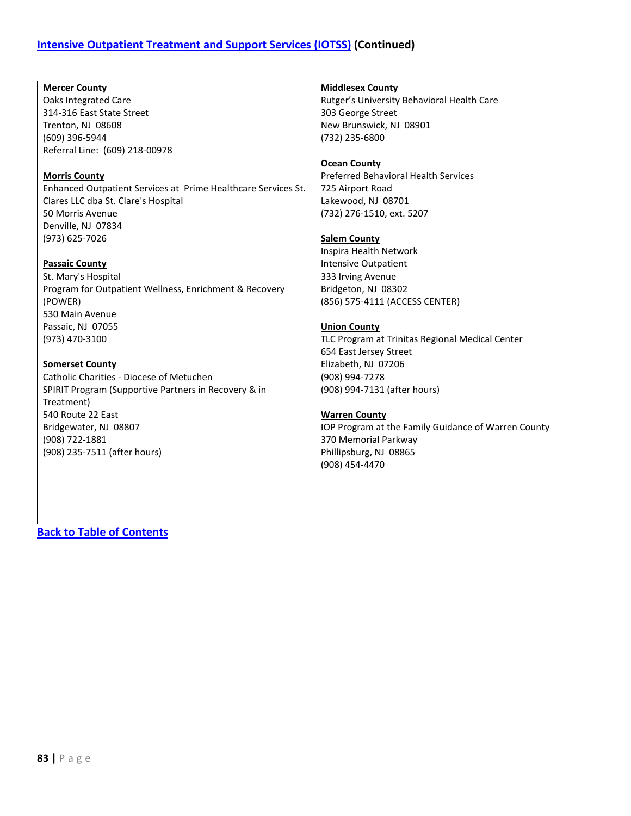| <b>Mercer County</b>                                          | <b>Middlesex County</b>                             |
|---------------------------------------------------------------|-----------------------------------------------------|
| <b>Oaks Integrated Care</b>                                   | Rutger's University Behavioral Health Care          |
| 314-316 East State Street                                     | 303 George Street                                   |
| Trenton, NJ 08608                                             | New Brunswick, NJ 08901                             |
| (609) 396-5944                                                | (732) 235-6800                                      |
| Referral Line: (609) 218-00978                                |                                                     |
|                                                               | <b>Ocean County</b>                                 |
| <b>Morris County</b>                                          | <b>Preferred Behavioral Health Services</b>         |
| Enhanced Outpatient Services at Prime Healthcare Services St. | 725 Airport Road                                    |
| Clares LLC dba St. Clare's Hospital                           | Lakewood, NJ 08701                                  |
| 50 Morris Avenue                                              | (732) 276-1510, ext. 5207                           |
| Denville, NJ 07834                                            |                                                     |
| (973) 625-7026                                                | <b>Salem County</b>                                 |
|                                                               | Inspira Health Network                              |
| <b>Passaic County</b>                                         | <b>Intensive Outpatient</b>                         |
| St. Mary's Hospital                                           | 333 Irving Avenue                                   |
| Program for Outpatient Wellness, Enrichment & Recovery        | Bridgeton, NJ 08302                                 |
| (POWER)                                                       | (856) 575-4111 (ACCESS CENTER)                      |
| 530 Main Avenue                                               |                                                     |
| Passaic, NJ 07055                                             | <b>Union County</b>                                 |
| (973) 470-3100                                                | TLC Program at Trinitas Regional Medical Center     |
|                                                               | 654 East Jersey Street                              |
| <b>Somerset County</b>                                        | Elizabeth, NJ 07206                                 |
| Catholic Charities - Diocese of Metuchen                      | (908) 994-7278                                      |
| SPIRIT Program (Supportive Partners in Recovery & in          | (908) 994-7131 (after hours)                        |
| Treatment)                                                    |                                                     |
| 540 Route 22 East                                             | <b>Warren County</b>                                |
| Bridgewater, NJ 08807                                         | IOP Program at the Family Guidance of Warren County |
| (908) 722-1881                                                | 370 Memorial Parkway                                |
| (908) 235-7511 (after hours)                                  | Phillipsburg, NJ 08865                              |
|                                                               | (908) 454-4470                                      |
|                                                               |                                                     |
|                                                               |                                                     |
|                                                               |                                                     |
|                                                               |                                                     |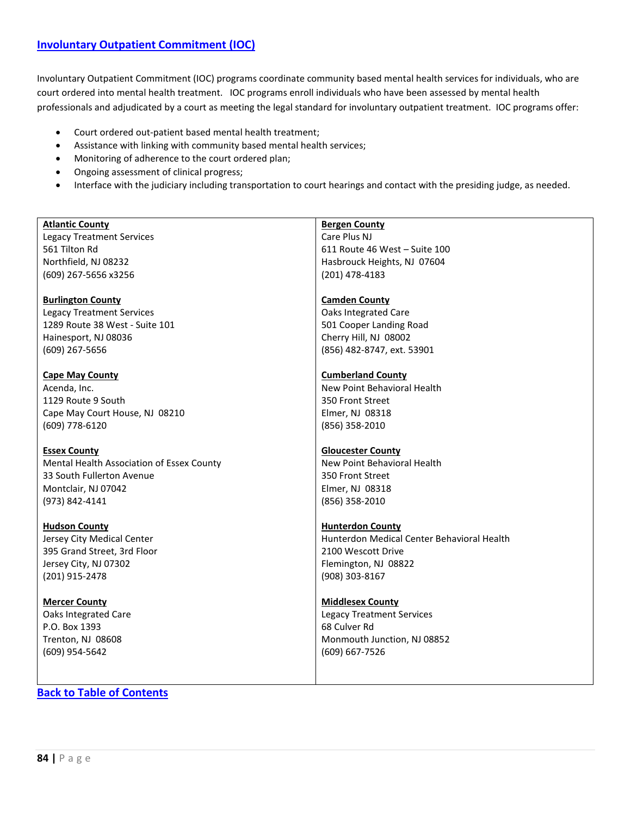Involuntary Outpatient Commitment (IOC) programs coordinate community based mental health services for individuals, who are court ordered into mental health treatment. IOC programs enroll individuals who have been assessed by mental health professionals and adjudicated by a court as meeting the legal standard for involuntary outpatient treatment. IOC programs offer:

- Court ordered out-patient based mental health treatment;
- Assistance with linking with community based mental health services;
- Monitoring of adherence to the court ordered plan;
- Ongoing assessment of clinical progress;
- Interface with the judiciary including transportation to court hearings and contact with the presiding judge, as needed.

| <b>Atlantic County</b><br><b>Bergen County</b><br>Care Plus NJ<br><b>Legacy Treatment Services</b><br>561 Tilton Rd<br>611 Route 46 West - Suite 100<br>Northfield, NJ 08232<br>Hasbrouck Heights, NJ 07604<br>(201) 478-4183<br>(609) 267-5656 x3256<br><b>Burlington County</b><br><b>Camden County</b><br><b>Oaks Integrated Care</b><br><b>Legacy Treatment Services</b> |
|------------------------------------------------------------------------------------------------------------------------------------------------------------------------------------------------------------------------------------------------------------------------------------------------------------------------------------------------------------------------------|
|                                                                                                                                                                                                                                                                                                                                                                              |
|                                                                                                                                                                                                                                                                                                                                                                              |
|                                                                                                                                                                                                                                                                                                                                                                              |
|                                                                                                                                                                                                                                                                                                                                                                              |
|                                                                                                                                                                                                                                                                                                                                                                              |
|                                                                                                                                                                                                                                                                                                                                                                              |
|                                                                                                                                                                                                                                                                                                                                                                              |
|                                                                                                                                                                                                                                                                                                                                                                              |
| 1289 Route 38 West - Suite 101<br>501 Cooper Landing Road                                                                                                                                                                                                                                                                                                                    |
| Cherry Hill, NJ 08002<br>Hainesport, NJ 08036                                                                                                                                                                                                                                                                                                                                |
| (856) 482-8747, ext. 53901<br>(609) 267-5656                                                                                                                                                                                                                                                                                                                                 |
|                                                                                                                                                                                                                                                                                                                                                                              |
|                                                                                                                                                                                                                                                                                                                                                                              |
| <b>Cape May County</b><br><b>Cumberland County</b>                                                                                                                                                                                                                                                                                                                           |
| New Point Behavioral Health<br>Acenda, Inc.                                                                                                                                                                                                                                                                                                                                  |
| 1129 Route 9 South<br>350 Front Street                                                                                                                                                                                                                                                                                                                                       |
| Elmer, NJ 08318<br>Cape May Court House, NJ 08210                                                                                                                                                                                                                                                                                                                            |
| (609) 778-6120<br>(856) 358-2010                                                                                                                                                                                                                                                                                                                                             |
|                                                                                                                                                                                                                                                                                                                                                                              |
| <b>Gloucester County</b><br><b>Essex County</b>                                                                                                                                                                                                                                                                                                                              |
| Mental Health Association of Essex County<br>New Point Behavioral Health                                                                                                                                                                                                                                                                                                     |
| 33 South Fullerton Avenue<br>350 Front Street                                                                                                                                                                                                                                                                                                                                |
| Montclair, NJ 07042<br>Elmer, NJ 08318                                                                                                                                                                                                                                                                                                                                       |
| (973) 842-4141<br>(856) 358-2010                                                                                                                                                                                                                                                                                                                                             |
|                                                                                                                                                                                                                                                                                                                                                                              |
| <b>Hudson County</b><br><b>Hunterdon County</b>                                                                                                                                                                                                                                                                                                                              |
| Hunterdon Medical Center Behavioral Health<br>Jersey City Medical Center                                                                                                                                                                                                                                                                                                     |
| 395 Grand Street, 3rd Floor<br>2100 Wescott Drive                                                                                                                                                                                                                                                                                                                            |
| Jersey City, NJ 07302<br>Flemington, NJ 08822                                                                                                                                                                                                                                                                                                                                |
|                                                                                                                                                                                                                                                                                                                                                                              |
| (201) 915-2478<br>(908) 303-8167                                                                                                                                                                                                                                                                                                                                             |
|                                                                                                                                                                                                                                                                                                                                                                              |
| <b>Middlesex County</b><br><b>Mercer County</b>                                                                                                                                                                                                                                                                                                                              |
| <b>Legacy Treatment Services</b><br>Oaks Integrated Care                                                                                                                                                                                                                                                                                                                     |
| 68 Culver Rd<br>P.O. Box 1393                                                                                                                                                                                                                                                                                                                                                |
| Trenton, NJ 08608<br>Monmouth Junction, NJ 08852                                                                                                                                                                                                                                                                                                                             |
| (609) 667-7526<br>(609) 954-5642                                                                                                                                                                                                                                                                                                                                             |
|                                                                                                                                                                                                                                                                                                                                                                              |
|                                                                                                                                                                                                                                                                                                                                                                              |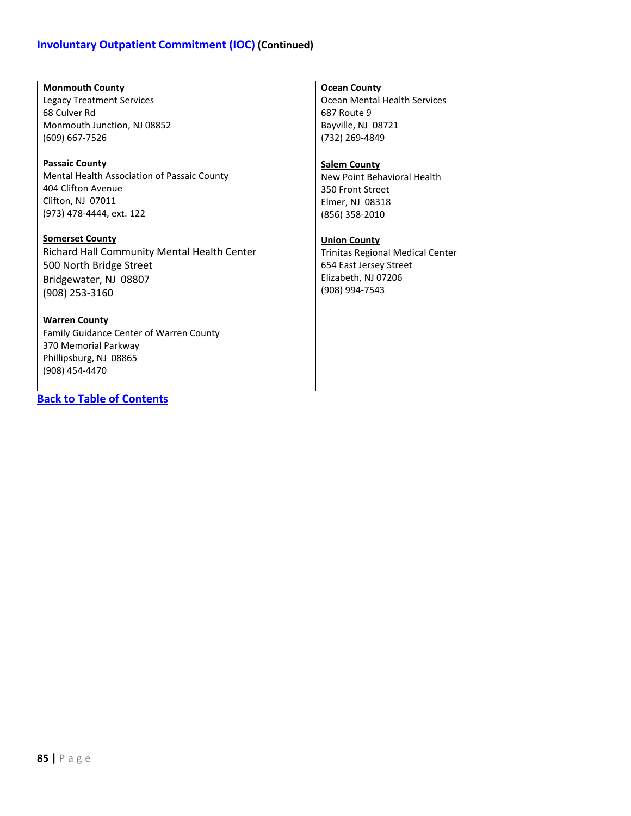### **Involuntary Outpatient Commitment (IOC) (Continued)**

| <b>Monmouth County</b>                      | <b>Ocean County</b>                     |
|---------------------------------------------|-----------------------------------------|
| Legacy Treatment Services                   | Ocean Mental Health Services            |
| 68 Culver Rd                                | 687 Route 9                             |
| Monmouth Junction, NJ 08852                 | Bayville, NJ 08721                      |
| (609) 667-7526                              | (732) 269-4849                          |
|                                             |                                         |
| <b>Passaic County</b>                       | <b>Salem County</b>                     |
| Mental Health Association of Passaic County | New Point Behavioral Health             |
| 404 Clifton Avenue                          | 350 Front Street                        |
| Clifton, NJ 07011                           | Elmer, NJ 08318                         |
| (973) 478-4444, ext. 122                    | (856) 358-2010                          |
|                                             |                                         |
| <b>Somerset County</b>                      | <b>Union County</b>                     |
| Richard Hall Community Mental Health Center | <b>Trinitas Regional Medical Center</b> |
| 500 North Bridge Street                     | 654 East Jersey Street                  |
| Bridgewater, NJ 08807                       | Elizabeth, NJ 07206                     |
| (908) 253-3160                              | (908) 994-7543                          |
|                                             |                                         |
| <b>Warren County</b>                        |                                         |
| Family Guidance Center of Warren County     |                                         |
| 370 Memorial Parkway                        |                                         |
| Phillipsburg, NJ 08865                      |                                         |
| (908) 454-4470                              |                                         |
|                                             |                                         |
| <b>Back to Table of Contents</b>            |                                         |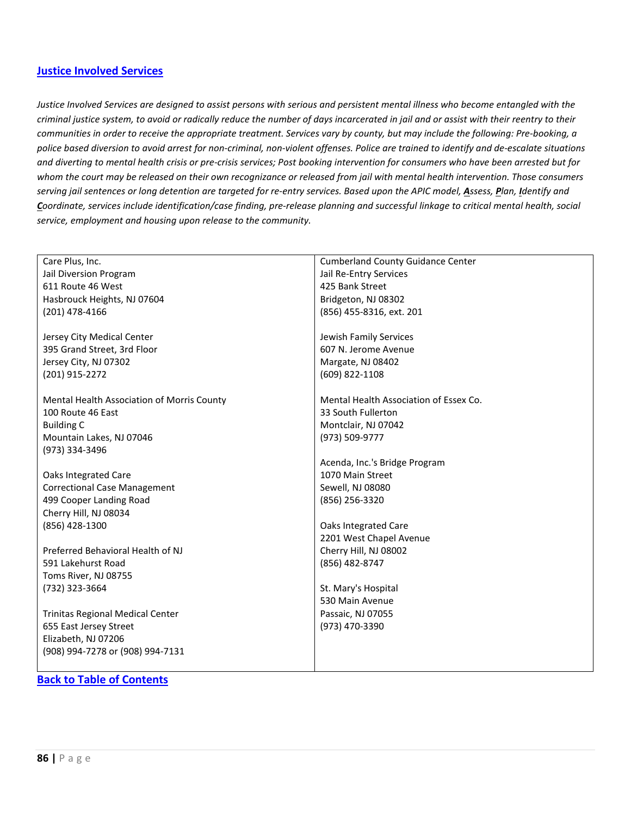#### <span id="page-85-0"></span>**[Justice Involved Services](#page-85-0)**

*Justice Involved Services are designed to assist persons with serious and persistent mental illness who become entangled with the criminal justice system, to avoid or radically reduce the number of days incarcerated in jail and or assist with their reentry to their communities in order to receive the appropriate treatment. Services vary by county, but may include the following: Pre-booking, a police based diversion to avoid arrest for non-criminal, non-violent offenses. Police are trained to identify and de-escalate situations and diverting to mental health crisis or pre-crisis services; Post booking intervention for consumers who have been arrested but for whom the court may be released on their own recognizance or released from jail with mental health intervention. Those consumers serving jail sentences or long detention are targeted for re-entry services. Based upon the APIC model, Assess, Plan, Identify and Coordinate, services include identification/case finding, pre-release planning and successful linkage to critical mental health, social service, employment and housing upon release to the community.*

| Care Plus, Inc.                            | <b>Cumberland County Guidance Center</b> |
|--------------------------------------------|------------------------------------------|
| Jail Diversion Program                     | Jail Re-Entry Services                   |
| 611 Route 46 West                          | 425 Bank Street                          |
| Hasbrouck Heights, NJ 07604                | Bridgeton, NJ 08302                      |
| (201) 478-4166                             | (856) 455-8316, ext. 201                 |
|                                            |                                          |
| Jersey City Medical Center                 | Jewish Family Services                   |
| 395 Grand Street, 3rd Floor                | 607 N. Jerome Avenue                     |
| Jersey City, NJ 07302                      | Margate, NJ 08402                        |
| (201) 915-2272                             | (609) 822-1108                           |
|                                            |                                          |
| Mental Health Association of Morris County | Mental Health Association of Essex Co.   |
| 100 Route 46 East                          | 33 South Fullerton                       |
| <b>Building C</b>                          | Montclair, NJ 07042                      |
| Mountain Lakes, NJ 07046                   | (973) 509-9777                           |
| (973) 334-3496                             |                                          |
|                                            | Acenda, Inc.'s Bridge Program            |
| Oaks Integrated Care                       | 1070 Main Street                         |
| <b>Correctional Case Management</b>        | Sewell, NJ 08080                         |
| 499 Cooper Landing Road                    | (856) 256-3320                           |
| Cherry Hill, NJ 08034                      |                                          |
| (856) 428-1300                             | Oaks Integrated Care                     |
|                                            | 2201 West Chapel Avenue                  |
| Preferred Behavioral Health of NJ          | Cherry Hill, NJ 08002                    |
| 591 Lakehurst Road                         | (856) 482-8747                           |
| Toms River, NJ 08755                       |                                          |
| (732) 323-3664                             | St. Mary's Hospital                      |
|                                            | 530 Main Avenue                          |
| <b>Trinitas Regional Medical Center</b>    | Passaic, NJ 07055                        |
| 655 East Jersey Street                     | (973) 470-3390                           |
| Elizabeth, NJ 07206                        |                                          |
| (908) 994-7278 or (908) 994-7131           |                                          |
|                                            |                                          |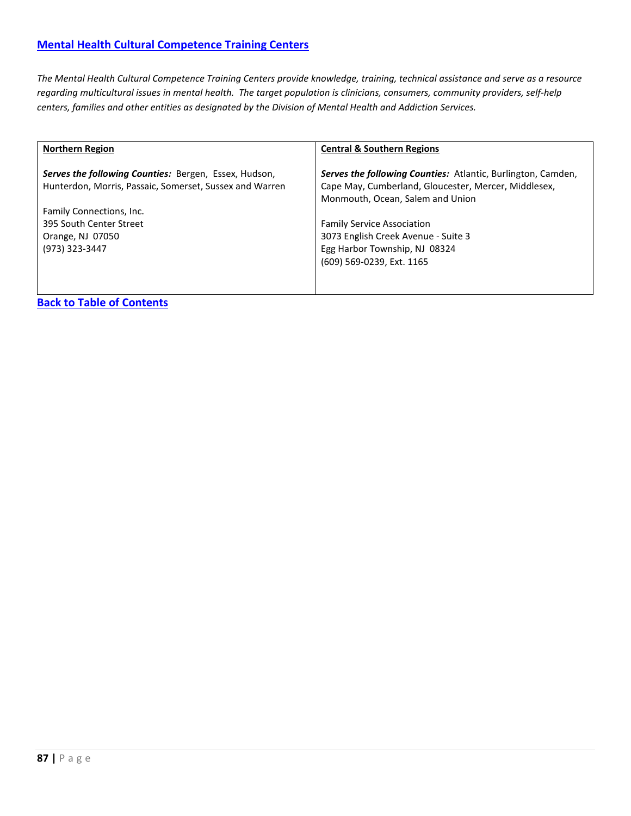<span id="page-86-0"></span>*The Mental Health Cultural Competence Training Centers provide knowledge, training, technical assistance and serve as a resource regarding multicultural issues in mental health. The target population is clinicians, consumers, community providers, self-help centers, families and other entities as designated by the Division of Mental Health and Addiction Services.*

| <b>Northern Region</b>                                                                                           | <b>Central &amp; Southern Regions</b>                                                                                                                           |
|------------------------------------------------------------------------------------------------------------------|-----------------------------------------------------------------------------------------------------------------------------------------------------------------|
| Serves the following Counties: Bergen, Essex, Hudson,<br>Hunterdon, Morris, Passaic, Somerset, Sussex and Warren | <b>Serves the following Counties:</b> Atlantic, Burlington, Camden,<br>Cape May, Cumberland, Gloucester, Mercer, Middlesex,<br>Monmouth, Ocean, Salem and Union |
| Family Connections, Inc.                                                                                         |                                                                                                                                                                 |
| 395 South Center Street                                                                                          | <b>Family Service Association</b>                                                                                                                               |
| Orange, NJ 07050                                                                                                 | 3073 English Creek Avenue - Suite 3                                                                                                                             |
| (973) 323-3447                                                                                                   | Egg Harbor Township, NJ 08324                                                                                                                                   |
|                                                                                                                  | (609) 569-0239, Ext. 1165                                                                                                                                       |
|                                                                                                                  |                                                                                                                                                                 |
|                                                                                                                  |                                                                                                                                                                 |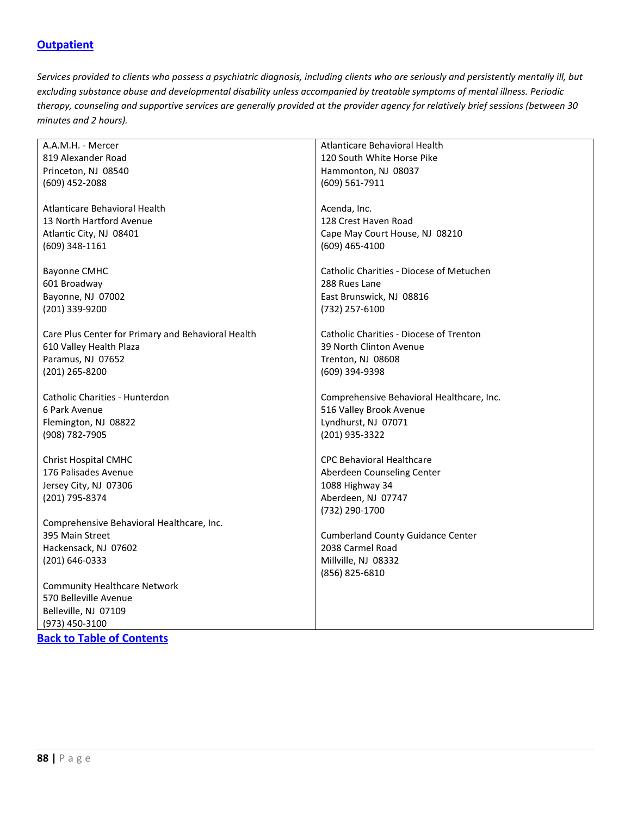### <span id="page-87-0"></span>**[Outpatient](#page-87-0)**

*Services provided to clients who possess a psychiatric diagnosis, including clients who are seriously and persistently mentally ill, but excluding substance abuse and developmental disability unless accompanied by treatable symptoms of mental illness. Periodic therapy, counseling and supportive services are generally provided at the provider agency for relatively brief sessions (between 30 minutes and 2 hours).*

| A.A.M.H. - Mercer                                  | Atlanticare Behavioral Health             |
|----------------------------------------------------|-------------------------------------------|
| 819 Alexander Road                                 | 120 South White Horse Pike                |
| Princeton, NJ 08540                                | Hammonton, NJ 08037                       |
| (609) 452-2088                                     | (609) 561-7911                            |
|                                                    |                                           |
| Atlanticare Behavioral Health                      | Acenda, Inc.                              |
| 13 North Hartford Avenue                           | 128 Crest Haven Road                      |
| Atlantic City, NJ 08401                            | Cape May Court House, NJ 08210            |
| (609) 348-1161                                     | (609) 465-4100                            |
|                                                    |                                           |
| <b>Bayonne CMHC</b>                                | Catholic Charities - Diocese of Metuchen  |
| 601 Broadway                                       | 288 Rues Lane                             |
| Bayonne, NJ 07002                                  | East Brunswick, NJ 08816                  |
| (201) 339-9200                                     | (732) 257-6100                            |
|                                                    |                                           |
| Care Plus Center for Primary and Behavioral Health | Catholic Charities - Diocese of Trenton   |
| 610 Valley Health Plaza                            | 39 North Clinton Avenue                   |
| Paramus, NJ 07652                                  | Trenton, NJ 08608                         |
| (201) 265-8200                                     | (609) 394-9398                            |
|                                                    |                                           |
| Catholic Charities - Hunterdon                     | Comprehensive Behavioral Healthcare, Inc. |
| 6 Park Avenue                                      | 516 Valley Brook Avenue                   |
| Flemington, NJ 08822                               | Lyndhurst, NJ 07071                       |
| (908) 782-7905                                     | (201) 935-3322                            |
| <b>Christ Hospital CMHC</b>                        | <b>CPC Behavioral Healthcare</b>          |
| 176 Palisades Avenue                               | Aberdeen Counseling Center                |
| Jersey City, NJ 07306                              | 1088 Highway 34                           |
| (201) 795-8374                                     | Aberdeen, NJ 07747                        |
|                                                    | (732) 290-1700                            |
| Comprehensive Behavioral Healthcare, Inc.          |                                           |
| 395 Main Street                                    | <b>Cumberland County Guidance Center</b>  |
| Hackensack, NJ 07602                               | 2038 Carmel Road                          |
| (201) 646-0333                                     | Millville, NJ 08332                       |
|                                                    | (856) 825-6810                            |
| <b>Community Healthcare Network</b>                |                                           |
| 570 Belleville Avenue                              |                                           |
| Belleville, NJ 07109                               |                                           |
| (973) 450-3100                                     |                                           |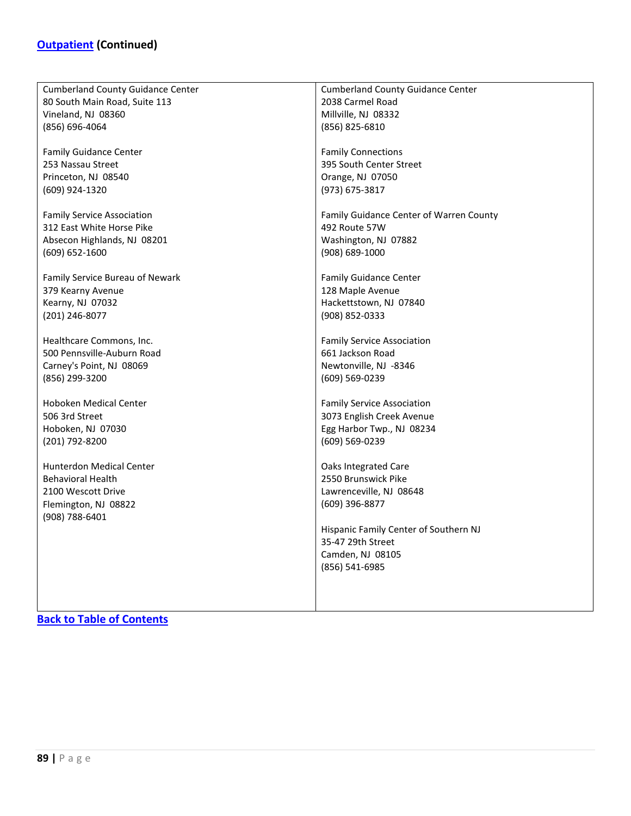| <b>Cumberland County Guidance Center</b>                    | <b>Cumberland County Guidance Center</b>    |
|-------------------------------------------------------------|---------------------------------------------|
| 80 South Main Road, Suite 113                               | 2038 Carmel Road                            |
| Vineland, NJ 08360                                          | Millville, NJ 08332                         |
| (856) 696-4064                                              | (856) 825-6810                              |
|                                                             |                                             |
| <b>Family Guidance Center</b>                               | <b>Family Connections</b>                   |
| 253 Nassau Street                                           | 395 South Center Street                     |
| Princeton, NJ 08540                                         | Orange, NJ 07050                            |
| (609) 924-1320                                              | (973) 675-3817                              |
|                                                             |                                             |
| <b>Family Service Association</b>                           | Family Guidance Center of Warren County     |
| 312 East White Horse Pike                                   | 492 Route 57W                               |
| Absecon Highlands, NJ 08201                                 | Washington, NJ 07882                        |
| (609) 652-1600                                              | (908) 689-1000                              |
|                                                             |                                             |
| Family Service Bureau of Newark                             | <b>Family Guidance Center</b>               |
|                                                             |                                             |
| 379 Kearny Avenue                                           | 128 Maple Avenue                            |
| Kearny, NJ 07032                                            | Hackettstown, NJ 07840                      |
| (201) 246-8077                                              | $(908) 852 - 0333$                          |
|                                                             |                                             |
| Healthcare Commons, Inc.                                    | <b>Family Service Association</b>           |
| 500 Pennsville-Auburn Road                                  | 661 Jackson Road                            |
| Carney's Point, NJ 08069                                    | Newtonville, NJ -8346                       |
| (856) 299-3200                                              | (609) 569-0239                              |
|                                                             |                                             |
| <b>Hoboken Medical Center</b>                               | <b>Family Service Association</b>           |
| 506 3rd Street                                              | 3073 English Creek Avenue                   |
| Hoboken, NJ 07030                                           | Egg Harbor Twp., NJ 08234                   |
| (201) 792-8200                                              | (609) 569-0239                              |
|                                                             |                                             |
| <b>Hunterdon Medical Center</b><br><b>Behavioral Health</b> | Oaks Integrated Care<br>2550 Brunswick Pike |
|                                                             |                                             |
| 2100 Wescott Drive                                          | Lawrenceville, NJ 08648                     |
| Flemington, NJ 08822                                        | $(609)$ 396-8877                            |
| (908) 788-6401                                              |                                             |
|                                                             | Hispanic Family Center of Southern NJ       |
|                                                             | 35-47 29th Street                           |
|                                                             | Camden, NJ 08105                            |
|                                                             | (856) 541-6985                              |
|                                                             |                                             |
|                                                             |                                             |
|                                                             |                                             |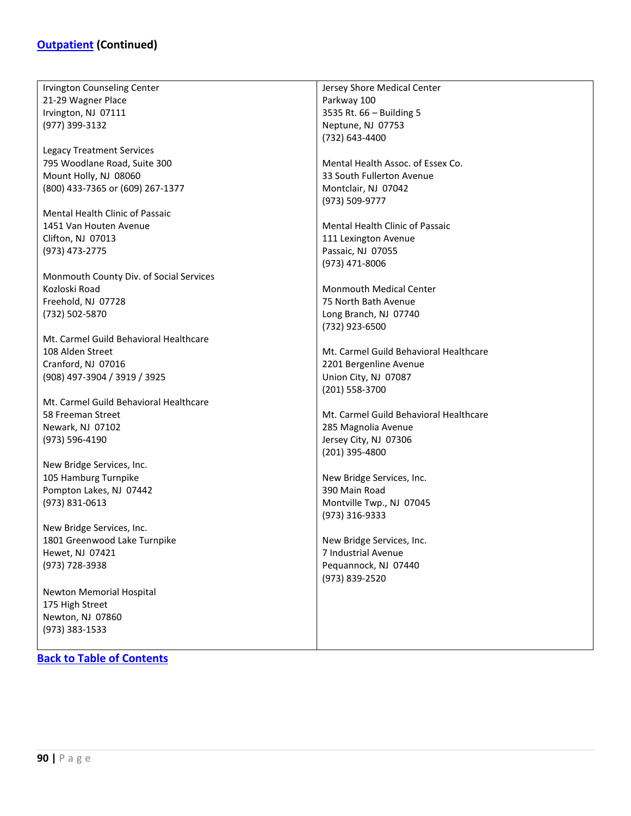Irvington Counseling Center 21-29 Wagner Place Irvington, NJ 07111 (977) 399-3132 Legacy Treatment Services 795 Woodlane Road, Suite 300 Mount Holly, NJ 08060 (800) 433-7365 or (609) 267-1377 Mental Health Clinic of Passaic 1451 Van Houten Avenue Clifton, NJ 07013 (973) 473-2775 Monmouth County Div. of Social Services Kozloski Road Freehold, NJ 07728 (732) 502-5870 Mt. Carmel Guild Behavioral Healthcare 108 Alden Street Cranford, NJ 07016 (908) 497-3904 / 3919 / 3925 Mt. Carmel Guild Behavioral Healthcare 58 Freeman Street Newark, NJ 07102 (973) 596-4190 New Bridge Services, Inc. 105 Hamburg Turnpike Pompton Lakes, NJ 07442 (973) 831-0613 New Bridge Services, Inc. 1801 Greenwood Lake Turnpike Hewet, NJ 07421 (973) 728-3938 Newton Memorial Hospital 175 High Street Newton, NJ 07860 (973) 383-1533 Jersey Shore Medical Center Parkway 100 3535 Rt. 66 – Building 5 Neptune, NJ 07753 (732) 643-4400 Mental Health Assoc. of Essex Co. 33 South Fullerton Avenue Montclair, NJ 07042 (973) 509-9777 Mental Health Clinic of Passaic 111 Lexington Avenue Passaic, NJ 07055 (973) 471-8006 Monmouth Medical Center 75 North Bath Avenue Long Branch, NJ 07740 (732) 923-6500 Mt. Carmel Guild Behavioral Healthcare 2201 Bergenline Avenue Union City, NJ 07087 (201) 558-3700 Mt. Carmel Guild Behavioral Healthcare 285 Magnolia Avenue Jersey City, NJ 07306 (201) 395-4800 New Bridge Services, Inc. 390 Main Road Montville Twp., NJ 07045 (973) 316-9333 New Bridge Services, Inc. 7 Industrial Avenue Pequannock, NJ 07440 (973) 839-2520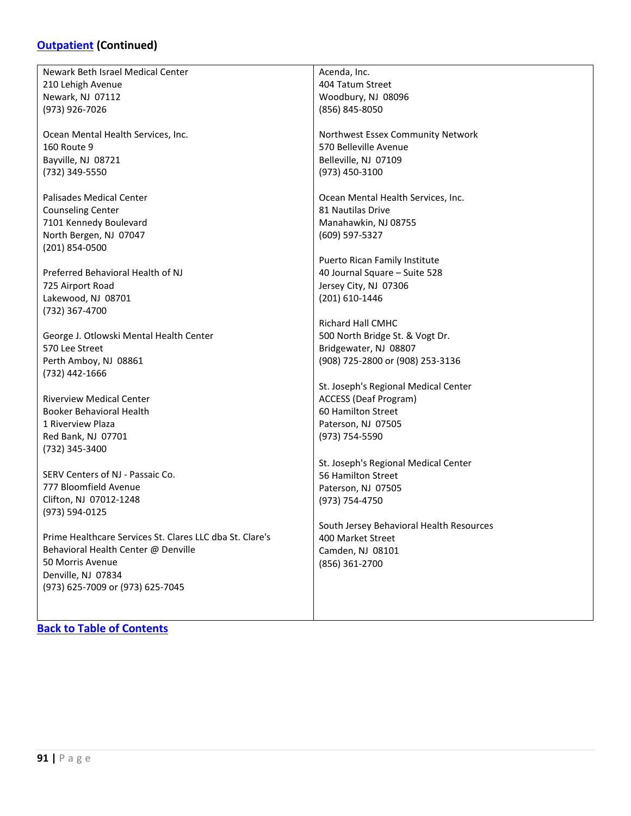### **[Outpatient](#page-87-0) (Continued)**

Newark Beth Israel Medical Center 210 Lehigh Avenue Newark, NJ 07112 (973) 926-7026

Ocean Mental Health Services, Inc. 160 Route 9 Bayville, NJ 08721 (732) 349-5550

Palisades Medical Center Counseling Center 7101 Kennedy Boulevard North Bergen, NJ 07047 (201) 854-0500

Preferred Behavioral Health of NJ 725 Airport Road Lakewood, NJ 08701 (732) 367-4700

George J. Otlowski Mental Health Center 570 Lee Street Perth Amboy, NJ 08861 (732) 442-1666

Riverview Medical Center Booker Behavioral Health 1 Riverview Plaza Red Bank, NJ 07701 (732) 345-3400

SERV Centers of NJ - Passaic Co. 777 Bloomfield Avenue Clifton, NJ 07012-1248 (973) 594-0125

Prime Healthcare Services St. Clares LLC dba St. Clare's Behavioral Health Center @ Denville 50 Morris Avenue Denville, NJ 07834 (973) 625-7009 or (973) 625-7045

**[Back to Table of Contents](#page-3-0)**

Acenda, Inc. 404 Tatum Street Woodbury, NJ 08096 (856) 845-8050

Northwest Essex Community Network 570 Belleville Avenue Belleville, NJ 07109 (973) 450-3100

Ocean Mental Health Services, Inc. 81 Nautilas Drive Manahawkin, NJ 08755 (609) 597-5327

Puerto Rican Family Institute 40 Journal Square – Suite 528 Jersey City, NJ 07306 (201) 610-1446

Richard Hall CMHC 500 North Bridge St. & Vogt Dr. Bridgewater, NJ 08807 (908) 725-2800 or (908) 253-3136

St. Joseph's Regional Medical Center ACCESS (Deaf Program) 60 Hamilton Street Paterson, NJ 07505 (973) 754-5590

St. Joseph's Regional Medical Center 56 Hamilton Street Paterson, NJ 07505 (973) 754-4750

South Jersey Behavioral Health Resources 400 Market Street Camden, NJ 08101 (856) 361-2700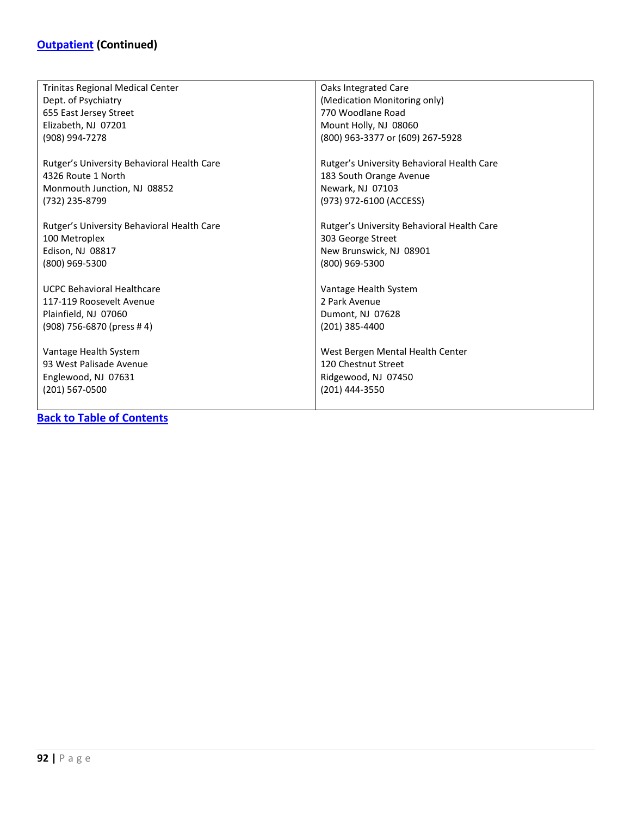| Trinitas Regional Medical Center           | Oaks Integrated Care                       |
|--------------------------------------------|--------------------------------------------|
| Dept. of Psychiatry                        | (Medication Monitoring only)               |
| 655 East Jersey Street                     | 770 Woodlane Road                          |
| Elizabeth, NJ 07201                        | Mount Holly, NJ 08060                      |
| (908) 994-7278                             | (800) 963-3377 or (609) 267-5928           |
|                                            |                                            |
| Rutger's University Behavioral Health Care | Rutger's University Behavioral Health Care |
| 4326 Route 1 North                         | 183 South Orange Avenue                    |
| Monmouth Junction, NJ 08852                | Newark, NJ 07103                           |
| (732) 235-8799                             | (973) 972-6100 (ACCESS)                    |
|                                            |                                            |
| Rutger's University Behavioral Health Care | Rutger's University Behavioral Health Care |
| 100 Metroplex                              | 303 George Street                          |
| Edison, NJ 08817                           | New Brunswick, NJ 08901                    |
| (800) 969-5300                             | (800) 969-5300                             |
|                                            |                                            |
| <b>UCPC Behavioral Healthcare</b>          | Vantage Health System                      |
| 117-119 Roosevelt Avenue                   | 2 Park Avenue                              |
| Plainfield, NJ 07060                       | Dumont, NJ 07628                           |
| (908) 756-6870 (press #4)                  | (201) 385-4400                             |
|                                            |                                            |
| Vantage Health System                      | West Bergen Mental Health Center           |
| 93 West Palisade Avenue                    | 120 Chestnut Street                        |
| Englewood, NJ 07631                        | Ridgewood, NJ 07450                        |
| (201) 567-0500                             | (201) 444-3550                             |
|                                            |                                            |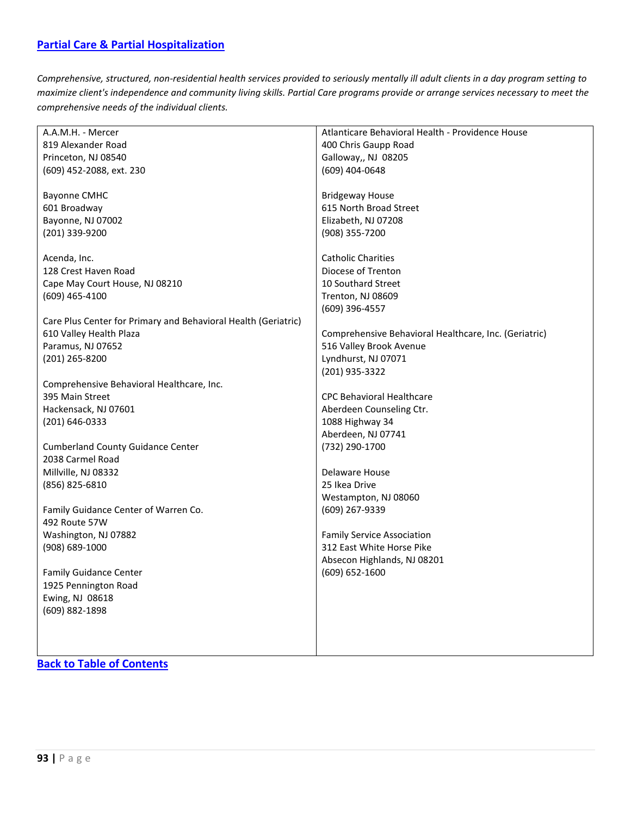<span id="page-92-0"></span>*Comprehensive, structured, non-residential health services provided to seriously mentally ill adult clients in a day program setting to maximize client's independence and community living skills. Partial Care programs provide or arrange services necessary to meet the comprehensive needs of the individual clients.*

| A.A.M.H. - Mercer                                              | Atlanticare Behavioral Health - Providence House      |
|----------------------------------------------------------------|-------------------------------------------------------|
| 819 Alexander Road                                             | 400 Chris Gaupp Road                                  |
| Princeton, NJ 08540                                            | Galloway,, NJ 08205                                   |
| (609) 452-2088, ext. 230                                       | (609) 404-0648                                        |
|                                                                |                                                       |
| <b>Bayonne CMHC</b>                                            | <b>Bridgeway House</b>                                |
| 601 Broadway                                                   | 615 North Broad Street                                |
| Bayonne, NJ 07002                                              | Elizabeth, NJ 07208                                   |
| (201) 339-9200                                                 | (908) 355-7200                                        |
|                                                                |                                                       |
| Acenda, Inc.                                                   | <b>Catholic Charities</b>                             |
| 128 Crest Haven Road                                           | Diocese of Trenton                                    |
|                                                                |                                                       |
| Cape May Court House, NJ 08210                                 | 10 Southard Street                                    |
| (609) 465-4100                                                 | Trenton, NJ 08609                                     |
|                                                                | (609) 396-4557                                        |
| Care Plus Center for Primary and Behavioral Health (Geriatric) |                                                       |
| 610 Valley Health Plaza                                        | Comprehensive Behavioral Healthcare, Inc. (Geriatric) |
| Paramus, NJ 07652                                              | 516 Valley Brook Avenue                               |
| (201) 265-8200                                                 | Lyndhurst, NJ 07071                                   |
|                                                                | (201) 935-3322                                        |
| Comprehensive Behavioral Healthcare, Inc.                      |                                                       |
| 395 Main Street                                                | <b>CPC Behavioral Healthcare</b>                      |
| Hackensack, NJ 07601                                           | Aberdeen Counseling Ctr.                              |
| (201) 646-0333                                                 | 1088 Highway 34                                       |
|                                                                | Aberdeen, NJ 07741                                    |
| <b>Cumberland County Guidance Center</b>                       | (732) 290-1700                                        |
| 2038 Carmel Road                                               |                                                       |
| Millville, NJ 08332                                            | Delaware House                                        |
|                                                                |                                                       |
| (856) 825-6810                                                 | 25 Ikea Drive                                         |
|                                                                | Westampton, NJ 08060                                  |
| Family Guidance Center of Warren Co.                           | (609) 267-9339                                        |
| 492 Route 57W                                                  |                                                       |
| Washington, NJ 07882                                           | <b>Family Service Association</b>                     |
| (908) 689-1000                                                 | 312 East White Horse Pike                             |
|                                                                | Absecon Highlands, NJ 08201                           |
| <b>Family Guidance Center</b>                                  | (609) 652-1600                                        |
| 1925 Pennington Road                                           |                                                       |
| Ewing, NJ 08618                                                |                                                       |
| (609) 882-1898                                                 |                                                       |
|                                                                |                                                       |
|                                                                |                                                       |
|                                                                |                                                       |
|                                                                |                                                       |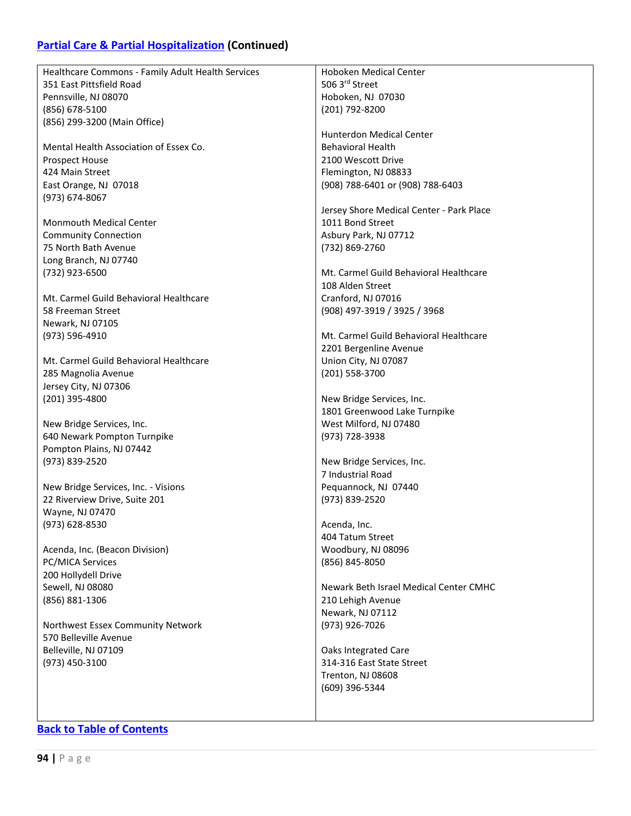## **[Partial Care & Partial Hospitalization](#page-92-0) (Continued)**

| Healthcare Commons - Family Adult Health Services | Hoboken Medical Center                   |
|---------------------------------------------------|------------------------------------------|
| 351 East Pittsfield Road                          | 506 3rd Street                           |
| Pennsville, NJ 08070                              | Hoboken, NJ 07030                        |
| (856) 678-5100                                    | (201) 792-8200                           |
| (856) 299-3200 (Main Office)                      |                                          |
|                                                   | <b>Hunterdon Medical Center</b>          |
| Mental Health Association of Essex Co.            | <b>Behavioral Health</b>                 |
| <b>Prospect House</b>                             | 2100 Wescott Drive                       |
| 424 Main Street                                   | Flemington, NJ 08833                     |
| East Orange, NJ 07018                             | (908) 788-6401 or (908) 788-6403         |
| (973) 674-8067                                    |                                          |
|                                                   | Jersey Shore Medical Center - Park Place |
| <b>Monmouth Medical Center</b>                    | 1011 Bond Street                         |
| <b>Community Connection</b>                       | Asbury Park, NJ 07712                    |
| 75 North Bath Avenue                              | (732) 869-2760                           |
| Long Branch, NJ 07740                             |                                          |
| (732) 923-6500                                    | Mt. Carmel Guild Behavioral Healthcare   |
|                                                   | 108 Alden Street                         |
| Mt. Carmel Guild Behavioral Healthcare            | Cranford, NJ 07016                       |
|                                                   |                                          |
| 58 Freeman Street                                 | (908) 497-3919 / 3925 / 3968             |
| Newark, NJ 07105                                  |                                          |
| (973) 596-4910                                    | Mt. Carmel Guild Behavioral Healthcare   |
|                                                   | 2201 Bergenline Avenue                   |
| Mt. Carmel Guild Behavioral Healthcare            | Union City, NJ 07087                     |
| 285 Magnolia Avenue                               | (201) 558-3700                           |
| Jersey City, NJ 07306                             |                                          |
| (201) 395-4800                                    | New Bridge Services, Inc.                |
|                                                   | 1801 Greenwood Lake Turnpike             |
| New Bridge Services, Inc.                         | West Milford, NJ 07480                   |
| 640 Newark Pompton Turnpike                       | (973) 728-3938                           |
| Pompton Plains, NJ 07442                          |                                          |
| (973) 839-2520                                    | New Bridge Services, Inc.                |
|                                                   | 7 Industrial Road                        |
| New Bridge Services, Inc. - Visions               | Pequannock, NJ 07440                     |
| 22 Riverview Drive, Suite 201                     | (973) 839-2520                           |
| Wayne, NJ 07470                                   |                                          |
| (973) 628-8530                                    | Acenda, Inc.                             |
|                                                   | 404 Tatum Street                         |
| Acenda, Inc. (Beacon Division)                    | Woodbury, NJ 08096                       |
| PC/MICA Services                                  | (856) 845-8050                           |
| 200 Hollydell Drive                               |                                          |
| Sewell, NJ 08080                                  | Newark Beth Israel Medical Center CMHC   |
| (856) 881-1306                                    | 210 Lehigh Avenue                        |
|                                                   | Newark, NJ 07112                         |
| Northwest Essex Community Network                 | (973) 926-7026                           |
| 570 Belleville Avenue                             |                                          |
| Belleville, NJ 07109                              | Oaks Integrated Care                     |
| (973) 450-3100                                    | 314-316 East State Street                |
|                                                   | Trenton, NJ 08608                        |
|                                                   | (609) 396-5344                           |
|                                                   |                                          |
|                                                   |                                          |
|                                                   |                                          |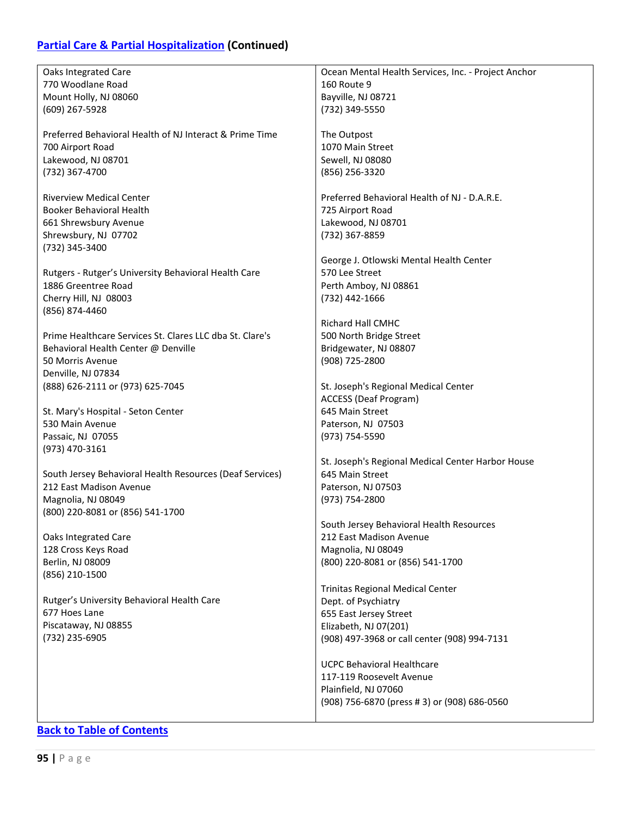## **[Partial Care & Partial Hospitalization](#page-92-0) (Continued)**

| Oaks Integrated Care                                     | Ocean Mental Health Services, Inc. - Project Anchor |
|----------------------------------------------------------|-----------------------------------------------------|
| 770 Woodlane Road                                        | <b>160 Route 9</b>                                  |
| Mount Holly, NJ 08060                                    | Bayville, NJ 08721                                  |
| (609) 267-5928                                           | (732) 349-5550                                      |
|                                                          |                                                     |
| Preferred Behavioral Health of NJ Interact & Prime Time  | The Outpost                                         |
| 700 Airport Road                                         | 1070 Main Street                                    |
| Lakewood, NJ 08701                                       | Sewell, NJ 08080                                    |
| (732) 367-4700                                           | (856) 256-3320                                      |
|                                                          |                                                     |
| <b>Riverview Medical Center</b>                          | Preferred Behavioral Health of NJ - D.A.R.E.        |
| <b>Booker Behavioral Health</b>                          | 725 Airport Road                                    |
| 661 Shrewsbury Avenue                                    | Lakewood, NJ 08701                                  |
| Shrewsbury, NJ 07702                                     | (732) 367-8859                                      |
| (732) 345-3400                                           |                                                     |
|                                                          | George J. Otlowski Mental Health Center             |
| Rutgers - Rutger's University Behavioral Health Care     | 570 Lee Street                                      |
| 1886 Greentree Road                                      | Perth Amboy, NJ 08861                               |
| Cherry Hill, NJ 08003                                    | (732) 442-1666                                      |
| (856) 874-4460                                           |                                                     |
|                                                          | <b>Richard Hall CMHC</b>                            |
| Prime Healthcare Services St. Clares LLC dba St. Clare's | 500 North Bridge Street                             |
| Behavioral Health Center @ Denville                      | Bridgewater, NJ 08807                               |
| 50 Morris Avenue                                         | (908) 725-2800                                      |
| Denville, NJ 07834                                       |                                                     |
| (888) 626-2111 or (973) 625-7045                         | St. Joseph's Regional Medical Center                |
|                                                          | <b>ACCESS (Deaf Program)</b>                        |
| St. Mary's Hospital - Seton Center                       | 645 Main Street                                     |
| 530 Main Avenue                                          | Paterson, NJ 07503                                  |
| Passaic, NJ 07055                                        | (973) 754-5590                                      |
| (973) 470-3161                                           |                                                     |
|                                                          | St. Joseph's Regional Medical Center Harbor House   |
| South Jersey Behavioral Health Resources (Deaf Services) | 645 Main Street                                     |
| 212 East Madison Avenue                                  | Paterson, NJ 07503                                  |
| Magnolia, NJ 08049                                       | (973) 754-2800                                      |
| (800) 220-8081 or (856) 541-1700                         |                                                     |
|                                                          | South Jersey Behavioral Health Resources            |
| Oaks Integrated Care                                     | 212 East Madison Avenue                             |
| 128 Cross Keys Road                                      | Magnolia, NJ 08049                                  |
| Berlin, NJ 08009                                         | (800) 220-8081 or (856) 541-1700                    |
| (856) 210-1500                                           |                                                     |
|                                                          | <b>Trinitas Regional Medical Center</b>             |
| Rutger's University Behavioral Health Care               | Dept. of Psychiatry                                 |
| 677 Hoes Lane                                            | 655 East Jersey Street                              |
| Piscataway, NJ 08855                                     | Elizabeth, NJ 07(201)                               |
| (732) 235-6905                                           | (908) 497-3968 or call center (908) 994-7131        |
|                                                          |                                                     |
|                                                          | <b>UCPC Behavioral Healthcare</b>                   |
|                                                          | 117-119 Roosevelt Avenue                            |
|                                                          | Plainfield, NJ 07060                                |
|                                                          | (908) 756-6870 (press # 3) or (908) 686-0560        |
|                                                          |                                                     |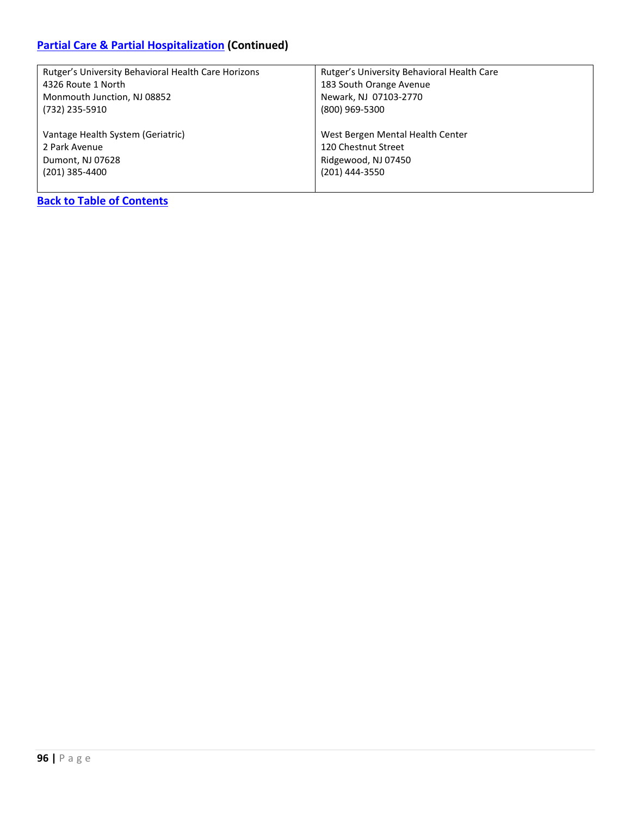### **[Partial Care & Partial Hospitalization](#page-92-0) (Continued)**

| Rutger's University Behavioral Health Care Horizons | Rutger's University Behavioral Health Care |
|-----------------------------------------------------|--------------------------------------------|
| 4326 Route 1 North                                  | 183 South Orange Avenue                    |
| Monmouth Junction, NJ 08852                         | Newark, NJ 07103-2770                      |
| (732) 235-5910                                      | (800) 969-5300                             |
|                                                     |                                            |
| Vantage Health System (Geriatric)                   | West Bergen Mental Health Center           |
| 2 Park Avenue                                       | 120 Chestnut Street                        |
| Dumont, NJ 07628                                    | Ridgewood, NJ 07450                        |
| $(201)$ 385-4400                                    | (201) 444-3550                             |
|                                                     |                                            |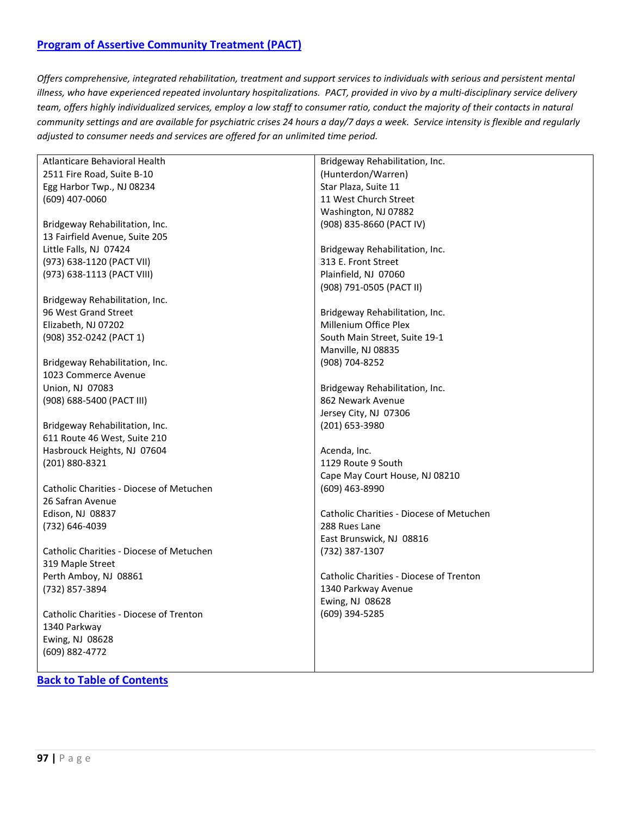### <span id="page-96-0"></span>**[Program of Assertive Community Treatment \(PACT\)](#page-96-0)**

*Offers comprehensive, integrated rehabilitation, treatment and support services to individuals with serious and persistent mental illness, who have experienced repeated involuntary hospitalizations. PACT, provided in vivo by a multi-disciplinary service delivery team, offers highly individualized services, employ a low staff to consumer ratio, conduct the majority of their contacts in natural community settings and are available for psychiatric crises 24 hours a day/7 days a week. Service intensity is flexible and regularly adjusted to consumer needs and services are offered for an unlimited time period.*

| Atlanticare Behavioral Health            | Bridgeway Rehabilitation, Inc.           |
|------------------------------------------|------------------------------------------|
| 2511 Fire Road, Suite B-10               | (Hunterdon/Warren)                       |
| Egg Harbor Twp., NJ 08234                | Star Plaza, Suite 11                     |
| (609) 407-0060                           | 11 West Church Street                    |
|                                          | Washington, NJ 07882                     |
| Bridgeway Rehabilitation, Inc.           | (908) 835-8660 (PACT IV)                 |
| 13 Fairfield Avenue, Suite 205           |                                          |
| Little Falls, NJ 07424                   | Bridgeway Rehabilitation, Inc.           |
| (973) 638-1120 (PACT VII)                | 313 E. Front Street                      |
| (973) 638-1113 (PACT VIII)               | Plainfield, NJ 07060                     |
|                                          | (908) 791-0505 (PACT II)                 |
|                                          |                                          |
| Bridgeway Rehabilitation, Inc.           |                                          |
| 96 West Grand Street                     | Bridgeway Rehabilitation, Inc.           |
| Elizabeth, NJ 07202                      | Millenium Office Plex                    |
| (908) 352-0242 (PACT 1)                  | South Main Street, Suite 19-1            |
|                                          | Manville, NJ 08835                       |
| Bridgeway Rehabilitation, Inc.           | (908) 704-8252                           |
| 1023 Commerce Avenue                     |                                          |
| Union, NJ 07083                          | Bridgeway Rehabilitation, Inc.           |
| (908) 688-5400 (PACT III)                | 862 Newark Avenue                        |
|                                          | Jersey City, NJ 07306                    |
| Bridgeway Rehabilitation, Inc.           | (201) 653-3980                           |
| 611 Route 46 West, Suite 210             |                                          |
| Hasbrouck Heights, NJ 07604              | Acenda, Inc.                             |
| (201) 880-8321                           | 1129 Route 9 South                       |
|                                          | Cape May Court House, NJ 08210           |
| Catholic Charities - Diocese of Metuchen | (609) 463-8990                           |
| 26 Safran Avenue                         |                                          |
| Edison, NJ 08837                         | Catholic Charities - Diocese of Metuchen |
| (732) 646-4039                           | 288 Rues Lane                            |
|                                          | East Brunswick, NJ 08816                 |
| Catholic Charities - Diocese of Metuchen | (732) 387-1307                           |
| 319 Maple Street                         |                                          |
| Perth Amboy, NJ 08861                    | Catholic Charities - Diocese of Trenton  |
|                                          |                                          |
| (732) 857-3894                           | 1340 Parkway Avenue                      |
|                                          | Ewing, NJ 08628                          |
| Catholic Charities - Diocese of Trenton  | (609) 394-5285                           |
| 1340 Parkway                             |                                          |
| Ewing, NJ 08628                          |                                          |
| (609) 882-4772                           |                                          |
|                                          |                                          |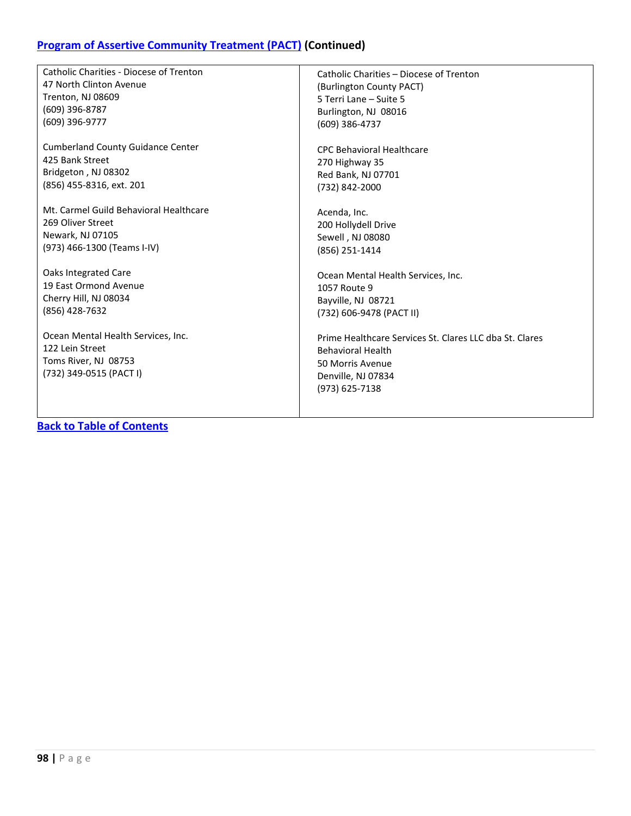## **[Program of Assertive Community Treatment \(PACT\)](#page-96-0) (Continued)**

| <b>Catholic Charities - Diocese of Trenton</b> | Catholic Charities - Diocese of Trenton                 |
|------------------------------------------------|---------------------------------------------------------|
| 47 North Clinton Avenue                        | (Burlington County PACT)                                |
| <b>Trenton, NJ 08609</b>                       | 5 Terri Lane - Suite 5                                  |
| $(609)$ 396-8787                               | Burlington, NJ 08016                                    |
| (609) 396-9777                                 | (609) 386-4737                                          |
|                                                |                                                         |
| <b>Cumberland County Guidance Center</b>       | <b>CPC Behavioral Healthcare</b>                        |
| 425 Bank Street                                | 270 Highway 35                                          |
| Bridgeton, NJ 08302                            | Red Bank, NJ 07701                                      |
| (856) 455-8316, ext. 201                       | (732) 842-2000                                          |
|                                                |                                                         |
| Mt. Carmel Guild Behavioral Healthcare         | Acenda, Inc.                                            |
| 269 Oliver Street                              | 200 Hollydell Drive                                     |
| Newark, NJ 07105                               | Sewell, NJ 08080                                        |
| (973) 466-1300 (Teams I-IV)                    | (856) 251-1414                                          |
|                                                |                                                         |
| <b>Oaks Integrated Care</b>                    | Ocean Mental Health Services, Inc.                      |
| 19 East Ormond Avenue                          | 1057 Route 9                                            |
| Cherry Hill, NJ 08034                          | Bayville, NJ 08721                                      |
| (856) 428-7632                                 | (732) 606-9478 (PACT II)                                |
|                                                |                                                         |
| Ocean Mental Health Services, Inc.             | Prime Healthcare Services St. Clares LLC dba St. Clares |
| 122 Lein Street                                | <b>Behavioral Health</b>                                |
| Toms River, NJ 08753                           | 50 Morris Avenue                                        |
| (732) 349-0515 (PACT I)                        | Denville, NJ 07834                                      |
|                                                |                                                         |
|                                                | (973) 625-7138                                          |
|                                                |                                                         |
|                                                |                                                         |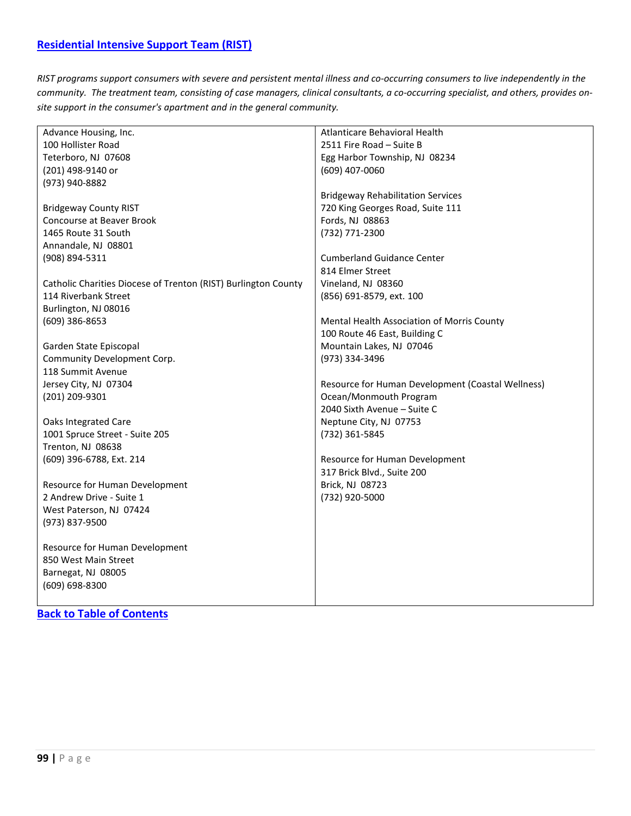<span id="page-98-0"></span>*RIST programs support consumers with severe and persistent mental illness and co-occurring consumers to live independently in the community. The treatment team, consisting of case managers, clinical consultants, a co-occurring specialist, and others, provides onsite support in the consumer's apartment and in the general community.*

| Advance Housing, Inc.                                          | Atlanticare Behavioral Health                     |
|----------------------------------------------------------------|---------------------------------------------------|
| 100 Hollister Road                                             | 2511 Fire Road - Suite B                          |
| Teterboro, NJ 07608                                            | Egg Harbor Township, NJ 08234                     |
| (201) 498-9140 or                                              | (609) 407-0060                                    |
| (973) 940-8882                                                 |                                                   |
|                                                                | <b>Bridgeway Rehabilitation Services</b>          |
| <b>Bridgeway County RIST</b>                                   | 720 King Georges Road, Suite 111                  |
| Concourse at Beaver Brook                                      | Fords, NJ 08863                                   |
| 1465 Route 31 South                                            | (732) 771-2300                                    |
| Annandale, NJ 08801                                            |                                                   |
| (908) 894-5311                                                 | <b>Cumberland Guidance Center</b>                 |
|                                                                | 814 Elmer Street                                  |
|                                                                |                                                   |
| Catholic Charities Diocese of Trenton (RIST) Burlington County | Vineland, NJ 08360                                |
| 114 Riverbank Street                                           | (856) 691-8579, ext. 100                          |
| Burlington, NJ 08016                                           |                                                   |
| $(609)$ 386-8653                                               | Mental Health Association of Morris County        |
|                                                                | 100 Route 46 East, Building C                     |
| Garden State Episcopal                                         | Mountain Lakes, NJ 07046                          |
| Community Development Corp.                                    | (973) 334-3496                                    |
| 118 Summit Avenue                                              |                                                   |
| Jersey City, NJ 07304                                          | Resource for Human Development (Coastal Wellness) |
| (201) 209-9301                                                 | Ocean/Monmouth Program                            |
|                                                                | 2040 Sixth Avenue - Suite C                       |
| <b>Oaks Integrated Care</b>                                    | Neptune City, NJ 07753                            |
| 1001 Spruce Street - Suite 205                                 | (732) 361-5845                                    |
| Trenton, NJ 08638                                              |                                                   |
| (609) 396-6788, Ext. 214                                       | Resource for Human Development                    |
|                                                                | 317 Brick Blvd., Suite 200                        |
| Resource for Human Development                                 | Brick, NJ 08723                                   |
| 2 Andrew Drive - Suite 1                                       | (732) 920-5000                                    |
| West Paterson, NJ 07424                                        |                                                   |
| (973) 837-9500                                                 |                                                   |
|                                                                |                                                   |
| Resource for Human Development                                 |                                                   |
| 850 West Main Street                                           |                                                   |
| Barnegat, NJ 08005                                             |                                                   |
| $(609) 698 - 8300$                                             |                                                   |
|                                                                |                                                   |
|                                                                |                                                   |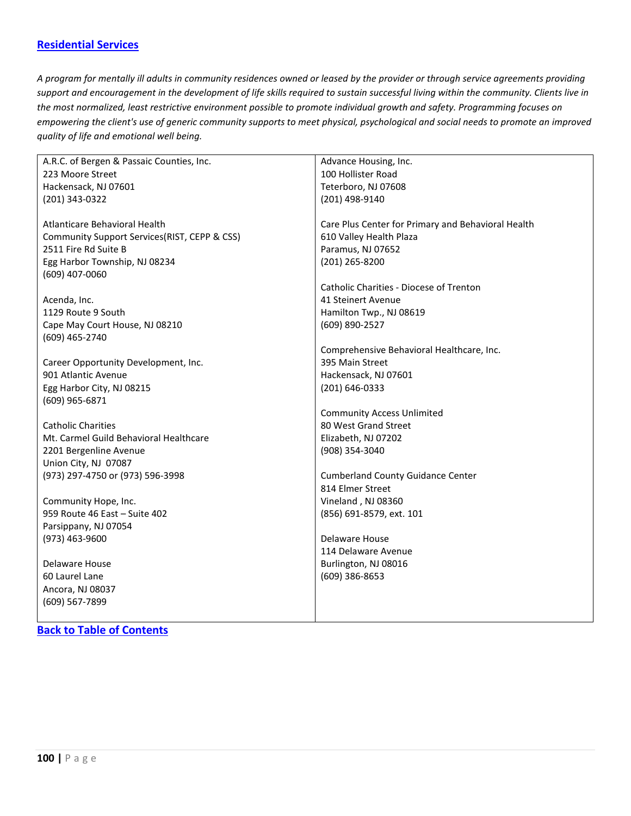### <span id="page-99-0"></span>**[Residential Services](#page-99-0)**

*A program for mentally ill adults in community residences owned or leased by the provider or through service agreements providing support and encouragement in the development of life skills required to sustain successful living within the community. Clients live in the most normalized, least restrictive environment possible to promote individual growth and safety. Programming focuses on empowering the client's use of generic community supports to meet physical, psychological and social needs to promote an improved quality of life and emotional well being.*

| A.R.C. of Bergen & Passaic Counties, Inc.    | Advance Housing, Inc.                              |
|----------------------------------------------|----------------------------------------------------|
| 223 Moore Street                             | 100 Hollister Road                                 |
| Hackensack, NJ 07601                         | Teterboro, NJ 07608                                |
| (201) 343-0322                               | (201) 498-9140                                     |
|                                              |                                                    |
| Atlanticare Behavioral Health                | Care Plus Center for Primary and Behavioral Health |
| Community Support Services(RIST, CEPP & CSS) | 610 Valley Health Plaza                            |
| 2511 Fire Rd Suite B                         | Paramus, NJ 07652                                  |
| Egg Harbor Township, NJ 08234                | (201) 265-8200                                     |
| (609) 407-0060                               |                                                    |
|                                              | Catholic Charities - Diocese of Trenton            |
| Acenda, Inc.                                 | 41 Steinert Avenue                                 |
| 1129 Route 9 South                           | Hamilton Twp., NJ 08619                            |
| Cape May Court House, NJ 08210               | (609) 890-2527                                     |
| (609) 465-2740                               |                                                    |
|                                              | Comprehensive Behavioral Healthcare, Inc.          |
| Career Opportunity Development, Inc.         | 395 Main Street                                    |
| 901 Atlantic Avenue                          | Hackensack, NJ 07601                               |
| Egg Harbor City, NJ 08215                    | (201) 646-0333                                     |
| (609) 965-6871                               |                                                    |
|                                              | <b>Community Access Unlimited</b>                  |
| <b>Catholic Charities</b>                    | 80 West Grand Street                               |
| Mt. Carmel Guild Behavioral Healthcare       | Elizabeth, NJ 07202                                |
| 2201 Bergenline Avenue                       | (908) 354-3040                                     |
| Union City, NJ 07087                         |                                                    |
| (973) 297-4750 or (973) 596-3998             | <b>Cumberland County Guidance Center</b>           |
|                                              | 814 Elmer Street                                   |
| Community Hope, Inc.                         | Vineland, NJ 08360                                 |
| 959 Route 46 East - Suite 402                | (856) 691-8579, ext. 101                           |
| Parsippany, NJ 07054                         |                                                    |
| $(973)$ 463-9600                             | Delaware House                                     |
|                                              | 114 Delaware Avenue                                |
| Delaware House                               | Burlington, NJ 08016                               |
| 60 Laurel Lane                               | (609) 386-8653                                     |
| Ancora, NJ 08037                             |                                                    |
| (609) 567-7899                               |                                                    |
|                                              |                                                    |
| <b>Back to Table of Contents</b>             |                                                    |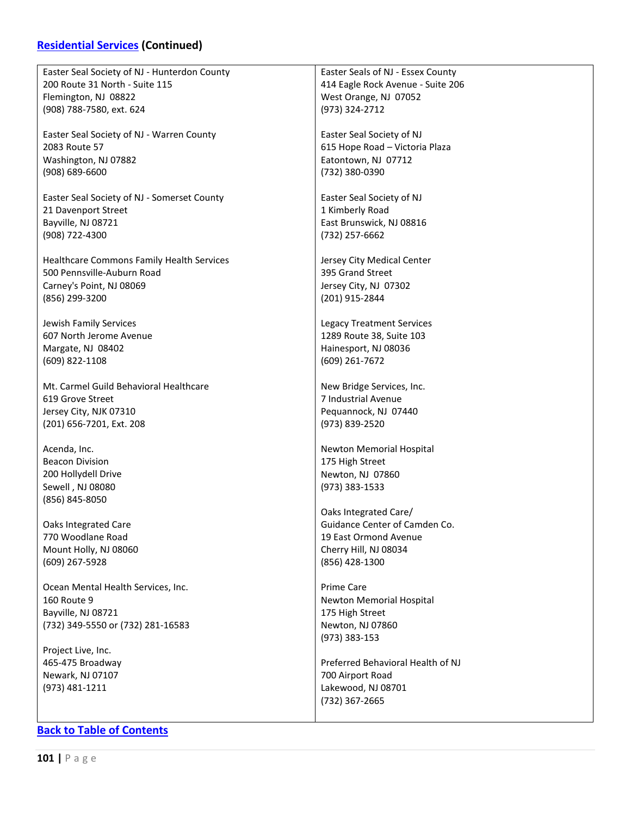## **[Residential Services](#page-99-0) (Continued)**

| Easter Seal Society of NJ - Hunterdon County | Easter Seals of NJ - Essex County                |
|----------------------------------------------|--------------------------------------------------|
| 200 Route 31 North - Suite 115               | 414 Eagle Rock Avenue - Suite 206                |
| Flemington, NJ 08822                         | West Orange, NJ 07052                            |
| (908) 788-7580, ext. 624                     | (973) 324-2712                                   |
|                                              |                                                  |
| Easter Seal Society of NJ - Warren County    |                                                  |
|                                              | Easter Seal Society of NJ                        |
| 2083 Route 57                                | 615 Hope Road - Victoria Plaza                   |
| Washington, NJ 07882                         | Eatontown, NJ 07712                              |
| $(908) 689 - 6600$                           | (732) 380-0390                                   |
|                                              |                                                  |
| Easter Seal Society of NJ - Somerset County  | Easter Seal Society of NJ                        |
| 21 Davenport Street                          | 1 Kimberly Road                                  |
| Bayville, NJ 08721                           | East Brunswick, NJ 08816                         |
| (908) 722-4300                               | (732) 257-6662                                   |
|                                              |                                                  |
| Healthcare Commons Family Health Services    | Jersey City Medical Center                       |
| 500 Pennsville-Auburn Road                   | 395 Grand Street                                 |
| Carney's Point, NJ 08069                     | Jersey City, NJ 07302                            |
| (856) 299-3200                               | (201) 915-2844                                   |
|                                              |                                                  |
| Jewish Family Services                       | <b>Legacy Treatment Services</b>                 |
| 607 North Jerome Avenue                      | 1289 Route 38, Suite 103                         |
| Margate, NJ 08402                            | Hainesport, NJ 08036                             |
| (609) 822-1108                               | (609) 261-7672                                   |
| Mt. Carmel Guild Behavioral Healthcare       |                                                  |
|                                              | New Bridge Services, Inc.<br>7 Industrial Avenue |
| 619 Grove Street                             |                                                  |
| Jersey City, NJK 07310                       | Pequannock, NJ 07440                             |
| (201) 656-7201, Ext. 208                     | (973) 839-2520                                   |
| Acenda, Inc.                                 | Newton Memorial Hospital                         |
| <b>Beacon Division</b>                       | 175 High Street                                  |
| 200 Hollydell Drive                          | Newton, NJ 07860                                 |
| Sewell, NJ 08080                             | (973) 383-1533                                   |
| (856) 845-8050                               |                                                  |
|                                              | Oaks Integrated Care/                            |
| Oaks Integrated Care                         | Guidance Center of Camden Co.                    |
| 770 Woodlane Road                            | 19 East Ormond Avenue                            |
| Mount Holly, NJ 08060                        | Cherry Hill, NJ 08034                            |
|                                              | (856) 428-1300                                   |
| (609) 267-5928                               |                                                  |
| Ocean Mental Health Services, Inc.           | Prime Care                                       |
| 160 Route 9                                  | Newton Memorial Hospital                         |
| Bayville, NJ 08721                           | 175 High Street                                  |
| (732) 349-5550 or (732) 281-16583            | Newton, NJ 07860                                 |
|                                              | (973) 383-153                                    |
| Project Live, Inc.                           |                                                  |
| 465-475 Broadway                             | Preferred Behavioral Health of NJ                |
| Newark, NJ 07107                             | 700 Airport Road                                 |
| (973) 481-1211                               | Lakewood, NJ 08701                               |
|                                              | (732) 367-2665                                   |
|                                              |                                                  |
|                                              |                                                  |
| <b>Back to Table of Contents</b>             |                                                  |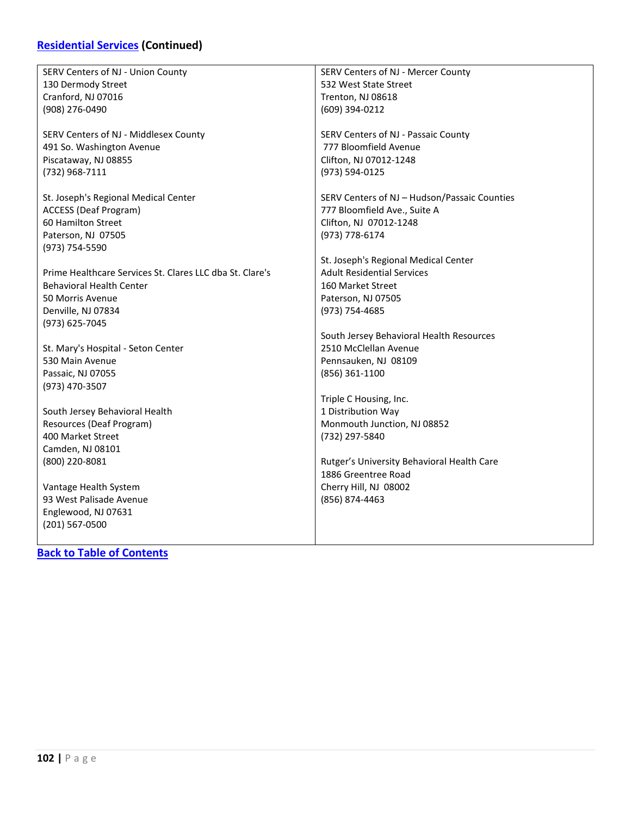### **[Residential Services](#page-99-0) (Continued)**

| SERV Centers of NJ - Union County                        | SERV Centers of NJ - Mercer County           |
|----------------------------------------------------------|----------------------------------------------|
|                                                          |                                              |
| 130 Dermody Street                                       | 532 West State Street                        |
| Cranford, NJ 07016                                       | Trenton, NJ 08618                            |
| (908) 276-0490                                           | (609) 394-0212                               |
|                                                          |                                              |
| SERV Centers of NJ - Middlesex County                    | SERV Centers of NJ - Passaic County          |
| 491 So. Washington Avenue                                | 777 Bloomfield Avenue                        |
| Piscataway, NJ 08855                                     | Clifton, NJ 07012-1248                       |
| (732) 968-7111                                           | (973) 594-0125                               |
|                                                          |                                              |
| St. Joseph's Regional Medical Center                     | SERV Centers of NJ – Hudson/Passaic Counties |
| <b>ACCESS (Deaf Program)</b>                             | 777 Bloomfield Ave., Suite A                 |
| 60 Hamilton Street                                       | Clifton, NJ 07012-1248                       |
| Paterson, NJ 07505                                       | (973) 778-6174                               |
| (973) 754-5590                                           |                                              |
|                                                          | St. Joseph's Regional Medical Center         |
|                                                          |                                              |
| Prime Healthcare Services St. Clares LLC dba St. Clare's | <b>Adult Residential Services</b>            |
| <b>Behavioral Health Center</b>                          | 160 Market Street                            |
| 50 Morris Avenue                                         | Paterson, NJ 07505                           |
| Denville, NJ 07834                                       | (973) 754-4685                               |
| (973) 625-7045                                           |                                              |
|                                                          | South Jersey Behavioral Health Resources     |
| St. Mary's Hospital - Seton Center                       | 2510 McClellan Avenue                        |
| 530 Main Avenue                                          | Pennsauken, NJ 08109                         |
| Passaic, NJ 07055                                        | (856) 361-1100                               |
| (973) 470-3507                                           |                                              |
|                                                          | Triple C Housing, Inc.                       |
| South Jersey Behavioral Health                           | 1 Distribution Way                           |
| Resources (Deaf Program)                                 | Monmouth Junction, NJ 08852                  |
| 400 Market Street                                        | (732) 297-5840                               |
|                                                          |                                              |
| Camden, NJ 08101                                         |                                              |
| (800) 220-8081                                           | Rutger's University Behavioral Health Care   |
|                                                          | 1886 Greentree Road                          |
| Vantage Health System                                    | Cherry Hill, NJ 08002                        |
| 93 West Palisade Avenue                                  | (856) 874-4463                               |
| Englewood, NJ 07631                                      |                                              |
| (201) 567-0500                                           |                                              |
|                                                          |                                              |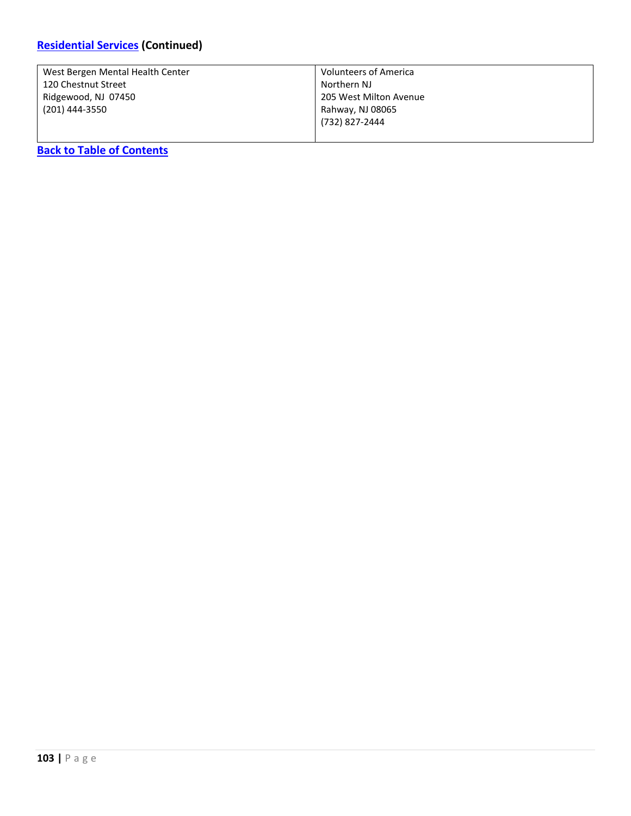| West Bergen Mental Health Center | <b>Volunteers of America</b> |
|----------------------------------|------------------------------|
| 120 Chestnut Street              | Northern NJ                  |
| Ridgewood, NJ 07450              | 205 West Milton Avenue       |
| (201) 444-3550                   | Rahway, NJ 08065             |
|                                  | (732) 827-2444               |
|                                  |                              |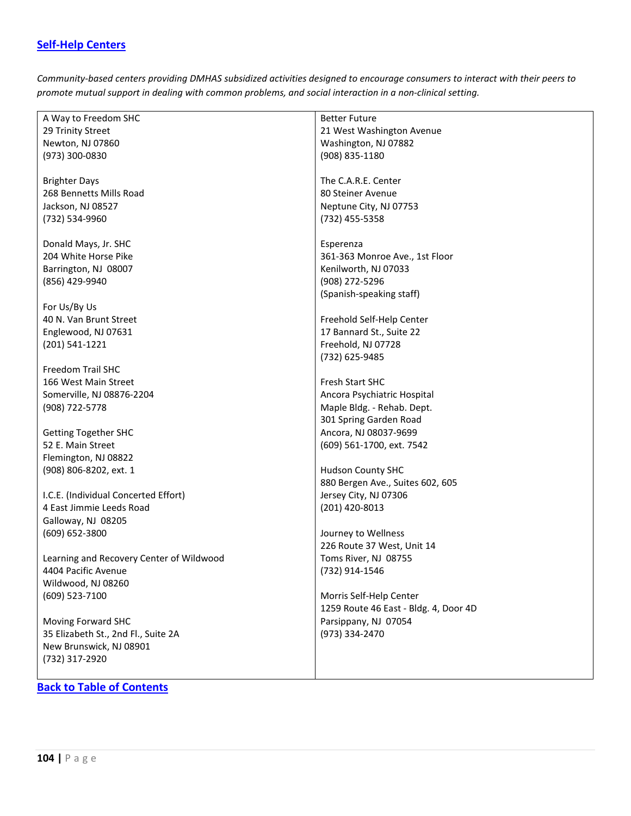#### <span id="page-103-0"></span>**[Self-Help Centers](#page-103-0)**

*Community-based centers providing DMHAS subsidized activities designed to encourage consumers to interact with their peers to promote mutual support in dealing with common problems, and social interaction in a non-clinical setting.*

A Way to Freedom SHC 29 Trinity Street Newton, NJ 07860 (973) 300-0830

Brighter Days 268 Bennetts Mills Road Jackson, NJ 08527 (732) 534-9960

Donald Mays, Jr. SHC 204 White Horse Pike Barrington, NJ 08007 (856) 429-9940

For Us/By Us 40 N. Van Brunt Street Englewood, NJ 07631 (201) 541-1221

Freedom Trail SHC 166 West Main Street Somerville, NJ 08876-2204 (908) 722-5778

Getting Together SHC 52 E. Main Street Flemington, NJ 08822 (908) 806-8202, ext. 1

I.C.E. (Individual Concerted Effort) 4 East Jimmie Leeds Road Galloway, NJ 08205 (609) 652-3800

Learning and Recovery Center of Wildwood 4404 Pacific Avenue Wildwood, NJ 08260 (609) 523-7100

Moving Forward SHC 35 Elizabeth St., 2nd Fl., Suite 2A New Brunswick, NJ 08901 (732) 317-2920

#### **[Back to Table of Contents](#page-4-0)**

Better Future 21 West Washington Avenue Washington, NJ 07882 (908) 835-1180

The C.A.R.E. Center 80 Steiner Avenue Neptune City, NJ 07753 (732) 455-5358

Esperenza 361-363 Monroe Ave., 1st Floor Kenilworth, NJ 07033 (908) 272-5296 (Spanish-speaking staff)

Freehold Self-Help Center 17 Bannard St., Suite 22 Freehold, NJ 07728 (732) 625-9485

Fresh Start SHC Ancora Psychiatric Hospital Maple Bldg. - Rehab. Dept. 301 Spring Garden Road Ancora, NJ 08037-9699 (609) 561-1700, ext. 7542

Hudson County SHC 880 Bergen Ave., Suites 602, 605 Jersey City, NJ 07306 (201) 420-8013

Journey to Wellness 226 Route 37 West, Unit 14 Toms River, NJ 08755 (732) 914-1546

Morris Self-Help Center 1259 Route 46 East - Bldg. 4, Door 4D Parsippany, NJ 07054 (973) 334-2470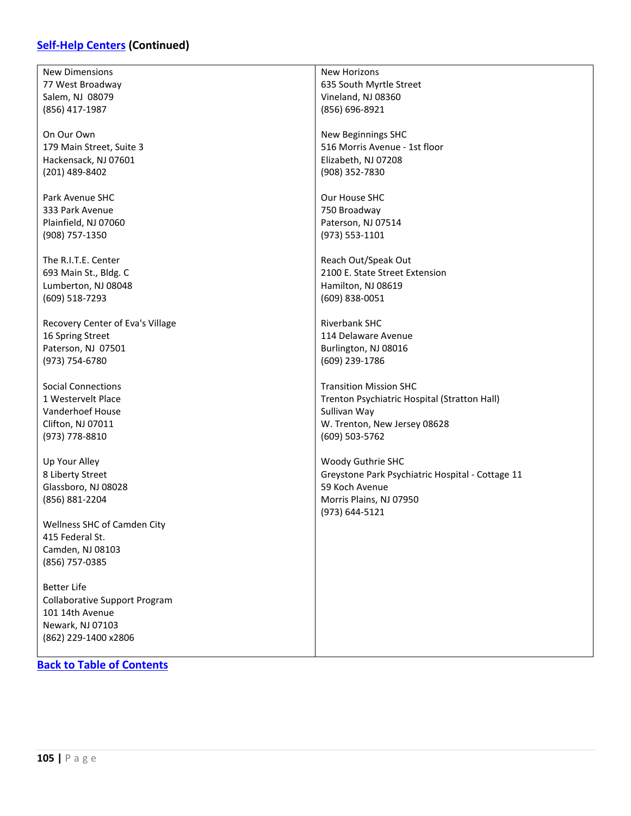### **[Self-Help Centers](#page-103-0) (Continued)**

| <b>New Dimensions</b>                | <b>New Horizons</b>                              |
|--------------------------------------|--------------------------------------------------|
| 77 West Broadway                     | 635 South Myrtle Street                          |
| Salem, NJ 08079                      | Vineland, NJ 08360                               |
|                                      |                                                  |
| (856) 417-1987                       | (856) 696-8921                                   |
|                                      |                                                  |
| On Our Own                           | New Beginnings SHC                               |
| 179 Main Street, Suite 3             | 516 Morris Avenue - 1st floor                    |
| Hackensack, NJ 07601                 | Elizabeth, NJ 07208                              |
|                                      |                                                  |
| (201) 489-8402                       | (908) 352-7830                                   |
|                                      |                                                  |
| Park Avenue SHC                      | Our House SHC                                    |
| 333 Park Avenue                      | 750 Broadway                                     |
| Plainfield, NJ 07060                 | Paterson, NJ 07514                               |
| (908) 757-1350                       | (973) 553-1101                                   |
|                                      |                                                  |
| The R.I.T.E. Center                  | Reach Out/Speak Out                              |
|                                      |                                                  |
| 693 Main St., Bldg. C                | 2100 E. State Street Extension                   |
| Lumberton, NJ 08048                  | Hamilton, NJ 08619                               |
| (609) 518-7293                       | (609) 838-0051                                   |
|                                      |                                                  |
| Recovery Center of Eva's Village     | Riverbank SHC                                    |
| 16 Spring Street                     | 114 Delaware Avenue                              |
|                                      |                                                  |
| Paterson, NJ 07501                   | Burlington, NJ 08016                             |
| (973) 754-6780                       | (609) 239-1786                                   |
|                                      |                                                  |
| <b>Social Connections</b>            | <b>Transition Mission SHC</b>                    |
| 1 Westervelt Place                   | Trenton Psychiatric Hospital (Stratton Hall)     |
| Vanderhoef House                     | Sullivan Way                                     |
| Clifton, NJ 07011                    | W. Trenton, New Jersey 08628                     |
|                                      |                                                  |
| (973) 778-8810                       | (609) 503-5762                                   |
|                                      |                                                  |
| Up Your Alley                        | Woody Guthrie SHC                                |
| 8 Liberty Street                     | Greystone Park Psychiatric Hospital - Cottage 11 |
| Glassboro, NJ 08028                  | 59 Koch Avenue                                   |
| (856) 881-2204                       | Morris Plains, NJ 07950                          |
|                                      |                                                  |
|                                      | (973) 644-5121                                   |
| Wellness SHC of Camden City          |                                                  |
| 415 Federal St.                      |                                                  |
| Camden, NJ 08103                     |                                                  |
| (856) 757-0385                       |                                                  |
|                                      |                                                  |
| <b>Better Life</b>                   |                                                  |
|                                      |                                                  |
| <b>Collaborative Support Program</b> |                                                  |
| 101 14th Avenue                      |                                                  |
| Newark, NJ 07103                     |                                                  |
| (862) 229-1400 x2806                 |                                                  |
|                                      |                                                  |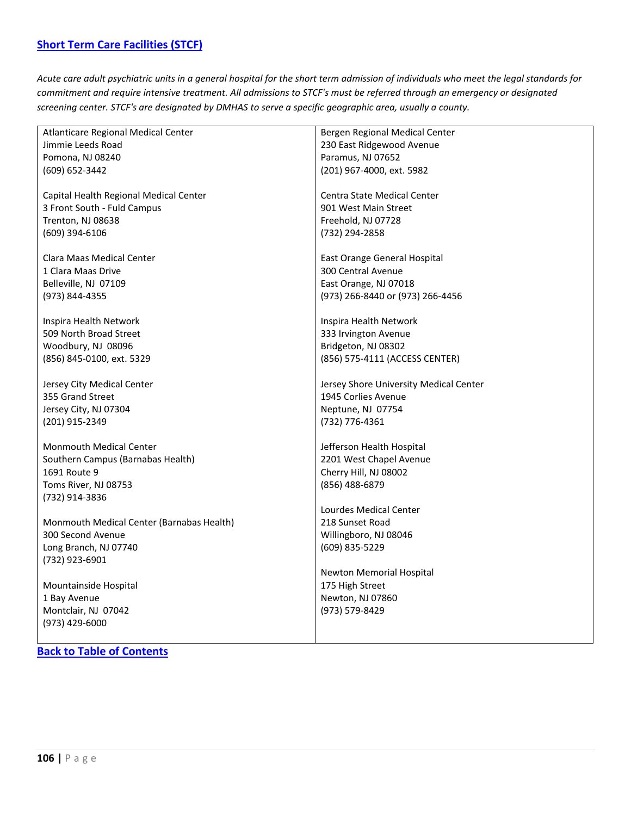<span id="page-105-0"></span>*Acute care adult psychiatric units in a general hospital for the short term admission of individuals who meet the legal standards for commitment and require intensive treatment. All admissions to STCF's must be referred through an emergency or designated screening center. STCF's are designated by DMHAS to serve a specific geographic area, usually a county.*

| Atlanticare Regional Medical Center       | Bergen Regional Medical Center         |
|-------------------------------------------|----------------------------------------|
| Jimmie Leeds Road                         | 230 East Ridgewood Avenue              |
| Pomona, NJ 08240                          | Paramus, NJ 07652                      |
| (609) 652-3442                            | (201) 967-4000, ext. 5982              |
|                                           |                                        |
| Capital Health Regional Medical Center    | Centra State Medical Center            |
| 3 Front South - Fuld Campus               | 901 West Main Street                   |
| Trenton, NJ 08638                         | Freehold, NJ 07728                     |
|                                           |                                        |
| (609) 394-6106                            | (732) 294-2858                         |
| Clara Maas Medical Center                 | East Orange General Hospital           |
| 1 Clara Maas Drive                        | 300 Central Avenue                     |
| Belleville, NJ 07109                      | East Orange, NJ 07018                  |
|                                           |                                        |
| (973) 844-4355                            | (973) 266-8440 or (973) 266-4456       |
| Inspira Health Network                    | Inspira Health Network                 |
| 509 North Broad Street                    | 333 Irvington Avenue                   |
|                                           |                                        |
| Woodbury, NJ 08096                        | Bridgeton, NJ 08302                    |
| (856) 845-0100, ext. 5329                 | (856) 575-4111 (ACCESS CENTER)         |
| Jersey City Medical Center                | Jersey Shore University Medical Center |
| 355 Grand Street                          | 1945 Corlies Avenue                    |
|                                           |                                        |
| Jersey City, NJ 07304                     | Neptune, NJ 07754                      |
| (201) 915-2349                            | (732) 776-4361                         |
| <b>Monmouth Medical Center</b>            | Jefferson Health Hospital              |
| Southern Campus (Barnabas Health)         | 2201 West Chapel Avenue                |
| 1691 Route 9                              | Cherry Hill, NJ 08002                  |
|                                           |                                        |
| Toms River, NJ 08753                      | (856) 488-6879                         |
| (732) 914-3836                            | Lourdes Medical Center                 |
| Monmouth Medical Center (Barnabas Health) | 218 Sunset Road                        |
|                                           |                                        |
| 300 Second Avenue                         | Willingboro, NJ 08046                  |
| Long Branch, NJ 07740                     | (609) 835-5229                         |
| (732) 923-6901                            |                                        |
|                                           | Newton Memorial Hospital               |
| Mountainside Hospital                     | 175 High Street                        |
| 1 Bay Avenue                              | Newton, NJ 07860                       |
| Montclair, NJ 07042                       | (973) 579-8429                         |
| (973) 429-6000                            |                                        |
|                                           |                                        |
|                                           |                                        |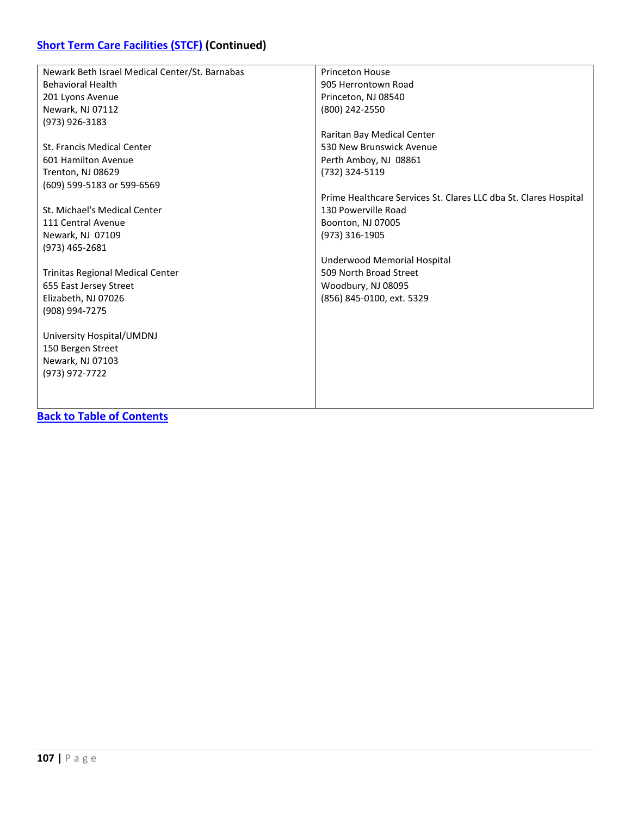| Newark Beth Israel Medical Center/St. Barnabas | <b>Princeton House</b>                                           |
|------------------------------------------------|------------------------------------------------------------------|
| <b>Behavioral Health</b>                       | 905 Herrontown Road                                              |
| 201 Lyons Avenue                               | Princeton, NJ 08540                                              |
| Newark, NJ 07112                               | (800) 242-2550                                                   |
| (973) 926-3183                                 |                                                                  |
|                                                | Raritan Bay Medical Center                                       |
| St. Francis Medical Center                     | 530 New Brunswick Avenue                                         |
| 601 Hamilton Avenue                            | Perth Amboy, NJ 08861                                            |
| Trenton, NJ 08629                              | (732) 324-5119                                                   |
| (609) 599-5183 or 599-6569                     |                                                                  |
|                                                | Prime Healthcare Services St. Clares LLC dba St. Clares Hospital |
| St. Michael's Medical Center                   | 130 Powerville Road                                              |
| 111 Central Avenue                             | Boonton, NJ 07005                                                |
| Newark, NJ 07109                               | (973) 316-1905                                                   |
| (973) 465-2681                                 |                                                                  |
|                                                | Underwood Memorial Hospital                                      |
| <b>Trinitas Regional Medical Center</b>        | 509 North Broad Street                                           |
| 655 East Jersey Street                         | Woodbury, NJ 08095                                               |
| Elizabeth, NJ 07026                            | (856) 845-0100, ext. 5329                                        |
| (908) 994-7275                                 |                                                                  |
|                                                |                                                                  |
| University Hospital/UMDNJ                      |                                                                  |
| 150 Bergen Street                              |                                                                  |
| Newark, NJ 07103                               |                                                                  |
| (973) 972-7722                                 |                                                                  |
|                                                |                                                                  |
|                                                |                                                                  |
|                                                |                                                                  |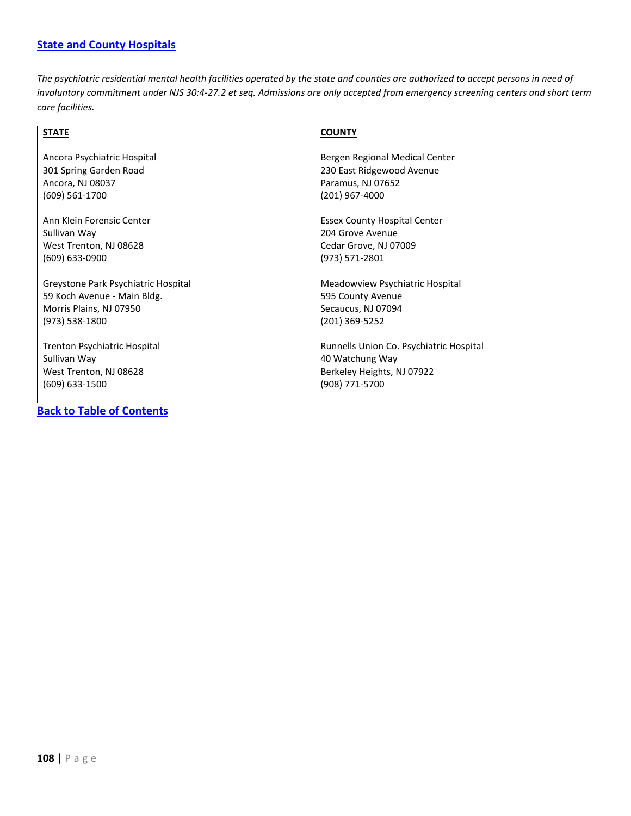### <span id="page-107-0"></span>**[State and County Hospitals](#page-107-0)**

*The psychiatric residential mental health facilities operated by the state and counties are authorized to accept persons in need of involuntary commitment under NJS 30:4-27.2 et seq. Admissions are only accepted from emergency screening centers and short term care facilities.*

| <b>STATE</b>                                                                               | <b>COUNTY</b>                                                                                              |
|--------------------------------------------------------------------------------------------|------------------------------------------------------------------------------------------------------------|
| Ancora Psychiatric Hospital<br>301 Spring Garden Road                                      | Bergen Regional Medical Center<br>230 East Ridgewood Avenue                                                |
| Ancora, NJ 08037                                                                           | Paramus, NJ 07652                                                                                          |
| (609) 561-1700                                                                             | $(201)$ 967-4000                                                                                           |
| Ann Klein Forensic Center<br>Sullivan Way<br>West Trenton, NJ 08628<br>$(609)$ 633-0900    | <b>Essex County Hospital Center</b><br>204 Grove Avenue<br>Cedar Grove, NJ 07009<br>(973) 571-2801         |
| Greystone Park Psychiatric Hospital                                                        | Meadowview Psychiatric Hospital                                                                            |
| 59 Koch Avenue - Main Bldg.                                                                | 595 County Avenue                                                                                          |
| Morris Plains, NJ 07950                                                                    | Secaucus, NJ 07094                                                                                         |
| (973) 538-1800                                                                             | (201) 369-5252                                                                                             |
| Trenton Psychiatric Hospital<br>Sullivan Way<br>West Trenton, NJ 08628<br>$(609)$ 633-1500 | Runnells Union Co. Psychiatric Hospital<br>40 Watchung Way<br>Berkeley Heights, NJ 07922<br>(908) 771-5700 |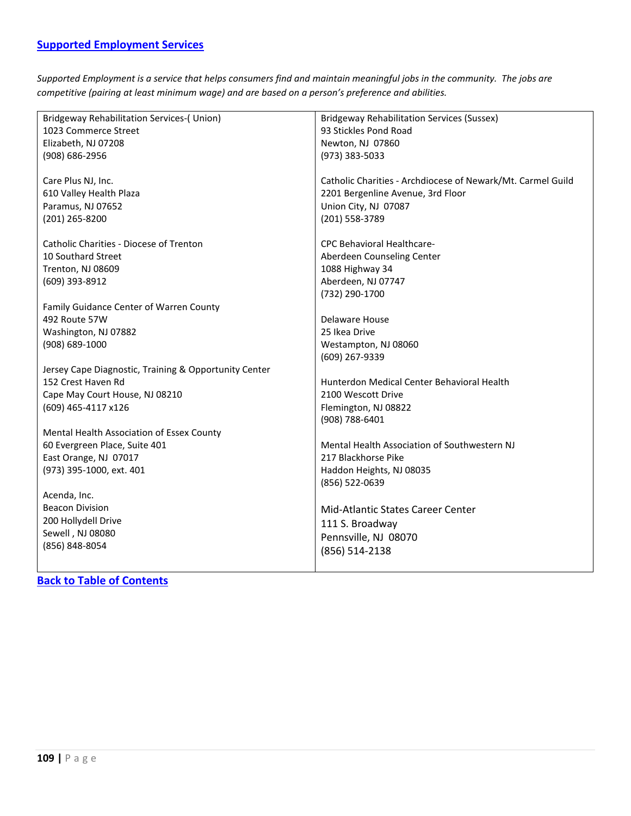<span id="page-108-0"></span>*Supported Employment is a service that helps consumers find and maintain meaningful jobs in the community. The jobs are competitive (pairing at least minimum wage) and are based on a person's preference and abilities.*

| <b>Bridgeway Rehabilitation Services-( Union)</b>     | <b>Bridgeway Rehabilitation Services (Sussex)</b>           |
|-------------------------------------------------------|-------------------------------------------------------------|
| 1023 Commerce Street                                  | 93 Stickles Pond Road                                       |
| Elizabeth, NJ 07208                                   | Newton, NJ 07860                                            |
| (908) 686-2956                                        | (973) 383-5033                                              |
|                                                       |                                                             |
| Care Plus NJ, Inc.                                    | Catholic Charities - Archdiocese of Newark/Mt. Carmel Guild |
| 610 Valley Health Plaza                               | 2201 Bergenline Avenue, 3rd Floor                           |
| Paramus, NJ 07652                                     | Union City, NJ 07087                                        |
| (201) 265-8200                                        | (201) 558-3789                                              |
| Catholic Charities - Diocese of Trenton               | <b>CPC Behavioral Healthcare-</b>                           |
| 10 Southard Street                                    | Aberdeen Counseling Center                                  |
| <b>Trenton, NJ 08609</b>                              | 1088 Highway 34                                             |
| (609) 393-8912                                        | Aberdeen, NJ 07747                                          |
|                                                       | (732) 290-1700                                              |
| Family Guidance Center of Warren County               |                                                             |
| 492 Route 57W                                         | Delaware House                                              |
| Washington, NJ 07882                                  | 25 Ikea Drive                                               |
| (908) 689-1000                                        | Westampton, NJ 08060                                        |
|                                                       | (609) 267-9339                                              |
| Jersey Cape Diagnostic, Training & Opportunity Center |                                                             |
| 152 Crest Haven Rd                                    | Hunterdon Medical Center Behavioral Health                  |
| Cape May Court House, NJ 08210                        | 2100 Wescott Drive                                          |
| (609) 465-4117 x126                                   | Flemington, NJ 08822                                        |
|                                                       | (908) 788-6401                                              |
| Mental Health Association of Essex County             |                                                             |
| 60 Evergreen Place, Suite 401                         | Mental Health Association of Southwestern NJ                |
| East Orange, NJ 07017                                 | 217 Blackhorse Pike                                         |
| (973) 395-1000, ext. 401                              | Haddon Heights, NJ 08035                                    |
|                                                       | (856) 522-0639                                              |
| Acenda, Inc.                                          |                                                             |
| <b>Beacon Division</b>                                | <b>Mid-Atlantic States Career Center</b>                    |
| 200 Hollydell Drive                                   | 111 S. Broadway                                             |
| Sewell, NJ 08080                                      | Pennsville, NJ 08070                                        |
| (856) 848-8054                                        | (856) 514-2138                                              |
|                                                       |                                                             |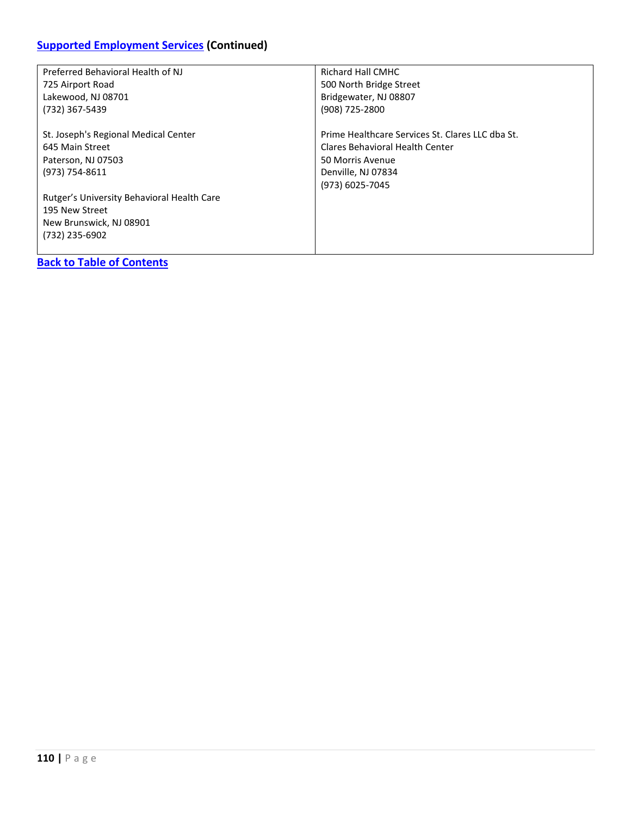# **[Supported Employment Services](#page-108-0) (Continued)**

| Preferred Behavioral Health of NJ          | Richard Hall CMHC                                |
|--------------------------------------------|--------------------------------------------------|
| 725 Airport Road                           | 500 North Bridge Street                          |
| Lakewood, NJ 08701                         | Bridgewater, NJ 08807                            |
| (732) 367-5439                             | (908) 725-2800                                   |
| St. Joseph's Regional Medical Center       | Prime Healthcare Services St. Clares LLC dba St. |
| 645 Main Street                            | Clares Behavioral Health Center                  |
| Paterson, NJ 07503                         | 50 Morris Avenue                                 |
| (973) 754-8611                             | Denville, NJ 07834                               |
|                                            | (973) 6025-7045                                  |
| Rutger's University Behavioral Health Care |                                                  |
| 195 New Street                             |                                                  |
| New Brunswick, NJ 08901                    |                                                  |
| (732) 235-6902                             |                                                  |
|                                            |                                                  |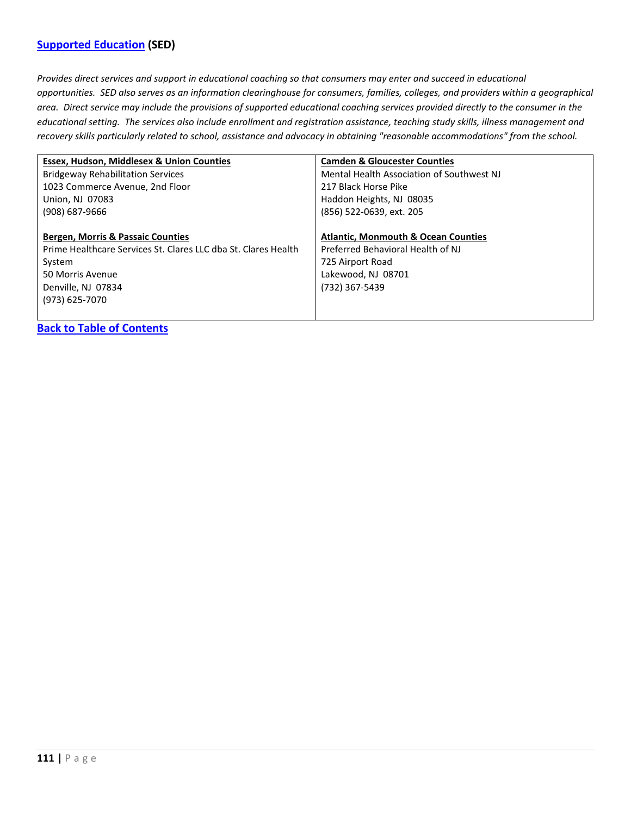### <span id="page-110-0"></span>**[Supported Education](#page-110-0) (SED)**

*Provides direct services and support in educational coaching so that consumers may enter and succeed in educational opportunities. SED also serves as an information clearinghouse for consumers, families, colleges, and providers within a geographical area. Direct service may include the provisions of supported educational coaching services provided directly to the consumer in the educational setting. The services also include enrollment and registration assistance, teaching study skills, illness management and recovery skills particularly related to school, assistance and advocacy in obtaining "reasonable accommodations" from the school.*

| Essex, Hudson, Middlesex & Union Counties                      | <b>Camden &amp; Gloucester Counties</b>        |
|----------------------------------------------------------------|------------------------------------------------|
| <b>Bridgeway Rehabilitation Services</b>                       | Mental Health Association of Southwest NJ      |
| 1023 Commerce Avenue, 2nd Floor                                | 217 Black Horse Pike                           |
| Union, NJ 07083                                                | Haddon Heights, NJ 08035                       |
| (908) 687-9666                                                 | (856) 522-0639, ext. 205                       |
|                                                                |                                                |
| <b>Bergen, Morris &amp; Passaic Counties</b>                   | <b>Atlantic, Monmouth &amp; Ocean Counties</b> |
|                                                                |                                                |
| Prime Healthcare Services St. Clares LLC dba St. Clares Health | Preferred Behavioral Health of NJ              |
| System                                                         | 725 Airport Road                               |
| 50 Morris Avenue                                               | Lakewood, NJ 08701                             |
| Denville, NJ 07834                                             | (732) 367-5439                                 |
| (973) 625-7070                                                 |                                                |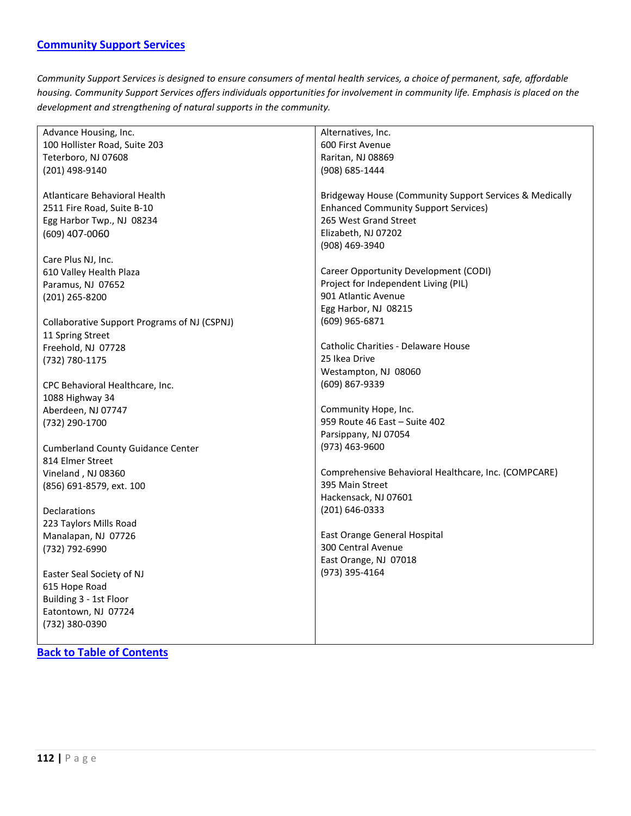<span id="page-111-0"></span>*Community Support Services is designed to ensure consumers of mental health services, a choice of permanent, safe, affordable housing. Community Support Services offers individuals opportunities for involvement in community life. Emphasis is placed on the development and strengthening of natural supports in the community.*

| 100 Hollister Road, Suite 203<br>600 First Avenue<br>Teterboro, NJ 07608<br>Raritan, NJ 08869<br>(201) 498-9140<br>(908) 685-1444<br>Atlanticare Behavioral Health<br>Bridgeway House (Community Support Services & Medically<br>2511 Fire Road, Suite B-10<br><b>Enhanced Community Support Services)</b><br>265 West Grand Street<br>Egg Harbor Twp., NJ 08234<br>Elizabeth, NJ 07202<br>(609) 407-0060<br>(908) 469-3940<br>Care Plus NJ, Inc.<br>Career Opportunity Development (CODI)<br>610 Valley Health Plaza<br>Project for Independent Living (PIL)<br>Paramus, NJ 07652 | Advance Housing, Inc. | Alternatives, Inc.  |
|------------------------------------------------------------------------------------------------------------------------------------------------------------------------------------------------------------------------------------------------------------------------------------------------------------------------------------------------------------------------------------------------------------------------------------------------------------------------------------------------------------------------------------------------------------------------------------|-----------------------|---------------------|
|                                                                                                                                                                                                                                                                                                                                                                                                                                                                                                                                                                                    |                       |                     |
|                                                                                                                                                                                                                                                                                                                                                                                                                                                                                                                                                                                    |                       |                     |
|                                                                                                                                                                                                                                                                                                                                                                                                                                                                                                                                                                                    |                       |                     |
|                                                                                                                                                                                                                                                                                                                                                                                                                                                                                                                                                                                    |                       |                     |
|                                                                                                                                                                                                                                                                                                                                                                                                                                                                                                                                                                                    |                       |                     |
|                                                                                                                                                                                                                                                                                                                                                                                                                                                                                                                                                                                    |                       |                     |
|                                                                                                                                                                                                                                                                                                                                                                                                                                                                                                                                                                                    |                       |                     |
|                                                                                                                                                                                                                                                                                                                                                                                                                                                                                                                                                                                    |                       |                     |
|                                                                                                                                                                                                                                                                                                                                                                                                                                                                                                                                                                                    |                       |                     |
|                                                                                                                                                                                                                                                                                                                                                                                                                                                                                                                                                                                    |                       |                     |
|                                                                                                                                                                                                                                                                                                                                                                                                                                                                                                                                                                                    |                       |                     |
|                                                                                                                                                                                                                                                                                                                                                                                                                                                                                                                                                                                    |                       |                     |
| (201) 265-8200                                                                                                                                                                                                                                                                                                                                                                                                                                                                                                                                                                     |                       | 901 Atlantic Avenue |
| Egg Harbor, NJ 08215                                                                                                                                                                                                                                                                                                                                                                                                                                                                                                                                                               |                       |                     |
| (609) 965-6871<br>Collaborative Support Programs of NJ (CSPNJ)                                                                                                                                                                                                                                                                                                                                                                                                                                                                                                                     |                       |                     |
| 11 Spring Street                                                                                                                                                                                                                                                                                                                                                                                                                                                                                                                                                                   |                       |                     |
| Catholic Charities - Delaware House<br>Freehold, NJ 07728                                                                                                                                                                                                                                                                                                                                                                                                                                                                                                                          |                       |                     |
| 25 Ikea Drive<br>(732) 780-1175                                                                                                                                                                                                                                                                                                                                                                                                                                                                                                                                                    |                       |                     |
| Westampton, NJ 08060                                                                                                                                                                                                                                                                                                                                                                                                                                                                                                                                                               |                       |                     |
| (609) 867-9339<br>CPC Behavioral Healthcare, Inc.                                                                                                                                                                                                                                                                                                                                                                                                                                                                                                                                  |                       |                     |
| 1088 Highway 34                                                                                                                                                                                                                                                                                                                                                                                                                                                                                                                                                                    |                       |                     |
| Community Hope, Inc.<br>Aberdeen, NJ 07747                                                                                                                                                                                                                                                                                                                                                                                                                                                                                                                                         |                       |                     |
| 959 Route 46 East - Suite 402<br>(732) 290-1700                                                                                                                                                                                                                                                                                                                                                                                                                                                                                                                                    |                       |                     |
| Parsippany, NJ 07054                                                                                                                                                                                                                                                                                                                                                                                                                                                                                                                                                               |                       |                     |
| $(973)$ 463-9600<br><b>Cumberland County Guidance Center</b>                                                                                                                                                                                                                                                                                                                                                                                                                                                                                                                       |                       |                     |
| 814 Elmer Street                                                                                                                                                                                                                                                                                                                                                                                                                                                                                                                                                                   |                       |                     |
| Comprehensive Behavioral Healthcare, Inc. (COMPCARE)<br>Vineland, NJ 08360                                                                                                                                                                                                                                                                                                                                                                                                                                                                                                         |                       |                     |
| 395 Main Street<br>(856) 691-8579, ext. 100                                                                                                                                                                                                                                                                                                                                                                                                                                                                                                                                        |                       |                     |
| Hackensack, NJ 07601                                                                                                                                                                                                                                                                                                                                                                                                                                                                                                                                                               |                       |                     |
| (201) 646-0333<br>Declarations                                                                                                                                                                                                                                                                                                                                                                                                                                                                                                                                                     |                       |                     |
| 223 Taylors Mills Road                                                                                                                                                                                                                                                                                                                                                                                                                                                                                                                                                             |                       |                     |
| East Orange General Hospital<br>Manalapan, NJ 07726                                                                                                                                                                                                                                                                                                                                                                                                                                                                                                                                |                       |                     |
| 300 Central Avenue<br>(732) 792-6990                                                                                                                                                                                                                                                                                                                                                                                                                                                                                                                                               |                       |                     |
| East Orange, NJ 07018                                                                                                                                                                                                                                                                                                                                                                                                                                                                                                                                                              |                       |                     |
| (973) 395-4164<br>Easter Seal Society of NJ                                                                                                                                                                                                                                                                                                                                                                                                                                                                                                                                        |                       |                     |
| 615 Hope Road                                                                                                                                                                                                                                                                                                                                                                                                                                                                                                                                                                      |                       |                     |
| Building 3 - 1st Floor                                                                                                                                                                                                                                                                                                                                                                                                                                                                                                                                                             |                       |                     |
| Eatontown, NJ 07724                                                                                                                                                                                                                                                                                                                                                                                                                                                                                                                                                                |                       |                     |
| (732) 380-0390                                                                                                                                                                                                                                                                                                                                                                                                                                                                                                                                                                     |                       |                     |
|                                                                                                                                                                                                                                                                                                                                                                                                                                                                                                                                                                                    |                       |                     |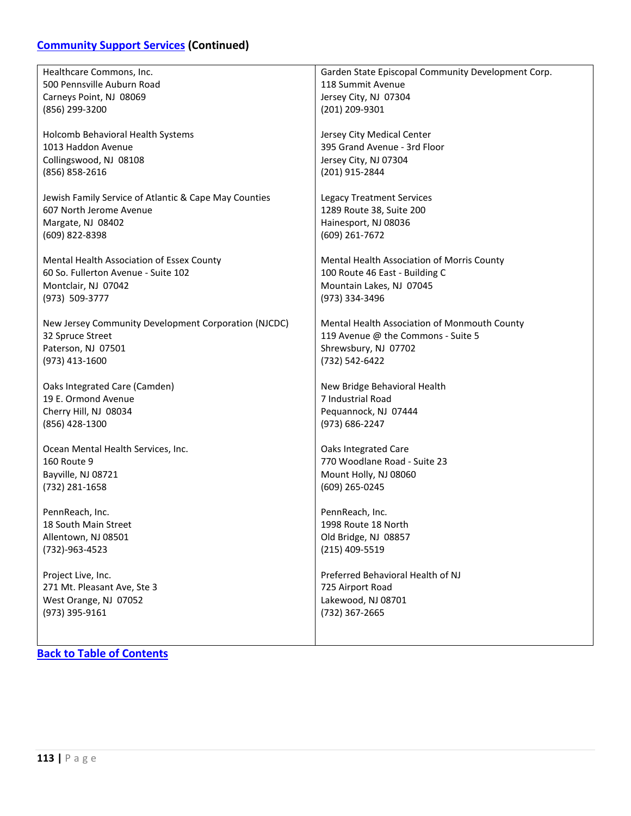## **[Community Support Services](#page-111-0) (Continued)**

| Healthcare Commons, Inc.                              | Garden State Episcopal Community Development Corp. |
|-------------------------------------------------------|----------------------------------------------------|
| 500 Pennsville Auburn Road                            | 118 Summit Avenue                                  |
| Carneys Point, NJ 08069                               | Jersey City, NJ 07304                              |
| (856) 299-3200                                        | (201) 209-9301                                     |
|                                                       |                                                    |
| Holcomb Behavioral Health Systems                     | Jersey City Medical Center                         |
| 1013 Haddon Avenue                                    | 395 Grand Avenue - 3rd Floor                       |
| Collingswood, NJ 08108                                | Jersey City, NJ 07304                              |
| (856) 858-2616                                        | (201) 915-2844                                     |
|                                                       |                                                    |
| Jewish Family Service of Atlantic & Cape May Counties | <b>Legacy Treatment Services</b>                   |
| 607 North Jerome Avenue                               | 1289 Route 38, Suite 200                           |
| Margate, NJ 08402                                     | Hainesport, NJ 08036                               |
| (609) 822-8398                                        | (609) 261-7672                                     |
| Mental Health Association of Essex County             | Mental Health Association of Morris County         |
| 60 So. Fullerton Avenue - Suite 102                   | 100 Route 46 East - Building C                     |
|                                                       | Mountain Lakes, NJ 07045                           |
| Montclair, NJ 07042<br>(973) 509-3777                 |                                                    |
|                                                       | (973) 334-3496                                     |
| New Jersey Community Development Corporation (NJCDC)  | Mental Health Association of Monmouth County       |
| 32 Spruce Street                                      | 119 Avenue @ the Commons - Suite 5                 |
| Paterson, NJ 07501                                    | Shrewsbury, NJ 07702                               |
| (973) 413-1600                                        | (732) 542-6422                                     |
|                                                       |                                                    |
| Oaks Integrated Care (Camden)                         | New Bridge Behavioral Health                       |
| 19 E. Ormond Avenue                                   | 7 Industrial Road                                  |
| Cherry Hill, NJ 08034                                 | Pequannock, NJ 07444                               |
| (856) 428-1300                                        | (973) 686-2247                                     |
|                                                       |                                                    |
| Ocean Mental Health Services, Inc.                    | Oaks Integrated Care                               |
| 160 Route 9                                           | 770 Woodlane Road - Suite 23                       |
| Bayville, NJ 08721                                    | Mount Holly, NJ 08060                              |
| (732) 281-1658                                        | (609) 265-0245                                     |
|                                                       |                                                    |
| PennReach, Inc.                                       | PennReach, Inc.                                    |
| 18 South Main Street                                  | 1998 Route 18 North                                |
| Allentown, NJ 08501                                   | Old Bridge, NJ 08857                               |
| (732)-963-4523                                        | (215) 409-5519                                     |
| Project Live, Inc.                                    | Preferred Behavioral Health of NJ                  |
| 271 Mt. Pleasant Ave, Ste 3                           | 725 Airport Road                                   |
| West Orange, NJ 07052                                 | Lakewood, NJ 08701                                 |
| (973) 395-9161                                        | (732) 367-2665                                     |
|                                                       |                                                    |
|                                                       |                                                    |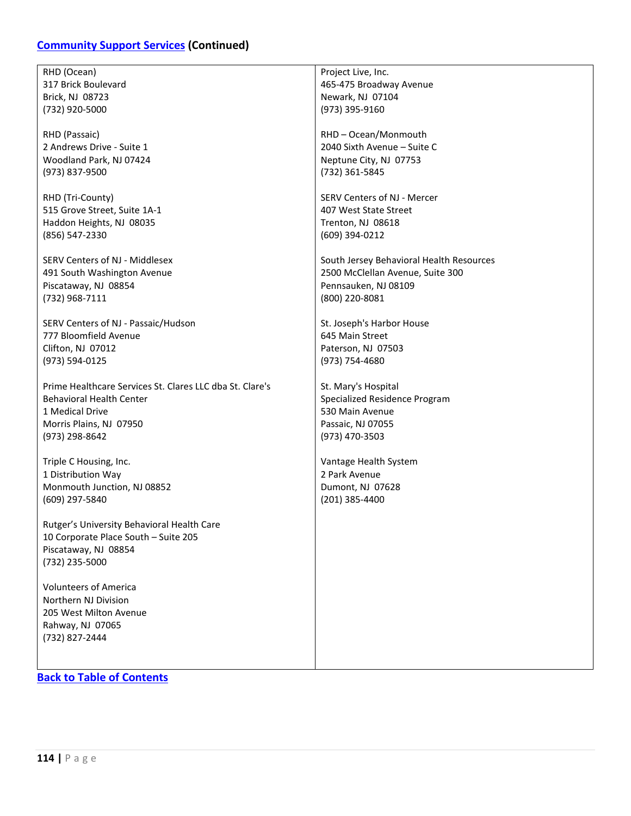### **[Community Support Services](#page-111-0) (Continued)**

RHD (Ocean) 317 Brick Boulevard Brick, NJ 08723 (732) 920-5000

RHD (Passaic) 2 Andrews Drive - Suite 1 Woodland Park, NJ 07424 (973) 837-9500

RHD (Tri-County) 515 Grove Street, Suite 1A-1 Haddon Heights, NJ 08035 (856) 547-2330

SERV Centers of NJ - Middlesex 491 South Washington Avenue Piscataway, NJ 08854 (732) 968-7111

SERV Centers of NJ - Passaic/Hudson 777 Bloomfield Avenue Clifton, NJ 07012 (973) 594-0125

Prime Healthcare Services St. Clares LLC dba St. Clare's Behavioral Health Center 1 Medical Drive Morris Plains, NJ 07950 (973) 298-8642

Triple C Housing, Inc. 1 Distribution Way Monmouth Junction, NJ 08852 (609) 297-5840

Rutger's University Behavioral Health Care 10 Corporate Place South – Suite 205 Piscataway, NJ 08854 (732) 235-5000

Volunteers of America Northern NJ Division 205 West Milton Avenue Rahway, NJ 07065 (732) 827-2444

**[Back to Table of Contents](#page-4-0)**

Project Live, Inc. 465-475 Broadway Avenue Newark, NJ 07104 (973) 395-9160

RHD – Ocean/Monmouth 2040 Sixth Avenue – Suite C Neptune City, NJ 07753 (732) 361-5845

SERV Centers of NJ - Mercer 407 West State Street Trenton, NJ 08618 (609) 394-0212

South Jersey Behavioral Health Resources 2500 McClellan Avenue, Suite 300 Pennsauken, NJ 08109 (800) 220-8081

St. Joseph's Harbor House 645 Main Street Paterson, NJ 07503 (973) 754-4680

St. Mary's Hospital Specialized Residence Program 530 Main Avenue Passaic, NJ 07055 (973) 470-3503

Vantage Health System 2 Park Avenue Dumont, NJ 07628 (201) 385-4400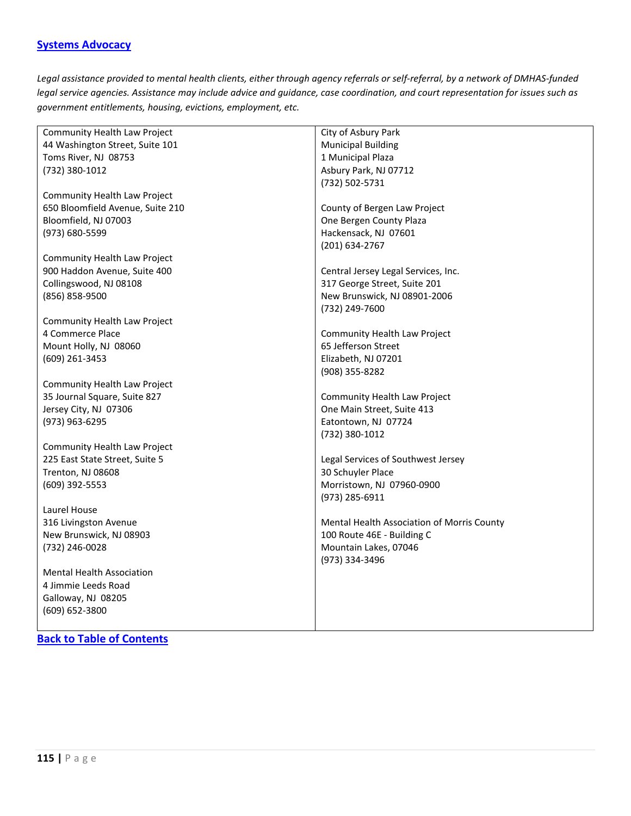#### <span id="page-114-0"></span>**[Systems Advocacy](#page-114-0)**

*Legal assistance provided to mental health clients, either through agency referrals or self-referral, by a network of DMHAS-funded legal service agencies. Assistance may include advice and guidance, case coordination, and court representation for issues such as government entitlements, housing, evictions, employment, etc.*

| Community Health Law Project     | City of Asbury Park                        |
|----------------------------------|--------------------------------------------|
| 44 Washington Street, Suite 101  | <b>Municipal Building</b>                  |
| Toms River, NJ 08753             | 1 Municipal Plaza                          |
| (732) 380-1012                   | Asbury Park, NJ 07712                      |
|                                  | (732) 502-5731                             |
| Community Health Law Project     |                                            |
| 650 Bloomfield Avenue, Suite 210 | County of Bergen Law Project               |
| Bloomfield, NJ 07003             | One Bergen County Plaza                    |
| (973) 680-5599                   | Hackensack, NJ 07601                       |
|                                  | (201) 634-2767                             |
| Community Health Law Project     |                                            |
| 900 Haddon Avenue, Suite 400     | Central Jersey Legal Services, Inc.        |
| Collingswood, NJ 08108           | 317 George Street, Suite 201               |
| (856) 858-9500                   | New Brunswick, NJ 08901-2006               |
|                                  | (732) 249-7600                             |
| Community Health Law Project     |                                            |
| 4 Commerce Place                 | Community Health Law Project               |
| Mount Holly, NJ 08060            | 65 Jefferson Street                        |
| (609) 261-3453                   | Elizabeth, NJ 07201                        |
|                                  | (908) 355-8282                             |
| Community Health Law Project     |                                            |
| 35 Journal Square, Suite 827     | Community Health Law Project               |
| Jersey City, NJ 07306            | One Main Street, Suite 413                 |
| (973) 963-6295                   | Eatontown, NJ 07724                        |
|                                  | (732) 380-1012                             |
| Community Health Law Project     |                                            |
| 225 East State Street, Suite 5   | Legal Services of Southwest Jersey         |
| Trenton, NJ 08608                | 30 Schuyler Place                          |
| (609) 392-5553                   | Morristown, NJ 07960-0900                  |
|                                  | (973) 285-6911                             |
| Laurel House                     |                                            |
| 316 Livingston Avenue            | Mental Health Association of Morris County |
| New Brunswick, NJ 08903          | 100 Route 46E - Building C                 |
| (732) 246-0028                   | Mountain Lakes, 07046                      |
|                                  | (973) 334-3496                             |
| <b>Mental Health Association</b> |                                            |
| 4 Jimmie Leeds Road              |                                            |
| Galloway, NJ 08205               |                                            |
| (609) 652-3800                   |                                            |
|                                  |                                            |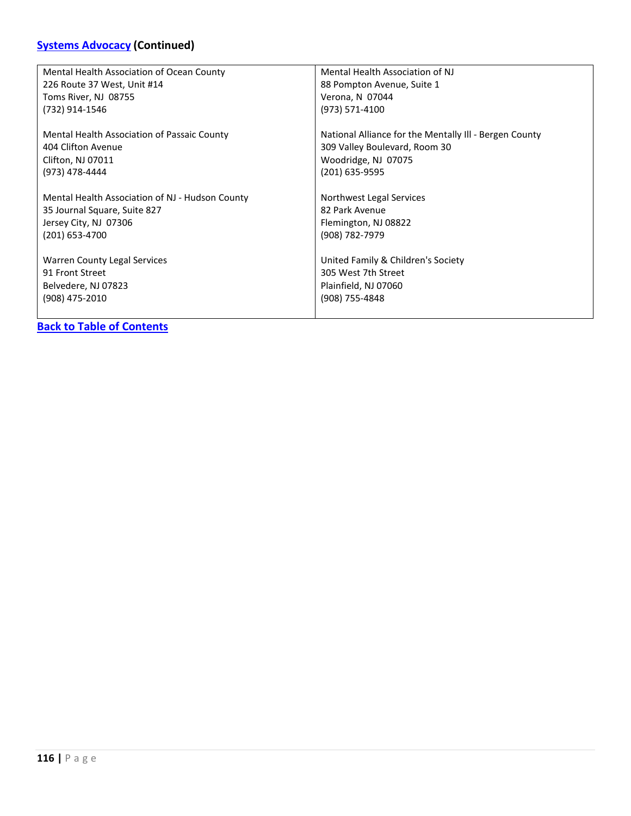# **[Systems Advocacy](#page-114-0) (Continued)**

| Mental Health Association of Ocean County       | Mental Health Association of NJ                        |
|-------------------------------------------------|--------------------------------------------------------|
| 226 Route 37 West, Unit #14                     | 88 Pompton Avenue, Suite 1                             |
| Toms River, NJ 08755                            | Verona, N 07044                                        |
| (732) 914-1546                                  | (973) 571-4100                                         |
| Mental Health Association of Passaic County     | National Alliance for the Mentally III - Bergen County |
| 404 Clifton Avenue                              | 309 Valley Boulevard, Room 30                          |
| Clifton, NJ 07011                               | Woodridge, NJ 07075                                    |
| (973) 478-4444                                  | (201) 635-9595                                         |
| Mental Health Association of NJ - Hudson County | Northwest Legal Services                               |
| 35 Journal Square, Suite 827                    | 82 Park Avenue                                         |
| Jersey City, NJ 07306                           | Flemington, NJ 08822                                   |
| (201) 653-4700                                  | (908) 782-7979                                         |
| <b>Warren County Legal Services</b>             | United Family & Children's Society                     |
| 91 Front Street                                 | 305 West 7th Street                                    |
| Belvedere, NJ 07823                             | Plainfield, NJ 07060                                   |
| (908) 475-2010                                  | (908) 755-4848                                         |